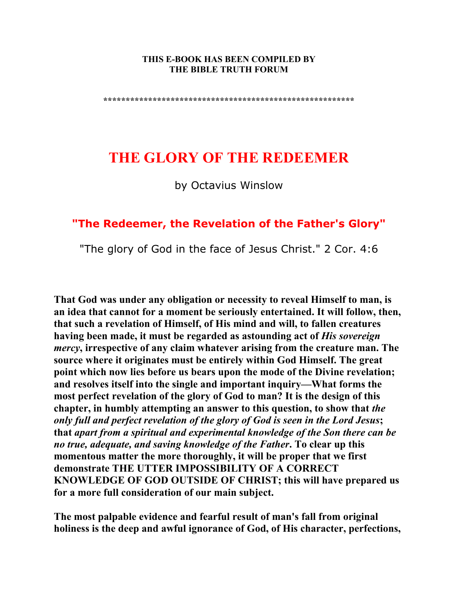#### **THIS E-BOOK HAS BEEN COMPILED BY THE BIBLE TRUTH FORUM**

**\*\*\*\*\*\*\*\*\*\*\*\*\*\*\*\*\*\*\*\*\*\*\*\*\*\*\*\*\*\*\*\*\*\*\*\*\*\*\*\*\*\*\*\*\*\*\*\*\*\*\*\*\*\*\*\*** 

# **THE GLORY OF THE REDEEMER**

by Octavius Winslow

## **"The Redeemer, the Revelation of the Father's Glory"**

"The glory of God in the face of Jesus Christ." 2 Cor. 4:6

**That God was under any obligation or necessity to reveal Himself to man, is an idea that cannot for a moment be seriously entertained. It will follow, then, that such a revelation of Himself, of His mind and will, to fallen creatures having been made, it must be regarded as astounding act of** *His sovereign mercy***, irrespective of any claim whatever arising from the creature man. The source where it originates must be entirely within God Himself. The great point which now lies before us bears upon the mode of the Divine revelation; and resolves itself into the single and important inquiry—What forms the most perfect revelation of the glory of God to man? It is the design of this chapter, in humbly attempting an answer to this question, to show that** *the only full and perfect revelation of the glory of God is seen in the Lord Jesus***; that** *apart from a spiritual and experimental knowledge of the Son there can be no true, adequate, and saving knowledge of the Father***. To clear up this momentous matter the more thoroughly, it will be proper that we first demonstrate THE UTTER IMPOSSIBILITY OF A CORRECT KNOWLEDGE OF GOD OUTSIDE OF CHRIST; this will have prepared us for a more full consideration of our main subject.** 

**The most palpable evidence and fearful result of man's fall from original holiness is the deep and awful ignorance of God, of His character, perfections,**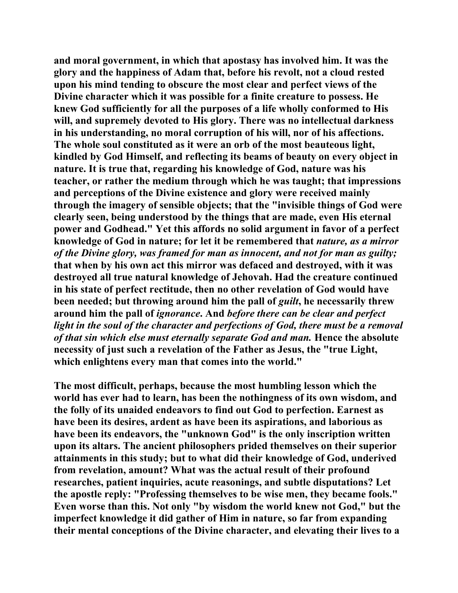**and moral government, in which that apostasy has involved him. It was the glory and the happiness of Adam that, before his revolt, not a cloud rested upon his mind tending to obscure the most clear and perfect views of the Divine character which it was possible for a finite creature to possess. He knew God sufficiently for all the purposes of a life wholly conformed to His will, and supremely devoted to His glory. There was no intellectual darkness in his understanding, no moral corruption of his will, nor of his affections. The whole soul constituted as it were an orb of the most beauteous light, kindled by God Himself, and reflecting its beams of beauty on every object in nature. It is true that, regarding his knowledge of God, nature was his teacher, or rather the medium through which he was taught; that impressions and perceptions of the Divine existence and glory were received mainly through the imagery of sensible objects; that the "invisible things of God were clearly seen, being understood by the things that are made, even His eternal power and Godhead." Yet this affords no solid argument in favor of a perfect knowledge of God in nature; for let it be remembered that** *nature, as a mirror of the Divine glory, was framed for man as innocent, and not for man as guilty;*  **that when by his own act this mirror was defaced and destroyed, with it was destroyed all true natural knowledge of Jehovah. Had the creature continued in his state of perfect rectitude, then no other revelation of God would have been needed; but throwing around him the pall of** *guilt***, he necessarily threw around him the pall of** *ignorance***. And** *before there can be clear and perfect light in the soul of the character and perfections of God, there must be a removal of that sin which else must eternally separate God and man.* **Hence the absolute necessity of just such a revelation of the Father as Jesus, the "true Light, which enlightens every man that comes into the world."** 

**The most difficult, perhaps, because the most humbling lesson which the world has ever had to learn, has been the nothingness of its own wisdom, and the folly of its unaided endeavors to find out God to perfection. Earnest as have been its desires, ardent as have been its aspirations, and laborious as have been its endeavors, the "unknown God" is the only inscription written upon its altars. The ancient philosophers prided themselves on their superior attainments in this study; but to what did their knowledge of God, underived from revelation, amount? What was the actual result of their profound researches, patient inquiries, acute reasonings, and subtle disputations? Let the apostle reply: "Professing themselves to be wise men, they became fools." Even worse than this. Not only "by wisdom the world knew not God," but the imperfect knowledge it did gather of Him in nature, so far from expanding their mental conceptions of the Divine character, and elevating their lives to a**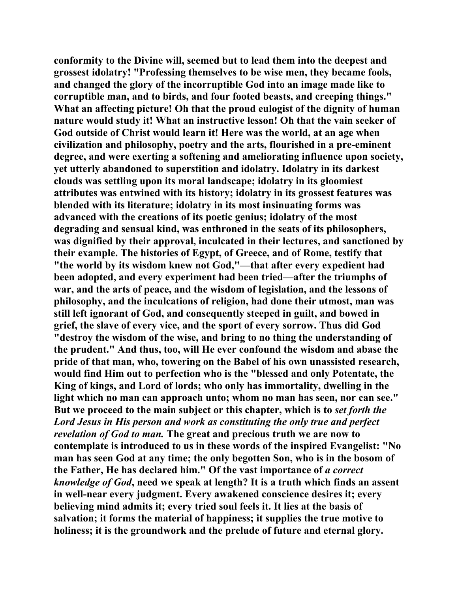**conformity to the Divine will, seemed but to lead them into the deepest and grossest idolatry! "Professing themselves to be wise men, they became fools, and changed the glory of the incorruptible God into an image made like to corruptible man, and to birds, and four footed beasts, and creeping things." What an affecting picture! Oh that the proud eulogist of the dignity of human nature would study it! What an instructive lesson! Oh that the vain seeker of God outside of Christ would learn it! Here was the world, at an age when civilization and philosophy, poetry and the arts, flourished in a pre-eminent degree, and were exerting a softening and ameliorating influence upon society, yet utterly abandoned to superstition and idolatry. Idolatry in its darkest clouds was settling upon its moral landscape; idolatry in its gloomiest attributes was entwined with its history; idolatry in its grossest features was blended with its literature; idolatry in its most insinuating forms was advanced with the creations of its poetic genius; idolatry of the most degrading and sensual kind, was enthroned in the seats of its philosophers, was dignified by their approval, inculcated in their lectures, and sanctioned by their example. The histories of Egypt, of Greece, and of Rome, testify that "the world by its wisdom knew not God,"—that after every expedient had been adopted, and every experiment had been tried—after the triumphs of war, and the arts of peace, and the wisdom of legislation, and the lessons of philosophy, and the inculcations of religion, had done their utmost, man was still left ignorant of God, and consequently steeped in guilt, and bowed in grief, the slave of every vice, and the sport of every sorrow. Thus did God "destroy the wisdom of the wise, and bring to no thing the understanding of the prudent." And thus, too, will He ever confound the wisdom and abase the pride of that man, who, towering on the Babel of his own unassisted research, would find Him out to perfection who is the "blessed and only Potentate, the King of kings, and Lord of lords; who only has immortality, dwelling in the light which no man can approach unto; whom no man has seen, nor can see." But we proceed to the main subject or this chapter, which is to** *set forth the Lord Jesus in His person and work as constituting the only true and perfect revelation of God to man.* **The great and precious truth we are now to contemplate is introduced to us in these words of the inspired Evangelist: "No man has seen God at any time; the only begotten Son, who is in the bosom of the Father, He has declared him." Of the vast importance of** *a correct knowledge of God***, need we speak at length? It is a truth which finds an assent in well-near every judgment. Every awakened conscience desires it; every believing mind admits it; every tried soul feels it. It lies at the basis of salvation; it forms the material of happiness; it supplies the true motive to holiness; it is the groundwork and the prelude of future and eternal glory.**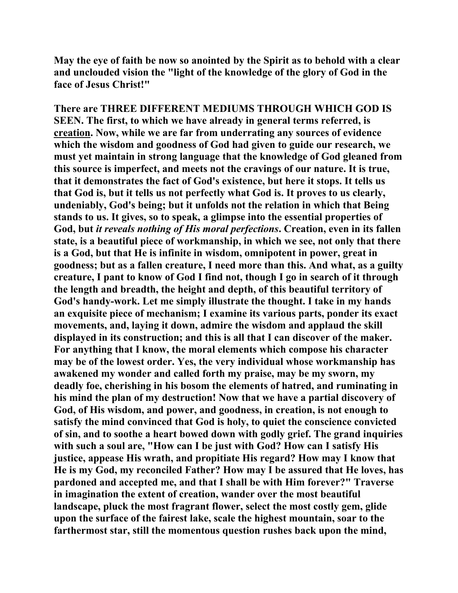**May the eye of faith be now so anointed by the Spirit as to behold with a clear and unclouded vision the "light of the knowledge of the glory of God in the face of Jesus Christ!"** 

**There are THREE DIFFERENT MEDIUMS THROUGH WHICH GOD IS SEEN. The first, to which we have already in general terms referred, is creation. Now, while we are far from underrating any sources of evidence which the wisdom and goodness of God had given to guide our research, we must yet maintain in strong language that the knowledge of God gleaned from this source is imperfect, and meets not the cravings of our nature. It is true, that it demonstrates the fact of God's existence, but here it stops. It tells us that God is, but it tells us not perfectly what God is. It proves to us clearly, undeniably, God's being; but it unfolds not the relation in which that Being stands to us. It gives, so to speak, a glimpse into the essential properties of God, but** *it reveals nothing of His moral perfections***. Creation, even in its fallen state, is a beautiful piece of workmanship, in which we see, not only that there is a God, but that He is infinite in wisdom, omnipotent in power, great in goodness; but as a fallen creature, I need more than this. And what, as a guilty creature, I pant to know of God I find not, though I go in search of it through the length and breadth, the height and depth, of this beautiful territory of God's handy-work. Let me simply illustrate the thought. I take in my hands an exquisite piece of mechanism; I examine its various parts, ponder its exact movements, and, laying it down, admire the wisdom and applaud the skill displayed in its construction; and this is all that I can discover of the maker. For anything that I know, the moral elements which compose his character may be of the lowest order. Yes, the very individual whose workmanship has awakened my wonder and called forth my praise, may be my sworn, my deadly foe, cherishing in his bosom the elements of hatred, and ruminating in his mind the plan of my destruction! Now that we have a partial discovery of God, of His wisdom, and power, and goodness, in creation, is not enough to satisfy the mind convinced that God is holy, to quiet the conscience convicted of sin, and to soothe a heart bowed down with godly grief. The grand inquiries with such a soul are, "How can I be just with God? How can I satisfy His justice, appease His wrath, and propitiate His regard? How may I know that He is my God, my reconciled Father? How may I be assured that He loves, has pardoned and accepted me, and that I shall be with Him forever?" Traverse in imagination the extent of creation, wander over the most beautiful landscape, pluck the most fragrant flower, select the most costly gem, glide upon the surface of the fairest lake, scale the highest mountain, soar to the farthermost star, still the momentous question rushes back upon the mind,**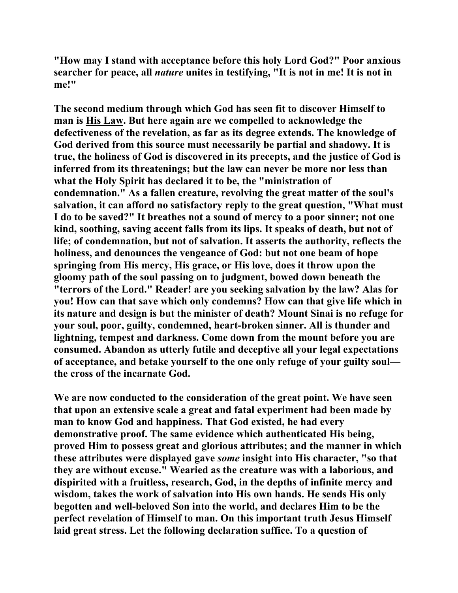**"How may I stand with acceptance before this holy Lord God?" Poor anxious searcher for peace, all** *nature* **unites in testifying, "It is not in me! It is not in me!"** 

**The second medium through which God has seen fit to discover Himself to man is His Law. But here again are we compelled to acknowledge the defectiveness of the revelation, as far as its degree extends. The knowledge of God derived from this source must necessarily be partial and shadowy. It is true, the holiness of God is discovered in its precepts, and the justice of God is inferred from its threatenings; but the law can never be more nor less than what the Holy Spirit has declared it to be, the "ministration of condemnation." As a fallen creature, revolving the great matter of the soul's salvation, it can afford no satisfactory reply to the great question, "What must I do to be saved?" It breathes not a sound of mercy to a poor sinner; not one kind, soothing, saving accent falls from its lips. It speaks of death, but not of life; of condemnation, but not of salvation. It asserts the authority, reflects the holiness, and denounces the vengeance of God: but not one beam of hope springing from His mercy, His grace, or His love, does it throw upon the gloomy path of the soul passing on to judgment, bowed down beneath the "terrors of the Lord." Reader! are you seeking salvation by the law? Alas for you! How can that save which only condemns? How can that give life which in its nature and design is but the minister of death? Mount Sinai is no refuge for your soul, poor, guilty, condemned, heart-broken sinner. All is thunder and lightning, tempest and darkness. Come down from the mount before you are consumed. Abandon as utterly futile and deceptive all your legal expectations of acceptance, and betake yourself to the one only refuge of your guilty soul the cross of the incarnate God.** 

**We are now conducted to the consideration of the great point. We have seen that upon an extensive scale a great and fatal experiment had been made by man to know God and happiness. That God existed, he had every demonstrative proof. The same evidence which authenticated His being, proved Him to possess great and glorious attributes; and the manner in which these attributes were displayed gave** *some* **insight into His character, "so that they are without excuse." Wearied as the creature was with a laborious, and dispirited with a fruitless, research, God, in the depths of infinite mercy and wisdom, takes the work of salvation into His own hands. He sends His only begotten and well-beloved Son into the world, and declares Him to be the perfect revelation of Himself to man. On this important truth Jesus Himself laid great stress. Let the following declaration suffice. To a question of**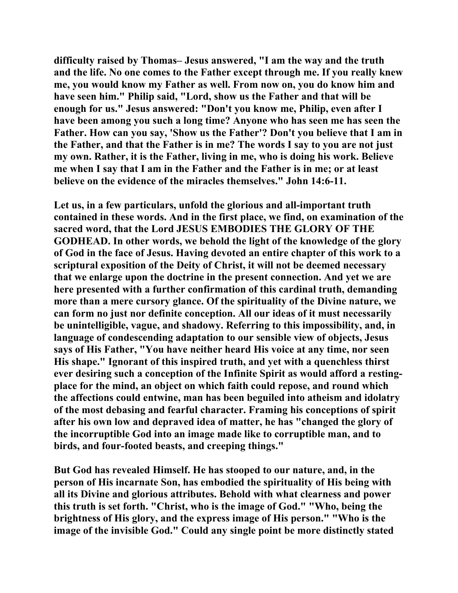**difficulty raised by Thomas– Jesus answered, "I am the way and the truth and the life. No one comes to the Father except through me. If you really knew me, you would know my Father as well. From now on, you do know him and have seen him." Philip said, "Lord, show us the Father and that will be enough for us." Jesus answered: "Don't you know me, Philip, even after I have been among you such a long time? Anyone who has seen me has seen the Father. How can you say, 'Show us the Father'? Don't you believe that I am in the Father, and that the Father is in me? The words I say to you are not just my own. Rather, it is the Father, living in me, who is doing his work. Believe me when I say that I am in the Father and the Father is in me; or at least believe on the evidence of the miracles themselves." John 14:6-11.** 

**Let us, in a few particulars, unfold the glorious and all-important truth contained in these words. And in the first place, we find, on examination of the sacred word, that the Lord JESUS EMBODIES THE GLORY OF THE GODHEAD. In other words, we behold the light of the knowledge of the glory of God in the face of Jesus. Having devoted an entire chapter of this work to a scriptural exposition of the Deity of Christ, it will not be deemed necessary that we enlarge upon the doctrine in the present connection. And yet we are here presented with a further confirmation of this cardinal truth, demanding more than a mere cursory glance. Of the spirituality of the Divine nature, we can form no just nor definite conception. All our ideas of it must necessarily be unintelligible, vague, and shadowy. Referring to this impossibility, and, in language of condescending adaptation to our sensible view of objects, Jesus says of His Father, "You have neither heard His voice at any time, nor seen His shape." Ignorant of this inspired truth, and yet with a quenchless thirst ever desiring such a conception of the Infinite Spirit as would afford a restingplace for the mind, an object on which faith could repose, and round which the affections could entwine, man has been beguiled into atheism and idolatry of the most debasing and fearful character. Framing his conceptions of spirit after his own low and depraved idea of matter, he has "changed the glory of the incorruptible God into an image made like to corruptible man, and to birds, and four-footed beasts, and creeping things."** 

**But God has revealed Himself. He has stooped to our nature, and, in the person of His incarnate Son, has embodied the spirituality of His being with all its Divine and glorious attributes. Behold with what clearness and power this truth is set forth. "Christ, who is the image of God." "Who, being the brightness of His glory, and the express image of His person." "Who is the image of the invisible God." Could any single point be more distinctly stated**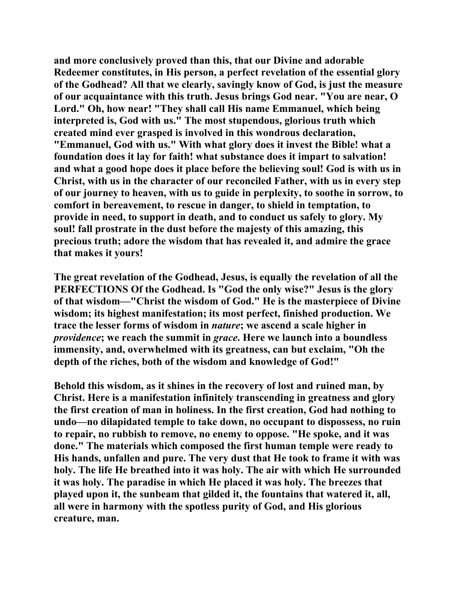**and more conclusively proved than this, that our Divine and adorable Redeemer constitutes, in His person, a perfect revelation of the essential glory of the Godhead? All that we clearly, savingly know of God, is just the measure of our acquaintance with this truth. Jesus brings God near. "You are near, O Lord." Oh, how near! "They shall call His name Emmanuel, which being interpreted is, God with us." The most stupendous, glorious truth which created mind ever grasped is involved in this wondrous declaration, "Emmanuel, God with us." With what glory does it invest the Bible! what a foundation does it lay for faith! what substance does it impart to salvation! and what a good hope does it place before the believing soul! God is with us in Christ, with us in the character of our reconciled Father, with us in every step of our journey to heaven, with us to guide in perplexity, to soothe in sorrow, to comfort in bereavement, to rescue in danger, to shield in temptation, to provide in need, to support in death, and to conduct us safely to glory. My soul! fall prostrate in the dust before the majesty of this amazing, this precious truth; adore the wisdom that has revealed it, and admire the grace that makes it yours!** 

**The great revelation of the Godhead, Jesus, is equally the revelation of all the PERFECTIONS Of the Godhead. Is "God the only wise?" Jesus is the glory of that wisdom—"Christ the wisdom of God." He is the masterpiece of Divine wisdom; its highest manifestation; its most perfect, finished production. We trace the lesser forms of wisdom in** *nature***; we ascend a scale higher in**  *providence***; we reach the summit in** *grace***. Here we launch into a boundless immensity, and, overwhelmed with its greatness, can but exclaim, "Oh the depth of the riches, both of the wisdom and knowledge of God!"** 

**Behold this wisdom, as it shines in the recovery of lost and ruined man, by Christ. Here is a manifestation infinitely transcending in greatness and glory the first creation of man in holiness. In the first creation, God had nothing to undo—no dilapidated temple to take down, no occupant to dispossess, no ruin to repair, no rubbish to remove, no enemy to oppose. "He spoke, and it was done." The materials which composed the first human temple were ready to His hands, unfallen and pure. The very dust that He took to frame it with was holy. The life He breathed into it was holy. The air with which He surrounded it was holy. The paradise in which He placed it was holy. The breezes that played upon it, the sunbeam that gilded it, the fountains that watered it, all, all were in harmony with the spotless purity of God, and His glorious creature, man.**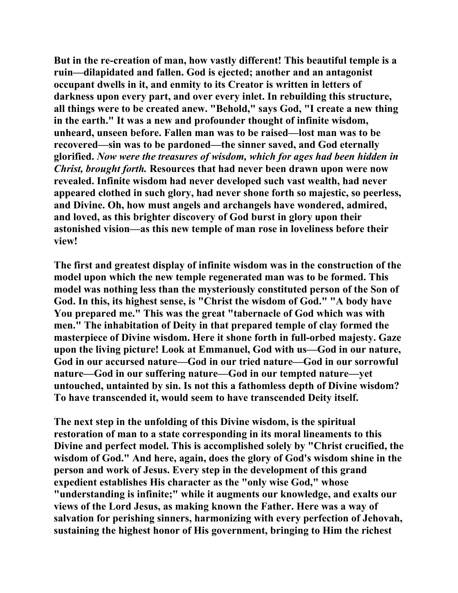**But in the re-creation of man, how vastly different! This beautiful temple is a ruin—dilapidated and fallen. God is ejected; another and an antagonist occupant dwells in it, and enmity to its Creator is written in letters of darkness upon every part, and over every inlet. In rebuilding this structure, all things were to be created anew. "Behold," says God, "I create a new thing in the earth." It was a new and profounder thought of infinite wisdom, unheard, unseen before. Fallen man was to be raised—lost man was to be recovered—sin was to be pardoned—the sinner saved, and God eternally glorified.** *Now were the treasures of wisdom, which for ages had been hidden in Christ, brought forth.* **Resources that had never been drawn upon were now revealed. Infinite wisdom had never developed such vast wealth, had never appeared clothed in such glory, had never shone forth so majestic, so peerless, and Divine. Oh, how must angels and archangels have wondered, admired, and loved, as this brighter discovery of God burst in glory upon their astonished vision—as this new temple of man rose in loveliness before their view!** 

**The first and greatest display of infinite wisdom was in the construction of the model upon which the new temple regenerated man was to be formed. This model was nothing less than the mysteriously constituted person of the Son of God. In this, its highest sense, is "Christ the wisdom of God." "A body have You prepared me." This was the great "tabernacle of God which was with men." The inhabitation of Deity in that prepared temple of clay formed the masterpiece of Divine wisdom. Here it shone forth in full-orbed majesty. Gaze upon the living picture! Look at Emmanuel, God with us—God in our nature, God in our accursed nature—God in our tried nature—God in our sorrowful nature—God in our suffering nature—God in our tempted nature—yet untouched, untainted by sin. Is not this a fathomless depth of Divine wisdom? To have transcended it, would seem to have transcended Deity itself.** 

**The next step in the unfolding of this Divine wisdom, is the spiritual restoration of man to a state corresponding in its moral lineaments to this Divine and perfect model. This is accomplished solely by "Christ crucified, the wisdom of God." And here, again, does the glory of God's wisdom shine in the person and work of Jesus. Every step in the development of this grand expedient establishes His character as the "only wise God," whose "understanding is infinite;" while it augments our knowledge, and exalts our views of the Lord Jesus, as making known the Father. Here was a way of salvation for perishing sinners, harmonizing with every perfection of Jehovah, sustaining the highest honor of His government, bringing to Him the richest**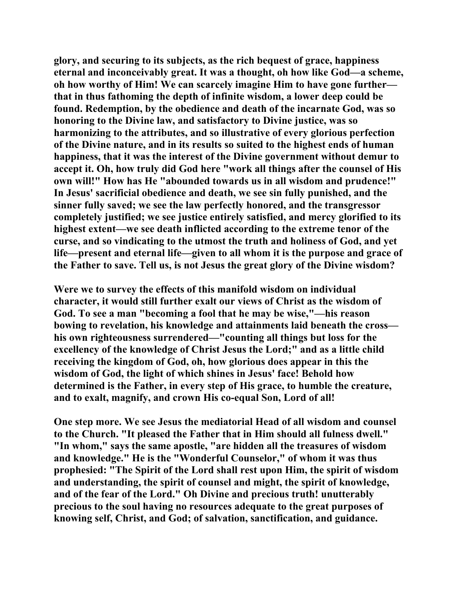**glory, and securing to its subjects, as the rich bequest of grace, happiness eternal and inconceivably great. It was a thought, oh how like God—a scheme, oh how worthy of Him! We can scarcely imagine Him to have gone further that in thus fathoming the depth of infinite wisdom, a lower deep could be found. Redemption, by the obedience and death of the incarnate God, was so honoring to the Divine law, and satisfactory to Divine justice, was so harmonizing to the attributes, and so illustrative of every glorious perfection of the Divine nature, and in its results so suited to the highest ends of human happiness, that it was the interest of the Divine government without demur to accept it. Oh, how truly did God here "work all things after the counsel of His own will!" How has He "abounded towards us in all wisdom and prudence!" In Jesus' sacrificial obedience and death, we see sin fully punished, and the sinner fully saved; we see the law perfectly honored, and the transgressor completely justified; we see justice entirely satisfied, and mercy glorified to its highest extent—we see death inflicted according to the extreme tenor of the curse, and so vindicating to the utmost the truth and holiness of God, and yet life—present and eternal life—given to all whom it is the purpose and grace of the Father to save. Tell us, is not Jesus the great glory of the Divine wisdom?** 

**Were we to survey the effects of this manifold wisdom on individual character, it would still further exalt our views of Christ as the wisdom of God. To see a man "becoming a fool that he may be wise,"—his reason bowing to revelation, his knowledge and attainments laid beneath the cross his own righteousness surrendered—"counting all things but loss for the excellency of the knowledge of Christ Jesus the Lord;" and as a little child receiving the kingdom of God, oh, how glorious does appear in this the wisdom of God, the light of which shines in Jesus' face! Behold how determined is the Father, in every step of His grace, to humble the creature, and to exalt, magnify, and crown His co-equal Son, Lord of all!** 

**One step more. We see Jesus the mediatorial Head of all wisdom and counsel to the Church. "It pleased the Father that in Him should all fulness dwell." "In whom," says the same apostle, "are hidden all the treasures of wisdom and knowledge." He is the "Wonderful Counselor," of whom it was thus prophesied: "The Spirit of the Lord shall rest upon Him, the spirit of wisdom and understanding, the spirit of counsel and might, the spirit of knowledge, and of the fear of the Lord." Oh Divine and precious truth! unutterably precious to the soul having no resources adequate to the great purposes of knowing self, Christ, and God; of salvation, sanctification, and guidance.**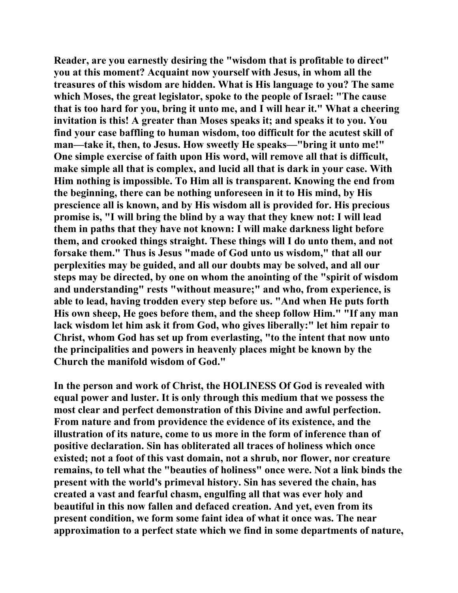**Reader, are you earnestly desiring the "wisdom that is profitable to direct" you at this moment? Acquaint now yourself with Jesus, in whom all the treasures of this wisdom are hidden. What is His language to you? The same which Moses, the great legislator, spoke to the people of Israel: "The cause that is too hard for you, bring it unto me, and I will hear it." What a cheering invitation is this! A greater than Moses speaks it; and speaks it to you. You find your case baffling to human wisdom, too difficult for the acutest skill of man—take it, then, to Jesus. How sweetly He speaks—"bring it unto me!" One simple exercise of faith upon His word, will remove all that is difficult, make simple all that is complex, and lucid all that is dark in your case. With Him nothing is impossible. To Him all is transparent. Knowing the end from the beginning, there can be nothing unforeseen in it to His mind, by His prescience all is known, and by His wisdom all is provided for. His precious promise is, "I will bring the blind by a way that they knew not: I will lead them in paths that they have not known: I will make darkness light before them, and crooked things straight. These things will I do unto them, and not forsake them." Thus is Jesus "made of God unto us wisdom," that all our perplexities may be guided, and all our doubts may be solved, and all our steps may be directed, by one on whom the anointing of the "spirit of wisdom and understanding" rests "without measure;" and who, from experience, is able to lead, having trodden every step before us. "And when He puts forth His own sheep, He goes before them, and the sheep follow Him." "If any man lack wisdom let him ask it from God, who gives liberally:" let him repair to Christ, whom God has set up from everlasting, "to the intent that now unto the principalities and powers in heavenly places might be known by the Church the manifold wisdom of God."** 

**In the person and work of Christ, the HOLINESS Of God is revealed with equal power and luster. It is only through this medium that we possess the most clear and perfect demonstration of this Divine and awful perfection. From nature and from providence the evidence of its existence, and the illustration of its nature, come to us more in the form of inference than of positive declaration. Sin has obliterated all traces of holiness which once existed; not a foot of this vast domain, not a shrub, nor flower, nor creature remains, to tell what the "beauties of holiness" once were. Not a link binds the present with the world's primeval history. Sin has severed the chain, has created a vast and fearful chasm, engulfing all that was ever holy and beautiful in this now fallen and defaced creation. And yet, even from its present condition, we form some faint idea of what it once was. The near approximation to a perfect state which we find in some departments of nature,**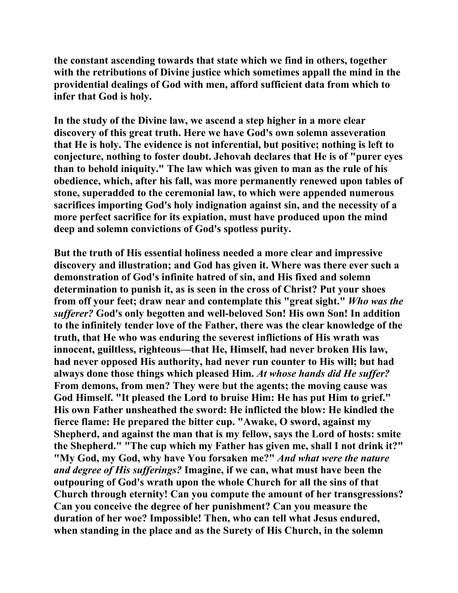**the constant ascending towards that state which we find in others, together with the retributions of Divine justice which sometimes appall the mind in the providential dealings of God with men, afford sufficient data from which to infer that God is holy.** 

**In the study of the Divine law, we ascend a step higher in a more clear discovery of this great truth. Here we have God's own solemn asseveration that He is holy. The evidence is not inferential, but positive; nothing is left to conjecture, nothing to foster doubt. Jehovah declares that He is of "purer eyes than to behold iniquity." The law which was given to man as the rule of his obedience, which, after his fall, was more permanently renewed upon tables of stone, superadded to the ceremonial law, to which were appended numerous sacrifices importing God's holy indignation against sin, and the necessity of a more perfect sacrifice for its expiation, must have produced upon the mind deep and solemn convictions of God's spotless purity.** 

**But the truth of His essential holiness needed a more clear and impressive discovery and illustration; and God has given it. Where was there ever such a demonstration of God's infinite hatred of sin, and His fixed and solemn determination to punish it, as is seen in the cross of Christ? Put your shoes from off your feet; draw near and contemplate this "great sight."** *Who was the sufferer?* **God's only begotten and well-beloved Son! His own Son! In addition to the infinitely tender love of the Father, there was the clear knowledge of the truth, that He who was enduring the severest inflictions of His wrath was innocent, guiltless, righteous—that He, Himself, had never broken His law, had never opposed His authority, had never run counter to His will; but had always done those things which pleased Him.** *At whose hands did He suffer?* **From demons, from men? They were but the agents; the moving cause was God Himself. "It pleased the Lord to bruise Him: He has put Him to grief." His own Father unsheathed the sword: He inflicted the blow: He kindled the fierce flame: He prepared the bitter cup. "Awake, O sword, against my Shepherd, and against the man that is my fellow, says the Lord of hosts: smite the Shepherd." "The cup which my Father has given me, shall I not drink it?" "My God, my God, why have You forsaken me?"** *And what were the nature and degree of His sufferings?* **Imagine, if we can, what must have been the outpouring of God's wrath upon the whole Church for all the sins of that Church through eternity! Can you compute the amount of her transgressions? Can you conceive the degree of her punishment? Can you measure the duration of her woe? Impossible! Then, who can tell what Jesus endured, when standing in the place and as the Surety of His Church, in the solemn**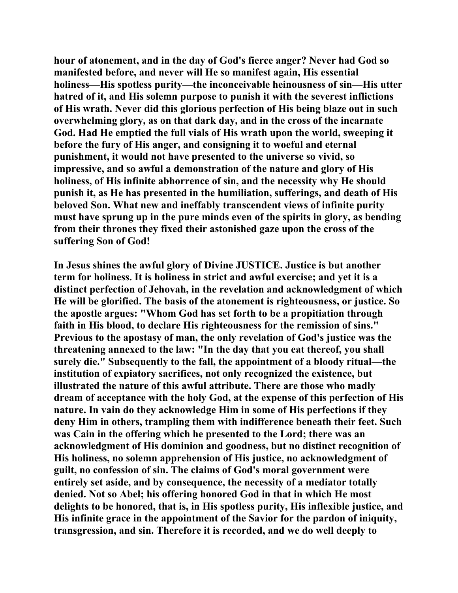**hour of atonement, and in the day of God's fierce anger? Never had God so manifested before, and never will He so manifest again, His essential holiness—His spotless purity—the inconceivable heinousness of sin—His utter hatred of it, and His solemn purpose to punish it with the severest inflictions of His wrath. Never did this glorious perfection of His being blaze out in such overwhelming glory, as on that dark day, and in the cross of the incarnate God. Had He emptied the full vials of His wrath upon the world, sweeping it before the fury of His anger, and consigning it to woeful and eternal punishment, it would not have presented to the universe so vivid, so impressive, and so awful a demonstration of the nature and glory of His holiness, of His infinite abhorrence of sin, and the necessity why He should punish it, as He has presented in the humiliation, sufferings, and death of His beloved Son. What new and ineffably transcendent views of infinite purity must have sprung up in the pure minds even of the spirits in glory, as bending from their thrones they fixed their astonished gaze upon the cross of the suffering Son of God!** 

**In Jesus shines the awful glory of Divine JUSTICE. Justice is but another term for holiness. It is holiness in strict and awful exercise; and yet it is a distinct perfection of Jehovah, in the revelation and acknowledgment of which He will be glorified. The basis of the atonement is righteousness, or justice. So the apostle argues: "Whom God has set forth to be a propitiation through faith in His blood, to declare His righteousness for the remission of sins." Previous to the apostasy of man, the only revelation of God's justice was the threatening annexed to the law: "In the day that you eat thereof, you shall surely die." Subsequently to the fall, the appointment of a bloody ritual—the institution of expiatory sacrifices, not only recognized the existence, but illustrated the nature of this awful attribute. There are those who madly dream of acceptance with the holy God, at the expense of this perfection of His nature. In vain do they acknowledge Him in some of His perfections if they deny Him in others, trampling them with indifference beneath their feet. Such was Cain in the offering which he presented to the Lord; there was an acknowledgment of His dominion and goodness, but no distinct recognition of His holiness, no solemn apprehension of His justice, no acknowledgment of guilt, no confession of sin. The claims of God's moral government were entirely set aside, and by consequence, the necessity of a mediator totally denied. Not so Abel; his offering honored God in that in which He most delights to be honored, that is, in His spotless purity, His inflexible justice, and His infinite grace in the appointment of the Savior for the pardon of iniquity, transgression, and sin. Therefore it is recorded, and we do well deeply to**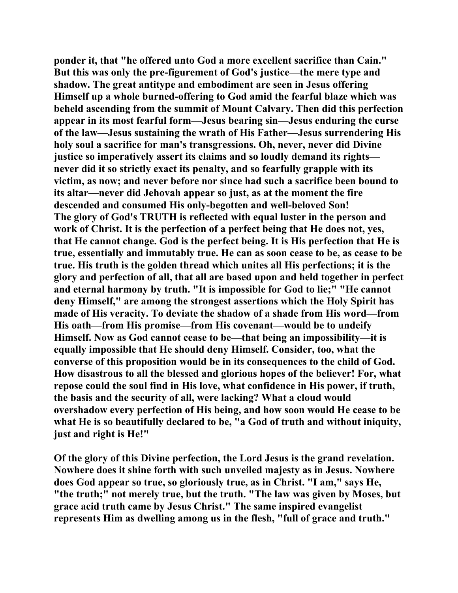**ponder it, that "he offered unto God a more excellent sacrifice than Cain." But this was only the pre-figurement of God's justice—the mere type and shadow. The great antitype and embodiment are seen in Jesus offering Himself up a whole burned-offering to God amid the fearful blaze which was beheld ascending from the summit of Mount Calvary. Then did this perfection appear in its most fearful form—Jesus bearing sin—Jesus enduring the curse of the law—Jesus sustaining the wrath of His Father—Jesus surrendering His holy soul a sacrifice for man's transgressions. Oh, never, never did Divine justice so imperatively assert its claims and so loudly demand its rights never did it so strictly exact its penalty, and so fearfully grapple with its victim, as now; and never before nor since had such a sacrifice been bound to its altar—never did Jehovah appear so just, as at the moment the fire descended and consumed His only-begotten and well-beloved Son! The glory of God's TRUTH is reflected with equal luster in the person and work of Christ. It is the perfection of a perfect being that He does not, yes, that He cannot change. God is the perfect being. It is His perfection that He is true, essentially and immutably true. He can as soon cease to be, as cease to be true. His truth is the golden thread which unites all His perfections; it is the glory and perfection of all, that all are based upon and held together in perfect and eternal harmony by truth. "It is impossible for God to lie;" "He cannot deny Himself," are among the strongest assertions which the Holy Spirit has made of His veracity. To deviate the shadow of a shade from His word—from His oath—from His promise—from His covenant—would be to undeify Himself. Now as God cannot cease to be—that being an impossibility—it is equally impossible that He should deny Himself. Consider, too, what the converse of this proposition would be in its consequences to the child of God. How disastrous to all the blessed and glorious hopes of the believer! For, what repose could the soul find in His love, what confidence in His power, if truth, the basis and the security of all, were lacking? What a cloud would overshadow every perfection of His being, and how soon would He cease to be what He is so beautifully declared to be, "a God of truth and without iniquity, just and right is He!"** 

**Of the glory of this Divine perfection, the Lord Jesus is the grand revelation. Nowhere does it shine forth with such unveiled majesty as in Jesus. Nowhere does God appear so true, so gloriously true, as in Christ. "I am," says He, "the truth;" not merely true, but the truth. "The law was given by Moses, but grace acid truth came by Jesus Christ." The same inspired evangelist represents Him as dwelling among us in the flesh, "full of grace and truth."**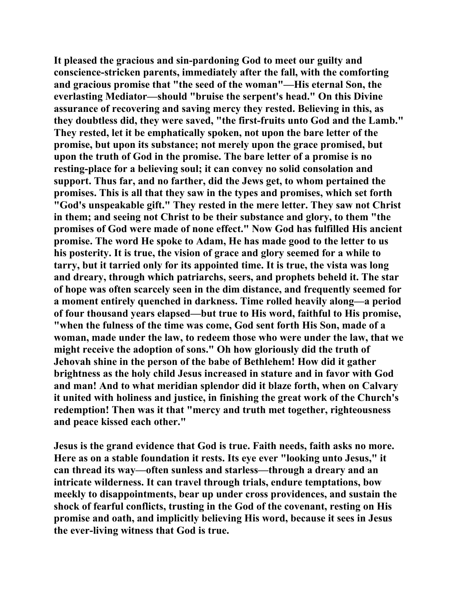**It pleased the gracious and sin-pardoning God to meet our guilty and conscience-stricken parents, immediately after the fall, with the comforting and gracious promise that "the seed of the woman"—His eternal Son, the everlasting Mediator—should "bruise the serpent's head." On this Divine assurance of recovering and saving mercy they rested. Believing in this, as they doubtless did, they were saved, "the first-fruits unto God and the Lamb." They rested, let it be emphatically spoken, not upon the bare letter of the promise, but upon its substance; not merely upon the grace promised, but upon the truth of God in the promise. The bare letter of a promise is no resting-place for a believing soul; it can convey no solid consolation and support. Thus far, and no farther, did the Jews get, to whom pertained the promises. This is all that they saw in the types and promises, which set forth "God's unspeakable gift." They rested in the mere letter. They saw not Christ in them; and seeing not Christ to be their substance and glory, to them "the promises of God were made of none effect." Now God has fulfilled His ancient promise. The word He spoke to Adam, He has made good to the letter to us his posterity. It is true, the vision of grace and glory seemed for a while to tarry, but it tarried only for its appointed time. It is true, the vista was long and dreary, through which patriarchs, seers, and prophets beheld it. The star of hope was often scarcely seen in the dim distance, and frequently seemed for a moment entirely quenched in darkness. Time rolled heavily along—a period of four thousand years elapsed—but true to His word, faithful to His promise, "when the fulness of the time was come, God sent forth His Son, made of a woman, made under the law, to redeem those who were under the law, that we might receive the adoption of sons." Oh how gloriously did the truth of Jehovah shine in the person of the babe of Bethlehem! How did it gather brightness as the holy child Jesus increased in stature and in favor with God and man! And to what meridian splendor did it blaze forth, when on Calvary it united with holiness and justice, in finishing the great work of the Church's redemption! Then was it that "mercy and truth met together, righteousness and peace kissed each other."** 

**Jesus is the grand evidence that God is true. Faith needs, faith asks no more. Here as on a stable foundation it rests. Its eye ever "looking unto Jesus," it can thread its way—often sunless and starless—through a dreary and an intricate wilderness. It can travel through trials, endure temptations, bow meekly to disappointments, bear up under cross providences, and sustain the shock of fearful conflicts, trusting in the God of the covenant, resting on His promise and oath, and implicitly believing His word, because it sees in Jesus the ever-living witness that God is true.**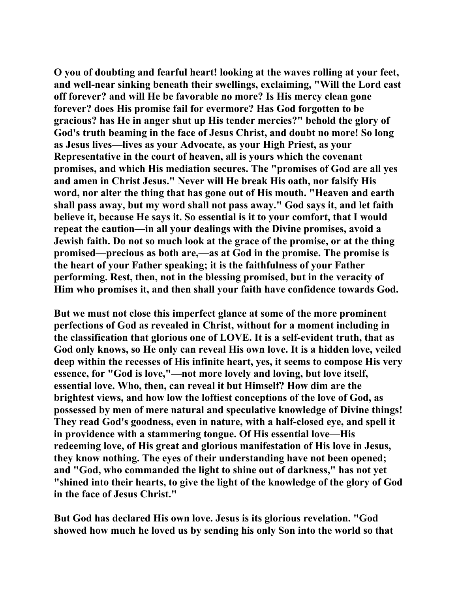**O you of doubting and fearful heart! looking at the waves rolling at your feet, and well-near sinking beneath their swellings, exclaiming, "Will the Lord cast off forever? and will He be favorable no more? Is His mercy clean gone forever? does His promise fail for evermore? Has God forgotten to be gracious? has He in anger shut up His tender mercies?" behold the glory of God's truth beaming in the face of Jesus Christ, and doubt no more! So long as Jesus lives—lives as your Advocate, as your High Priest, as your Representative in the court of heaven, all is yours which the covenant promises, and which His mediation secures. The "promises of God are all yes and amen in Christ Jesus." Never will He break His oath, nor falsify His word, nor alter the thing that has gone out of His mouth. "Heaven and earth shall pass away, but my word shall not pass away." God says it, and let faith believe it, because He says it. So essential is it to your comfort, that I would repeat the caution—in all your dealings with the Divine promises, avoid a Jewish faith. Do not so much look at the grace of the promise, or at the thing promised—precious as both are,—as at God in the promise. The promise is the heart of your Father speaking; it is the faithfulness of your Father performing. Rest, then, not in the blessing promised, but in the veracity of Him who promises it, and then shall your faith have confidence towards God.** 

**But we must not close this imperfect glance at some of the more prominent perfections of God as revealed in Christ, without for a moment including in the classification that glorious one of LOVE. It is a self-evident truth, that as God only knows, so He only can reveal His own love. It is a hidden love, veiled deep within the recesses of His infinite heart, yes, it seems to compose His very essence, for "God is love,"—not more lovely and loving, but love itself, essential love. Who, then, can reveal it but Himself? How dim are the brightest views, and how low the loftiest conceptions of the love of God, as possessed by men of mere natural and speculative knowledge of Divine things! They read God's goodness, even in nature, with a half-closed eye, and spell it in providence with a stammering tongue. Of His essential love—His redeeming love, of His great and glorious manifestation of His love in Jesus, they know nothing. The eyes of their understanding have not been opened; and "God, who commanded the light to shine out of darkness," has not yet "shined into their hearts, to give the light of the knowledge of the glory of God in the face of Jesus Christ."** 

**But God has declared His own love. Jesus is its glorious revelation. "God showed how much he loved us by sending his only Son into the world so that**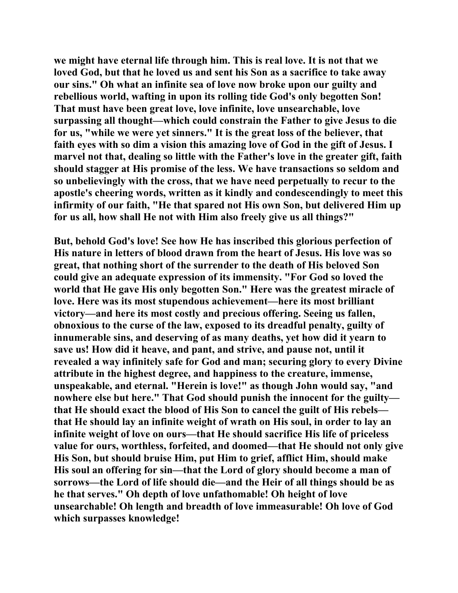**we might have eternal life through him. This is real love. It is not that we loved God, but that he loved us and sent his Son as a sacrifice to take away our sins." Oh what an infinite sea of love now broke upon our guilty and rebellious world, wafting in upon its rolling tide God's only begotten Son! That must have been great love, love infinite, love unsearchable, love surpassing all thought—which could constrain the Father to give Jesus to die for us, "while we were yet sinners." It is the great loss of the believer, that faith eyes with so dim a vision this amazing love of God in the gift of Jesus. I marvel not that, dealing so little with the Father's love in the greater gift, faith should stagger at His promise of the less. We have transactions so seldom and so unbelievingly with the cross, that we have need perpetually to recur to the apostle's cheering words, written as it kindly and condescendingly to meet this infirmity of our faith, "He that spared not His own Son, but delivered Him up for us all, how shall He not with Him also freely give us all things?"** 

**But, behold God's love! See how He has inscribed this glorious perfection of His nature in letters of blood drawn from the heart of Jesus. His love was so great, that nothing short of the surrender to the death of His beloved Son could give an adequate expression of its immensity. "For God so loved the world that He gave His only begotten Son." Here was the greatest miracle of love. Here was its most stupendous achievement—here its most brilliant victory—and here its most costly and precious offering. Seeing us fallen, obnoxious to the curse of the law, exposed to its dreadful penalty, guilty of innumerable sins, and deserving of as many deaths, yet how did it yearn to save us! How did it heave, and pant, and strive, and pause not, until it revealed a way infinitely safe for God and man; securing glory to every Divine attribute in the highest degree, and happiness to the creature, immense, unspeakable, and eternal. "Herein is love!" as though John would say, "and nowhere else but here." That God should punish the innocent for the guilty that He should exact the blood of His Son to cancel the guilt of His rebels that He should lay an infinite weight of wrath on His soul, in order to lay an infinite weight of love on ours—that He should sacrifice His life of priceless value for ours, worthless, forfeited, and doomed—that He should not only give His Son, but should bruise Him, put Him to grief, afflict Him, should make His soul an offering for sin—that the Lord of glory should become a man of sorrows—the Lord of life should die—and the Heir of all things should be as he that serves." Oh depth of love unfathomable! Oh height of love unsearchable! Oh length and breadth of love immeasurable! Oh love of God which surpasses knowledge!**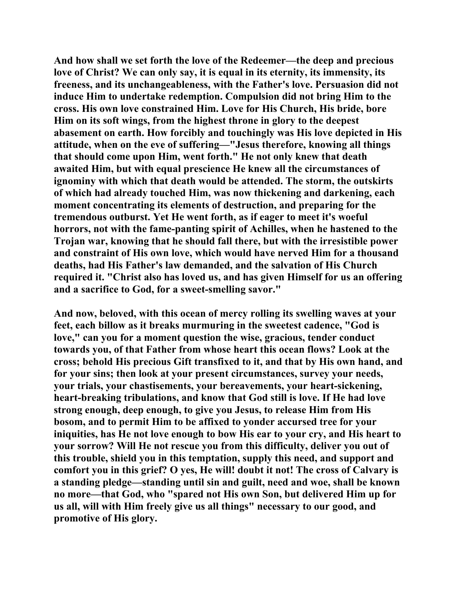**And how shall we set forth the love of the Redeemer—the deep and precious love of Christ? We can only say, it is equal in its eternity, its immensity, its freeness, and its unchangeableness, with the Father's love. Persuasion did not induce Him to undertake redemption. Compulsion did not bring Him to the cross. His own love constrained Him. Love for His Church, His bride, bore Him on its soft wings, from the highest throne in glory to the deepest abasement on earth. How forcibly and touchingly was His love depicted in His attitude, when on the eve of suffering—"Jesus therefore, knowing all things that should come upon Him, went forth." He not only knew that death awaited Him, but with equal prescience He knew all the circumstances of ignominy with which that death would be attended. The storm, the outskirts of which had already touched Him, was now thickening and darkening, each moment concentrating its elements of destruction, and preparing for the tremendous outburst. Yet He went forth, as if eager to meet it's woeful horrors, not with the fame-panting spirit of Achilles, when he hastened to the Trojan war, knowing that he should fall there, but with the irresistible power and constraint of His own love, which would have nerved Him for a thousand deaths, had His Father's law demanded, and the salvation of His Church required it. "Christ also has loved us, and has given Himself for us an offering and a sacrifice to God, for a sweet-smelling savor."** 

**And now, beloved, with this ocean of mercy rolling its swelling waves at your feet, each billow as it breaks murmuring in the sweetest cadence, "God is love," can you for a moment question the wise, gracious, tender conduct towards you, of that Father from whose heart this ocean flows? Look at the cross; behold His precious Gift transfixed to it, and that by His own hand, and for your sins; then look at your present circumstances, survey your needs, your trials, your chastisements, your bereavements, your heart-sickening, heart-breaking tribulations, and know that God still is love. If He had love strong enough, deep enough, to give you Jesus, to release Him from His bosom, and to permit Him to be affixed to yonder accursed tree for your iniquities, has He not love enough to bow His ear to your cry, and His heart to your sorrow? Will He not rescue you from this difficulty, deliver you out of this trouble, shield you in this temptation, supply this need, and support and comfort you in this grief? O yes, He will! doubt it not! The cross of Calvary is a standing pledge—standing until sin and guilt, need and woe, shall be known no more—that God, who "spared not His own Son, but delivered Him up for us all, will with Him freely give us all things" necessary to our good, and promotive of His glory.**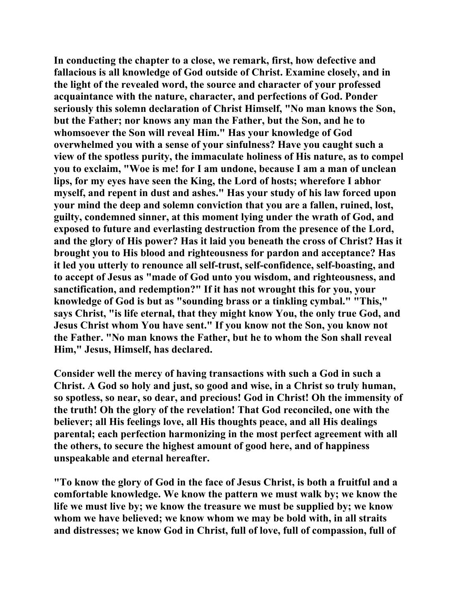**In conducting the chapter to a close, we remark, first, how defective and fallacious is all knowledge of God outside of Christ. Examine closely, and in the light of the revealed word, the source and character of your professed acquaintance with the nature, character, and perfections of God. Ponder seriously this solemn declaration of Christ Himself, "No man knows the Son, but the Father; nor knows any man the Father, but the Son, and he to whomsoever the Son will reveal Him." Has your knowledge of God overwhelmed you with a sense of your sinfulness? Have you caught such a view of the spotless purity, the immaculate holiness of His nature, as to compel you to exclaim, "Woe is me! for I am undone, because I am a man of unclean lips, for my eyes have seen the King, the Lord of hosts; wherefore I abhor myself, and repent in dust and ashes." Has your study of his law forced upon your mind the deep and solemn conviction that you are a fallen, ruined, lost, guilty, condemned sinner, at this moment lying under the wrath of God, and exposed to future and everlasting destruction from the presence of the Lord, and the glory of His power? Has it laid you beneath the cross of Christ? Has it brought you to His blood and righteousness for pardon and acceptance? Has it led you utterly to renounce all self-trust, self-confidence, self-boasting, and to accept of Jesus as "made of God unto you wisdom, and righteousness, and sanctification, and redemption?" If it has not wrought this for you, your knowledge of God is but as "sounding brass or a tinkling cymbal." "This," says Christ, "is life eternal, that they might know You, the only true God, and Jesus Christ whom You have sent." If you know not the Son, you know not the Father. "No man knows the Father, but he to whom the Son shall reveal Him," Jesus, Himself, has declared.** 

**Consider well the mercy of having transactions with such a God in such a Christ. A God so holy and just, so good and wise, in a Christ so truly human, so spotless, so near, so dear, and precious! God in Christ! Oh the immensity of the truth! Oh the glory of the revelation! That God reconciled, one with the believer; all His feelings love, all His thoughts peace, and all His dealings parental; each perfection harmonizing in the most perfect agreement with all the others, to secure the highest amount of good here, and of happiness unspeakable and eternal hereafter.** 

**"To know the glory of God in the face of Jesus Christ, is both a fruitful and a comfortable knowledge. We know the pattern we must walk by; we know the life we must live by; we know the treasure we must be supplied by; we know whom we have believed; we know whom we may be bold with, in all straits and distresses; we know God in Christ, full of love, full of compassion, full of**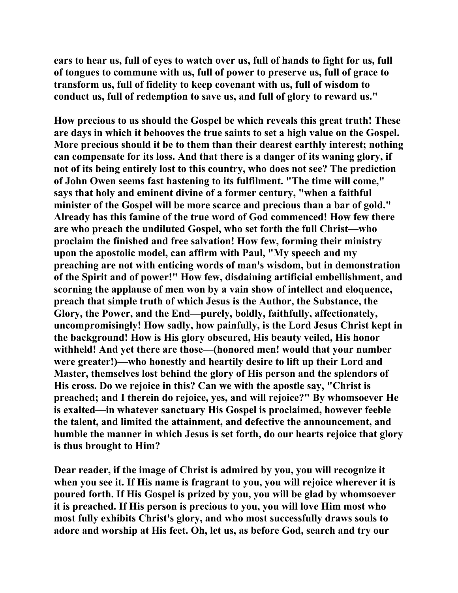**ears to hear us, full of eyes to watch over us, full of hands to fight for us, full of tongues to commune with us, full of power to preserve us, full of grace to transform us, full of fidelity to keep covenant with us, full of wisdom to conduct us, full of redemption to save us, and full of glory to reward us."** 

**How precious to us should the Gospel be which reveals this great truth! These are days in which it behooves the true saints to set a high value on the Gospel. More precious should it be to them than their dearest earthly interest; nothing can compensate for its loss. And that there is a danger of its waning glory, if not of its being entirely lost to this country, who does not see? The prediction of John Owen seems fast hastening to its fulfilment. "The time will come," says that holy and eminent divine of a former century, "when a faithful minister of the Gospel will be more scarce and precious than a bar of gold." Already has this famine of the true word of God commenced! How few there are who preach the undiluted Gospel, who set forth the full Christ—who proclaim the finished and free salvation! How few, forming their ministry upon the apostolic model, can affirm with Paul, "My speech and my preaching are not with enticing words of man's wisdom, but in demonstration of the Spirit and of power!" How few, disdaining artificial embellishment, and scorning the applause of men won by a vain show of intellect and eloquence, preach that simple truth of which Jesus is the Author, the Substance, the Glory, the Power, and the End—purely, boldly, faithfully, affectionately, uncompromisingly! How sadly, how painfully, is the Lord Jesus Christ kept in the background! How is His glory obscured, His beauty veiled, His honor withheld! And yet there are those—(honored men! would that your number were greater!)—who honestly and heartily desire to lift up their Lord and Master, themselves lost behind the glory of His person and the splendors of His cross. Do we rejoice in this? Can we with the apostle say, "Christ is preached; and I therein do rejoice, yes, and will rejoice?" By whomsoever He is exalted—in whatever sanctuary His Gospel is proclaimed, however feeble the talent, and limited the attainment, and defective the announcement, and humble the manner in which Jesus is set forth, do our hearts rejoice that glory is thus brought to Him?** 

**Dear reader, if the image of Christ is admired by you, you will recognize it when you see it. If His name is fragrant to you, you will rejoice wherever it is poured forth. If His Gospel is prized by you, you will be glad by whomsoever it is preached. If His person is precious to you, you will love Him most who most fully exhibits Christ's glory, and who most successfully draws souls to adore and worship at His feet. Oh, let us, as before God, search and try our**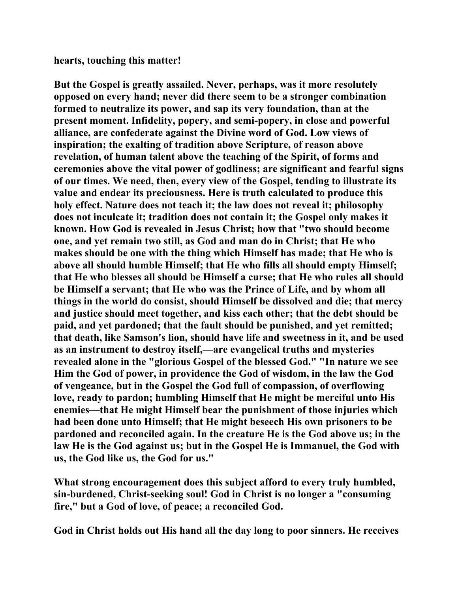**hearts, touching this matter!** 

**But the Gospel is greatly assailed. Never, perhaps, was it more resolutely opposed on every hand; never did there seem to be a stronger combination formed to neutralize its power, and sap its very foundation, than at the present moment. Infidelity, popery, and semi-popery, in close and powerful alliance, are confederate against the Divine word of God. Low views of inspiration; the exalting of tradition above Scripture, of reason above revelation, of human talent above the teaching of the Spirit, of forms and ceremonies above the vital power of godliness; are significant and fearful signs of our times. We need, then, every view of the Gospel, tending to illustrate its value and endear its preciousness. Here is truth calculated to produce this holy effect. Nature does not teach it; the law does not reveal it; philosophy does not inculcate it; tradition does not contain it; the Gospel only makes it known. How God is revealed in Jesus Christ; how that "two should become one, and yet remain two still, as God and man do in Christ; that He who makes should be one with the thing which Himself has made; that He who is above all should humble Himself; that He who fills all should empty Himself; that He who blesses all should be Himself a curse; that He who rules all should be Himself a servant; that He who was the Prince of Life, and by whom all things in the world do consist, should Himself be dissolved and die; that mercy and justice should meet together, and kiss each other; that the debt should be paid, and yet pardoned; that the fault should be punished, and yet remitted; that death, like Samson's lion, should have life and sweetness in it, and be used as an instrument to destroy itself,—are evangelical truths and mysteries revealed alone in the "glorious Gospel of the blessed God." "In nature we see Him the God of power, in providence the God of wisdom, in the law the God of vengeance, but in the Gospel the God full of compassion, of overflowing love, ready to pardon; humbling Himself that He might be merciful unto His enemies—that He might Himself bear the punishment of those injuries which had been done unto Himself; that He might beseech His own prisoners to be pardoned and reconciled again. In the creature He is the God above us; in the law He is the God against us; but in the Gospel He is Immanuel, the God with us, the God like us, the God for us."** 

**What strong encouragement does this subject afford to every truly humbled, sin-burdened, Christ-seeking soul! God in Christ is no longer a "consuming fire," but a God of love, of peace; a reconciled God.** 

**God in Christ holds out His hand all the day long to poor sinners. He receives**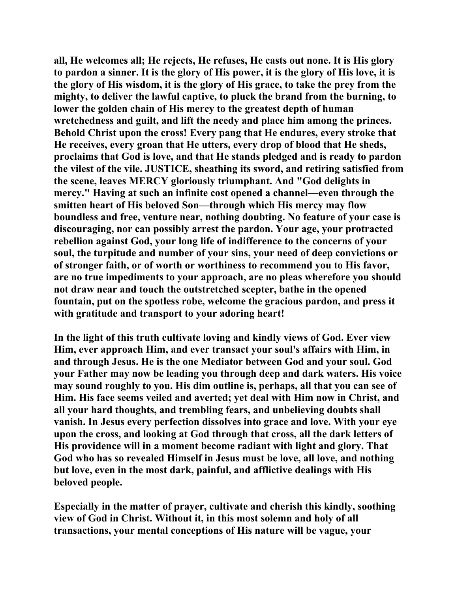**all, He welcomes all; He rejects, He refuses, He casts out none. It is His glory to pardon a sinner. It is the glory of His power, it is the glory of His love, it is the glory of His wisdom, it is the glory of His grace, to take the prey from the mighty, to deliver the lawful captive, to pluck the brand from the burning, to lower the golden chain of His mercy to the greatest depth of human wretchedness and guilt, and lift the needy and place him among the princes. Behold Christ upon the cross! Every pang that He endures, every stroke that He receives, every groan that He utters, every drop of blood that He sheds, proclaims that God is love, and that He stands pledged and is ready to pardon the vilest of the vile. JUSTICE, sheathing its sword, and retiring satisfied from the scene, leaves MERCY gloriously triumphant. And "God delights in mercy." Having at such an infinite cost opened a channel—even through the smitten heart of His beloved Son—through which His mercy may flow boundless and free, venture near, nothing doubting. No feature of your case is discouraging, nor can possibly arrest the pardon. Your age, your protracted rebellion against God, your long life of indifference to the concerns of your soul, the turpitude and number of your sins, your need of deep convictions or of stronger faith, or of worth or worthiness to recommend you to His favor, are no true impediments to your approach, are no pleas wherefore you should not draw near and touch the outstretched scepter, bathe in the opened fountain, put on the spotless robe, welcome the gracious pardon, and press it with gratitude and transport to your adoring heart!** 

**In the light of this truth cultivate loving and kindly views of God. Ever view Him, ever approach Him, and ever transact your soul's affairs with Him, in and through Jesus. He is the one Mediator between God and your soul. God your Father may now be leading you through deep and dark waters. His voice may sound roughly to you. His dim outline is, perhaps, all that you can see of Him. His face seems veiled and averted; yet deal with Him now in Christ, and all your hard thoughts, and trembling fears, and unbelieving doubts shall vanish. In Jesus every perfection dissolves into grace and love. With your eye upon the cross, and looking at God through that cross, all the dark letters of His providence will in a moment become radiant with light and glory. That God who has so revealed Himself in Jesus must be love, all love, and nothing but love, even in the most dark, painful, and afflictive dealings with His beloved people.** 

**Especially in the matter of prayer, cultivate and cherish this kindly, soothing view of God in Christ. Without it, in this most solemn and holy of all transactions, your mental conceptions of His nature will be vague, your**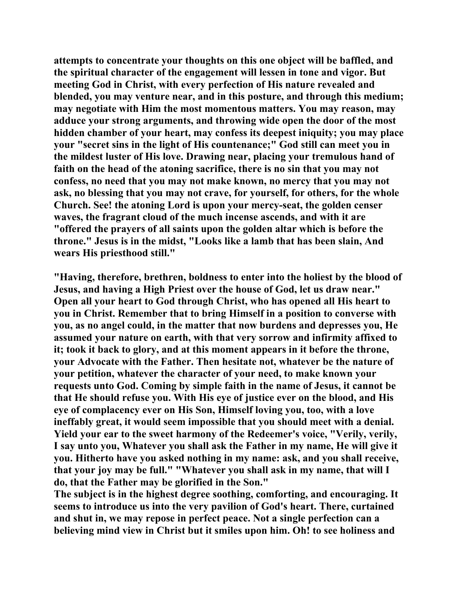**attempts to concentrate your thoughts on this one object will be baffled, and the spiritual character of the engagement will lessen in tone and vigor. But meeting God in Christ, with every perfection of His nature revealed and blended, you may venture near, and in this posture, and through this medium; may negotiate with Him the most momentous matters. You may reason, may adduce your strong arguments, and throwing wide open the door of the most hidden chamber of your heart, may confess its deepest iniquity; you may place your "secret sins in the light of His countenance;" God still can meet you in the mildest luster of His love. Drawing near, placing your tremulous hand of faith on the head of the atoning sacrifice, there is no sin that you may not confess, no need that you may not make known, no mercy that you may not ask, no blessing that you may not crave, for yourself, for others, for the whole Church. See! the atoning Lord is upon your mercy-seat, the golden censer waves, the fragrant cloud of the much incense ascends, and with it are "offered the prayers of all saints upon the golden altar which is before the throne." Jesus is in the midst, "Looks like a lamb that has been slain, And wears His priesthood still."** 

**"Having, therefore, brethren, boldness to enter into the holiest by the blood of Jesus, and having a High Priest over the house of God, let us draw near." Open all your heart to God through Christ, who has opened all His heart to you in Christ. Remember that to bring Himself in a position to converse with you, as no angel could, in the matter that now burdens and depresses you, He assumed your nature on earth, with that very sorrow and infirmity affixed to it; took it back to glory, and at this moment appears in it before the throne, your Advocate with the Father. Then hesitate not, whatever be the nature of your petition, whatever the character of your need, to make known your requests unto God. Coming by simple faith in the name of Jesus, it cannot be that He should refuse you. With His eye of justice ever on the blood, and His eye of complacency ever on His Son, Himself loving you, too, with a love ineffably great, it would seem impossible that you should meet with a denial. Yield your ear to the sweet harmony of the Redeemer's voice, "Verily, verily, I say unto you, Whatever you shall ask the Father in my name, He will give it you. Hitherto have you asked nothing in my name: ask, and you shall receive, that your joy may be full." "Whatever you shall ask in my name, that will I do, that the Father may be glorified in the Son."** 

**The subject is in the highest degree soothing, comforting, and encouraging. It seems to introduce us into the very pavilion of God's heart. There, curtained and shut in, we may repose in perfect peace. Not a single perfection can a believing mind view in Christ but it smiles upon him. Oh! to see holiness and**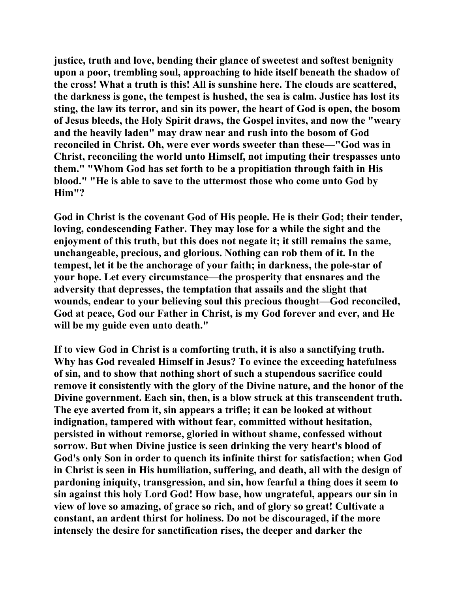**justice, truth and love, bending their glance of sweetest and softest benignity upon a poor, trembling soul, approaching to hide itself beneath the shadow of the cross! What a truth is this! All is sunshine here. The clouds are scattered, the darkness is gone, the tempest is hushed, the sea is calm. Justice has lost its sting, the law its terror, and sin its power, the heart of God is open, the bosom of Jesus bleeds, the Holy Spirit draws, the Gospel invites, and now the "weary and the heavily laden" may draw near and rush into the bosom of God reconciled in Christ. Oh, were ever words sweeter than these—"God was in Christ, reconciling the world unto Himself, not imputing their trespasses unto them." "Whom God has set forth to be a propitiation through faith in His blood." "He is able to save to the uttermost those who come unto God by Him"?** 

**God in Christ is the covenant God of His people. He is their God; their tender, loving, condescending Father. They may lose for a while the sight and the enjoyment of this truth, but this does not negate it; it still remains the same, unchangeable, precious, and glorious. Nothing can rob them of it. In the tempest, let it be the anchorage of your faith; in darkness, the pole-star of your hope. Let every circumstance—the prosperity that ensnares and the adversity that depresses, the temptation that assails and the slight that wounds, endear to your believing soul this precious thought—God reconciled, God at peace, God our Father in Christ, is my God forever and ever, and He will be my guide even unto death."** 

**If to view God in Christ is a comforting truth, it is also a sanctifying truth. Why has God revealed Himself in Jesus? To evince the exceeding hatefulness of sin, and to show that nothing short of such a stupendous sacrifice could remove it consistently with the glory of the Divine nature, and the honor of the Divine government. Each sin, then, is a blow struck at this transcendent truth. The eye averted from it, sin appears a trifle; it can be looked at without indignation, tampered with without fear, committed without hesitation, persisted in without remorse, gloried in without shame, confessed without sorrow. But when Divine justice is seen drinking the very heart's blood of God's only Son in order to quench its infinite thirst for satisfaction; when God in Christ is seen in His humiliation, suffering, and death, all with the design of pardoning iniquity, transgression, and sin, how fearful a thing does it seem to sin against this holy Lord God! How base, how ungrateful, appears our sin in view of love so amazing, of grace so rich, and of glory so great! Cultivate a constant, an ardent thirst for holiness. Do not be discouraged, if the more intensely the desire for sanctification rises, the deeper and darker the**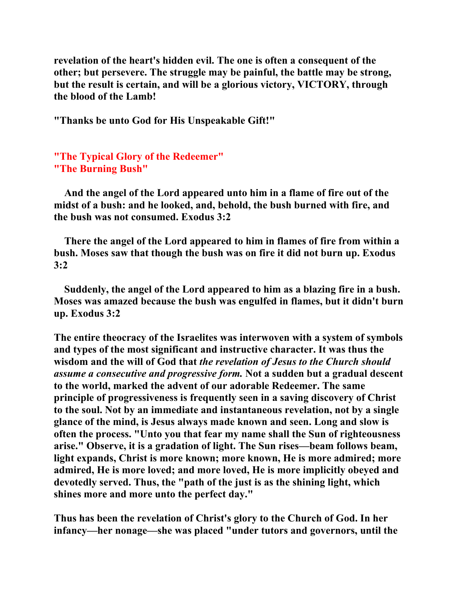**revelation of the heart's hidden evil. The one is often a consequent of the other; but persevere. The struggle may be painful, the battle may be strong, but the result is certain, and will be a glorious victory, VICTORY, through the blood of the Lamb!** 

**"Thanks be unto God for His Unspeakable Gift!"** 

**"The Typical Glory of the Redeemer" "The Burning Bush"**

 **And the angel of the Lord appeared unto him in a flame of fire out of the midst of a bush: and he looked, and, behold, the bush burned with fire, and the bush was not consumed. Exodus 3:2** 

 **There the angel of the Lord appeared to him in flames of fire from within a bush. Moses saw that though the bush was on fire it did not burn up. Exodus 3:2** 

 **Suddenly, the angel of the Lord appeared to him as a blazing fire in a bush. Moses was amazed because the bush was engulfed in flames, but it didn't burn up. Exodus 3:2** 

**The entire theocracy of the Israelites was interwoven with a system of symbols and types of the most significant and instructive character. It was thus the wisdom and the will of God that** *the revelation of Jesus to the Church should assume a consecutive and progressive form.* **Not a sudden but a gradual descent to the world, marked the advent of our adorable Redeemer. The same principle of progressiveness is frequently seen in a saving discovery of Christ to the soul. Not by an immediate and instantaneous revelation, not by a single glance of the mind, is Jesus always made known and seen. Long and slow is often the process. "Unto you that fear my name shall the Sun of righteousness arise." Observe, it is a gradation of light. The Sun rises—beam follows beam, light expands, Christ is more known; more known, He is more admired; more admired, He is more loved; and more loved, He is more implicitly obeyed and devotedly served. Thus, the "path of the just is as the shining light, which shines more and more unto the perfect day."** 

**Thus has been the revelation of Christ's glory to the Church of God. In her infancy—her nonage—she was placed "under tutors and governors, until the**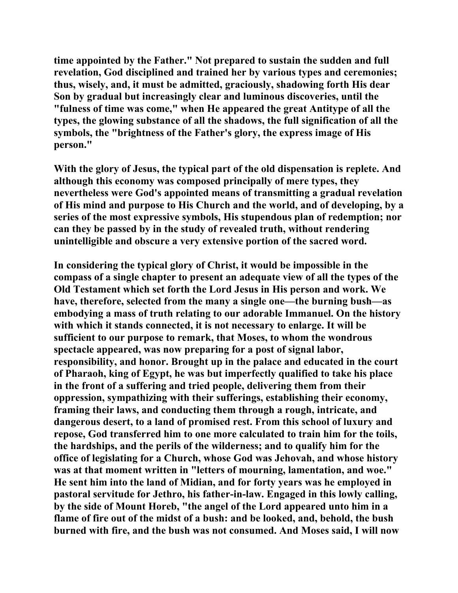**time appointed by the Father." Not prepared to sustain the sudden and full revelation, God disciplined and trained her by various types and ceremonies; thus, wisely, and, it must be admitted, graciously, shadowing forth His dear Son by gradual but increasingly clear and luminous discoveries, until the "fulness of time was come," when He appeared the great Antitype of all the types, the glowing substance of all the shadows, the full signification of all the symbols, the "brightness of the Father's glory, the express image of His person."** 

**With the glory of Jesus, the typical part of the old dispensation is replete. And although this economy was composed principally of mere types, they nevertheless were God's appointed means of transmitting a gradual revelation of His mind and purpose to His Church and the world, and of developing, by a series of the most expressive symbols, His stupendous plan of redemption; nor can they be passed by in the study of revealed truth, without rendering unintelligible and obscure a very extensive portion of the sacred word.** 

**In considering the typical glory of Christ, it would be impossible in the compass of a single chapter to present an adequate view of all the types of the Old Testament which set forth the Lord Jesus in His person and work. We have, therefore, selected from the many a single one—the burning bush—as embodying a mass of truth relating to our adorable Immanuel. On the history with which it stands connected, it is not necessary to enlarge. It will be sufficient to our purpose to remark, that Moses, to whom the wondrous spectacle appeared, was now preparing for a post of signal labor, responsibility, and honor. Brought up in the palace and educated in the court of Pharaoh, king of Egypt, he was but imperfectly qualified to take his place in the front of a suffering and tried people, delivering them from their oppression, sympathizing with their sufferings, establishing their economy, framing their laws, and conducting them through a rough, intricate, and dangerous desert, to a land of promised rest. From this school of luxury and repose, God transferred him to one more calculated to train him for the toils, the hardships, and the perils of the wilderness; and to qualify him for the office of legislating for a Church, whose God was Jehovah, and whose history was at that moment written in "letters of mourning, lamentation, and woe." He sent him into the land of Midian, and for forty years was he employed in pastoral servitude for Jethro, his father-in-law. Engaged in this lowly calling, by the side of Mount Horeb, "the angel of the Lord appeared unto him in a flame of fire out of the midst of a bush: and be looked, and, behold, the bush burned with fire, and the bush was not consumed. And Moses said, I will now**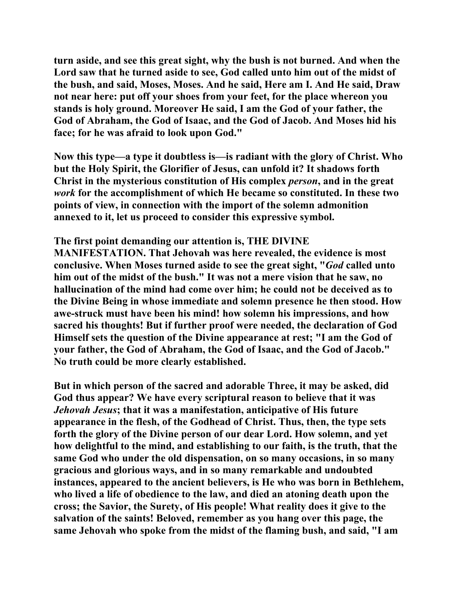**turn aside, and see this great sight, why the bush is not burned. And when the Lord saw that he turned aside to see, God called unto him out of the midst of the bush, and said, Moses, Moses. And he said, Here am I. And He said, Draw not near here: put off your shoes from your feet, for the place whereon you stands is holy ground. Moreover He said, I am the God of your father, the God of Abraham, the God of Isaac, and the God of Jacob. And Moses hid his face; for he was afraid to look upon God."** 

**Now this type—a type it doubtless is—is radiant with the glory of Christ. Who but the Holy Spirit, the Glorifier of Jesus, can unfold it? It shadows forth Christ in the mysterious constitution of His complex** *person***, and in the great**  *work* **for the accomplishment of which He became so constituted. In these two points of view, in connection with the import of the solemn admonition annexed to it, let us proceed to consider this expressive symbol.** 

#### **The first point demanding our attention is, THE DIVINE**

**MANIFESTATION. That Jehovah was here revealed, the evidence is most conclusive. When Moses turned aside to see the great sight, "***God* **called unto him out of the midst of the bush." It was not a mere vision that he saw, no hallucination of the mind had come over him; he could not be deceived as to the Divine Being in whose immediate and solemn presence he then stood. How awe-struck must have been his mind! how solemn his impressions, and how sacred his thoughts! But if further proof were needed, the declaration of God Himself sets the question of the Divine appearance at rest; "I am the God of your father, the God of Abraham, the God of Isaac, and the God of Jacob." No truth could be more clearly established.** 

**But in which person of the sacred and adorable Three, it may be asked, did God thus appear? We have every scriptural reason to believe that it was**  *Jehovah Jesus***; that it was a manifestation, anticipative of His future appearance in the flesh, of the Godhead of Christ. Thus, then, the type sets forth the glory of the Divine person of our dear Lord. How solemn, and yet how delightful to the mind, and establishing to our faith, is the truth, that the same God who under the old dispensation, on so many occasions, in so many gracious and glorious ways, and in so many remarkable and undoubted instances, appeared to the ancient believers, is He who was born in Bethlehem, who lived a life of obedience to the law, and died an atoning death upon the cross; the Savior, the Surety, of His people! What reality does it give to the salvation of the saints! Beloved, remember as you hang over this page, the same Jehovah who spoke from the midst of the flaming bush, and said, "I am**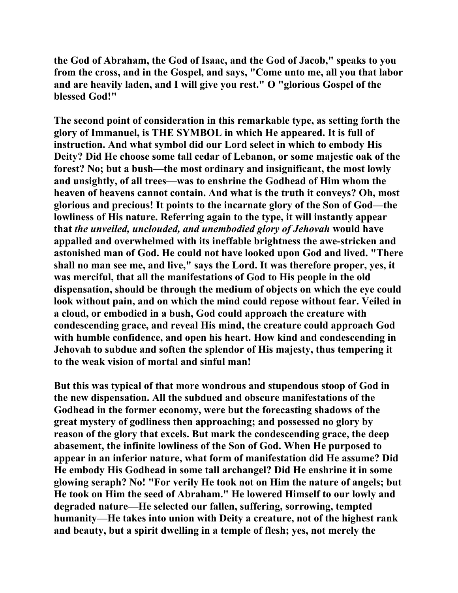**the God of Abraham, the God of Isaac, and the God of Jacob," speaks to you from the cross, and in the Gospel, and says, "Come unto me, all you that labor and are heavily laden, and I will give you rest." O "glorious Gospel of the blessed God!"** 

**The second point of consideration in this remarkable type, as setting forth the glory of Immanuel, is THE SYMBOL in which He appeared. It is full of instruction. And what symbol did our Lord select in which to embody His Deity? Did He choose some tall cedar of Lebanon, or some majestic oak of the forest? No; but a bush—the most ordinary and insignificant, the most lowly and unsightly, of all trees—was to enshrine the Godhead of Him whom the heaven of heavens cannot contain. And what is the truth it conveys? Oh, most glorious and precious! It points to the incarnate glory of the Son of God—the lowliness of His nature. Referring again to the type, it will instantly appear that** *the unveiled, unclouded, and unembodied glory of Jehovah* **would have appalled and overwhelmed with its ineffable brightness the awe-stricken and astonished man of God. He could not have looked upon God and lived. "There shall no man see me, and live," says the Lord. It was therefore proper, yes, it was merciful, that all the manifestations of God to His people in the old dispensation, should be through the medium of objects on which the eye could look without pain, and on which the mind could repose without fear. Veiled in a cloud, or embodied in a bush, God could approach the creature with condescending grace, and reveal His mind, the creature could approach God with humble confidence, and open his heart. How kind and condescending in Jehovah to subdue and soften the splendor of His majesty, thus tempering it to the weak vision of mortal and sinful man!** 

**But this was typical of that more wondrous and stupendous stoop of God in the new dispensation. All the subdued and obscure manifestations of the Godhead in the former economy, were but the forecasting shadows of the great mystery of godliness then approaching; and possessed no glory by reason of the glory that excels. But mark the condescending grace, the deep abasement, the infinite lowliness of the Son of God. When He purposed to appear in an inferior nature, what form of manifestation did He assume? Did He embody His Godhead in some tall archangel? Did He enshrine it in some glowing seraph? No! "For verily He took not on Him the nature of angels; but He took on Him the seed of Abraham." He lowered Himself to our lowly and degraded nature—He selected our fallen, suffering, sorrowing, tempted humanity—He takes into union with Deity a creature, not of the highest rank and beauty, but a spirit dwelling in a temple of flesh; yes, not merely the**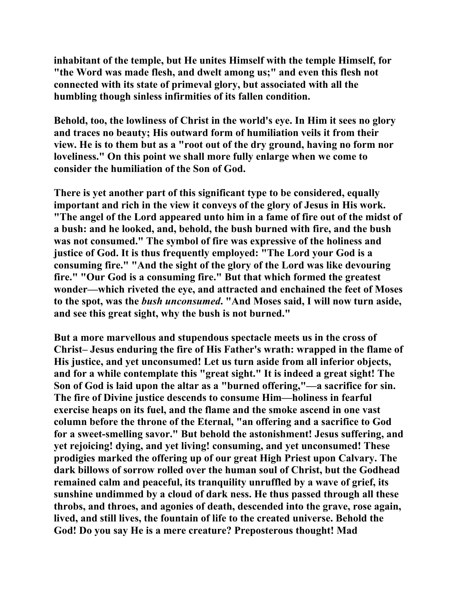**inhabitant of the temple, but He unites Himself with the temple Himself, for "the Word was made flesh, and dwelt among us;" and even this flesh not connected with its state of primeval glory, but associated with all the humbling though sinless infirmities of its fallen condition.** 

**Behold, too, the lowliness of Christ in the world's eye. In Him it sees no glory and traces no beauty; His outward form of humiliation veils it from their view. He is to them but as a "root out of the dry ground, having no form nor loveliness." On this point we shall more fully enlarge when we come to consider the humiliation of the Son of God.** 

**There is yet another part of this significant type to be considered, equally important and rich in the view it conveys of the glory of Jesus in His work. "The angel of the Lord appeared unto him in a fame of fire out of the midst of a bush: and he looked, and, behold, the bush burned with fire, and the bush was not consumed." The symbol of fire was expressive of the holiness and justice of God. It is thus frequently employed: "The Lord your God is a consuming fire." "And the sight of the glory of the Lord was like devouring fire." "Our God is a consuming fire." But that which formed the greatest wonder—which riveted the eye, and attracted and enchained the feet of Moses to the spot, was the** *bush unconsumed***. "And Moses said, I will now turn aside, and see this great sight, why the bush is not burned."** 

**But a more marvellous and stupendous spectacle meets us in the cross of Christ– Jesus enduring the fire of His Father's wrath: wrapped in the flame of His justice, and yet unconsumed! Let us turn aside from all inferior objects, and for a while contemplate this "great sight." It is indeed a great sight! The Son of God is laid upon the altar as a "burned offering,"—a sacrifice for sin. The fire of Divine justice descends to consume Him—holiness in fearful exercise heaps on its fuel, and the flame and the smoke ascend in one vast column before the throne of the Eternal, "an offering and a sacrifice to God for a sweet-smelling savor." But behold the astonishment! Jesus suffering, and yet rejoicing! dying, and yet living! consuming, and yet unconsumed! These prodigies marked the offering up of our great High Priest upon Calvary. The dark billows of sorrow rolled over the human soul of Christ, but the Godhead remained calm and peaceful, its tranquility unruffled by a wave of grief, its sunshine undimmed by a cloud of dark ness. He thus passed through all these throbs, and throes, and agonies of death, descended into the grave, rose again, lived, and still lives, the fountain of life to the created universe. Behold the God! Do you say He is a mere creature? Preposterous thought! Mad**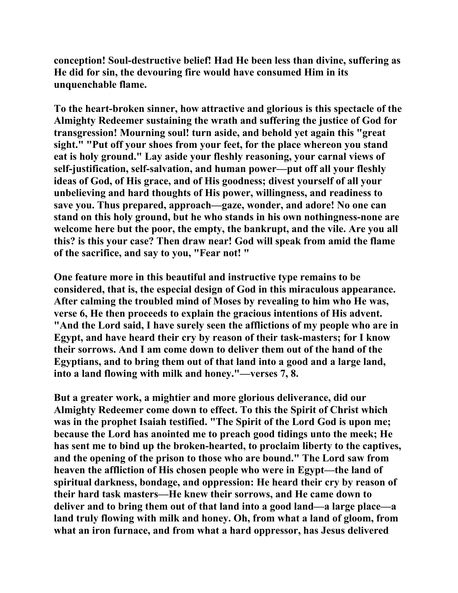**conception! Soul-destructive belief! Had He been less than divine, suffering as He did for sin, the devouring fire would have consumed Him in its unquenchable flame.** 

**To the heart-broken sinner, how attractive and glorious is this spectacle of the Almighty Redeemer sustaining the wrath and suffering the justice of God for transgression! Mourning soul! turn aside, and behold yet again this "great sight." "Put off your shoes from your feet, for the place whereon you stand eat is holy ground." Lay aside your fleshly reasoning, your carnal views of self-justification, self-salvation, and human power—put off all your fleshly ideas of God, of His grace, and of His goodness; divest yourself of all your unbelieving and hard thoughts of His power, willingness, and readiness to save you. Thus prepared, approach—gaze, wonder, and adore! No one can stand on this holy ground, but he who stands in his own nothingness-none are welcome here but the poor, the empty, the bankrupt, and the vile. Are you all this? is this your case? Then draw near! God will speak from amid the flame of the sacrifice, and say to you, "Fear not! "** 

**One feature more in this beautiful and instructive type remains to be considered, that is, the especial design of God in this miraculous appearance. After calming the troubled mind of Moses by revealing to him who He was, verse 6, He then proceeds to explain the gracious intentions of His advent. "And the Lord said, I have surely seen the afflictions of my people who are in Egypt, and have heard their cry by reason of their task-masters; for I know their sorrows. And I am come down to deliver them out of the hand of the Egyptians, and to bring them out of that land into a good and a large land, into a land flowing with milk and honey."—verses 7, 8.** 

**But a greater work, a mightier and more glorious deliverance, did our Almighty Redeemer come down to effect. To this the Spirit of Christ which was in the prophet Isaiah testified. "The Spirit of the Lord God is upon me; because the Lord has anointed me to preach good tidings unto the meek; He has sent me to bind up the broken-hearted, to proclaim liberty to the captives, and the opening of the prison to those who are bound." The Lord saw from heaven the affliction of His chosen people who were in Egypt—the land of spiritual darkness, bondage, and oppression: He heard their cry by reason of their hard task masters—He knew their sorrows, and He came down to deliver and to bring them out of that land into a good land—a large place—a land truly flowing with milk and honey. Oh, from what a land of gloom, from what an iron furnace, and from what a hard oppressor, has Jesus delivered**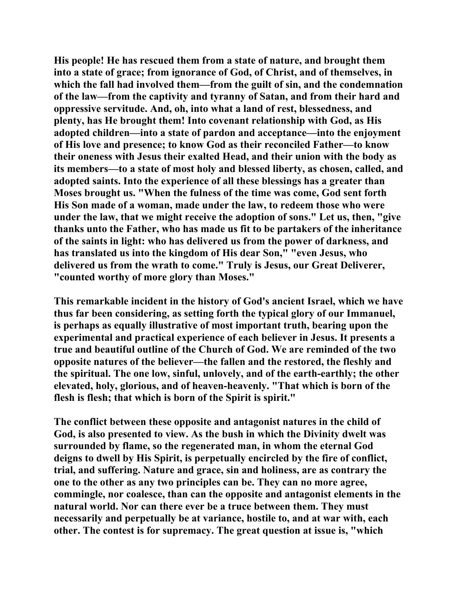**His people! He has rescued them from a state of nature, and brought them into a state of grace; from ignorance of God, of Christ, and of themselves, in which the fall had involved them—from the guilt of sin, and the condemnation of the law—from the captivity and tyranny of Satan, and from their hard and oppressive servitude. And, oh, into what a land of rest, blessedness, and plenty, has He brought them! Into covenant relationship with God, as His adopted children—into a state of pardon and acceptance—into the enjoyment of His love and presence; to know God as their reconciled Father—to know their oneness with Jesus their exalted Head, and their union with the body as its members—to a state of most holy and blessed liberty, as chosen, called, and adopted saints. Into the experience of all these blessings has a greater than Moses brought us. "When the fulness of the time was come, God sent forth His Son made of a woman, made under the law, to redeem those who were under the law, that we might receive the adoption of sons." Let us, then, "give thanks unto the Father, who has made us fit to be partakers of the inheritance of the saints in light: who has delivered us from the power of darkness, and has translated us into the kingdom of His dear Son," "even Jesus, who delivered us from the wrath to come." Truly is Jesus, our Great Deliverer, "counted worthy of more glory than Moses."** 

**This remarkable incident in the history of God's ancient Israel, which we have thus far been considering, as setting forth the typical glory of our Immanuel, is perhaps as equally illustrative of most important truth, bearing upon the experimental and practical experience of each believer in Jesus. It presents a true and beautiful outline of the Church of God. We are reminded of the two opposite natures of the believer—the fallen and the restored, the fleshly and the spiritual. The one low, sinful, unlovely, and of the earth-earthly; the other elevated, holy, glorious, and of heaven-heavenly. "That which is born of the flesh is flesh; that which is born of the Spirit is spirit."** 

**The conflict between these opposite and antagonist natures in the child of God, is also presented to view. As the bush in which the Divinity dwelt was surrounded by flame, so the regenerated man, in whom the eternal God deigns to dwell by His Spirit, is perpetually encircled by the fire of conflict, trial, and suffering. Nature and grace, sin and holiness, are as contrary the one to the other as any two principles can be. They can no more agree, commingle, nor coalesce, than can the opposite and antagonist elements in the natural world. Nor can there ever be a truce between them. They must necessarily and perpetually be at variance, hostile to, and at war with, each other. The contest is for supremacy. The great question at issue is, "which**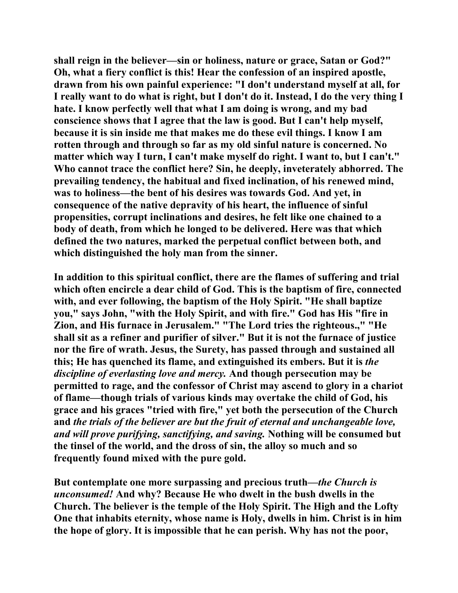**shall reign in the believer—sin or holiness, nature or grace, Satan or God?" Oh, what a fiery conflict is this! Hear the confession of an inspired apostle, drawn from his own painful experience: "I don't understand myself at all, for I really want to do what is right, but I don't do it. Instead, I do the very thing I hate. I know perfectly well that what I am doing is wrong, and my bad conscience shows that I agree that the law is good. But I can't help myself, because it is sin inside me that makes me do these evil things. I know I am rotten through and through so far as my old sinful nature is concerned. No matter which way I turn, I can't make myself do right. I want to, but I can't." Who cannot trace the conflict here? Sin, he deeply, inveterately abhorred. The prevailing tendency, the habitual and fixed inclination, of his renewed mind, was to holiness—the bent of his desires was towards God. And yet, in consequence of the native depravity of his heart, the influence of sinful propensities, corrupt inclinations and desires, he felt like one chained to a body of death, from which he longed to be delivered. Here was that which defined the two natures, marked the perpetual conflict between both, and which distinguished the holy man from the sinner.** 

**In addition to this spiritual conflict, there are the flames of suffering and trial which often encircle a dear child of God. This is the baptism of fire, connected with, and ever following, the baptism of the Holy Spirit. "He shall baptize you," says John, "with the Holy Spirit, and with fire." God has His "fire in Zion, and His furnace in Jerusalem." "The Lord tries the righteous.," "He shall sit as a refiner and purifier of silver." But it is not the furnace of justice nor the fire of wrath. Jesus, the Surety, has passed through and sustained all this; He has quenched its flame, and extinguished its embers. But it is** *the discipline of everlasting love and mercy.* **And though persecution may be permitted to rage, and the confessor of Christ may ascend to glory in a chariot of flame—though trials of various kinds may overtake the child of God, his grace and his graces "tried with fire," yet both the persecution of the Church and** *the trials of the believer are but the fruit of eternal and unchangeable love, and will prove purifying, sanctifying, and saving.* **Nothing will be consumed but the tinsel of the world, and the dross of sin, the alloy so much and so frequently found mixed with the pure gold.** 

**But contemplate one more surpassing and precious truth—***the Church is unconsumed!* **And why? Because He who dwelt in the bush dwells in the Church. The believer is the temple of the Holy Spirit. The High and the Lofty One that inhabits eternity, whose name is Holy, dwells in him. Christ is in him the hope of glory. It is impossible that he can perish. Why has not the poor,**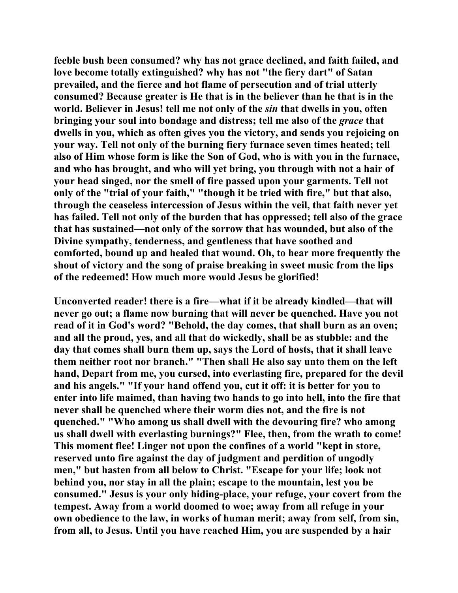**feeble bush been consumed? why has not grace declined, and faith failed, and love become totally extinguished? why has not "the fiery dart" of Satan prevailed, and the fierce and hot flame of persecution and of trial utterly consumed? Because greater is He that is in the believer than he that is in the world. Believer in Jesus! tell me not only of the** *sin* **that dwells in you, often bringing your soul into bondage and distress; tell me also of the** *grace* **that dwells in you, which as often gives you the victory, and sends you rejoicing on your way. Tell not only of the burning fiery furnace seven times heated; tell also of Him whose form is like the Son of God, who is with you in the furnace, and who has brought, and who will yet bring, you through with not a hair of your head singed, nor the smell of fire passed upon your garments. Tell not only of the "trial of your faith," "though it be tried with fire," but that also, through the ceaseless intercession of Jesus within the veil, that faith never yet has failed. Tell not only of the burden that has oppressed; tell also of the grace that has sustained—not only of the sorrow that has wounded, but also of the Divine sympathy, tenderness, and gentleness that have soothed and comforted, bound up and healed that wound. Oh, to hear more frequently the shout of victory and the song of praise breaking in sweet music from the lips of the redeemed! How much more would Jesus be glorified!** 

**Unconverted reader! there is a fire—what if it be already kindled—that will never go out; a flame now burning that will never be quenched. Have you not read of it in God's word? "Behold, the day comes, that shall burn as an oven; and all the proud, yes, and all that do wickedly, shall be as stubble: and the day that comes shall burn them up, says the Lord of hosts, that it shall leave them neither root nor branch." "Then shall He also say unto them on the left hand, Depart from me, you cursed, into everlasting fire, prepared for the devil and his angels." "If your hand offend you, cut it off: it is better for you to enter into life maimed, than having two hands to go into hell, into the fire that never shall be quenched where their worm dies not, and the fire is not quenched." "Who among us shall dwell with the devouring fire? who among us shall dwell with everlasting burnings?" Flee, then, from the wrath to come! This moment flee! Linger not upon the confines of a world "kept in store, reserved unto fire against the day of judgment and perdition of ungodly men," but hasten from all below to Christ. "Escape for your life; look not behind you, nor stay in all the plain; escape to the mountain, lest you be consumed." Jesus is your only hiding-place, your refuge, your covert from the tempest. Away from a world doomed to woe; away from all refuge in your own obedience to the law, in works of human merit; away from self, from sin, from all, to Jesus. Until you have reached Him, you are suspended by a hair**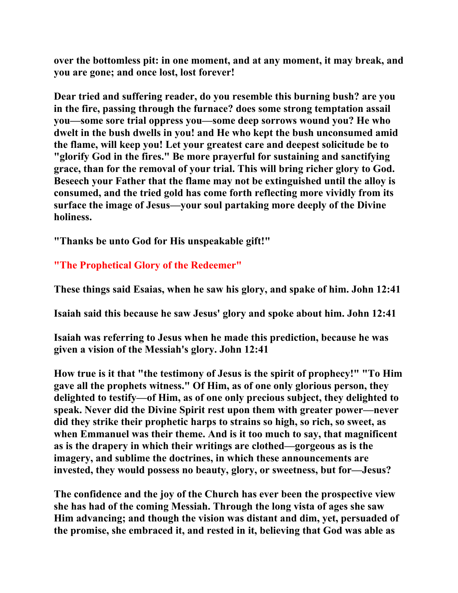**over the bottomless pit: in one moment, and at any moment, it may break, and you are gone; and once lost, lost forever!** 

**Dear tried and suffering reader, do you resemble this burning bush? are you in the fire, passing through the furnace? does some strong temptation assail you—some sore trial oppress you—some deep sorrows wound you? He who dwelt in the bush dwells in you! and He who kept the bush unconsumed amid the flame, will keep you! Let your greatest care and deepest solicitude be to "glorify God in the fires." Be more prayerful for sustaining and sanctifying grace, than for the removal of your trial. This will bring richer glory to God. Beseech your Father that the flame may not be extinguished until the alloy is consumed, and the tried gold has come forth reflecting more vividly from its surface the image of Jesus—your soul partaking more deeply of the Divine holiness.** 

**"Thanks be unto God for His unspeakable gift!"** 

### **"The Prophetical Glory of the Redeemer"**

**These things said Esaias, when he saw his glory, and spake of him. John 12:41** 

**Isaiah said this because he saw Jesus' glory and spoke about him. John 12:41** 

**Isaiah was referring to Jesus when he made this prediction, because he was given a vision of the Messiah's glory. John 12:41** 

**How true is it that "the testimony of Jesus is the spirit of prophecy!" "To Him gave all the prophets witness." Of Him, as of one only glorious person, they delighted to testify—of Him, as of one only precious subject, they delighted to speak. Never did the Divine Spirit rest upon them with greater power—never did they strike their prophetic harps to strains so high, so rich, so sweet, as when Emmanuel was their theme. And is it too much to say, that magnificent as is the drapery in which their writings are clothed—gorgeous as is the imagery, and sublime the doctrines, in which these announcements are invested, they would possess no beauty, glory, or sweetness, but for—Jesus?** 

**The confidence and the joy of the Church has ever been the prospective view she has had of the coming Messiah. Through the long vista of ages she saw Him advancing; and though the vision was distant and dim, yet, persuaded of the promise, she embraced it, and rested in it, believing that God was able as**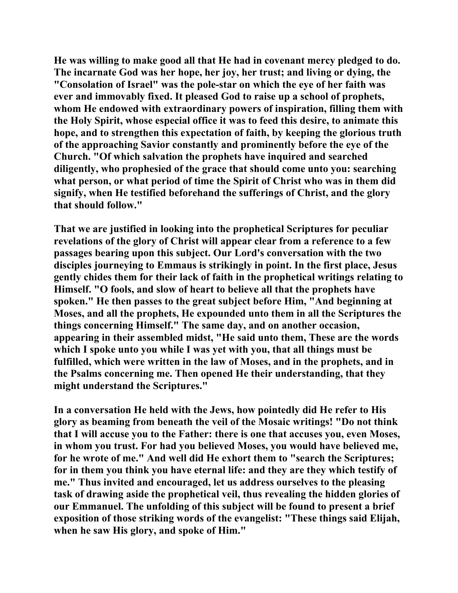**He was willing to make good all that He had in covenant mercy pledged to do. The incarnate God was her hope, her joy, her trust; and living or dying, the "Consolation of Israel" was the pole-star on which the eye of her faith was ever and immovably fixed. It pleased God to raise up a school of prophets, whom He endowed with extraordinary powers of inspiration, filling them with the Holy Spirit, whose especial office it was to feed this desire, to animate this hope, and to strengthen this expectation of faith, by keeping the glorious truth of the approaching Savior constantly and prominently before the eye of the Church. "Of which salvation the prophets have inquired and searched diligently, who prophesied of the grace that should come unto you: searching what person, or what period of time the Spirit of Christ who was in them did signify, when He testified beforehand the sufferings of Christ, and the glory that should follow."** 

**That we are justified in looking into the prophetical Scriptures for peculiar revelations of the glory of Christ will appear clear from a reference to a few passages bearing upon this subject. Our Lord's conversation with the two disciples journeying to Emmaus is strikingly in point. In the first place, Jesus gently chides them for their lack of faith in the prophetical writings relating to Himself. "O fools, and slow of heart to believe all that the prophets have spoken." He then passes to the great subject before Him, "And beginning at Moses, and all the prophets, He expounded unto them in all the Scriptures the things concerning Himself." The same day, and on another occasion, appearing in their assembled midst, "He said unto them, These are the words which I spoke unto you while I was yet with you, that all things must be fulfilled, which were written in the law of Moses, and in the prophets, and in the Psalms concerning me. Then opened He their understanding, that they might understand the Scriptures."** 

**In a conversation He held with the Jews, how pointedly did He refer to His glory as beaming from beneath the veil of the Mosaic writings! "Do not think that I will accuse you to the Father: there is one that accuses you, even Moses, in whom you trust. For had you believed Moses, you would have believed me, for he wrote of me." And well did He exhort them to "search the Scriptures; for in them you think you have eternal life: and they are they which testify of me." Thus invited and encouraged, let us address ourselves to the pleasing task of drawing aside the prophetical veil, thus revealing the hidden glories of our Emmanuel. The unfolding of this subject will be found to present a brief exposition of those striking words of the evangelist: "These things said Elijah, when he saw His glory, and spoke of Him."**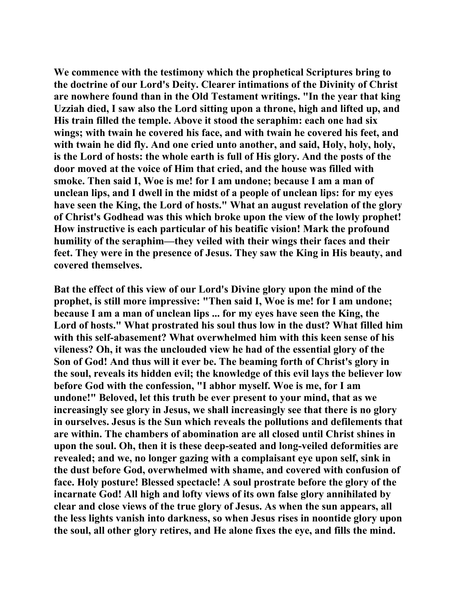**We commence with the testimony which the prophetical Scriptures bring to the doctrine of our Lord's Deity. Clearer intimations of the Divinity of Christ are nowhere found than in the Old Testament writings. "In the year that king Uzziah died, I saw also the Lord sitting upon a throne, high and lifted up, and His train filled the temple. Above it stood the seraphim: each one had six wings; with twain he covered his face, and with twain he covered his feet, and with twain he did fly. And one cried unto another, and said, Holy, holy, holy, is the Lord of hosts: the whole earth is full of His glory. And the posts of the door moved at the voice of Him that cried, and the house was filled with smoke. Then said I, Woe is me! for I am undone; because I am a man of unclean lips, and I dwell in the midst of a people of unclean lips: for my eyes have seen the King, the Lord of hosts." What an august revelation of the glory of Christ's Godhead was this which broke upon the view of the lowly prophet! How instructive is each particular of his beatific vision! Mark the profound humility of the seraphim—they veiled with their wings their faces and their feet. They were in the presence of Jesus. They saw the King in His beauty, and covered themselves.** 

**Bat the effect of this view of our Lord's Divine glory upon the mind of the prophet, is still more impressive: "Then said I, Woe is me! for I am undone; because I am a man of unclean lips ... for my eyes have seen the King, the Lord of hosts." What prostrated his soul thus low in the dust? What filled him with this self-abasement? What overwhelmed him with this keen sense of his vileness? Oh, it was the unclouded view he had of the essential glory of the Son of God! And thus will it ever be. The beaming forth of Christ's glory in the soul, reveals its hidden evil; the knowledge of this evil lays the believer low before God with the confession, "I abhor myself. Woe is me, for I am undone!" Beloved, let this truth be ever present to your mind, that as we increasingly see glory in Jesus, we shall increasingly see that there is no glory in ourselves. Jesus is the Sun which reveals the pollutions and defilements that are within. The chambers of abomination are all closed until Christ shines in upon the soul. Oh, then it is these deep-seated and long-veiled deformities are revealed; and we, no longer gazing with a complaisant eye upon self, sink in the dust before God, overwhelmed with shame, and covered with confusion of face. Holy posture! Blessed spectacle! A soul prostrate before the glory of the incarnate God! All high and lofty views of its own false glory annihilated by clear and close views of the true glory of Jesus. As when the sun appears, all the less lights vanish into darkness, so when Jesus rises in noontide glory upon the soul, all other glory retires, and He alone fixes the eye, and fills the mind.**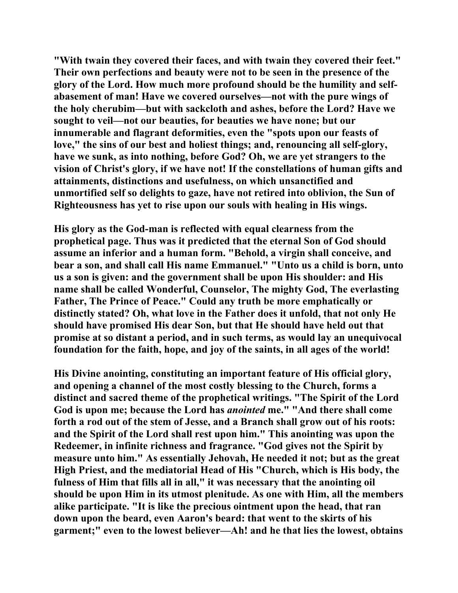**"With twain they covered their faces, and with twain they covered their feet." Their own perfections and beauty were not to be seen in the presence of the glory of the Lord. How much more profound should be the humility and selfabasement of man! Have we covered ourselves—not with the pure wings of the holy cherubim—but with sackcloth and ashes, before the Lord? Have we sought to veil—not our beauties, for beauties we have none; but our innumerable and flagrant deformities, even the "spots upon our feasts of love," the sins of our best and holiest things; and, renouncing all self-glory, have we sunk, as into nothing, before God? Oh, we are yet strangers to the vision of Christ's glory, if we have not! If the constellations of human gifts and attainments, distinctions and usefulness, on which unsanctified and unmortified self so delights to gaze, have not retired into oblivion, the Sun of Righteousness has yet to rise upon our souls with healing in His wings.** 

**His glory as the God-man is reflected with equal clearness from the prophetical page. Thus was it predicted that the eternal Son of God should assume an inferior and a human form. "Behold, a virgin shall conceive, and bear a son, and shall call His name Emmanuel." "Unto us a child is born, unto us a son is given: and the government shall be upon His shoulder: and His name shall be called Wonderful, Counselor, The mighty God, The everlasting Father, The Prince of Peace." Could any truth be more emphatically or distinctly stated? Oh, what love in the Father does it unfold, that not only He should have promised His dear Son, but that He should have held out that promise at so distant a period, and in such terms, as would lay an unequivocal foundation for the faith, hope, and joy of the saints, in all ages of the world!** 

**His Divine anointing, constituting an important feature of His official glory, and opening a channel of the most costly blessing to the Church, forms a distinct and sacred theme of the prophetical writings. "The Spirit of the Lord God is upon me; because the Lord has** *anointed* **me." "And there shall come forth a rod out of the stem of Jesse, and a Branch shall grow out of his roots: and the Spirit of the Lord shall rest upon him." This anointing was upon the Redeemer, in infinite richness and fragrance. "God gives not the Spirit by measure unto him." As essentially Jehovah, He needed it not; but as the great High Priest, and the mediatorial Head of His "Church, which is His body, the fulness of Him that fills all in all," it was necessary that the anointing oil should be upon Him in its utmost plenitude. As one with Him, all the members alike participate. "It is like the precious ointment upon the head, that ran down upon the beard, even Aaron's beard: that went to the skirts of his garment;" even to the lowest believer—Ah! and he that lies the lowest, obtains**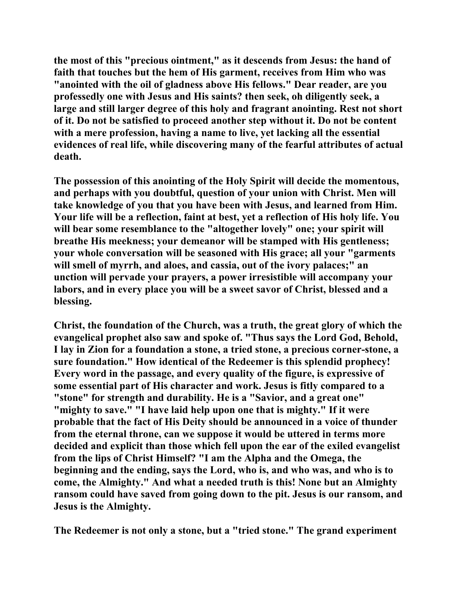**the most of this "precious ointment," as it descends from Jesus: the hand of faith that touches but the hem of His garment, receives from Him who was "anointed with the oil of gladness above His fellows." Dear reader, are you professedly one with Jesus and His saints? then seek, oh diligently seek, a large and still larger degree of this holy and fragrant anointing. Rest not short of it. Do not be satisfied to proceed another step without it. Do not be content with a mere profession, having a name to live, yet lacking all the essential evidences of real life, while discovering many of the fearful attributes of actual death.** 

**The possession of this anointing of the Holy Spirit will decide the momentous, and perhaps with you doubtful, question of your union with Christ. Men will take knowledge of you that you have been with Jesus, and learned from Him. Your life will be a reflection, faint at best, yet a reflection of His holy life. You will bear some resemblance to the "altogether lovely" one; your spirit will breathe His meekness; your demeanor will be stamped with His gentleness; your whole conversation will be seasoned with His grace; all your "garments will smell of myrrh, and aloes, and cassia, out of the ivory palaces;" an unction will pervade your prayers, a power irresistible will accompany your labors, and in every place you will be a sweet savor of Christ, blessed and a blessing.** 

**Christ, the foundation of the Church, was a truth, the great glory of which the evangelical prophet also saw and spoke of. "Thus says the Lord God, Behold, I lay in Zion for a foundation a stone, a tried stone, a precious corner-stone, a sure foundation." How identical of the Redeemer is this splendid prophecy! Every word in the passage, and every quality of the figure, is expressive of some essential part of His character and work. Jesus is fitly compared to a "stone" for strength and durability. He is a "Savior, and a great one" "mighty to save." "I have laid help upon one that is mighty." If it were probable that the fact of His Deity should be announced in a voice of thunder from the eternal throne, can we suppose it would be uttered in terms more decided and explicit than those which fell upon the ear of the exiled evangelist from the lips of Christ Himself? "I am the Alpha and the Omega, the beginning and the ending, says the Lord, who is, and who was, and who is to come, the Almighty." And what a needed truth is this! None but an Almighty ransom could have saved from going down to the pit. Jesus is our ransom, and Jesus is the Almighty.** 

**The Redeemer is not only a stone, but a "tried stone." The grand experiment**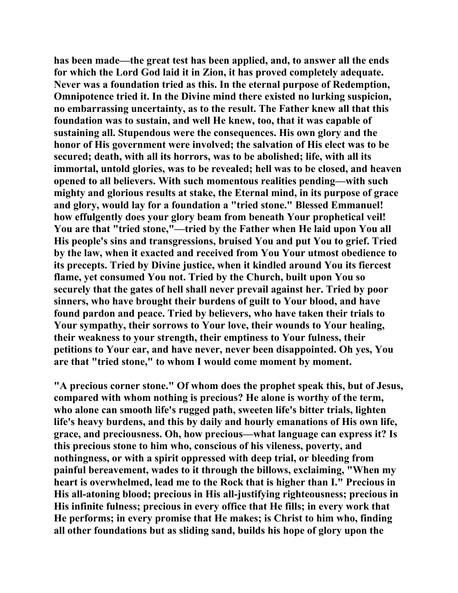**has been made—the great test has been applied, and, to answer all the ends for which the Lord God laid it in Zion, it has proved completely adequate. Never was a foundation tried as this. In the eternal purpose of Redemption, Omnipotence tried it. In the Divine mind there existed no lurking suspicion, no embarrassing uncertainty, as to the result. The Father knew all that this foundation was to sustain, and well He knew, too, that it was capable of sustaining all. Stupendous were the consequences. His own glory and the honor of His government were involved; the salvation of His elect was to be secured; death, with all its horrors, was to be abolished; life, with all its immortal, untold glories, was to be revealed; hell was to be closed, and heaven opened to all believers. With such momentous realities pending—with such mighty and glorious results at stake, the Eternal mind, in its purpose of grace and glory, would lay for a foundation a "tried stone." Blessed Emmanuel! how effulgently does your glory beam from beneath Your prophetical veil! You are that "tried stone,"—tried by the Father when He laid upon You all His people's sins and transgressions, bruised You and put You to grief. Tried by the law, when it exacted and received from You Your utmost obedience to its precepts. Tried by Divine justice, when it kindled around You its fiercest flame, yet consumed You not. Tried by the Church, built upon You so securely that the gates of hell shall never prevail against her. Tried by poor sinners, who have brought their burdens of guilt to Your blood, and have found pardon and peace. Tried by believers, who have taken their trials to Your sympathy, their sorrows to Your love, their wounds to Your healing, their weakness to your strength, their emptiness to Your fulness, their petitions to Your ear, and have never, never been disappointed. Oh yes, You are that "tried stone," to whom I would come moment by moment.** 

**"A precious corner stone." Of whom does the prophet speak this, but of Jesus, compared with whom nothing is precious? He alone is worthy of the term, who alone can smooth life's rugged path, sweeten life's bitter trials, lighten life's heavy burdens, and this by daily and hourly emanations of His own life, grace, and preciousness. Oh, how precious—what language can express it? Is this precious stone to him who, conscious of his vileness, poverty, and nothingness, or with a spirit oppressed with deep trial, or bleeding from painful bereavement, wades to it through the billows, exclaiming, "When my heart is overwhelmed, lead me to the Rock that is higher than I." Precious in His all-atoning blood; precious in His all-justifying righteousness; precious in His infinite fulness; precious in every office that He fills; in every work that He performs; in every promise that He makes; is Christ to him who, finding all other foundations but as sliding sand, builds his hope of glory upon the**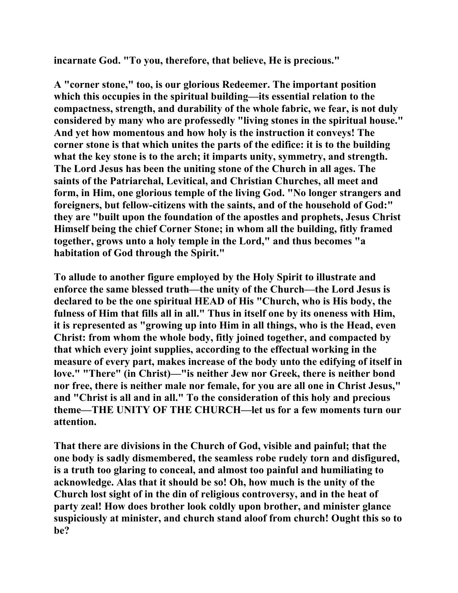**incarnate God. "To you, therefore, that believe, He is precious."** 

**A "corner stone," too, is our glorious Redeemer. The important position which this occupies in the spiritual building—its essential relation to the compactness, strength, and durability of the whole fabric, we fear, is not duly considered by many who are professedly "living stones in the spiritual house." And yet how momentous and how holy is the instruction it conveys! The corner stone is that which unites the parts of the edifice: it is to the building what the key stone is to the arch; it imparts unity, symmetry, and strength. The Lord Jesus has been the uniting stone of the Church in all ages. The saints of the Patriarchal, Levitical, and Christian Churches, all meet and form, in Him, one glorious temple of the living God. "No longer strangers and foreigners, but fellow-citizens with the saints, and of the household of God:" they are "built upon the foundation of the apostles and prophets, Jesus Christ Himself being the chief Corner Stone; in whom all the building, fitly framed together, grows unto a holy temple in the Lord," and thus becomes "a habitation of God through the Spirit."** 

**To allude to another figure employed by the Holy Spirit to illustrate and enforce the same blessed truth—the unity of the Church—the Lord Jesus is declared to be the one spiritual HEAD of His "Church, who is His body, the fulness of Him that fills all in all." Thus in itself one by its oneness with Him, it is represented as "growing up into Him in all things, who is the Head, even Christ: from whom the whole body, fitly joined together, and compacted by that which every joint supplies, according to the effectual working in the measure of every part, makes increase of the body unto the edifying of itself in love." "There" (in Christ)—"is neither Jew nor Greek, there is neither bond nor free, there is neither male nor female, for you are all one in Christ Jesus," and "Christ is all and in all." To the consideration of this holy and precious theme—THE UNITY OF THE CHURCH—let us for a few moments turn our attention.** 

**That there are divisions in the Church of God, visible and painful; that the one body is sadly dismembered, the seamless robe rudely torn and disfigured, is a truth too glaring to conceal, and almost too painful and humiliating to acknowledge. Alas that it should be so! Oh, how much is the unity of the Church lost sight of in the din of religious controversy, and in the heat of party zeal! How does brother look coldly upon brother, and minister glance suspiciously at minister, and church stand aloof from church! Ought this so to be?**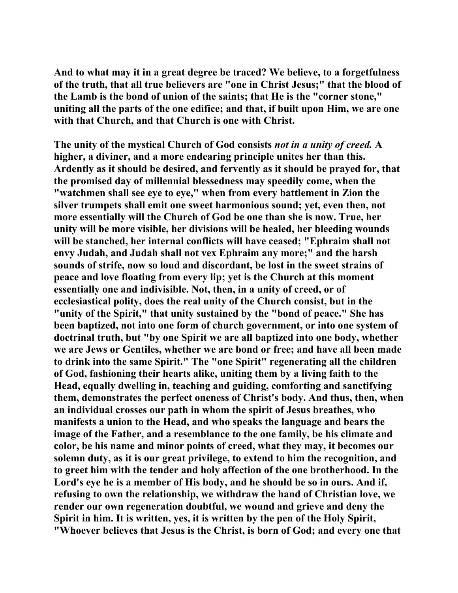**And to what may it in a great degree be traced? We believe, to a forgetfulness of the truth, that all true believers are "one in Christ Jesus;" that the blood of the Lamb is the bond of union of the saints; that He is the "corner stone," uniting all the parts of the one edifice; and that, if built upon Him, we are one with that Church, and that Church is one with Christ.** 

**The unity of the mystical Church of God consists** *not in a unity of creed.* **A higher, a diviner, and a more endearing principle unites her than this. Ardently as it should be desired, and fervently as it should be prayed for, that the promised day of millennial blessedness may speedily come, when the "watchmen shall see eye to eye," when from every battlement in Zion the silver trumpets shall emit one sweet harmonious sound; yet, even then, not more essentially will the Church of God be one than she is now. True, her unity will be more visible, her divisions will be healed, her bleeding wounds will be stanched, her internal conflicts will have ceased; "Ephraim shall not envy Judah, and Judah shall not vex Ephraim any more;" and the harsh sounds of strife, now so loud and discordant, be lost in the sweet strains of peace and love floating from every lip; yet is the Church at this moment essentially one and indivisible. Not, then, in a unity of creed, or of ecclesiastical polity, does the real unity of the Church consist, but in the "unity of the Spirit," that unity sustained by the "bond of peace." She has been baptized, not into one form of church government, or into one system of doctrinal truth, but "by one Spirit we are all baptized into one body, whether we are Jews or Gentiles, whether we are bond or free; and have all been made to drink into the same Spirit." The "one Spirit" regenerating all the children of God, fashioning their hearts alike, uniting them by a living faith to the Head, equally dwelling in, teaching and guiding, comforting and sanctifying them, demonstrates the perfect oneness of Christ's body. And thus, then, when an individual crosses our path in whom the spirit of Jesus breathes, who manifests a union to the Head, and who speaks the language and bears the image of the Father, and a resemblance to the one family, be his climate and color, be his name and minor points of creed, what they may, it becomes our solemn duty, as it is our great privilege, to extend to him the recognition, and to greet him with the tender and holy affection of the one brotherhood. In the Lord's eye he is a member of His body, and he should be so in ours. And if, refusing to own the relationship, we withdraw the hand of Christian love, we render our own regeneration doubtful, we wound and grieve and deny the Spirit in him. It is written, yes, it is written by the pen of the Holy Spirit, "Whoever believes that Jesus is the Christ, is born of God; and every one that**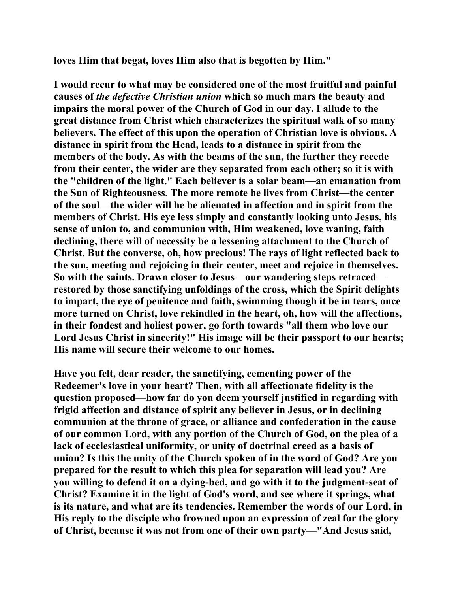**loves Him that begat, loves Him also that is begotten by Him."** 

**I would recur to what may be considered one of the most fruitful and painful causes of** *the defective Christian union* **which so much mars the beauty and impairs the moral power of the Church of God in our day. I allude to the great distance from Christ which characterizes the spiritual walk of so many believers. The effect of this upon the operation of Christian love is obvious. A distance in spirit from the Head, leads to a distance in spirit from the members of the body. As with the beams of the sun, the further they recede from their center, the wider are they separated from each other; so it is with the "children of the light." Each believer is a solar beam—an emanation from the Sun of Righteousness. The more remote he lives from Christ—the center of the soul—the wider will he be alienated in affection and in spirit from the members of Christ. His eye less simply and constantly looking unto Jesus, his sense of union to, and communion with, Him weakened, love waning, faith declining, there will of necessity be a lessening attachment to the Church of Christ. But the converse, oh, how precious! The rays of light reflected back to the sun, meeting and rejoicing in their center, meet and rejoice in themselves. So with the saints. Drawn closer to Jesus—our wandering steps retraced restored by those sanctifying unfoldings of the cross, which the Spirit delights to impart, the eye of penitence and faith, swimming though it be in tears, once more turned on Christ, love rekindled in the heart, oh, how will the affections, in their fondest and holiest power, go forth towards "all them who love our Lord Jesus Christ in sincerity!" His image will be their passport to our hearts; His name will secure their welcome to our homes.** 

**Have you felt, dear reader, the sanctifying, cementing power of the Redeemer's love in your heart? Then, with all affectionate fidelity is the question proposed—how far do you deem yourself justified in regarding with frigid affection and distance of spirit any believer in Jesus, or in declining communion at the throne of grace, or alliance and confederation in the cause of our common Lord, with any portion of the Church of God, on the plea of a lack of ecclesiastical uniformity, or unity of doctrinal creed as a basis of union? Is this the unity of the Church spoken of in the word of God? Are you prepared for the result to which this plea for separation will lead you? Are you willing to defend it on a dying-bed, and go with it to the judgment-seat of Christ? Examine it in the light of God's word, and see where it springs, what is its nature, and what are its tendencies. Remember the words of our Lord, in His reply to the disciple who frowned upon an expression of zeal for the glory of Christ, because it was not from one of their own party—"And Jesus said,**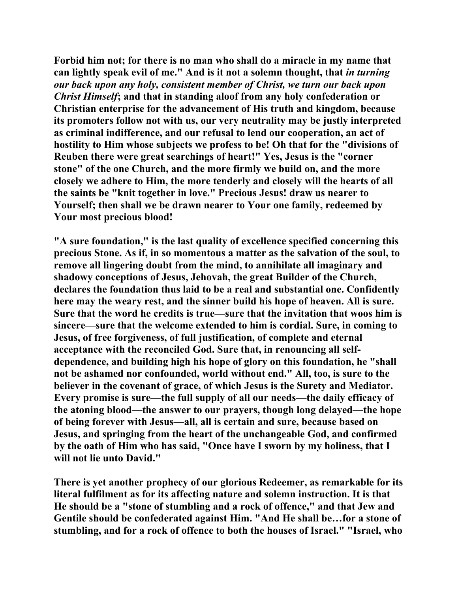**Forbid him not; for there is no man who shall do a miracle in my name that can lightly speak evil of me." And is it not a solemn thought, that** *in turning our back upon any holy, consistent member of Christ, we turn our back upon Christ Himself***; and that in standing aloof from any holy confederation or Christian enterprise for the advancement of His truth and kingdom, because its promoters follow not with us, our very neutrality may be justly interpreted as criminal indifference, and our refusal to lend our cooperation, an act of hostility to Him whose subjects we profess to be! Oh that for the "divisions of Reuben there were great searchings of heart!" Yes, Jesus is the "corner stone" of the one Church, and the more firmly we build on, and the more closely we adhere to Him, the more tenderly and closely will the hearts of all the saints be "knit together in love." Precious Jesus! draw us nearer to Yourself; then shall we be drawn nearer to Your one family, redeemed by Your most precious blood!** 

**"A sure foundation," is the last quality of excellence specified concerning this precious Stone. As if, in so momentous a matter as the salvation of the soul, to remove all lingering doubt from the mind, to annihilate all imaginary and shadowy conceptions of Jesus, Jehovah, the great Builder of the Church, declares the foundation thus laid to be a real and substantial one. Confidently here may the weary rest, and the sinner build his hope of heaven. All is sure. Sure that the word he credits is true—sure that the invitation that woos him is sincere—sure that the welcome extended to him is cordial. Sure, in coming to Jesus, of free forgiveness, of full justification, of complete and eternal acceptance with the reconciled God. Sure that, in renouncing all selfdependence, and building high his hope of glory on this foundation, he "shall not be ashamed nor confounded, world without end." All, too, is sure to the believer in the covenant of grace, of which Jesus is the Surety and Mediator. Every promise is sure—the full supply of all our needs—the daily efficacy of the atoning blood—the answer to our prayers, though long delayed—the hope of being forever with Jesus—all, all is certain and sure, because based on Jesus, and springing from the heart of the unchangeable God, and confirmed by the oath of Him who has said, "Once have I sworn by my holiness, that I will not lie unto David."** 

**There is yet another prophecy of our glorious Redeemer, as remarkable for its literal fulfilment as for its affecting nature and solemn instruction. It is that He should be a "stone of stumbling and a rock of offence," and that Jew and Gentile should be confederated against Him. "And He shall be…for a stone of stumbling, and for a rock of offence to both the houses of Israel." "Israel, who**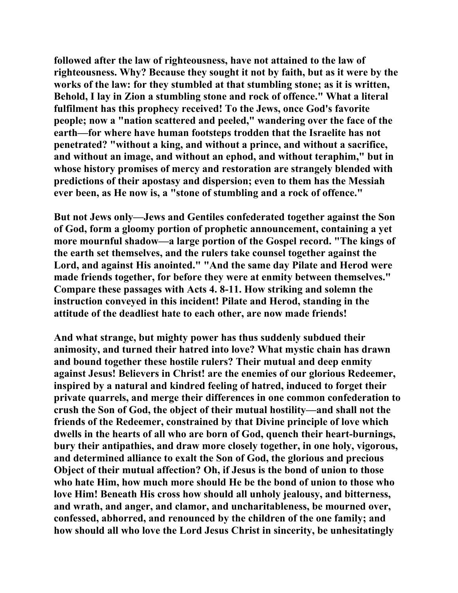**followed after the law of righteousness, have not attained to the law of righteousness. Why? Because they sought it not by faith, but as it were by the works of the law: for they stumbled at that stumbling stone; as it is written, Behold, I lay in Zion a stumbling stone and rock of offence." What a literal fulfilment has this prophecy received! To the Jews, once God's favorite people; now a "nation scattered and peeled," wandering over the face of the earth—for where have human footsteps trodden that the Israelite has not penetrated? "without a king, and without a prince, and without a sacrifice, and without an image, and without an ephod, and without teraphim," but in whose history promises of mercy and restoration are strangely blended with predictions of their apostasy and dispersion; even to them has the Messiah ever been, as He now is, a "stone of stumbling and a rock of offence."** 

**But not Jews only—Jews and Gentiles confederated together against the Son of God, form a gloomy portion of prophetic announcement, containing a yet more mournful shadow—a large portion of the Gospel record. "The kings of the earth set themselves, and the rulers take counsel together against the Lord, and against His anointed." "And the same day Pilate and Herod were made friends together, for before they were at enmity between themselves." Compare these passages with Acts 4. 8-11. How striking and solemn the instruction conveyed in this incident! Pilate and Herod, standing in the attitude of the deadliest hate to each other, are now made friends!** 

**And what strange, but mighty power has thus suddenly subdued their animosity, and turned their hatred into love? What mystic chain has drawn and bound together these hostile rulers? Their mutual and deep enmity against Jesus! Believers in Christ! are the enemies of our glorious Redeemer, inspired by a natural and kindred feeling of hatred, induced to forget their private quarrels, and merge their differences in one common confederation to crush the Son of God, the object of their mutual hostility—and shall not the friends of the Redeemer, constrained by that Divine principle of love which dwells in the hearts of all who are born of God, quench their heart-burnings, bury their antipathies, and draw more closely together, in one holy, vigorous, and determined alliance to exalt the Son of God, the glorious and precious Object of their mutual affection? Oh, if Jesus is the bond of union to those who hate Him, how much more should He be the bond of union to those who love Him! Beneath His cross how should all unholy jealousy, and bitterness, and wrath, and anger, and clamor, and uncharitableness, be mourned over, confessed, abhorred, and renounced by the children of the one family; and how should all who love the Lord Jesus Christ in sincerity, be unhesitatingly**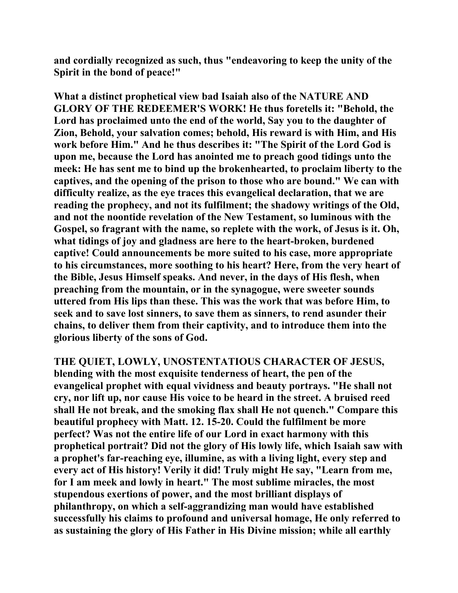**and cordially recognized as such, thus "endeavoring to keep the unity of the Spirit in the bond of peace!"** 

**What a distinct prophetical view bad Isaiah also of the NATURE AND GLORY OF THE REDEEMER'S WORK! He thus foretells it: "Behold, the Lord has proclaimed unto the end of the world, Say you to the daughter of Zion, Behold, your salvation comes; behold, His reward is with Him, and His work before Him." And he thus describes it: "The Spirit of the Lord God is upon me, because the Lord has anointed me to preach good tidings unto the meek: He has sent me to bind up the brokenhearted, to proclaim liberty to the captives, and the opening of the prison to those who are bound." We can with difficulty realize, as the eye traces this evangelical declaration, that we are reading the prophecy, and not its fulfilment; the shadowy writings of the Old, and not the noontide revelation of the New Testament, so luminous with the Gospel, so fragrant with the name, so replete with the work, of Jesus is it. Oh, what tidings of joy and gladness are here to the heart-broken, burdened captive! Could announcements be more suited to his case, more appropriate to his circumstances, more soothing to his heart? Here, from the very heart of the Bible, Jesus Himself speaks. And never, in the days of His flesh, when preaching from the mountain, or in the synagogue, were sweeter sounds uttered from His lips than these. This was the work that was before Him, to seek and to save lost sinners, to save them as sinners, to rend asunder their chains, to deliver them from their captivity, and to introduce them into the glorious liberty of the sons of God.** 

**THE QUIET, LOWLY, UNOSTENTATIOUS CHARACTER OF JESUS, blending with the most exquisite tenderness of heart, the pen of the evangelical prophet with equal vividness and beauty portrays. "He shall not cry, nor lift up, nor cause His voice to be heard in the street. A bruised reed shall He not break, and the smoking flax shall He not quench." Compare this beautiful prophecy with Matt. 12. 15-20. Could the fulfilment be more perfect? Was not the entire life of our Lord in exact harmony with this prophetical portrait? Did not the glory of His lowly life, which Isaiah saw with a prophet's far-reaching eye, illumine, as with a living light, every step and every act of His history! Verily it did! Truly might He say, "Learn from me, for I am meek and lowly in heart." The most sublime miracles, the most stupendous exertions of power, and the most brilliant displays of philanthropy, on which a self-aggrandizing man would have established successfully his claims to profound and universal homage, He only referred to as sustaining the glory of His Father in His Divine mission; while all earthly**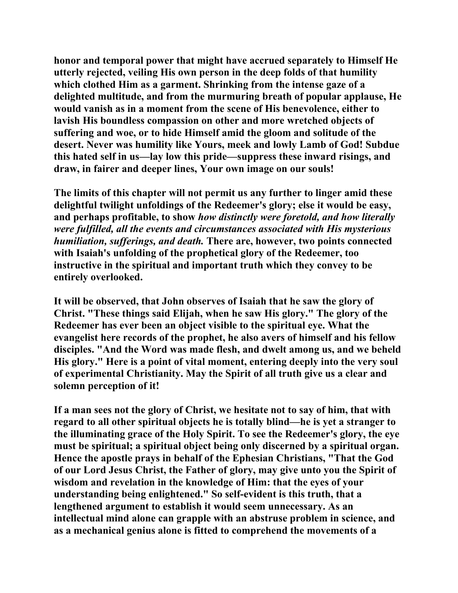**honor and temporal power that might have accrued separately to Himself He utterly rejected, veiling His own person in the deep folds of that humility which clothed Him as a garment. Shrinking from the intense gaze of a delighted multitude, and from the murmuring breath of popular applause, He would vanish as in a moment from the scene of His benevolence, either to lavish His boundless compassion on other and more wretched objects of suffering and woe, or to hide Himself amid the gloom and solitude of the desert. Never was humility like Yours, meek and lowly Lamb of God! Subdue this hated self in us—lay low this pride—suppress these inward risings, and draw, in fairer and deeper lines, Your own image on our souls!** 

**The limits of this chapter will not permit us any further to linger amid these delightful twilight unfoldings of the Redeemer's glory; else it would be easy, and perhaps profitable, to show** *how distinctly were foretold, and how literally were fulfilled, all the events and circumstances associated with His mysterious humiliation, sufferings, and death.* **There are, however, two points connected with Isaiah's unfolding of the prophetical glory of the Redeemer, too instructive in the spiritual and important truth which they convey to be entirely overlooked.** 

**It will be observed, that John observes of Isaiah that he saw the glory of Christ. "These things said Elijah, when he saw His glory." The glory of the Redeemer has ever been an object visible to the spiritual eye. What the evangelist here records of the prophet, he also avers of himself and his fellow disciples. "And the Word was made flesh, and dwelt among us, and we beheld His glory." Here is a point of vital moment, entering deeply into the very soul of experimental Christianity. May the Spirit of all truth give us a clear and solemn perception of it!** 

**If a man sees not the glory of Christ, we hesitate not to say of him, that with regard to all other spiritual objects he is totally blind—he is yet a stranger to the illuminating grace of the Holy Spirit. To see the Redeemer's glory, the eye must be spiritual; a spiritual object being only discerned by a spiritual organ. Hence the apostle prays in behalf of the Ephesian Christians, "That the God of our Lord Jesus Christ, the Father of glory, may give unto you the Spirit of wisdom and revelation in the knowledge of Him: that the eyes of your understanding being enlightened." So self-evident is this truth, that a lengthened argument to establish it would seem unnecessary. As an intellectual mind alone can grapple with an abstruse problem in science, and as a mechanical genius alone is fitted to comprehend the movements of a**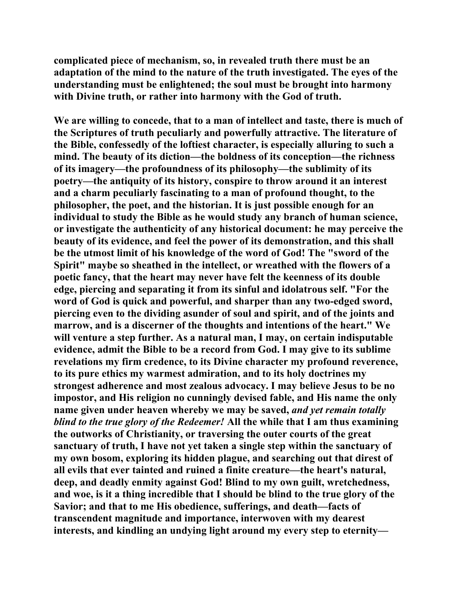**complicated piece of mechanism, so, in revealed truth there must be an adaptation of the mind to the nature of the truth investigated. The eyes of the understanding must be enlightened; the soul must be brought into harmony with Divine truth, or rather into harmony with the God of truth.** 

**We are willing to concede, that to a man of intellect and taste, there is much of the Scriptures of truth peculiarly and powerfully attractive. The literature of the Bible, confessedly of the loftiest character, is especially alluring to such a mind. The beauty of its diction—the boldness of its conception—the richness of its imagery—the profoundness of its philosophy—the sublimity of its poetry—the antiquity of its history, conspire to throw around it an interest and a charm peculiarly fascinating to a man of profound thought, to the philosopher, the poet, and the historian. It is just possible enough for an individual to study the Bible as he would study any branch of human science, or investigate the authenticity of any historical document: he may perceive the beauty of its evidence, and feel the power of its demonstration, and this shall be the utmost limit of his knowledge of the word of God! The "sword of the Spirit" maybe so sheathed in the intellect, or wreathed with the flowers of a poetic fancy, that the heart may never have felt the keenness of its double edge, piercing and separating it from its sinful and idolatrous self. "For the word of God is quick and powerful, and sharper than any two-edged sword, piercing even to the dividing asunder of soul and spirit, and of the joints and marrow, and is a discerner of the thoughts and intentions of the heart." We will venture a step further. As a natural man, I may, on certain indisputable evidence, admit the Bible to be a record from God. I may give to its sublime revelations my firm credence, to its Divine character my profound reverence, to its pure ethics my warmest admiration, and to its holy doctrines my strongest adherence and most zealous advocacy. I may believe Jesus to be no impostor, and His religion no cunningly devised fable, and His name the only name given under heaven whereby we may be saved,** *and yet remain totally blind to the true glory of the Redeemer!* **All the while that I am thus examining the outworks of Christianity, or traversing the outer courts of the great sanctuary of truth, I have not yet taken a single step within the sanctuary of my own bosom, exploring its hidden plague, and searching out that direst of all evils that ever tainted and ruined a finite creature—the heart's natural, deep, and deadly enmity against God! Blind to my own guilt, wretchedness, and woe, is it a thing incredible that I should be blind to the true glory of the Savior; and that to me His obedience, sufferings, and death—facts of transcendent magnitude and importance, interwoven with my dearest interests, and kindling an undying light around my every step to eternity—**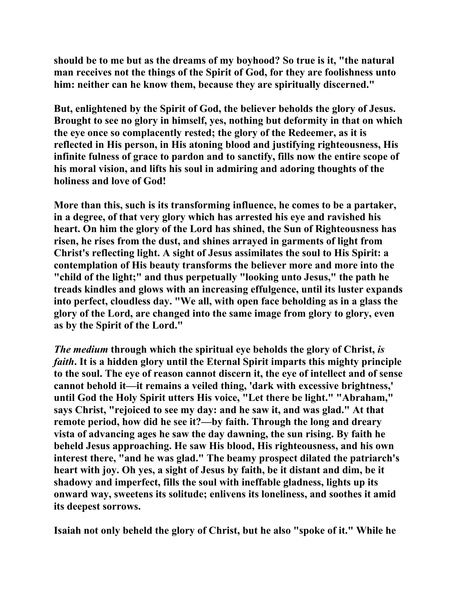**should be to me but as the dreams of my boyhood? So true is it, "the natural man receives not the things of the Spirit of God, for they are foolishness unto him: neither can he know them, because they are spiritually discerned."** 

**But, enlightened by the Spirit of God, the believer beholds the glory of Jesus. Brought to see no glory in himself, yes, nothing but deformity in that on which the eye once so complacently rested; the glory of the Redeemer, as it is reflected in His person, in His atoning blood and justifying righteousness, His infinite fulness of grace to pardon and to sanctify, fills now the entire scope of his moral vision, and lifts his soul in admiring and adoring thoughts of the holiness and love of God!** 

**More than this, such is its transforming influence, he comes to be a partaker, in a degree, of that very glory which has arrested his eye and ravished his heart. On him the glory of the Lord has shined, the Sun of Righteousness has risen, he rises from the dust, and shines arrayed in garments of light from Christ's reflecting light. A sight of Jesus assimilates the soul to His Spirit: a contemplation of His beauty transforms the believer more and more into the "child of the light;" and thus perpetually "looking unto Jesus," the path he treads kindles and glows with an increasing effulgence, until its luster expands into perfect, cloudless day. "We all, with open face beholding as in a glass the glory of the Lord, are changed into the same image from glory to glory, even as by the Spirit of the Lord."** 

*The medium* **through which the spiritual eye beholds the glory of Christ,** *is faith***. It is a hidden glory until the Eternal Spirit imparts this mighty principle to the soul. The eye of reason cannot discern it, the eye of intellect and of sense cannot behold it—it remains a veiled thing, 'dark with excessive brightness,' until God the Holy Spirit utters His voice, "Let there be light." "Abraham," says Christ, "rejoiced to see my day: and he saw it, and was glad." At that remote period, how did he see it?—by faith. Through the long and dreary vista of advancing ages he saw the day dawning, the sun rising. By faith he beheld Jesus approaching. He saw His blood, His righteousness, and his own interest there, "and he was glad." The beamy prospect dilated the patriarch's heart with joy. Oh yes, a sight of Jesus by faith, be it distant and dim, be it shadowy and imperfect, fills the soul with ineffable gladness, lights up its onward way, sweetens its solitude; enlivens its loneliness, and soothes it amid its deepest sorrows.** 

**Isaiah not only beheld the glory of Christ, but he also "spoke of it." While he**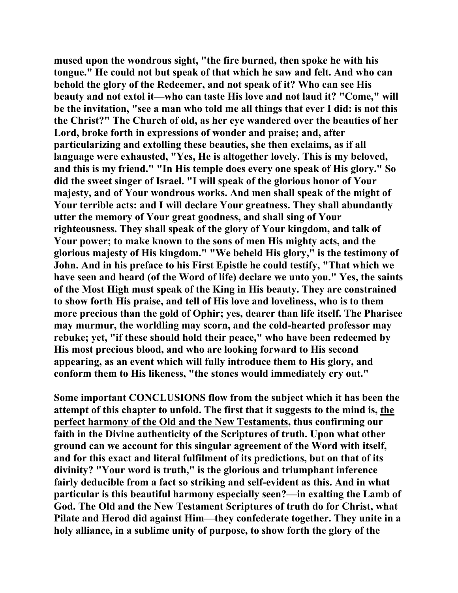**mused upon the wondrous sight, "the fire burned, then spoke he with his tongue." He could not but speak of that which he saw and felt. And who can behold the glory of the Redeemer, and not speak of it? Who can see His beauty and not extol it—who can taste His love and not laud it? "Come," will be the invitation, "see a man who told me all things that ever I did: is not this the Christ?" The Church of old, as her eye wandered over the beauties of her Lord, broke forth in expressions of wonder and praise; and, after particularizing and extolling these beauties, she then exclaims, as if all language were exhausted, "Yes, He is altogether lovely. This is my beloved, and this is my friend." "In His temple does every one speak of His glory." So did the sweet singer of Israel. "I will speak of the glorious honor of Your majesty, and of Your wondrous works. And men shall speak of the might of Your terrible acts: and I will declare Your greatness. They shall abundantly utter the memory of Your great goodness, and shall sing of Your righteousness. They shall speak of the glory of Your kingdom, and talk of Your power; to make known to the sons of men His mighty acts, and the glorious majesty of His kingdom." "We beheld His glory," is the testimony of John. And in his preface to his First Epistle he could testify, "That which we have seen and heard (of the Word of life) declare we unto you." Yes, the saints of the Most High must speak of the King in His beauty. They are constrained to show forth His praise, and tell of His love and loveliness, who is to them more precious than the gold of Ophir; yes, dearer than life itself. The Pharisee may murmur, the worldling may scorn, and the cold-hearted professor may rebuke; yet, "if these should hold their peace," who have been redeemed by His most precious blood, and who are looking forward to His second appearing, as an event which will fully introduce them to His glory, and conform them to His likeness, "the stones would immediately cry out."** 

**Some important CONCLUSIONS flow from the subject which it has been the attempt of this chapter to unfold. The first that it suggests to the mind is, the perfect harmony of the Old and the New Testaments, thus confirming our faith in the Divine authenticity of the Scriptures of truth. Upon what other ground can we account for this singular agreement of the Word with itself, and for this exact and literal fulfilment of its predictions, but on that of its divinity? "Your word is truth," is the glorious and triumphant inference fairly deducible from a fact so striking and self-evident as this. And in what particular is this beautiful harmony especially seen?—in exalting the Lamb of God. The Old and the New Testament Scriptures of truth do for Christ, what Pilate and Herod did against Him—they confederate together. They unite in a holy alliance, in a sublime unity of purpose, to show forth the glory of the**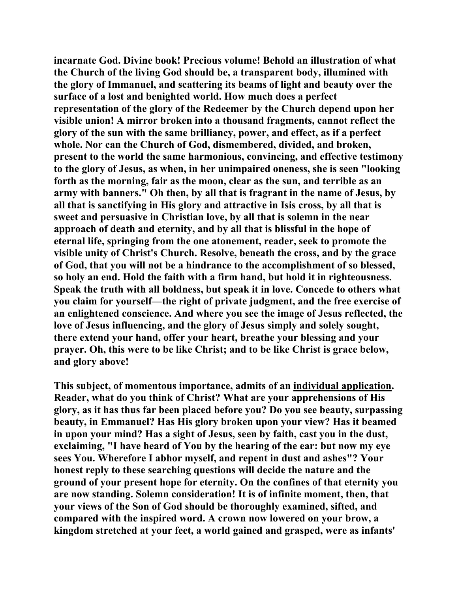**incarnate God. Divine book! Precious volume! Behold an illustration of what the Church of the living God should be, a transparent body, illumined with the glory of Immanuel, and scattering its beams of light and beauty over the surface of a lost and benighted world. How much does a perfect representation of the glory of the Redeemer by the Church depend upon her visible union! A mirror broken into a thousand fragments, cannot reflect the glory of the sun with the same brilliancy, power, and effect, as if a perfect whole. Nor can the Church of God, dismembered, divided, and broken, present to the world the same harmonious, convincing, and effective testimony to the glory of Jesus, as when, in her unimpaired oneness, she is seen "looking forth as the morning, fair as the moon, clear as the sun, and terrible as an army with banners." Oh then, by all that is fragrant in the name of Jesus, by all that is sanctifying in His glory and attractive in Isis cross, by all that is sweet and persuasive in Christian love, by all that is solemn in the near approach of death and eternity, and by all that is blissful in the hope of eternal life, springing from the one atonement, reader, seek to promote the visible unity of Christ's Church. Resolve, beneath the cross, and by the grace of God, that you will not be a hindrance to the accomplishment of so blessed, so holy an end. Hold the faith with a firm hand, but hold it in righteousness. Speak the truth with all boldness, but speak it in love. Concede to others what you claim for yourself—the right of private judgment, and the free exercise of an enlightened conscience. And where you see the image of Jesus reflected, the love of Jesus influencing, and the glory of Jesus simply and solely sought, there extend your hand, offer your heart, breathe your blessing and your prayer. Oh, this were to be like Christ; and to be like Christ is grace below, and glory above!** 

**This subject, of momentous importance, admits of an individual application. Reader, what do you think of Christ? What are your apprehensions of His glory, as it has thus far been placed before you? Do you see beauty, surpassing beauty, in Emmanuel? Has His glory broken upon your view? Has it beamed in upon your mind? Has a sight of Jesus, seen by faith, cast you in the dust, exclaiming, "I have heard of You by the hearing of the ear: but now my eye sees You. Wherefore I abhor myself, and repent in dust and ashes"? Your honest reply to these searching questions will decide the nature and the ground of your present hope for eternity. On the confines of that eternity you are now standing. Solemn consideration! It is of infinite moment, then, that your views of the Son of God should be thoroughly examined, sifted, and compared with the inspired word. A crown now lowered on your brow, a kingdom stretched at your feet, a world gained and grasped, were as infants'**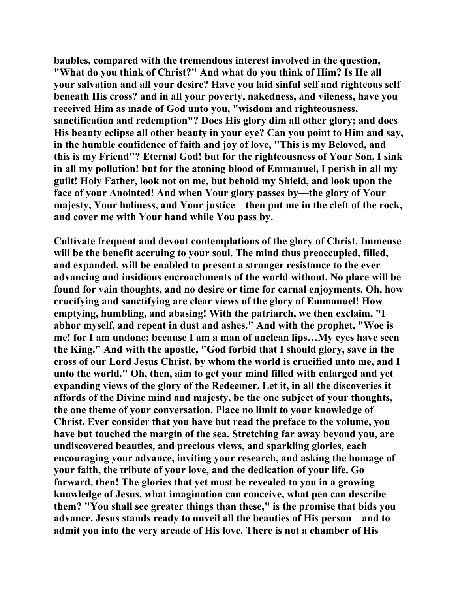**baubles, compared with the tremendous interest involved in the question, "What do you think of Christ?" And what do you think of Him? Is He all your salvation and all your desire? Have you laid sinful self and righteous self beneath His cross? and in all your poverty, nakedness, and vileness, have you received Him as made of God unto you, "wisdom and righteousness, sanctification and redemption"? Does His glory dim all other glory; and does His beauty eclipse all other beauty in your eye? Can you point to Him and say, in the humble confidence of faith and joy of love, "This is my Beloved, and this is my Friend"? Eternal God! but for the righteousness of Your Son, I sink in all my pollution! but for the atoning blood of Emmanuel, I perish in all my guilt! Holy Father, look not on me, but behold my Shield, and look upon the face of your Anointed! And when Your glory passes by—the glory of Your majesty, Your holiness, and Your justice—then put me in the cleft of the rock, and cover me with Your hand while You pass by.** 

**Cultivate frequent and devout contemplations of the glory of Christ. Immense will be the benefit accruing to your soul. The mind thus preoccupied, filled, and expanded, will be enabled to present a stronger resistance to the ever advancing and insidious encroachments of the world without. No place will be found for vain thoughts, and no desire or time for carnal enjoyments. Oh, how crucifying and sanctifying are clear views of the glory of Emmanuel! How emptying, humbling, and abasing! With the patriarch, we then exclaim, "I abhor myself, and repent in dust and ashes." And with the prophet, "Woe is me! for I am undone; because I am a man of unclean lips…My eyes have seen the King." And with the apostle, "God forbid that I should glory, save in the cross of our Lord Jesus Christ, by whom the world is crucified unto me, and I unto the world." Oh, then, aim to get your mind filled with enlarged and yet expanding views of the glory of the Redeemer. Let it, in all the discoveries it affords of the Divine mind and majesty, be the one subject of your thoughts, the one theme of your conversation. Place no limit to your knowledge of Christ. Ever consider that you have but read the preface to the volume, you have but touched the margin of the sea. Stretching far away beyond you, are undiscovered beauties, and precious views, and sparkling glories, each encouraging your advance, inviting your research, and asking the homage of your faith, the tribute of your love, and the dedication of your life. Go forward, then! The glories that yet must be revealed to you in a growing knowledge of Jesus, what imagination can conceive, what pen can describe them? "You shall see greater things than these," is the promise that bids you advance. Jesus stands ready to unveil all the beauties of His person—and to admit you into the very arcade of His love. There is not a chamber of His**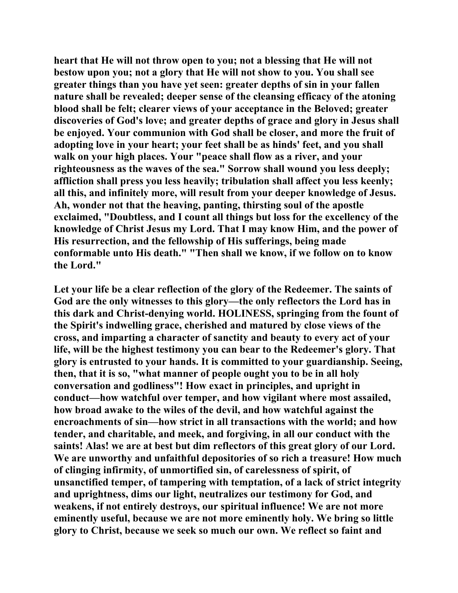**heart that He will not throw open to you; not a blessing that He will not bestow upon you; not a glory that He will not show to you. You shall see greater things than you have yet seen: greater depths of sin in your fallen nature shall be revealed; deeper sense of the cleansing efficacy of the atoning blood shall be felt; clearer views of your acceptance in the Beloved; greater discoveries of God's love; and greater depths of grace and glory in Jesus shall be enjoyed. Your communion with God shall be closer, and more the fruit of adopting love in your heart; your feet shall be as hinds' feet, and you shall walk on your high places. Your "peace shall flow as a river, and your righteousness as the waves of the sea." Sorrow shall wound you less deeply; affliction shall press you less heavily; tribulation shall affect you less keenly; all this, and infinitely more, will result from your deeper knowledge of Jesus. Ah, wonder not that the heaving, panting, thirsting soul of the apostle exclaimed, "Doubtless, and I count all things but loss for the excellency of the knowledge of Christ Jesus my Lord. That I may know Him, and the power of His resurrection, and the fellowship of His sufferings, being made conformable unto His death." "Then shall we know, if we follow on to know the Lord."** 

**Let your life be a clear reflection of the glory of the Redeemer. The saints of God are the only witnesses to this glory—the only reflectors the Lord has in this dark and Christ-denying world. HOLINESS, springing from the fount of the Spirit's indwelling grace, cherished and matured by close views of the cross, and imparting a character of sanctity and beauty to every act of your life, will be the highest testimony you can bear to the Redeemer's glory. That glory is entrusted to your hands. It is committed to your guardianship. Seeing, then, that it is so, "what manner of people ought you to be in all holy conversation and godliness"! How exact in principles, and upright in conduct—how watchful over temper, and how vigilant where most assailed, how broad awake to the wiles of the devil, and how watchful against the encroachments of sin—how strict in all transactions with the world; and how tender, and charitable, and meek, and forgiving, in all our conduct with the saints! Alas! we are at best but dim reflectors of this great glory of our Lord. We are unworthy and unfaithful depositories of so rich a treasure! How much of clinging infirmity, of unmortified sin, of carelessness of spirit, of unsanctified temper, of tampering with temptation, of a lack of strict integrity and uprightness, dims our light, neutralizes our testimony for God, and weakens, if not entirely destroys, our spiritual influence! We are not more eminently useful, because we are not more eminently holy. We bring so little glory to Christ, because we seek so much our own. We reflect so faint and**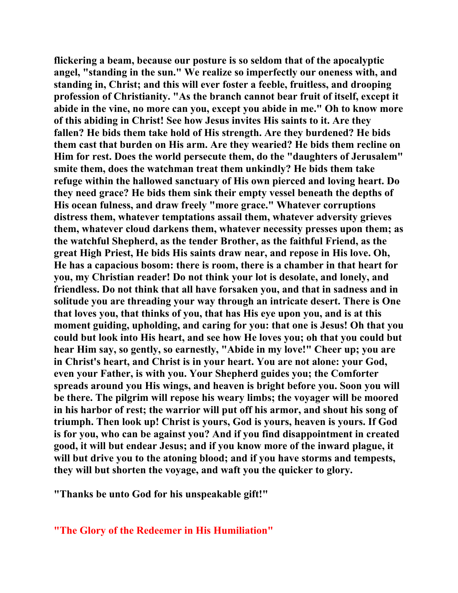**flickering a beam, because our posture is so seldom that of the apocalyptic angel, "standing in the sun." We realize so imperfectly our oneness with, and standing in, Christ; and this will ever foster a feeble, fruitless, and drooping profession of Christianity. "As the branch cannot bear fruit of itself, except it abide in the vine, no more can you, except you abide in me." Oh to know more of this abiding in Christ! See how Jesus invites His saints to it. Are they fallen? He bids them take hold of His strength. Are they burdened? He bids them cast that burden on His arm. Are they wearied? He bids them recline on Him for rest. Does the world persecute them, do the "daughters of Jerusalem" smite them, does the watchman treat them unkindly? He bids them take refuge within the hallowed sanctuary of His own pierced and loving heart. Do they need grace? He bids them sink their empty vessel beneath the depths of His ocean fulness, and draw freely "more grace." Whatever corruptions distress them, whatever temptations assail them, whatever adversity grieves them, whatever cloud darkens them, whatever necessity presses upon them; as the watchful Shepherd, as the tender Brother, as the faithful Friend, as the great High Priest, He bids His saints draw near, and repose in His love. Oh, He has a capacious bosom: there is room, there is a chamber in that heart for you, my Christian reader! Do not think your lot is desolate, and lonely, and friendless. Do not think that all have forsaken you, and that in sadness and in solitude you are threading your way through an intricate desert. There is One that loves you, that thinks of you, that has His eye upon you, and is at this moment guiding, upholding, and caring for you: that one is Jesus! Oh that you could but look into His heart, and see how He loves you; oh that you could but hear Him say, so gently, so earnestly, "Abide in my love!" Cheer up; you are in Christ's heart, and Christ is in your heart. You are not alone: your God, even your Father, is with you. Your Shepherd guides you; the Comforter spreads around you His wings, and heaven is bright before you. Soon you will be there. The pilgrim will repose his weary limbs; the voyager will be moored in his harbor of rest; the warrior will put off his armor, and shout his song of triumph. Then look up! Christ is yours, God is yours, heaven is yours. If God is for you, who can be against you? And if you find disappointment in created good, it will but endear Jesus; and if you know more of the inward plague, it will but drive you to the atoning blood; and if you have storms and tempests, they will but shorten the voyage, and waft you the quicker to glory.** 

**"Thanks be unto God for his unspeakable gift!"** 

## **"The Glory of the Redeemer in His Humiliation"**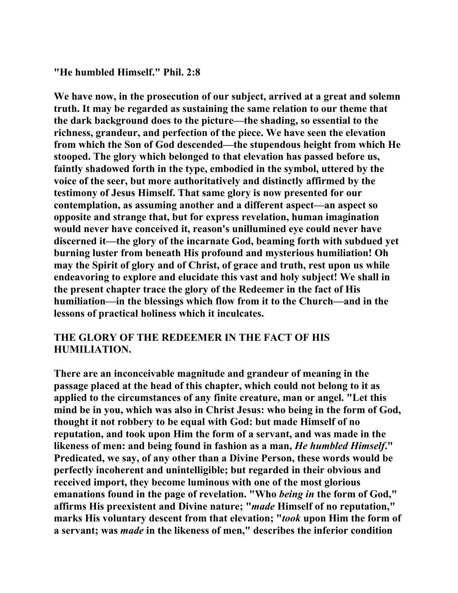## **"He humbled Himself." Phil. 2:8**

**We have now, in the prosecution of our subject, arrived at a great and solemn truth. It may be regarded as sustaining the same relation to our theme that the dark background does to the picture—the shading, so essential to the richness, grandeur, and perfection of the piece. We have seen the elevation from which the Son of God descended—the stupendous height from which He stooped. The glory which belonged to that elevation has passed before us, faintly shadowed forth in the type, embodied in the symbol, uttered by the voice of the seer, but more authoritatively and distinctly affirmed by the testimony of Jesus Himself. That same glory is now presented for our contemplation, as assuming another and a different aspect—an aspect so opposite and strange that, but for express revelation, human imagination would never have conceived it, reason's unillumined eye could never have discerned it—the glory of the incarnate God, beaming forth with subdued yet burning luster from beneath His profound and mysterious humiliation! Oh may the Spirit of glory and of Christ, of grace and truth, rest upon us while endeavoring to explore and elucidate this vast and holy subject! We shall in the present chapter trace the glory of the Redeemer in the fact of His humiliation—in the blessings which flow from it to the Church—and in the lessons of practical holiness which it inculcates.** 

## **THE GLORY OF THE REDEEMER IN THE FACT OF HIS HUMILIATION.**

**There are an inconceivable magnitude and grandeur of meaning in the passage placed at the head of this chapter, which could not belong to it as applied to the circumstances of any finite creature, man or angel. "Let this mind be in you, which was also in Christ Jesus: who being in the form of God, thought it not robbery to be equal with God: but made Himself of no reputation, and took upon Him the form of a servant, and was made in the likeness of men: and being found in fashion as a man,** *He humbled Himself***." Predicated, we say, of any other than a Divine Person, these words would be perfectly incoherent and unintelligible; but regarded in their obvious and received import, they become luminous with one of the most glorious emanations found in the page of revelation. "Who** *being in* **the form of God," affirms His preexistent and Divine nature; "***made* **Himself of no reputation," marks His voluntary descent from that elevation; "***took* **upon Him the form of a servant; was** *made* **in the likeness of men," describes the inferior condition**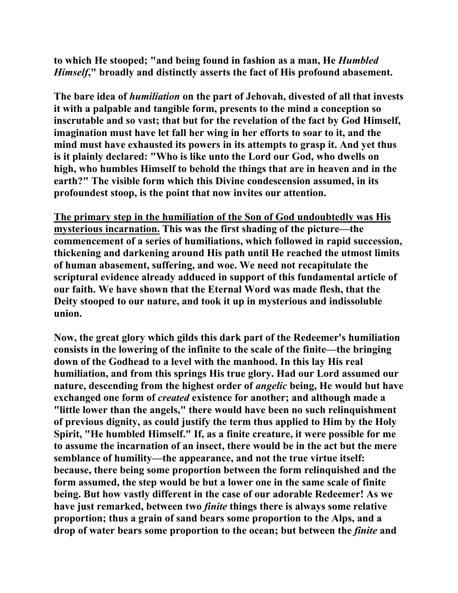**to which He stooped; "and being found in fashion as a man, He** *Humbled Himself***," broadly and distinctly asserts the fact of His profound abasement.** 

**The bare idea of** *humiliation* **on the part of Jehovah, divested of all that invests it with a palpable and tangible form, presents to the mind a conception so inscrutable and so vast; that but for the revelation of the fact by God Himself, imagination must have let fall her wing in her efforts to soar to it, and the mind must have exhausted its powers in its attempts to grasp it. And yet thus is it plainly declared: "Who is like unto the Lord our God, who dwells on high, who humbles Himself to behold the things that are in heaven and in the earth?" The visible form which this Divine condescension assumed, in its profoundest stoop, is the point that now invites our attention.** 

**The primary step in the humiliation of the Son of God undoubtedly was His mysterious incarnation. This was the first shading of the picture—the commencement of a series of humiliations, which followed in rapid succession, thickening and darkening around His path until He reached the utmost limits of human abasement, suffering, and woe. We need not recapitulate the scriptural evidence already adduced in support of this fundamental article of our faith. We have shown that the Eternal Word was made flesh, that the Deity stooped to our nature, and took it up in mysterious and indissoluble union.** 

**Now, the great glory which gilds this dark part of the Redeemer's humiliation consists in the lowering of the infinite to the scale of the finite—the bringing down of the Godhead to a level with the manhood. In this lay His real humiliation, and from this springs His true glory. Had our Lord assumed our nature, descending from the highest order of** *angelic* **being, He would but have exchanged one form of** *created* **existence for another; and although made a "little lower than the angels," there would have been no such relinquishment of previous dignity, as could justify the term thus applied to Him by the Holy Spirit, "He humbled Himself." If, as a finite creature, it were possible for me to assume the incarnation of an insect, there would be in the act but the mere semblance of humility—the appearance, and not the true virtue itself: because, there being some proportion between the form relinquished and the form assumed, the step would be but a lower one in the same scale of finite being. But how vastly different in the case of our adorable Redeemer! As we have just remarked, between two** *finite* **things there is always some relative proportion; thus a grain of sand bears some proportion to the Alps, and a drop of water bears some proportion to the ocean; but between the** *finite* **and**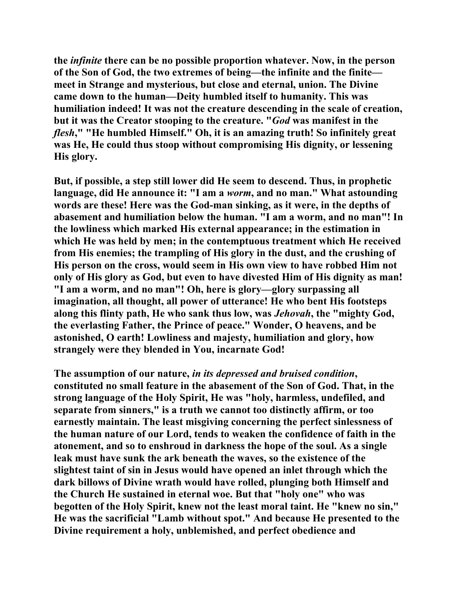**the** *infinite* **there can be no possible proportion whatever. Now, in the person of the Son of God, the two extremes of being—the infinite and the finite meet in Strange and mysterious, but close and eternal, union. The Divine came down to the human—Deity humbled itself to humanity. This was humiliation indeed! It was not the creature descending in the scale of creation, but it was the Creator stooping to the creature. "***God* **was manifest in the**  *flesh***," "He humbled Himself." Oh, it is an amazing truth! So infinitely great was He, He could thus stoop without compromising His dignity, or lessening His glory.** 

**But, if possible, a step still lower did He seem to descend. Thus, in prophetic language, did He announce it: "I am a** *worm***, and no man." What astounding words are these! Here was the God-man sinking, as it were, in the depths of abasement and humiliation below the human. "I am a worm, and no man"! In the lowliness which marked His external appearance; in the estimation in which He was held by men; in the contemptuous treatment which He received from His enemies; the trampling of His glory in the dust, and the crushing of His person on the cross, would seem in His own view to have robbed Him not only of His glory as God, but even to have divested Him of His dignity as man! "I am a worm, and no man"! Oh, here is glory—glory surpassing all imagination, all thought, all power of utterance! He who bent His footsteps along this flinty path, He who sank thus low, was** *Jehovah***, the "mighty God, the everlasting Father, the Prince of peace." Wonder, O heavens, and be astonished, O earth! Lowliness and majesty, humiliation and glory, how strangely were they blended in You, incarnate God!** 

**The assumption of our nature,** *in its depressed and bruised condition***, constituted no small feature in the abasement of the Son of God. That, in the strong language of the Holy Spirit, He was "holy, harmless, undefiled, and separate from sinners," is a truth we cannot too distinctly affirm, or too earnestly maintain. The least misgiving concerning the perfect sinlessness of the human nature of our Lord, tends to weaken the confidence of faith in the atonement, and so to enshroud in darkness the hope of the soul. As a single leak must have sunk the ark beneath the waves, so the existence of the slightest taint of sin in Jesus would have opened an inlet through which the dark billows of Divine wrath would have rolled, plunging both Himself and the Church He sustained in eternal woe. But that "holy one" who was begotten of the Holy Spirit, knew not the least moral taint. He "knew no sin," He was the sacrificial "Lamb without spot." And because He presented to the Divine requirement a holy, unblemished, and perfect obedience and**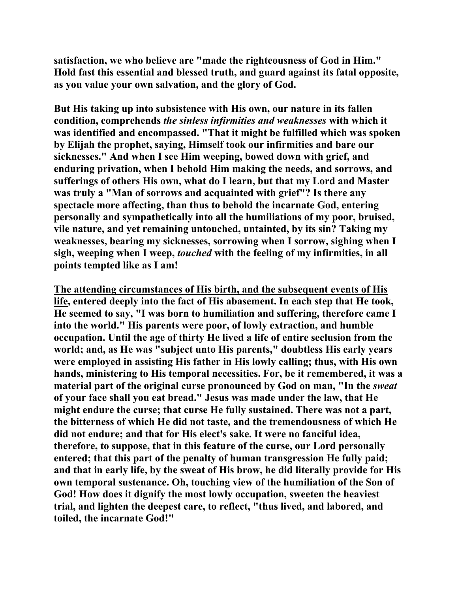**satisfaction, we who believe are "made the righteousness of God in Him." Hold fast this essential and blessed truth, and guard against its fatal opposite, as you value your own salvation, and the glory of God.** 

**But His taking up into subsistence with His own, our nature in its fallen condition, comprehends** *the sinless infirmities and weaknesses* **with which it was identified and encompassed. "That it might be fulfilled which was spoken by Elijah the prophet, saying, Himself took our infirmities and bare our sicknesses." And when I see Him weeping, bowed down with grief, and enduring privation, when I behold Him making the needs, and sorrows, and sufferings of others His own, what do I learn, but that my Lord and Master was truly a "Man of sorrows and acquainted with grief"? Is there any spectacle more affecting, than thus to behold the incarnate God, entering personally and sympathetically into all the humiliations of my poor, bruised, vile nature, and yet remaining untouched, untainted, by its sin? Taking my weaknesses, bearing my sicknesses, sorrowing when I sorrow, sighing when I sigh, weeping when I weep,** *touched* **with the feeling of my infirmities, in all points tempted like as I am!** 

**The attending circumstances of His birth, and the subsequent events of His life, entered deeply into the fact of His abasement. In each step that He took, He seemed to say, "I was born to humiliation and suffering, therefore came I into the world." His parents were poor, of lowly extraction, and humble occupation. Until the age of thirty He lived a life of entire seclusion from the world; and, as He was "subject unto His parents," doubtless His early years were employed in assisting His father in His lowly calling; thus, with His own hands, ministering to His temporal necessities. For, be it remembered, it was a material part of the original curse pronounced by God on man, "In the** *sweat* **of your face shall you eat bread." Jesus was made under the law, that He might endure the curse; that curse He fully sustained. There was not a part, the bitterness of which He did not taste, and the tremendousness of which He did not endure; and that for His elect's sake. It were no fanciful idea, therefore, to suppose, that in this feature of the curse, our Lord personally entered; that this part of the penalty of human transgression He fully paid; and that in early life, by the sweat of His brow, he did literally provide for His own temporal sustenance. Oh, touching view of the humiliation of the Son of God! How does it dignify the most lowly occupation, sweeten the heaviest trial, and lighten the deepest care, to reflect, "thus lived, and labored, and toiled, the incarnate God!"**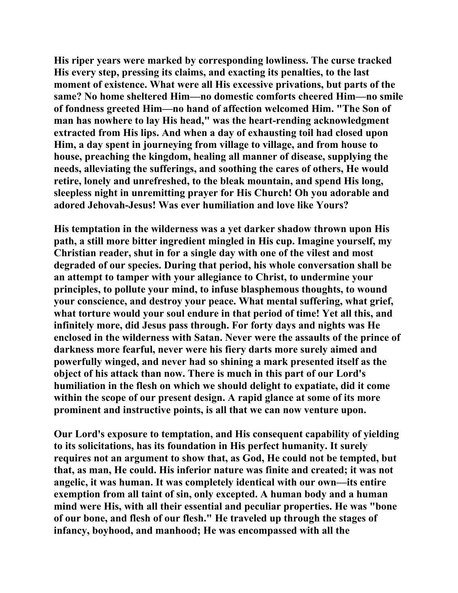**His riper years were marked by corresponding lowliness. The curse tracked His every step, pressing its claims, and exacting its penalties, to the last moment of existence. What were all His excessive privations, but parts of the same? No home sheltered Him—no domestic comforts cheered Him—no smile of fondness greeted Him—no hand of affection welcomed Him. "The Son of man has nowhere to lay His head," was the heart-rending acknowledgment extracted from His lips. And when a day of exhausting toil had closed upon Him, a day spent in journeying from village to village, and from house to house, preaching the kingdom, healing all manner of disease, supplying the needs, alleviating the sufferings, and soothing the cares of others, He would retire, lonely and unrefreshed, to the bleak mountain, and spend His long, sleepless night in unremitting prayer for His Church! Oh you adorable and adored Jehovah-Jesus! Was ever humiliation and love like Yours?** 

**His temptation in the wilderness was a yet darker shadow thrown upon His path, a still more bitter ingredient mingled in His cup. Imagine yourself, my Christian reader, shut in for a single day with one of the vilest and most degraded of our species. During that period, his whole conversation shall be an attempt to tamper with your allegiance to Christ, to undermine your principles, to pollute your mind, to infuse blasphemous thoughts, to wound your conscience, and destroy your peace. What mental suffering, what grief, what torture would your soul endure in that period of time! Yet all this, and infinitely more, did Jesus pass through. For forty days and nights was He enclosed in the wilderness with Satan. Never were the assaults of the prince of darkness more fearful, never were his fiery darts more surely aimed and powerfully winged, and never had so shining a mark presented itself as the object of his attack than now. There is much in this part of our Lord's humiliation in the flesh on which we should delight to expatiate, did it come within the scope of our present design. A rapid glance at some of its more prominent and instructive points, is all that we can now venture upon.** 

**Our Lord's exposure to temptation, and His consequent capability of yielding to its solicitations, has its foundation in His perfect humanity. It surely requires not an argument to show that, as God, He could not be tempted, but that, as man, He could. His inferior nature was finite and created; it was not angelic, it was human. It was completely identical with our own—its entire exemption from all taint of sin, only excepted. A human body and a human mind were His, with all their essential and peculiar properties. He was "bone of our bone, and flesh of our flesh." He traveled up through the stages of infancy, boyhood, and manhood; He was encompassed with all the**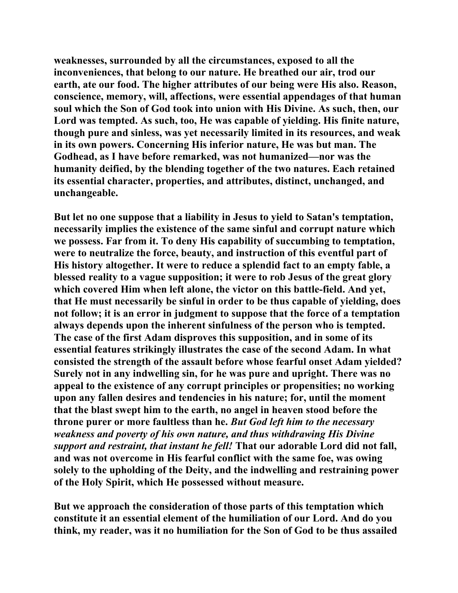**weaknesses, surrounded by all the circumstances, exposed to all the inconveniences, that belong to our nature. He breathed our air, trod our earth, ate our food. The higher attributes of our being were His also. Reason, conscience, memory, will, affections, were essential appendages of that human soul which the Son of God took into union with His Divine. As such, then, our Lord was tempted. As such, too, He was capable of yielding. His finite nature, though pure and sinless, was yet necessarily limited in its resources, and weak in its own powers. Concerning His inferior nature, He was but man. The Godhead, as I have before remarked, was not humanized—nor was the humanity deified, by the blending together of the two natures. Each retained its essential character, properties, and attributes, distinct, unchanged, and unchangeable.** 

**But let no one suppose that a liability in Jesus to yield to Satan's temptation, necessarily implies the existence of the same sinful and corrupt nature which we possess. Far from it. To deny His capability of succumbing to temptation, were to neutralize the force, beauty, and instruction of this eventful part of His history altogether. It were to reduce a splendid fact to an empty fable, a blessed reality to a vague supposition; it were to rob Jesus of the great glory which covered Him when left alone, the victor on this battle-field. And yet, that He must necessarily be sinful in order to be thus capable of yielding, does not follow; it is an error in judgment to suppose that the force of a temptation always depends upon the inherent sinfulness of the person who is tempted. The case of the first Adam disproves this supposition, and in some of its essential features strikingly illustrates the case of the second Adam. In what consisted the strength of the assault before whose fearful onset Adam yielded? Surely not in any indwelling sin, for he was pure and upright. There was no appeal to the existence of any corrupt principles or propensities; no working upon any fallen desires and tendencies in his nature; for, until the moment that the blast swept him to the earth, no angel in heaven stood before the throne purer or more faultless than he.** *But God left him to the necessary weakness and poverty of his own nature, and thus withdrawing His Divine support and restraint, that instant he fell!* **That our adorable Lord did not fall, and was not overcome in His fearful conflict with the same foe, was owing solely to the upholding of the Deity, and the indwelling and restraining power of the Holy Spirit, which He possessed without measure.** 

**But we approach the consideration of those parts of this temptation which constitute it an essential element of the humiliation of our Lord. And do you think, my reader, was it no humiliation for the Son of God to be thus assailed**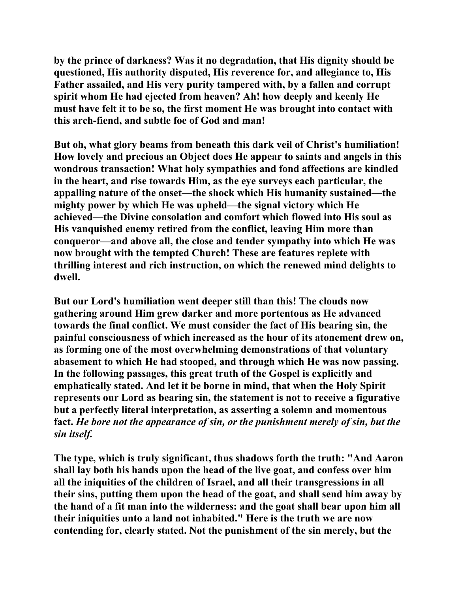**by the prince of darkness? Was it no degradation, that His dignity should be questioned, His authority disputed, His reverence for, and allegiance to, His Father assailed, and His very purity tampered with, by a fallen and corrupt spirit whom He had ejected from heaven? Ah! how deeply and keenly He must have felt it to be so, the first moment He was brought into contact with this arch-fiend, and subtle foe of God and man!** 

**But oh, what glory beams from beneath this dark veil of Christ's humiliation! How lovely and precious an Object does He appear to saints and angels in this wondrous transaction! What holy sympathies and fond affections are kindled in the heart, and rise towards Him, as the eye surveys each particular, the appalling nature of the onset—the shock which His humanity sustained—the mighty power by which He was upheld—the signal victory which He achieved—the Divine consolation and comfort which flowed into His soul as His vanquished enemy retired from the conflict, leaving Him more than conqueror—and above all, the close and tender sympathy into which He was now brought with the tempted Church! These are features replete with thrilling interest and rich instruction, on which the renewed mind delights to dwell.** 

**But our Lord's humiliation went deeper still than this! The clouds now gathering around Him grew darker and more portentous as He advanced towards the final conflict. We must consider the fact of His bearing sin, the painful consciousness of which increased as the hour of its atonement drew on, as forming one of the most overwhelming demonstrations of that voluntary abasement to which He had stooped, and through which He was now passing. In the following passages, this great truth of the Gospel is explicitly and emphatically stated. And let it be borne in mind, that when the Holy Spirit represents our Lord as bearing sin, the statement is not to receive a figurative but a perfectly literal interpretation, as asserting a solemn and momentous fact.** *He bore not the appearance of sin, or the punishment merely of sin, but the sin itself.*

**The type, which is truly significant, thus shadows forth the truth: "And Aaron shall lay both his hands upon the head of the live goat, and confess over him all the iniquities of the children of Israel, and all their transgressions in all their sins, putting them upon the head of the goat, and shall send him away by the hand of a fit man into the wilderness: and the goat shall bear upon him all their iniquities unto a land not inhabited." Here is the truth we are now contending for, clearly stated. Not the punishment of the sin merely, but the**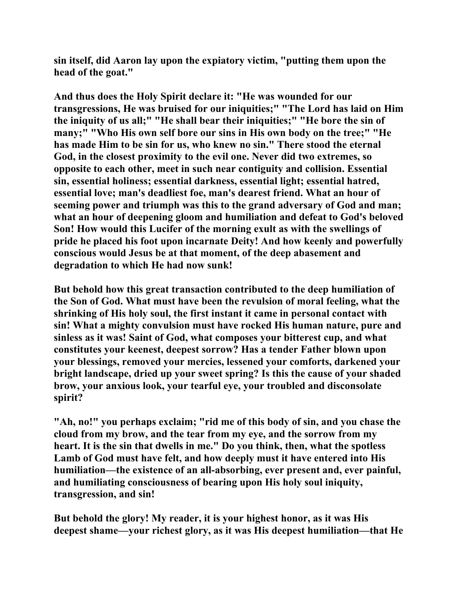**sin itself, did Aaron lay upon the expiatory victim, "putting them upon the head of the goat."** 

**And thus does the Holy Spirit declare it: "He was wounded for our transgressions, He was bruised for our iniquities;" "The Lord has laid on Him the iniquity of us all;" "He shall bear their iniquities;" "He bore the sin of many;" "Who His own self bore our sins in His own body on the tree;" "He has made Him to be sin for us, who knew no sin." There stood the eternal God, in the closest proximity to the evil one. Never did two extremes, so opposite to each other, meet in such near contiguity and collision. Essential sin, essential holiness; essential darkness, essential light; essential hatred, essential love; man's deadliest foe, man's dearest friend. What an hour of seeming power and triumph was this to the grand adversary of God and man; what an hour of deepening gloom and humiliation and defeat to God's beloved Son! How would this Lucifer of the morning exult as with the swellings of pride he placed his foot upon incarnate Deity! And how keenly and powerfully conscious would Jesus be at that moment, of the deep abasement and degradation to which He had now sunk!** 

**But behold how this great transaction contributed to the deep humiliation of the Son of God. What must have been the revulsion of moral feeling, what the shrinking of His holy soul, the first instant it came in personal contact with sin! What a mighty convulsion must have rocked His human nature, pure and sinless as it was! Saint of God, what composes your bitterest cup, and what constitutes your keenest, deepest sorrow? Has a tender Father blown upon your blessings, removed your mercies, lessened your comforts, darkened your bright landscape, dried up your sweet spring? Is this the cause of your shaded brow, your anxious look, your tearful eye, your troubled and disconsolate spirit?** 

**"Ah, no!" you perhaps exclaim; "rid me of this body of sin, and you chase the cloud from my brow, and the tear from my eye, and the sorrow from my heart. It is the sin that dwells in me." Do you think, then, what the spotless Lamb of God must have felt, and how deeply must it have entered into His humiliation—the existence of an all-absorbing, ever present and, ever painful, and humiliating consciousness of bearing upon His holy soul iniquity, transgression, and sin!** 

**But behold the glory! My reader, it is your highest honor, as it was His deepest shame—your richest glory, as it was His deepest humiliation—that He**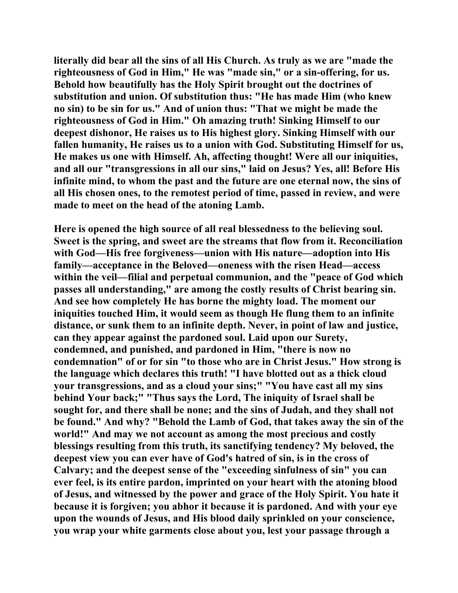**literally did bear all the sins of all His Church. As truly as we are "made the righteousness of God in Him," He was "made sin," or a sin-offering, for us. Behold how beautifully has the Holy Spirit brought out the doctrines of substitution and union. Of substitution thus: "He has made Him (who knew no sin) to be sin for us." And of union thus: "That we might be made the righteousness of God in Him." Oh amazing truth! Sinking Himself to our deepest dishonor, He raises us to His highest glory. Sinking Himself with our fallen humanity, He raises us to a union with God. Substituting Himself for us, He makes us one with Himself. Ah, affecting thought! Were all our iniquities, and all our "transgressions in all our sins," laid on Jesus? Yes, all! Before His infinite mind, to whom the past and the future are one eternal now, the sins of all His chosen ones, to the remotest period of time, passed in review, and were made to meet on the head of the atoning Lamb.** 

**Here is opened the high source of all real blessedness to the believing soul. Sweet is the spring, and sweet are the streams that flow from it. Reconciliation with God—His free forgiveness—union with His nature—adoption into His family—acceptance in the Beloved—oneness with the risen Head—access within the veil—filial and perpetual communion, and the "peace of God which passes all understanding," are among the costly results of Christ bearing sin. And see how completely He has borne the mighty load. The moment our iniquities touched Him, it would seem as though He flung them to an infinite distance, or sunk them to an infinite depth. Never, in point of law and justice, can they appear against the pardoned soul. Laid upon our Surety, condemned, and punished, and pardoned in Him, "there is now no condemnation" of or for sin "to those who are in Christ Jesus." How strong is the language which declares this truth! "I have blotted out as a thick cloud your transgressions, and as a cloud your sins;" "You have cast all my sins behind Your back;" "Thus says the Lord, The iniquity of Israel shall be sought for, and there shall be none; and the sins of Judah, and they shall not be found." And why? "Behold the Lamb of God, that takes away the sin of the world!" And may we not account as among the most precious and costly blessings resulting from this truth, its sanctifying tendency? My beloved, the deepest view you can ever have of God's hatred of sin, is in the cross of Calvary; and the deepest sense of the "exceeding sinfulness of sin" you can ever feel, is its entire pardon, imprinted on your heart with the atoning blood of Jesus, and witnessed by the power and grace of the Holy Spirit. You hate it because it is forgiven; you abhor it because it is pardoned. And with your eye upon the wounds of Jesus, and His blood daily sprinkled on your conscience, you wrap your white garments close about you, lest your passage through a**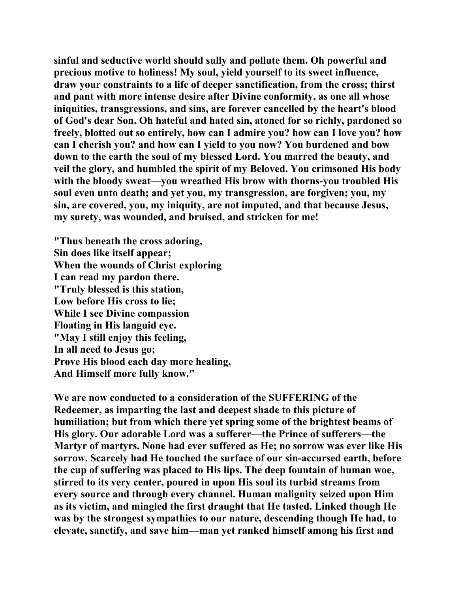**sinful and seductive world should sully and pollute them. Oh powerful and precious motive to holiness! My soul, yield yourself to its sweet influence, draw your constraints to a life of deeper sanctification, from the cross; thirst and pant with more intense desire after Divine conformity, as one all whose iniquities, transgressions, and sins, are forever cancelled by the heart's blood of God's dear Son. Oh hateful and hated sin, atoned for so richly, pardoned so freely, blotted out so entirely, how can I admire you? how can I love you? how can I cherish you? and how can I yield to you now? You burdened and bow down to the earth the soul of my blessed Lord. You marred the beauty, and veil the glory, and humbled the spirit of my Beloved. You crimsoned His body with the bloody sweat—you wreathed His brow with thorns-you troubled His soul even unto death; and yet you, my transgression, are forgiven; you, my sin, are covered, you, my iniquity, are not imputed, and that because Jesus, my surety, was wounded, and bruised, and stricken for me!** 

**"Thus beneath the cross adoring, Sin does like itself appear; When the wounds of Christ exploring I can read my pardon there. "Truly blessed is this station, Low before His cross to lie; While I see Divine compassion Floating in His languid eye. "May I still enjoy this feeling, In all need to Jesus go; Prove His blood each day more healing, And Himself more fully know."** 

**We are now conducted to a consideration of the SUFFERING of the Redeemer, as imparting the last and deepest shade to this picture of humiliation; but from which there yet spring some of the brightest beams of His glory. Our adorable Lord was a sufferer—the Prince of sufferers—the Martyr of martyrs. None had ever suffered as He; no sorrow was ever like His sorrow. Scarcely had He touched the surface of our sin-accursed earth, before the cup of suffering was placed to His lips. The deep fountain of human woe, stirred to its very center, poured in upon His soul its turbid streams from every source and through every channel. Human malignity seized upon Him as its victim, and mingled the first draught that He tasted. Linked though He was by the strongest sympathies to our nature, descending though He had, to elevate, sanctify, and save him—man yet ranked himself among his first and**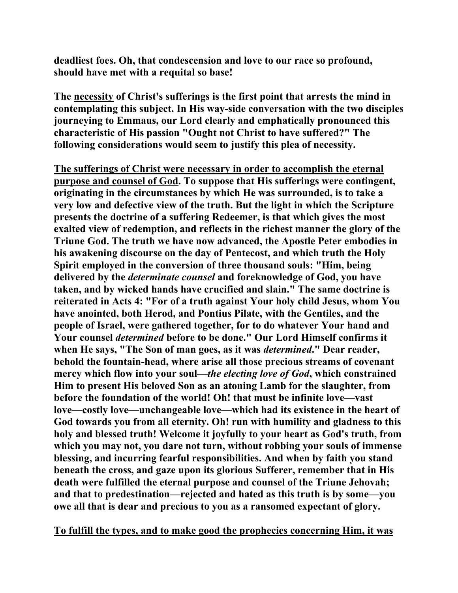**deadliest foes. Oh, that condescension and love to our race so profound, should have met with a requital so base!** 

**The necessity of Christ's sufferings is the first point that arrests the mind in contemplating this subject. In His way-side conversation with the two disciples journeying to Emmaus, our Lord clearly and emphatically pronounced this characteristic of His passion "Ought not Christ to have suffered?" The following considerations would seem to justify this plea of necessity.** 

**The sufferings of Christ were necessary in order to accomplish the eternal purpose and counsel of God. To suppose that His sufferings were contingent, originating in the circumstances by which He was surrounded, is to take a very low and defective view of the truth. But the light in which the Scripture presents the doctrine of a suffering Redeemer, is that which gives the most exalted view of redemption, and reflects in the richest manner the glory of the Triune God. The truth we have now advanced, the Apostle Peter embodies in his awakening discourse on the day of Pentecost, and which truth the Holy Spirit employed in the conversion of three thousand souls: "Him, being delivered by the** *determinate counsel* **and foreknowledge of God, you have taken, and by wicked hands have crucified and slain." The same doctrine is reiterated in Acts 4: "For of a truth against Your holy child Jesus, whom You have anointed, both Herod, and Pontius Pilate, with the Gentiles, and the people of Israel, were gathered together, for to do whatever Your hand and Your counsel** *determined* **before to be done." Our Lord Himself confirms it when He says, "The Son of man goes, as it was** *determined***." Dear reader, behold the fountain-head, where arise all those precious streams of covenant mercy which flow into your soul—***the electing love of God***, which constrained Him to present His beloved Son as an atoning Lamb for the slaughter, from before the foundation of the world! Oh! that must be infinite love—vast love—costly love—unchangeable love—which had its existence in the heart of God towards you from all eternity. Oh! run with humility and gladness to this holy and blessed truth! Welcome it joyfully to your heart as God's truth, from which you may not, you dare not turn, without robbing your souls of immense blessing, and incurring fearful responsibilities. And when by faith you stand beneath the cross, and gaze upon its glorious Sufferer, remember that in His death were fulfilled the eternal purpose and counsel of the Triune Jehovah; and that to predestination—rejected and hated as this truth is by some—you owe all that is dear and precious to you as a ransomed expectant of glory.** 

**To fulfill the types, and to make good the prophecies concerning Him, it was**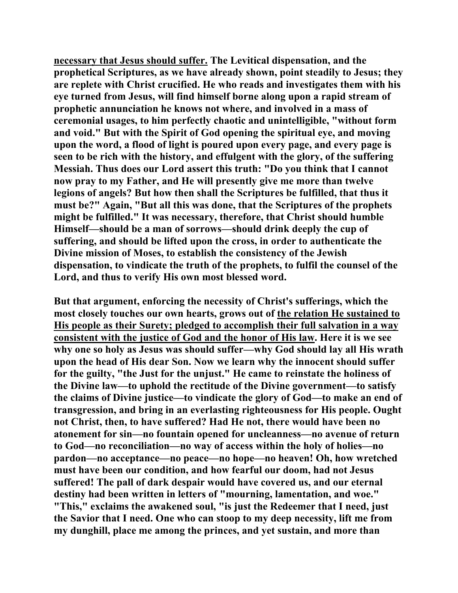**necessary that Jesus should suffer. The Levitical dispensation, and the prophetical Scriptures, as we have already shown, point steadily to Jesus; they are replete with Christ crucified. He who reads and investigates them with his eye turned from Jesus, will find himself borne along upon a rapid stream of prophetic annunciation he knows not where, and involved in a mass of ceremonial usages, to him perfectly chaotic and unintelligible, "without form and void." But with the Spirit of God opening the spiritual eye, and moving upon the word, a flood of light is poured upon every page, and every page is seen to be rich with the history, and effulgent with the glory, of the suffering Messiah. Thus does our Lord assert this truth: "Do you think that I cannot now pray to my Father, and He will presently give me more than twelve legions of angels? But how then shall the Scriptures be fulfilled, that thus it must be?" Again, "But all this was done, that the Scriptures of the prophets might be fulfilled." It was necessary, therefore, that Christ should humble Himself—should be a man of sorrows—should drink deeply the cup of suffering, and should be lifted upon the cross, in order to authenticate the Divine mission of Moses, to establish the consistency of the Jewish dispensation, to vindicate the truth of the prophets, to fulfil the counsel of the Lord, and thus to verify His own most blessed word.** 

**But that argument, enforcing the necessity of Christ's sufferings, which the most closely touches our own hearts, grows out of the relation He sustained to His people as their Surety; pledged to accomplish their full salvation in a way consistent with the justice of God and the honor of His law. Here it is we see why one so holy as Jesus was should suffer—why God should lay all His wrath upon the head of His dear Son. Now we learn why the innocent should suffer for the guilty, "the Just for the unjust." He came to reinstate the holiness of the Divine law—to uphold the rectitude of the Divine government—to satisfy the claims of Divine justice—to vindicate the glory of God—to make an end of transgression, and bring in an everlasting righteousness for His people. Ought not Christ, then, to have suffered? Had He not, there would have been no atonement for sin—no fountain opened for uncleanness—no avenue of return to God—no reconciliation—no way of access within the holy of holies—no pardon—no acceptance—no peace—no hope—no heaven! Oh, how wretched must have been our condition, and how fearful our doom, had not Jesus suffered! The pall of dark despair would have covered us, and our eternal destiny had been written in letters of "mourning, lamentation, and woe." "This," exclaims the awakened soul, "is just the Redeemer that I need, just the Savior that I need. One who can stoop to my deep necessity, lift me from my dunghill, place me among the princes, and yet sustain, and more than**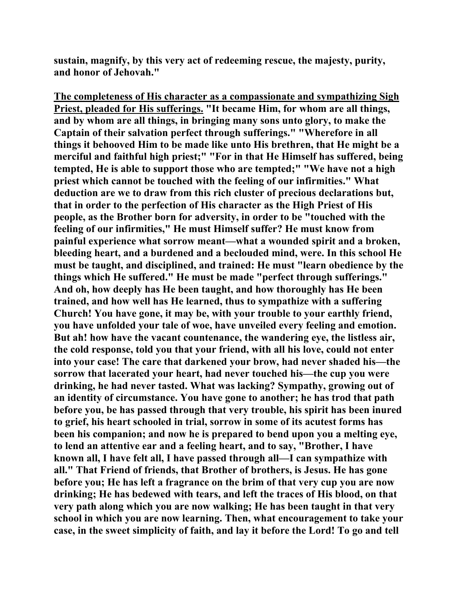**sustain, magnify, by this very act of redeeming rescue, the majesty, purity, and honor of Jehovah."** 

**The completeness of His character as a compassionate and sympathizing Sigh Priest, pleaded for His sufferings. "It became Him, for whom are all things, and by whom are all things, in bringing many sons unto glory, to make the Captain of their salvation perfect through sufferings." "Wherefore in all things it behooved Him to be made like unto His brethren, that He might be a merciful and faithful high priest;" "For in that He Himself has suffered, being tempted, He is able to support those who are tempted;" "We have not a high priest which cannot be touched with the feeling of our infirmities." What deduction are we to draw from this rich cluster of precious declarations but, that in order to the perfection of His character as the High Priest of His people, as the Brother born for adversity, in order to be "touched with the feeling of our infirmities," He must Himself suffer? He must know from painful experience what sorrow meant—what a wounded spirit and a broken, bleeding heart, and a burdened and a beclouded mind, were. In this school He must be taught, and disciplined, and trained: He must "learn obedience by the things which He suffered." He must be made "perfect through sufferings." And oh, how deeply has He been taught, and how thoroughly has He been trained, and how well has He learned, thus to sympathize with a suffering Church! You have gone, it may be, with your trouble to your earthly friend, you have unfolded your tale of woe, have unveiled every feeling and emotion. But ah! how have the vacant countenance, the wandering eye, the listless air, the cold response, told you that your friend, with all his love, could not enter into your case! The care that darkened your brow, had never shaded his—the sorrow that lacerated your heart, had never touched his—the cup you were drinking, he had never tasted. What was lacking? Sympathy, growing out of an identity of circumstance. You have gone to another; he has trod that path before you, be has passed through that very trouble, his spirit has been inured to grief, his heart schooled in trial, sorrow in some of its acutest forms has been his companion; and now he is prepared to bend upon you a melting eye, to lend an attentive ear and a feeling heart, and to say, "Brother, I have known all, I have felt all, I have passed through all—I can sympathize with all." That Friend of friends, that Brother of brothers, is Jesus. He has gone before you; He has left a fragrance on the brim of that very cup you are now drinking; He has bedewed with tears, and left the traces of His blood, on that very path along which you are now walking; He has been taught in that very school in which you are now learning. Then, what encouragement to take your case, in the sweet simplicity of faith, and lay it before the Lord! To go and tell**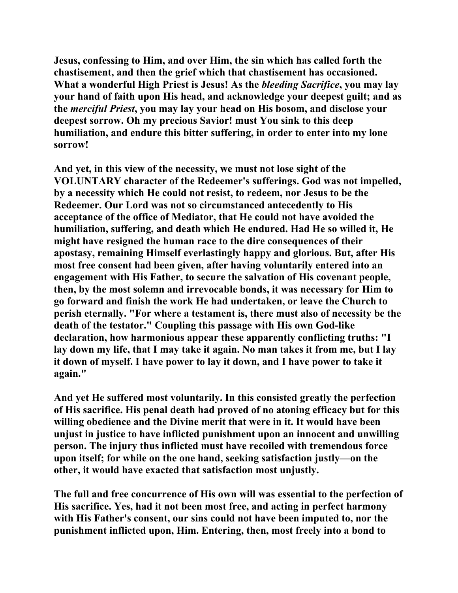**Jesus, confessing to Him, and over Him, the sin which has called forth the chastisement, and then the grief which that chastisement has occasioned. What a wonderful High Priest is Jesus! As the** *bleeding Sacrifice***, you may lay your hand of faith upon His head, and acknowledge your deepest guilt; and as the** *merciful Priest***, you may lay your head on His bosom, and disclose your deepest sorrow. Oh my precious Savior! must You sink to this deep humiliation, and endure this bitter suffering, in order to enter into my lone sorrow!** 

**And yet, in this view of the necessity, we must not lose sight of the VOLUNTARY character of the Redeemer's sufferings. God was not impelled, by a necessity which He could not resist, to redeem, nor Jesus to be the Redeemer. Our Lord was not so circumstanced antecedently to His acceptance of the office of Mediator, that He could not have avoided the humiliation, suffering, and death which He endured. Had He so willed it, He might have resigned the human race to the dire consequences of their apostasy, remaining Himself everlastingly happy and glorious. But, after His most free consent had been given, after having voluntarily entered into an engagement with His Father, to secure the salvation of His covenant people, then, by the most solemn and irrevocable bonds, it was necessary for Him to go forward and finish the work He had undertaken, or leave the Church to perish eternally. "For where a testament is, there must also of necessity be the death of the testator." Coupling this passage with His own God-like declaration, how harmonious appear these apparently conflicting truths: "I lay down my life, that I may take it again. No man takes it from me, but I lay it down of myself. I have power to lay it down, and I have power to take it again."** 

**And yet He suffered most voluntarily. In this consisted greatly the perfection of His sacrifice. His penal death had proved of no atoning efficacy but for this willing obedience and the Divine merit that were in it. It would have been unjust in justice to have inflicted punishment upon an innocent and unwilling person. The injury thus inflicted must have recoiled with tremendous force upon itself; for while on the one hand, seeking satisfaction justly—on the other, it would have exacted that satisfaction most unjustly.** 

**The full and free concurrence of His own will was essential to the perfection of His sacrifice. Yes, had it not been most free, and acting in perfect harmony with His Father's consent, our sins could not have been imputed to, nor the punishment inflicted upon, Him. Entering, then, most freely into a bond to**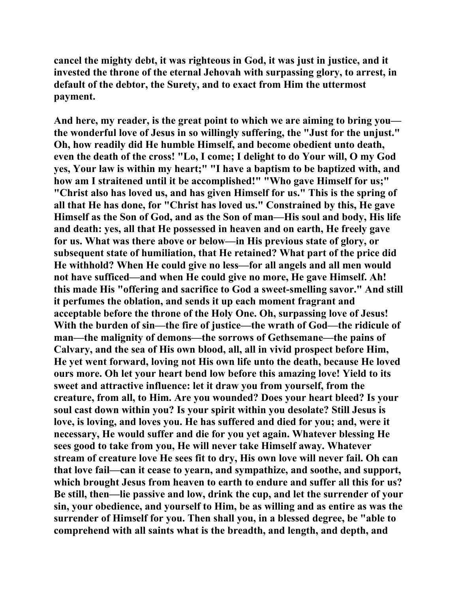**cancel the mighty debt, it was righteous in God, it was just in justice, and it invested the throne of the eternal Jehovah with surpassing glory, to arrest, in default of the debtor, the Surety, and to exact from Him the uttermost payment.** 

**And here, my reader, is the great point to which we are aiming to bring you the wonderful love of Jesus in so willingly suffering, the "Just for the unjust." Oh, how readily did He humble Himself, and become obedient unto death, even the death of the cross! "Lo, I come; I delight to do Your will, O my God yes, Your law is within my heart;" "I have a baptism to be baptized with, and how am I straitened until it be accomplished!" "Who gave Himself for us;" "Christ also has loved us, and has given Himself for us." This is the spring of all that He has done, for "Christ has loved us." Constrained by this, He gave Himself as the Son of God, and as the Son of man—His soul and body, His life and death: yes, all that He possessed in heaven and on earth, He freely gave for us. What was there above or below—in His previous state of glory, or subsequent state of humiliation, that He retained? What part of the price did He withhold? When He could give no less—for all angels and all men would not have sufficed—and when He could give no more, He gave Himself. Ah! this made His "offering and sacrifice to God a sweet-smelling savor." And still it perfumes the oblation, and sends it up each moment fragrant and acceptable before the throne of the Holy One. Oh, surpassing love of Jesus! With the burden of sin—the fire of justice—the wrath of God—the ridicule of man—the malignity of demons—the sorrows of Gethsemane—the pains of Calvary, and the sea of His own blood, all, all in vivid prospect before Him, He yet went forward, loving not His own life unto the death, because He loved ours more. Oh let your heart bend low before this amazing love! Yield to its sweet and attractive influence: let it draw you from yourself, from the creature, from all, to Him. Are you wounded? Does your heart bleed? Is your soul cast down within you? Is your spirit within you desolate? Still Jesus is love, is loving, and loves you. He has suffered and died for you; and, were it necessary, He would suffer and die for you yet again. Whatever blessing He sees good to take from you, He will never take Himself away. Whatever stream of creature love He sees fit to dry, His own love will never fail. Oh can that love fail—can it cease to yearn, and sympathize, and soothe, and support, which brought Jesus from heaven to earth to endure and suffer all this for us? Be still, then—lie passive and low, drink the cup, and let the surrender of your sin, your obedience, and yourself to Him, be as willing and as entire as was the surrender of Himself for you. Then shall you, in a blessed degree, be "able to comprehend with all saints what is the breadth, and length, and depth, and**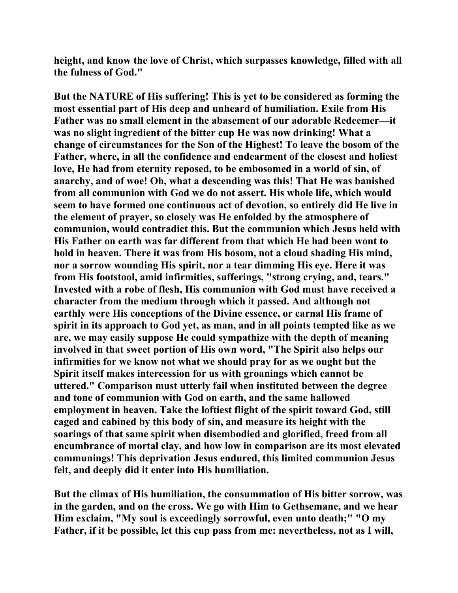**height, and know the love of Christ, which surpasses knowledge, filled with all the fulness of God."** 

**But the NATURE of His suffering! This is yet to be considered as forming the most essential part of His deep and unheard of humiliation. Exile from His Father was no small element in the abasement of our adorable Redeemer—it was no slight ingredient of the bitter cup He was now drinking! What a change of circumstances for the Son of the Highest! To leave the bosom of the Father, where, in all the confidence and endearment of the closest and holiest love, He had from eternity reposed, to be embosomed in a world of sin, of anarchy, and of woe! Oh, what a descending was this! That He was banished from all communion with God we do not assert. His whole life, which would seem to have formed one continuous act of devotion, so entirely did He live in the element of prayer, so closely was He enfolded by the atmosphere of communion, would contradict this. But the communion which Jesus held with His Father on earth was far different from that which He had been wont to hold in heaven. There it was from His bosom, not a cloud shading His mind, nor a sorrow wounding His spirit, nor a tear dimming His eye. Here it was from His footstool, amid infirmities, sufferings, "strong crying, and, tears." Invested with a robe of flesh, His communion with God must have received a character from the medium through which it passed. And although not earthly were His conceptions of the Divine essence, or carnal His frame of spirit in its approach to God yet, as man, and in all points tempted like as we are, we may easily suppose He could sympathize with the depth of meaning involved in that sweet portion of His own word, "The Spirit also helps our infirmities for we know not what we should pray for as we ought but the Spirit itself makes intercession for us with groanings which cannot be uttered." Comparison must utterly fail when instituted between the degree and tone of communion with God on earth, and the same hallowed employment in heaven. Take the loftiest flight of the spirit toward God, still caged and cabined by this body of sin, and measure its height with the soarings of that same spirit when disembodied and glorified, freed from all encumbrance of mortal clay, and how low in comparison are its most elevated communings! This deprivation Jesus endured, this limited communion Jesus felt, and deeply did it enter into His humiliation.** 

**But the climax of His humiliation, the consummation of His bitter sorrow, was in the garden, and on the cross. We go with Him to Gethsemane, and we hear Him exclaim, "My soul is exceedingly sorrowful, even unto death;" "O my Father, if it be possible, let this cup pass from me: nevertheless, not as I will,**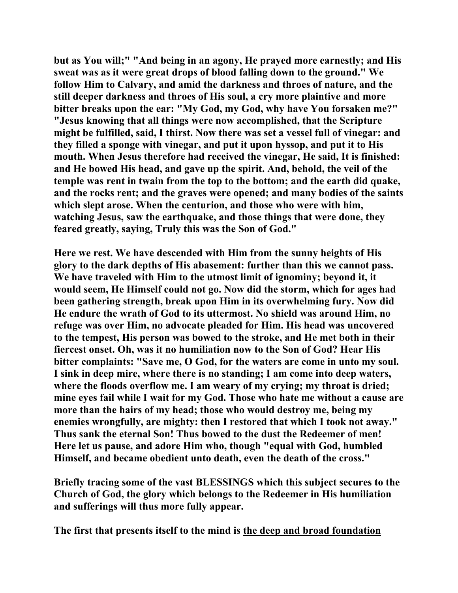**but as You will;" "And being in an agony, He prayed more earnestly; and His sweat was as it were great drops of blood falling down to the ground." We follow Him to Calvary, and amid the darkness and throes of nature, and the still deeper darkness and throes of His soul, a cry more plaintive and more bitter breaks upon the ear: "My God, my God, why have You forsaken me?" "Jesus knowing that all things were now accomplished, that the Scripture might be fulfilled, said, I thirst. Now there was set a vessel full of vinegar: and they filled a sponge with vinegar, and put it upon hyssop, and put it to His mouth. When Jesus therefore had received the vinegar, He said, It is finished: and He bowed His head, and gave up the spirit. And, behold, the veil of the temple was rent in twain from the top to the bottom; and the earth did quake, and the rocks rent; and the graves were opened; and many bodies of the saints which slept arose. When the centurion, and those who were with him, watching Jesus, saw the earthquake, and those things that were done, they feared greatly, saying, Truly this was the Son of God."** 

**Here we rest. We have descended with Him from the sunny heights of His glory to the dark depths of His abasement: further than this we cannot pass. We have traveled with Him to the utmost limit of ignominy; beyond it, it would seem, He Himself could not go. Now did the storm, which for ages had been gathering strength, break upon Him in its overwhelming fury. Now did He endure the wrath of God to its uttermost. No shield was around Him, no refuge was over Him, no advocate pleaded for Him. His head was uncovered to the tempest, His person was bowed to the stroke, and He met both in their fiercest onset. Oh, was it no humiliation now to the Son of God? Hear His bitter complaints: "Save me, O God, for the waters are come in unto my soul. I sink in deep mire, where there is no standing; I am come into deep waters, where the floods overflow me. I am weary of my crying; my throat is dried; mine eyes fail while I wait for my God. Those who hate me without a cause are more than the hairs of my head; those who would destroy me, being my enemies wrongfully, are mighty: then I restored that which I took not away." Thus sank the eternal Son! Thus bowed to the dust the Redeemer of men! Here let us pause, and adore Him who, though "equal with God, humbled Himself, and became obedient unto death, even the death of the cross."** 

**Briefly tracing some of the vast BLESSINGS which this subject secures to the Church of God, the glory which belongs to the Redeemer in His humiliation and sufferings will thus more fully appear.** 

**The first that presents itself to the mind is the deep and broad foundation**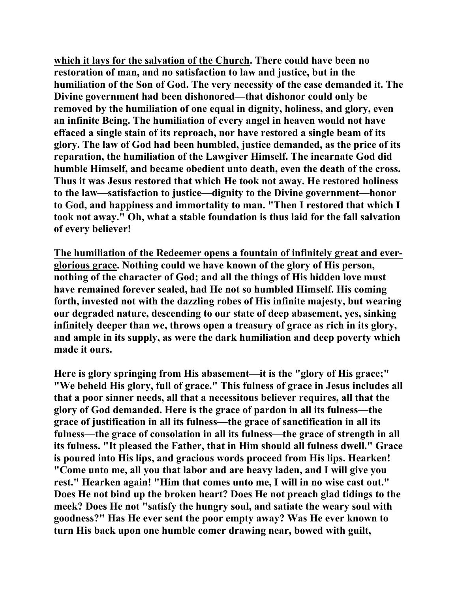**which it lays for the salvation of the Church. There could have been no restoration of man, and no satisfaction to law and justice, but in the humiliation of the Son of God. The very necessity of the case demanded it. The Divine government had been dishonored—that dishonor could only be removed by the humiliation of one equal in dignity, holiness, and glory, even an infinite Being. The humiliation of every angel in heaven would not have effaced a single stain of its reproach, nor have restored a single beam of its glory. The law of God had been humbled, justice demanded, as the price of its reparation, the humiliation of the Lawgiver Himself. The incarnate God did humble Himself, and became obedient unto death, even the death of the cross. Thus it was Jesus restored that which He took not away. He restored holiness to the law—satisfaction to justice—dignity to the Divine government—honor to God, and happiness and immortality to man. "Then I restored that which I took not away." Oh, what a stable foundation is thus laid for the fall salvation of every believer!** 

**The humiliation of the Redeemer opens a fountain of infinitely great and everglorious grace. Nothing could we have known of the glory of His person, nothing of the character of God; and all the things of His hidden love must have remained forever sealed, had He not so humbled Himself. His coming forth, invested not with the dazzling robes of His infinite majesty, but wearing our degraded nature, descending to our state of deep abasement, yes, sinking infinitely deeper than we, throws open a treasury of grace as rich in its glory, and ample in its supply, as were the dark humiliation and deep poverty which made it ours.** 

**Here is glory springing from His abasement—it is the "glory of His grace;" "We beheld His glory, full of grace." This fulness of grace in Jesus includes all that a poor sinner needs, all that a necessitous believer requires, all that the glory of God demanded. Here is the grace of pardon in all its fulness—the grace of justification in all its fulness—the grace of sanctification in all its fulness—the grace of consolation in all its fulness—the grace of strength in all its fulness. "It pleased the Father, that in Him should all fulness dwell." Grace is poured into His lips, and gracious words proceed from His lips. Hearken! "Come unto me, all you that labor and are heavy laden, and I will give you rest." Hearken again! "Him that comes unto me, I will in no wise cast out." Does He not bind up the broken heart? Does He not preach glad tidings to the meek? Does He not "satisfy the hungry soul, and satiate the weary soul with goodness?" Has He ever sent the poor empty away? Was He ever known to turn His back upon one humble comer drawing near, bowed with guilt,**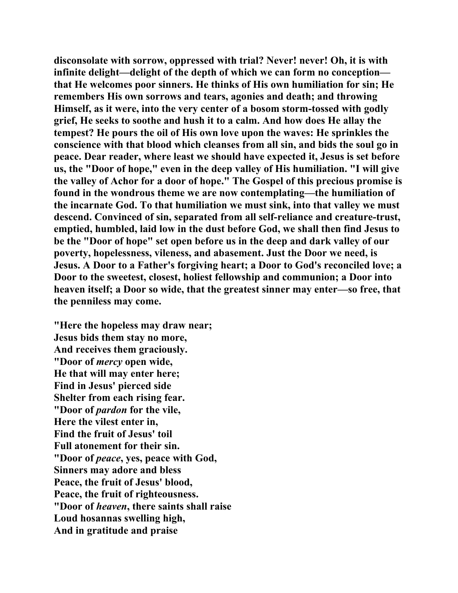**disconsolate with sorrow, oppressed with trial? Never! never! Oh, it is with infinite delight—delight of the depth of which we can form no conception that He welcomes poor sinners. He thinks of His own humiliation for sin; He remembers His own sorrows and tears, agonies and death; and throwing Himself, as it were, into the very center of a bosom storm-tossed with godly grief, He seeks to soothe and hush it to a calm. And how does He allay the tempest? He pours the oil of His own love upon the waves: He sprinkles the conscience with that blood which cleanses from all sin, and bids the soul go in peace. Dear reader, where least we should have expected it, Jesus is set before us, the "Door of hope," even in the deep valley of His humiliation. "I will give the valley of Achor for a door of hope." The Gospel of this precious promise is found in the wondrous theme we are now contemplating—the humiliation of the incarnate God. To that humiliation we must sink, into that valley we must descend. Convinced of sin, separated from all self-reliance and creature-trust, emptied, humbled, laid low in the dust before God, we shall then find Jesus to be the "Door of hope" set open before us in the deep and dark valley of our poverty, hopelessness, vileness, and abasement. Just the Door we need, is Jesus. A Door to a Father's forgiving heart; a Door to God's reconciled love; a Door to the sweetest, closest, holiest fellowship and communion; a Door into heaven itself; a Door so wide, that the greatest sinner may enter—so free, that the penniless may come.** 

**"Here the hopeless may draw near; Jesus bids them stay no more, And receives them graciously. "Door of** *mercy* **open wide, He that will may enter here; Find in Jesus' pierced side Shelter from each rising fear. "Door of** *pardon* **for the vile, Here the vilest enter in, Find the fruit of Jesus' toil Full atonement for their sin. "Door of** *peace***, yes, peace with God, Sinners may adore and bless Peace, the fruit of Jesus' blood, Peace, the fruit of righteousness. "Door of** *heaven***, there saints shall raise Loud hosannas swelling high, And in gratitude and praise**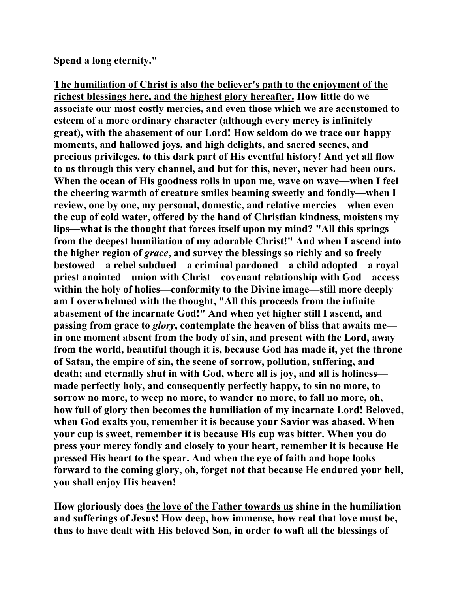**Spend a long eternity."** 

**The humiliation of Christ is also the believer's path to the enjoyment of the richest blessings here, and the highest glory hereafter. How little do we associate our most costly mercies, and even those which we are accustomed to esteem of a more ordinary character (although every mercy is infinitely great), with the abasement of our Lord! How seldom do we trace our happy moments, and hallowed joys, and high delights, and sacred scenes, and precious privileges, to this dark part of His eventful history! And yet all flow to us through this very channel, and but for this, never, never had been ours. When the ocean of His goodness rolls in upon me, wave on wave—when I feel the cheering warmth of creature smiles beaming sweetly and fondly—when I review, one by one, my personal, domestic, and relative mercies—when even the cup of cold water, offered by the hand of Christian kindness, moistens my lips—what is the thought that forces itself upon my mind? "All this springs from the deepest humiliation of my adorable Christ!" And when I ascend into the higher region of** *grace***, and survey the blessings so richly and so freely bestowed—a rebel subdued—a criminal pardoned—a child adopted—a royal priest anointed—union with Christ—covenant relationship with God—access within the holy of holies—conformity to the Divine image—still more deeply am I overwhelmed with the thought, "All this proceeds from the infinite abasement of the incarnate God!" And when yet higher still I ascend, and passing from grace to** *glory***, contemplate the heaven of bliss that awaits me in one moment absent from the body of sin, and present with the Lord, away from the world, beautiful though it is, because God has made it, yet the throne of Satan, the empire of sin, the scene of sorrow, pollution, suffering, and death; and eternally shut in with God, where all is joy, and all is holiness made perfectly holy, and consequently perfectly happy, to sin no more, to sorrow no more, to weep no more, to wander no more, to fall no more, oh, how full of glory then becomes the humiliation of my incarnate Lord! Beloved, when God exalts you, remember it is because your Savior was abased. When your cup is sweet, remember it is because His cup was bitter. When you do press your mercy fondly and closely to your heart, remember it is because He pressed His heart to the spear. And when the eye of faith and hope looks forward to the coming glory, oh, forget not that because He endured your hell, you shall enjoy His heaven!** 

**How gloriously does the love of the Father towards us shine in the humiliation and sufferings of Jesus! How deep, how immense, how real that love must be, thus to have dealt with His beloved Son, in order to waft all the blessings of**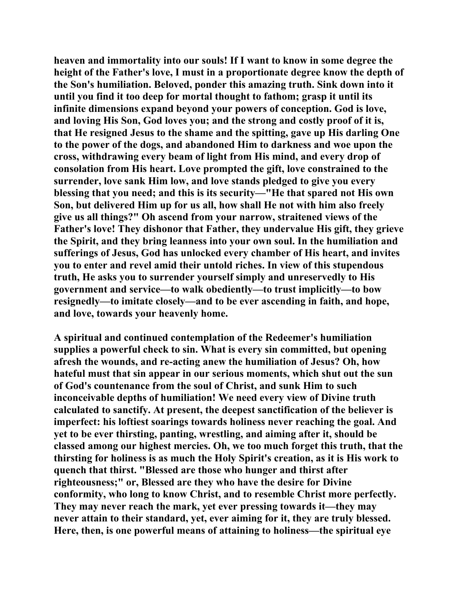**heaven and immortality into our souls! If I want to know in some degree the height of the Father's love, I must in a proportionate degree know the depth of the Son's humiliation. Beloved, ponder this amazing truth. Sink down into it until you find it too deep for mortal thought to fathom; grasp it until its infinite dimensions expand beyond your powers of conception. God is love, and loving His Son, God loves you; and the strong and costly proof of it is, that He resigned Jesus to the shame and the spitting, gave up His darling One to the power of the dogs, and abandoned Him to darkness and woe upon the cross, withdrawing every beam of light from His mind, and every drop of consolation from His heart. Love prompted the gift, love constrained to the surrender, love sank Him low, and love stands pledged to give you every blessing that you need; and this is its security—"He that spared not His own Son, but delivered Him up for us all, how shall He not with him also freely give us all things?" Oh ascend from your narrow, straitened views of the Father's love! They dishonor that Father, they undervalue His gift, they grieve the Spirit, and they bring leanness into your own soul. In the humiliation and sufferings of Jesus, God has unlocked every chamber of His heart, and invites you to enter and revel amid their untold riches. In view of this stupendous truth, He asks you to surrender yourself simply and unreservedly to His government and service—to walk obediently—to trust implicitly—to bow resignedly—to imitate closely—and to be ever ascending in faith, and hope, and love, towards your heavenly home.** 

**A spiritual and continued contemplation of the Redeemer's humiliation supplies a powerful check to sin. What is every sin committed, but opening afresh the wounds, and re-acting anew the humiliation of Jesus? Oh, how hateful must that sin appear in our serious moments, which shut out the sun of God's countenance from the soul of Christ, and sunk Him to such inconceivable depths of humiliation! We need every view of Divine truth calculated to sanctify. At present, the deepest sanctification of the believer is imperfect: his loftiest soarings towards holiness never reaching the goal. And yet to be ever thirsting, panting, wrestling, and aiming after it, should be classed among our highest mercies. Oh, we too much forget this truth, that the thirsting for holiness is as much the Holy Spirit's creation, as it is His work to quench that thirst. "Blessed are those who hunger and thirst after righteousness;" or, Blessed are they who have the desire for Divine conformity, who long to know Christ, and to resemble Christ more perfectly. They may never reach the mark, yet ever pressing towards it—they may never attain to their standard, yet, ever aiming for it, they are truly blessed. Here, then, is one powerful means of attaining to holiness—the spiritual eye**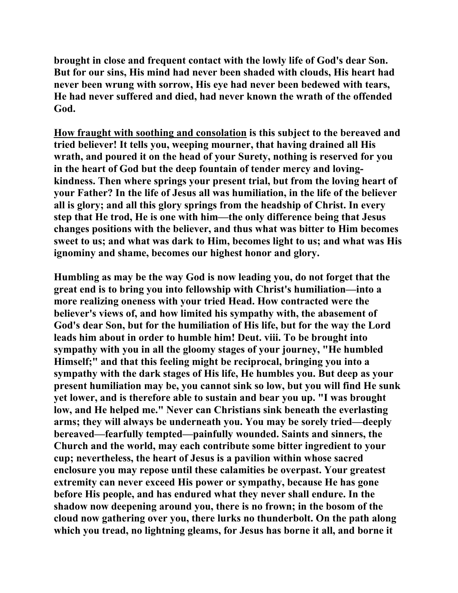**brought in close and frequent contact with the lowly life of God's dear Son. But for our sins, His mind had never been shaded with clouds, His heart had never been wrung with sorrow, His eye had never been bedewed with tears, He had never suffered and died, had never known the wrath of the offended God.** 

**How fraught with soothing and consolation is this subject to the bereaved and tried believer! It tells you, weeping mourner, that having drained all His wrath, and poured it on the head of your Surety, nothing is reserved for you in the heart of God but the deep fountain of tender mercy and lovingkindness. Then where springs your present trial, but from the loving heart of your Father? In the life of Jesus all was humiliation, in the life of the believer all is glory; and all this glory springs from the headship of Christ. In every step that He trod, He is one with him—the only difference being that Jesus changes positions with the believer, and thus what was bitter to Him becomes sweet to us; and what was dark to Him, becomes light to us; and what was His ignominy and shame, becomes our highest honor and glory.** 

**Humbling as may be the way God is now leading you, do not forget that the great end is to bring you into fellowship with Christ's humiliation—into a more realizing oneness with your tried Head. How contracted were the believer's views of, and how limited his sympathy with, the abasement of God's dear Son, but for the humiliation of His life, but for the way the Lord leads him about in order to humble him! Deut. viii. To be brought into sympathy with you in all the gloomy stages of your journey, "He humbled Himself;" and that this feeling might be reciprocal, bringing you into a sympathy with the dark stages of His life, He humbles you. But deep as your present humiliation may be, you cannot sink so low, but you will find He sunk yet lower, and is therefore able to sustain and bear you up. "I was brought low, and He helped me." Never can Christians sink beneath the everlasting arms; they will always be underneath you. You may be sorely tried—deeply bereaved—fearfully tempted—painfully wounded. Saints and sinners, the Church and the world, may each contribute some bitter ingredient to your cup; nevertheless, the heart of Jesus is a pavilion within whose sacred enclosure you may repose until these calamities be overpast. Your greatest extremity can never exceed His power or sympathy, because He has gone before His people, and has endured what they never shall endure. In the shadow now deepening around you, there is no frown; in the bosom of the cloud now gathering over you, there lurks no thunderbolt. On the path along which you tread, no lightning gleams, for Jesus has borne it all, and borne it**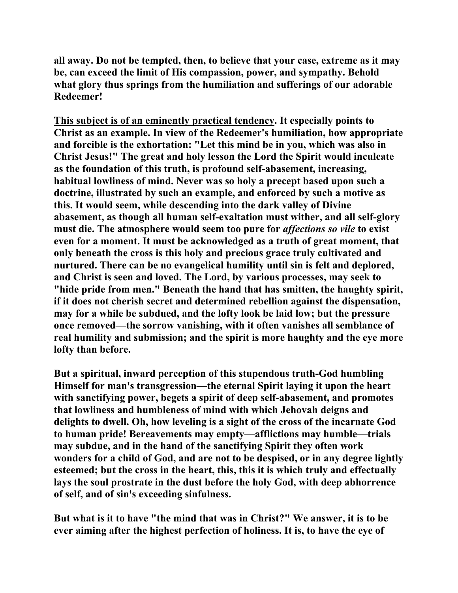**all away. Do not be tempted, then, to believe that your case, extreme as it may be, can exceed the limit of His compassion, power, and sympathy. Behold what glory thus springs from the humiliation and sufferings of our adorable Redeemer!** 

**This subject is of an eminently practical tendency. It especially points to Christ as an example. In view of the Redeemer's humiliation, how appropriate and forcible is the exhortation: "Let this mind be in you, which was also in Christ Jesus!" The great and holy lesson the Lord the Spirit would inculcate as the foundation of this truth, is profound self-abasement, increasing, habitual lowliness of mind. Never was so holy a precept based upon such a doctrine, illustrated by such an example, and enforced by such a motive as this. It would seem, while descending into the dark valley of Divine abasement, as though all human self-exaltation must wither, and all self-glory must die. The atmosphere would seem too pure for** *affections so vile* **to exist even for a moment. It must be acknowledged as a truth of great moment, that only beneath the cross is this holy and precious grace truly cultivated and nurtured. There can be no evangelical humility until sin is felt and deplored, and Christ is seen and loved. The Lord, by various processes, may seek to "hide pride from men." Beneath the hand that has smitten, the haughty spirit, if it does not cherish secret and determined rebellion against the dispensation, may for a while be subdued, and the lofty look be laid low; but the pressure once removed—the sorrow vanishing, with it often vanishes all semblance of real humility and submission; and the spirit is more haughty and the eye more lofty than before.** 

**But a spiritual, inward perception of this stupendous truth-God humbling Himself for man's transgression—the eternal Spirit laying it upon the heart with sanctifying power, begets a spirit of deep self-abasement, and promotes that lowliness and humbleness of mind with which Jehovah deigns and delights to dwell. Oh, how leveling is a sight of the cross of the incarnate God to human pride! Bereavements may empty—afflictions may humble—trials may subdue, and in the hand of the sanctifying Spirit they often work wonders for a child of God, and are not to be despised, or in any degree lightly esteemed; but the cross in the heart, this, this it is which truly and effectually lays the soul prostrate in the dust before the holy God, with deep abhorrence of self, and of sin's exceeding sinfulness.** 

**But what is it to have "the mind that was in Christ?" We answer, it is to be ever aiming after the highest perfection of holiness. It is, to have the eye of**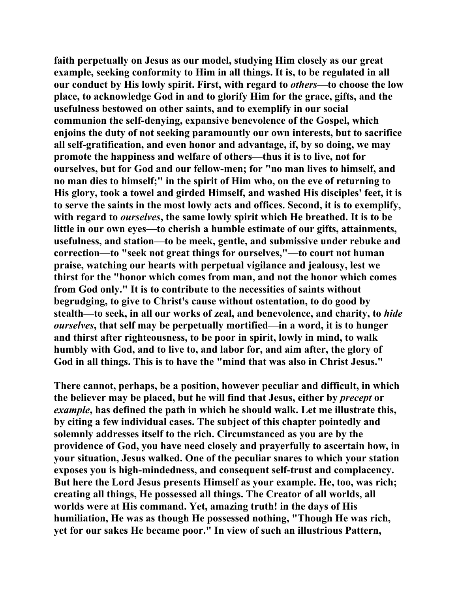**faith perpetually on Jesus as our model, studying Him closely as our great example, seeking conformity to Him in all things. It is, to be regulated in all our conduct by His lowly spirit. First, with regard to** *others***—to choose the low place, to acknowledge God in and to glorify Him for the grace, gifts, and the usefulness bestowed on other saints, and to exemplify in our social communion the self-denying, expansive benevolence of the Gospel, which enjoins the duty of not seeking paramountly our own interests, but to sacrifice all self-gratification, and even honor and advantage, if, by so doing, we may promote the happiness and welfare of others—thus it is to live, not for ourselves, but for God and our fellow-men; for "no man lives to himself, and no man dies to himself;" in the spirit of Him who, on the eve of returning to His glory, took a towel and girded Himself, and washed His disciples' feet, it is to serve the saints in the most lowly acts and offices. Second, it is to exemplify, with regard to** *ourselves***, the same lowly spirit which He breathed. It is to be little in our own eyes—to cherish a humble estimate of our gifts, attainments, usefulness, and station—to be meek, gentle, and submissive under rebuke and correction—to "seek not great things for ourselves,"—to court not human praise, watching our hearts with perpetual vigilance and jealousy, lest we thirst for the "honor which comes from man, and not the honor which comes from God only." It is to contribute to the necessities of saints without begrudging, to give to Christ's cause without ostentation, to do good by stealth—to seek, in all our works of zeal, and benevolence, and charity, to** *hide ourselves***, that self may be perpetually mortified—in a word, it is to hunger and thirst after righteousness, to be poor in spirit, lowly in mind, to walk humbly with God, and to live to, and labor for, and aim after, the glory of God in all things. This is to have the "mind that was also in Christ Jesus."** 

**There cannot, perhaps, be a position, however peculiar and difficult, in which the believer may be placed, but he will find that Jesus, either by** *precept* **or**  *example***, has defined the path in which he should walk. Let me illustrate this, by citing a few individual cases. The subject of this chapter pointedly and solemnly addresses itself to the rich. Circumstanced as you are by the providence of God, you have need closely and prayerfully to ascertain how, in your situation, Jesus walked. One of the peculiar snares to which your station exposes you is high-mindedness, and consequent self-trust and complacency. But here the Lord Jesus presents Himself as your example. He, too, was rich; creating all things, He possessed all things. The Creator of all worlds, all worlds were at His command. Yet, amazing truth! in the days of His humiliation, He was as though He possessed nothing, "Though He was rich, yet for our sakes He became poor." In view of such an illustrious Pattern,**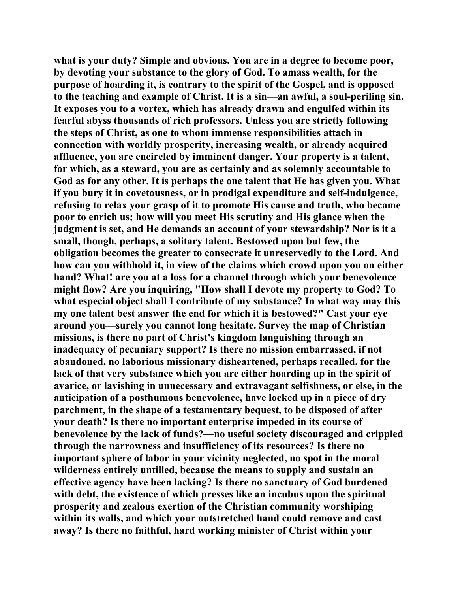**what is your duty? Simple and obvious. You are in a degree to become poor, by devoting your substance to the glory of God. To amass wealth, for the purpose of hoarding it, is contrary to the spirit of the Gospel, and is opposed to the teaching and example of Christ. It is a sin—an awful, a soul-periling sin. It exposes you to a vortex, which has already drawn and engulfed within its fearful abyss thousands of rich professors. Unless you are strictly following the steps of Christ, as one to whom immense responsibilities attach in connection with worldly prosperity, increasing wealth, or already acquired affluence, you are encircled by imminent danger. Your property is a talent, for which, as a steward, you are as certainly and as solemnly accountable to God as for any other. It is perhaps the one talent that He has given you. What if you bury it in covetousness, or in prodigal expenditure and self-indulgence, refusing to relax your grasp of it to promote His cause and truth, who became poor to enrich us; how will you meet His scrutiny and His glance when the judgment is set, and He demands an account of your stewardship? Nor is it a small, though, perhaps, a solitary talent. Bestowed upon but few, the obligation becomes the greater to consecrate it unreservedly to the Lord. And how can you withhold it, in view of the claims which crowd upon you on either hand? What! are you at a loss for a channel through which your benevolence might flow? Are you inquiring, "How shall I devote my property to God? To what especial object shall I contribute of my substance? In what way may this my one talent best answer the end for which it is bestowed?" Cast your eye around you—surely you cannot long hesitate. Survey the map of Christian missions, is there no part of Christ's kingdom languishing through an inadequacy of pecuniary support? Is there no mission embarrassed, if not abandoned, no laborious missionary disheartened, perhaps recalled, for the lack of that very substance which you are either hoarding up in the spirit of avarice, or lavishing in unnecessary and extravagant selfishness, or else, in the anticipation of a posthumous benevolence, have locked up in a piece of dry parchment, in the shape of a testamentary bequest, to be disposed of after your death? Is there no important enterprise impeded in its course of benevolence by the lack of funds?—no useful society discouraged and crippled through the narrowness and insufficiency of its resources? Is there no important sphere of labor in your vicinity neglected, no spot in the moral wilderness entirely untilled, because the means to supply and sustain an effective agency have been lacking? Is there no sanctuary of God burdened with debt, the existence of which presses like an incubus upon the spiritual prosperity and zealous exertion of the Christian community worshiping within its walls, and which your outstretched hand could remove and cast away? Is there no faithful, hard working minister of Christ within your**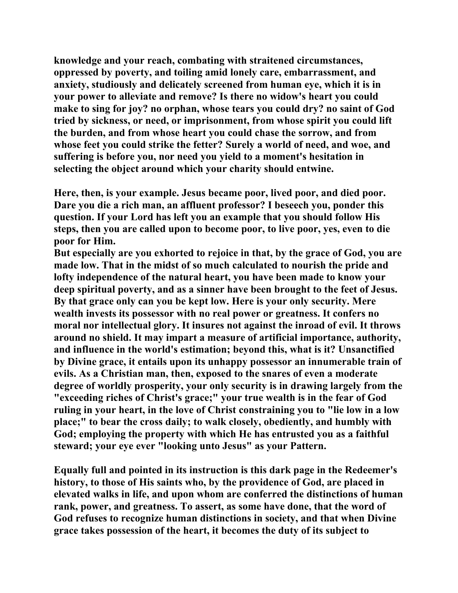**knowledge and your reach, combating with straitened circumstances, oppressed by poverty, and toiling amid lonely care, embarrassment, and anxiety, studiously and delicately screened from human eye, which it is in your power to alleviate and remove? Is there no widow's heart you could make to sing for joy? no orphan, whose tears you could dry? no saint of God tried by sickness, or need, or imprisonment, from whose spirit you could lift the burden, and from whose heart you could chase the sorrow, and from whose feet you could strike the fetter? Surely a world of need, and woe, and suffering is before you, nor need you yield to a moment's hesitation in selecting the object around which your charity should entwine.** 

**Here, then, is your example. Jesus became poor, lived poor, and died poor. Dare you die a rich man, an affluent professor? I beseech you, ponder this question. If your Lord has left you an example that you should follow His steps, then you are called upon to become poor, to live poor, yes, even to die poor for Him.** 

**But especially are you exhorted to rejoice in that, by the grace of God, you are made low. That in the midst of so much calculated to nourish the pride and lofty independence of the natural heart, you have been made to know your deep spiritual poverty, and as a sinner have been brought to the feet of Jesus. By that grace only can you be kept low. Here is your only security. Mere wealth invests its possessor with no real power or greatness. It confers no moral nor intellectual glory. It insures not against the inroad of evil. It throws around no shield. It may impart a measure of artificial importance, authority, and influence in the world's estimation; beyond this, what is it? Unsanctified by Divine grace, it entails upon its unhappy possessor an innumerable train of evils. As a Christian man, then, exposed to the snares of even a moderate degree of worldly prosperity, your only security is in drawing largely from the "exceeding riches of Christ's grace;" your true wealth is in the fear of God ruling in your heart, in the love of Christ constraining you to "lie low in a low place;" to bear the cross daily; to walk closely, obediently, and humbly with God; employing the property with which He has entrusted you as a faithful steward; your eye ever "looking unto Jesus" as your Pattern.** 

**Equally full and pointed in its instruction is this dark page in the Redeemer's history, to those of His saints who, by the providence of God, are placed in elevated walks in life, and upon whom are conferred the distinctions of human rank, power, and greatness. To assert, as some have done, that the word of God refuses to recognize human distinctions in society, and that when Divine grace takes possession of the heart, it becomes the duty of its subject to**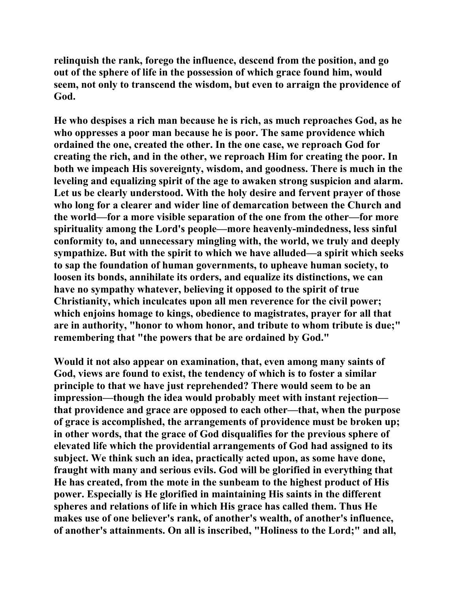**relinquish the rank, forego the influence, descend from the position, and go out of the sphere of life in the possession of which grace found him, would seem, not only to transcend the wisdom, but even to arraign the providence of God.** 

**He who despises a rich man because he is rich, as much reproaches God, as he who oppresses a poor man because he is poor. The same providence which ordained the one, created the other. In the one case, we reproach God for creating the rich, and in the other, we reproach Him for creating the poor. In both we impeach His sovereignty, wisdom, and goodness. There is much in the leveling and equalizing spirit of the age to awaken strong suspicion and alarm. Let us be clearly understood. With the holy desire and fervent prayer of those who long for a clearer and wider line of demarcation between the Church and the world—for a more visible separation of the one from the other—for more spirituality among the Lord's people—more heavenly-mindedness, less sinful conformity to, and unnecessary mingling with, the world, we truly and deeply sympathize. But with the spirit to which we have alluded—a spirit which seeks to sap the foundation of human governments, to upheave human society, to loosen its bonds, annihilate its orders, and equalize its distinctions, we can have no sympathy whatever, believing it opposed to the spirit of true Christianity, which inculcates upon all men reverence for the civil power; which enjoins homage to kings, obedience to magistrates, prayer for all that are in authority, "honor to whom honor, and tribute to whom tribute is due;" remembering that "the powers that be are ordained by God."** 

**Would it not also appear on examination, that, even among many saints of God, views are found to exist, the tendency of which is to foster a similar principle to that we have just reprehended? There would seem to be an impression—though the idea would probably meet with instant rejection that providence and grace are opposed to each other—that, when the purpose of grace is accomplished, the arrangements of providence must be broken up; in other words, that the grace of God disqualifies for the previous sphere of elevated life which the providential arrangements of God had assigned to its subject. We think such an idea, practically acted upon, as some have done, fraught with many and serious evils. God will be glorified in everything that He has created, from the mote in the sunbeam to the highest product of His power. Especially is He glorified in maintaining His saints in the different spheres and relations of life in which His grace has called them. Thus He makes use of one believer's rank, of another's wealth, of another's influence, of another's attainments. On all is inscribed, "Holiness to the Lord;" and all,**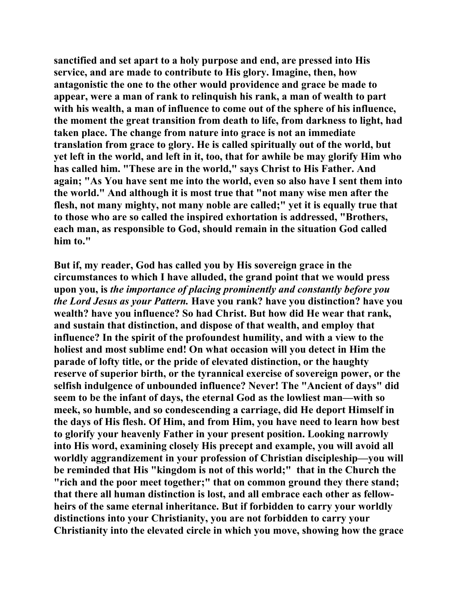**sanctified and set apart to a holy purpose and end, are pressed into His service, and are made to contribute to His glory. Imagine, then, how antagonistic the one to the other would providence and grace be made to appear, were a man of rank to relinquish his rank, a man of wealth to part with his wealth, a man of influence to come out of the sphere of his influence, the moment the great transition from death to life, from darkness to light, had taken place. The change from nature into grace is not an immediate translation from grace to glory. He is called spiritually out of the world, but yet left in the world, and left in it, too, that for awhile be may glorify Him who has called him. "These are in the world," says Christ to His Father. And again; "As You have sent me into the world, even so also have I sent them into the world." And although it is most true that "not many wise men after the flesh, not many mighty, not many noble are called;" yet it is equally true that to those who are so called the inspired exhortation is addressed, "Brothers, each man, as responsible to God, should remain in the situation God called him to."** 

**But if, my reader, God has called you by His sovereign grace in the circumstances to which I have alluded, the grand point that we would press upon you, is** *the importance of placing prominently and constantly before you the Lord Jesus as your Pattern.* **Have you rank? have you distinction? have you wealth? have you influence? So had Christ. But how did He wear that rank, and sustain that distinction, and dispose of that wealth, and employ that influence? In the spirit of the profoundest humility, and with a view to the holiest and most sublime end! On what occasion will you detect in Him the parade of lofty title, or the pride of elevated distinction, or the haughty reserve of superior birth, or the tyrannical exercise of sovereign power, or the selfish indulgence of unbounded influence? Never! The "Ancient of days" did seem to be the infant of days, the eternal God as the lowliest man—with so meek, so humble, and so condescending a carriage, did He deport Himself in the days of His flesh. Of Him, and from Him, you have need to learn how best to glorify your heavenly Father in your present position. Looking narrowly into His word, examining closely His precept and example, you will avoid all worldly aggrandizement in your profession of Christian discipleship—you will be reminded that His "kingdom is not of this world;" that in the Church the "rich and the poor meet together;" that on common ground they there stand; that there all human distinction is lost, and all embrace each other as fellowheirs of the same eternal inheritance. But if forbidden to carry your worldly distinctions into your Christianity, you are not forbidden to carry your Christianity into the elevated circle in which you move, showing how the grace**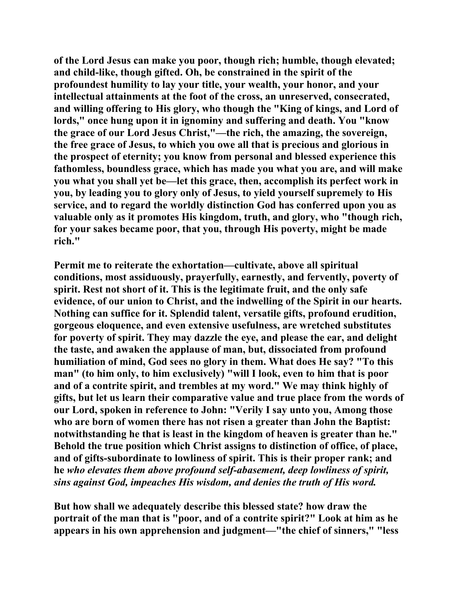**of the Lord Jesus can make you poor, though rich; humble, though elevated; and child-like, though gifted. Oh, be constrained in the spirit of the profoundest humility to lay your title, your wealth, your honor, and your intellectual attainments at the foot of the cross, an unreserved, consecrated, and willing offering to His glory, who though the "King of kings, and Lord of lords," once hung upon it in ignominy and suffering and death. You "know the grace of our Lord Jesus Christ,"—the rich, the amazing, the sovereign, the free grace of Jesus, to which you owe all that is precious and glorious in the prospect of eternity; you know from personal and blessed experience this fathomless, boundless grace, which has made you what you are, and will make you what you shall yet be—let this grace, then, accomplish its perfect work in you, by leading you to glory only of Jesus, to yield yourself supremely to His service, and to regard the worldly distinction God has conferred upon you as valuable only as it promotes His kingdom, truth, and glory, who "though rich, for your sakes became poor, that you, through His poverty, might be made rich."** 

**Permit me to reiterate the exhortation—cultivate, above all spiritual conditions, most assiduously, prayerfully, earnestly, and fervently, poverty of spirit. Rest not short of it. This is the legitimate fruit, and the only safe evidence, of our union to Christ, and the indwelling of the Spirit in our hearts. Nothing can suffice for it. Splendid talent, versatile gifts, profound erudition, gorgeous eloquence, and even extensive usefulness, are wretched substitutes for poverty of spirit. They may dazzle the eye, and please the ear, and delight the taste, and awaken the applause of man, but, dissociated from profound humiliation of mind, God sees no glory in them. What does He say? "To this man" (to him only, to him exclusively) "will I look, even to him that is poor and of a contrite spirit, and trembles at my word." We may think highly of gifts, but let us learn their comparative value and true place from the words of our Lord, spoken in reference to John: "Verily I say unto you, Among those who are born of women there has not risen a greater than John the Baptist: notwithstanding he that is least in the kingdom of heaven is greater than he." Behold the true position which Christ assigns to distinction of office, of place, and of gifts-subordinate to lowliness of spirit. This is their proper rank; and he** *who elevates them above profound self-abasement, deep lowliness of spirit, sins against God, impeaches His wisdom, and denies the truth of His word.*

**But how shall we adequately describe this blessed state? how draw the portrait of the man that is "poor, and of a contrite spirit?" Look at him as he appears in his own apprehension and judgment—"the chief of sinners," "less**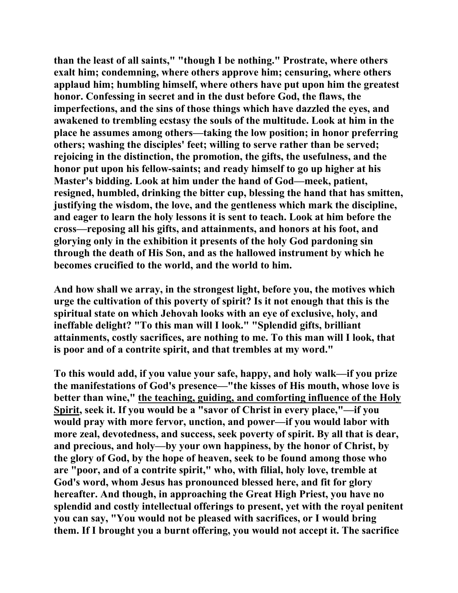**than the least of all saints," "though I be nothing." Prostrate, where others exalt him; condemning, where others approve him; censuring, where others applaud him; humbling himself, where others have put upon him the greatest honor. Confessing in secret and in the dust before God, the flaws, the imperfections, and the sins of those things which have dazzled the eyes, and awakened to trembling ecstasy the souls of the multitude. Look at him in the place he assumes among others—taking the low position; in honor preferring others; washing the disciples' feet; willing to serve rather than be served; rejoicing in the distinction, the promotion, the gifts, the usefulness, and the honor put upon his fellow-saints; and ready himself to go up higher at his Master's bidding. Look at him under the hand of God—meek, patient, resigned, humbled, drinking the bitter cup, blessing the hand that has smitten, justifying the wisdom, the love, and the gentleness which mark the discipline, and eager to learn the holy lessons it is sent to teach. Look at him before the cross—reposing all his gifts, and attainments, and honors at his foot, and glorying only in the exhibition it presents of the holy God pardoning sin through the death of His Son, and as the hallowed instrument by which he becomes crucified to the world, and the world to him.** 

**And how shall we array, in the strongest light, before you, the motives which urge the cultivation of this poverty of spirit? Is it not enough that this is the spiritual state on which Jehovah looks with an eye of exclusive, holy, and ineffable delight? "To this man will I look." "Splendid gifts, brilliant attainments, costly sacrifices, are nothing to me. To this man will I look, that is poor and of a contrite spirit, and that trembles at my word."** 

**To this would add, if you value your safe, happy, and holy walk—if you prize the manifestations of God's presence—"the kisses of His mouth, whose love is better than wine," the teaching, guiding, and comforting influence of the Holy Spirit, seek it. If you would be a "savor of Christ in every place,"—if you would pray with more fervor, unction, and power—if you would labor with more zeal, devotedness, and success, seek poverty of spirit. By all that is dear, and precious, and holy—by your own happiness, by the honor of Christ, by the glory of God, by the hope of heaven, seek to be found among those who are "poor, and of a contrite spirit," who, with filial, holy love, tremble at God's word, whom Jesus has pronounced blessed here, and fit for glory hereafter. And though, in approaching the Great High Priest, you have no splendid and costly intellectual offerings to present, yet with the royal penitent you can say, "You would not be pleased with sacrifices, or I would bring them. If I brought you a burnt offering, you would not accept it. The sacrifice**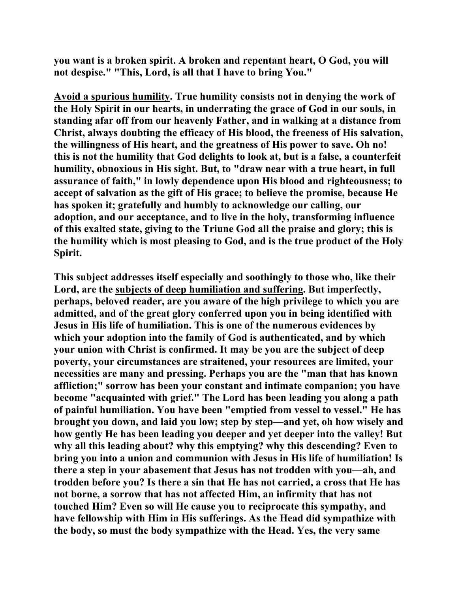**you want is a broken spirit. A broken and repentant heart, O God, you will not despise." "This, Lord, is all that I have to bring You."** 

**Avoid a spurious humility. True humility consists not in denying the work of the Holy Spirit in our hearts, in underrating the grace of God in our souls, in standing afar off from our heavenly Father, and in walking at a distance from Christ, always doubting the efficacy of His blood, the freeness of His salvation, the willingness of His heart, and the greatness of His power to save. Oh no! this is not the humility that God delights to look at, but is a false, a counterfeit humility, obnoxious in His sight. But, to "draw near with a true heart, in full assurance of faith," in lowly dependence upon His blood and righteousness; to accept of salvation as the gift of His grace; to believe the promise, because He has spoken it; gratefully and humbly to acknowledge our calling, our adoption, and our acceptance, and to live in the holy, transforming influence of this exalted state, giving to the Triune God all the praise and glory; this is the humility which is most pleasing to God, and is the true product of the Holy Spirit.** 

**This subject addresses itself especially and soothingly to those who, like their Lord, are the subjects of deep humiliation and suffering. But imperfectly, perhaps, beloved reader, are you aware of the high privilege to which you are admitted, and of the great glory conferred upon you in being identified with Jesus in His life of humiliation. This is one of the numerous evidences by which your adoption into the family of God is authenticated, and by which your union with Christ is confirmed. It may be you are the subject of deep poverty, your circumstances are straitened, your resources are limited, your necessities are many and pressing. Perhaps you are the "man that has known affliction;" sorrow has been your constant and intimate companion; you have become "acquainted with grief." The Lord has been leading you along a path of painful humiliation. You have been "emptied from vessel to vessel." He has brought you down, and laid you low; step by step—and yet, oh how wisely and how gently He has been leading you deeper and yet deeper into the valley! But why all this leading about? why this emptying? why this descending? Even to bring you into a union and communion with Jesus in His life of humiliation! Is there a step in your abasement that Jesus has not trodden with you—ah, and trodden before you? Is there a sin that He has not carried, a cross that He has not borne, a sorrow that has not affected Him, an infirmity that has not touched Him? Even so will He cause you to reciprocate this sympathy, and have fellowship with Him in His sufferings. As the Head did sympathize with the body, so must the body sympathize with the Head. Yes, the very same**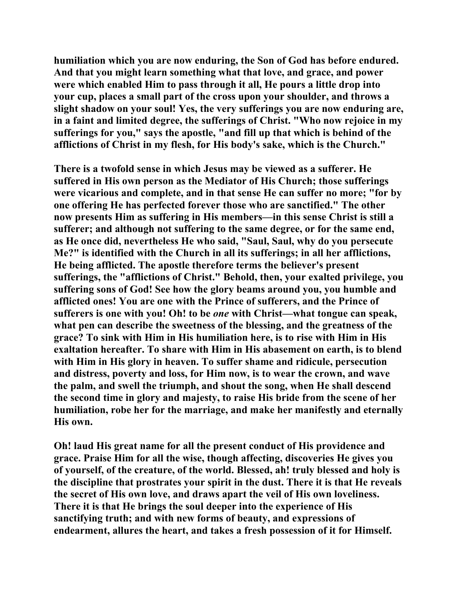**humiliation which you are now enduring, the Son of God has before endured. And that you might learn something what that love, and grace, and power were which enabled Him to pass through it all, He pours a little drop into your cup, places a small part of the cross upon your shoulder, and throws a slight shadow on your soul! Yes, the very sufferings you are now enduring are, in a faint and limited degree, the sufferings of Christ. "Who now rejoice in my sufferings for you," says the apostle, "and fill up that which is behind of the afflictions of Christ in my flesh, for His body's sake, which is the Church."** 

**There is a twofold sense in which Jesus may be viewed as a sufferer. He suffered in His own person as the Mediator of His Church; those sufferings were vicarious and complete, and in that sense He can suffer no more; "for by one offering He has perfected forever those who are sanctified." The other now presents Him as suffering in His members—in this sense Christ is still a sufferer; and although not suffering to the same degree, or for the same end, as He once did, nevertheless He who said, "Saul, Saul, why do you persecute Me?" is identified with the Church in all its sufferings; in all her afflictions, He being afflicted. The apostle therefore terms the believer's present sufferings, the "afflictions of Christ." Behold, then, your exalted privilege, you suffering sons of God! See how the glory beams around you, you humble and afflicted ones! You are one with the Prince of sufferers, and the Prince of sufferers is one with you! Oh! to be** *one* **with Christ—what tongue can speak, what pen can describe the sweetness of the blessing, and the greatness of the grace? To sink with Him in His humiliation here, is to rise with Him in His exaltation hereafter. To share with Him in His abasement on earth, is to blend with Him in His glory in heaven. To suffer shame and ridicule, persecution and distress, poverty and loss, for Him now, is to wear the crown, and wave the palm, and swell the triumph, and shout the song, when He shall descend the second time in glory and majesty, to raise His bride from the scene of her humiliation, robe her for the marriage, and make her manifestly and eternally His own.** 

**Oh! laud His great name for all the present conduct of His providence and grace. Praise Him for all the wise, though affecting, discoveries He gives you of yourself, of the creature, of the world. Blessed, ah! truly blessed and holy is the discipline that prostrates your spirit in the dust. There it is that He reveals the secret of His own love, and draws apart the veil of His own loveliness. There it is that He brings the soul deeper into the experience of His sanctifying truth; and with new forms of beauty, and expressions of endearment, allures the heart, and takes a fresh possession of it for Himself.**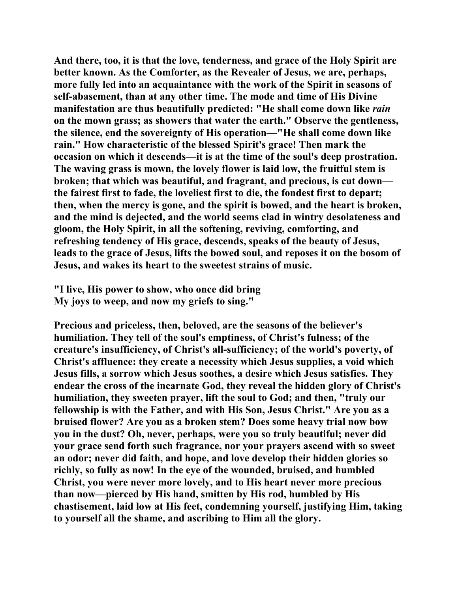**And there, too, it is that the love, tenderness, and grace of the Holy Spirit are better known. As the Comforter, as the Revealer of Jesus, we are, perhaps, more fully led into an acquaintance with the work of the Spirit in seasons of self-abasement, than at any other time. The mode and time of His Divine manifestation are thus beautifully predicted: "He shall come down like** *rain* **on the mown grass; as showers that water the earth." Observe the gentleness, the silence, end the sovereignty of His operation—"He shall come down like rain." How characteristic of the blessed Spirit's grace! Then mark the occasion on which it descends—it is at the time of the soul's deep prostration. The waving grass is mown, the lovely flower is laid low, the fruitful stem is broken; that which was beautiful, and fragrant, and precious, is cut down the fairest first to fade, the loveliest first to die, the fondest first to depart; then, when the mercy is gone, and the spirit is bowed, and the heart is broken, and the mind is dejected, and the world seems clad in wintry desolateness and gloom, the Holy Spirit, in all the softening, reviving, comforting, and refreshing tendency of His grace, descends, speaks of the beauty of Jesus, leads to the grace of Jesus, lifts the bowed soul, and reposes it on the bosom of Jesus, and wakes its heart to the sweetest strains of music.** 

**"I live, His power to show, who once did bring My joys to weep, and now my griefs to sing."** 

**Precious and priceless, then, beloved, are the seasons of the believer's humiliation. They tell of the soul's emptiness, of Christ's fulness; of the creature's insufficiency, of Christ's all-sufficiency; of the world's poverty, of Christ's affluence: they create a necessity which Jesus supplies, a void which Jesus fills, a sorrow which Jesus soothes, a desire which Jesus satisfies. They endear the cross of the incarnate God, they reveal the hidden glory of Christ's humiliation, they sweeten prayer, lift the soul to God; and then, "truly our fellowship is with the Father, and with His Son, Jesus Christ." Are you as a bruised flower? Are you as a broken stem? Does some heavy trial now bow you in the dust? Oh, never, perhaps, were you so truly beautiful; never did your grace send forth such fragrance, nor your prayers ascend with so sweet an odor; never did faith, and hope, and love develop their hidden glories so richly, so fully as now! In the eye of the wounded, bruised, and humbled Christ, you were never more lovely, and to His heart never more precious than now—pierced by His hand, smitten by His rod, humbled by His chastisement, laid low at His feet, condemning yourself, justifying Him, taking to yourself all the shame, and ascribing to Him all the glory.**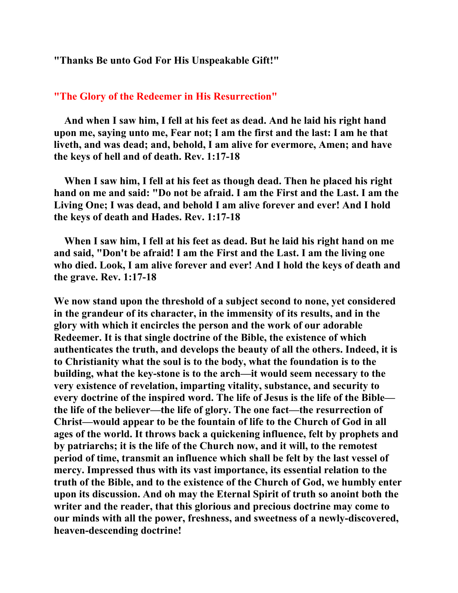**"Thanks Be unto God For His Unspeakable Gift!"** 

## **"The Glory of the Redeemer in His Resurrection"**

 **And when I saw him, I fell at his feet as dead. And he laid his right hand upon me, saying unto me, Fear not; I am the first and the last: I am he that liveth, and was dead; and, behold, I am alive for evermore, Amen; and have the keys of hell and of death. Rev. 1:17-18** 

 **When I saw him, I fell at his feet as though dead. Then he placed his right hand on me and said: "Do not be afraid. I am the First and the Last. I am the Living One; I was dead, and behold I am alive forever and ever! And I hold the keys of death and Hades. Rev. 1:17-18** 

 **When I saw him, I fell at his feet as dead. But he laid his right hand on me and said, "Don't be afraid! I am the First and the Last. I am the living one who died. Look, I am alive forever and ever! And I hold the keys of death and the grave. Rev. 1:17-18** 

**We now stand upon the threshold of a subject second to none, yet considered in the grandeur of its character, in the immensity of its results, and in the glory with which it encircles the person and the work of our adorable Redeemer. It is that single doctrine of the Bible, the existence of which authenticates the truth, and develops the beauty of all the others. Indeed, it is to Christianity what the soul is to the body, what the foundation is to the building, what the key-stone is to the arch—it would seem necessary to the very existence of revelation, imparting vitality, substance, and security to every doctrine of the inspired word. The life of Jesus is the life of the Bible the life of the believer—the life of glory. The one fact—the resurrection of Christ—would appear to be the fountain of life to the Church of God in all ages of the world. It throws back a quickening influence, felt by prophets and by patriarchs; it is the life of the Church now, and it will, to the remotest period of time, transmit an influence which shall be felt by the last vessel of mercy. Impressed thus with its vast importance, its essential relation to the truth of the Bible, and to the existence of the Church of God, we humbly enter upon its discussion. And oh may the Eternal Spirit of truth so anoint both the writer and the reader, that this glorious and precious doctrine may come to our minds with all the power, freshness, and sweetness of a newly-discovered, heaven-descending doctrine!**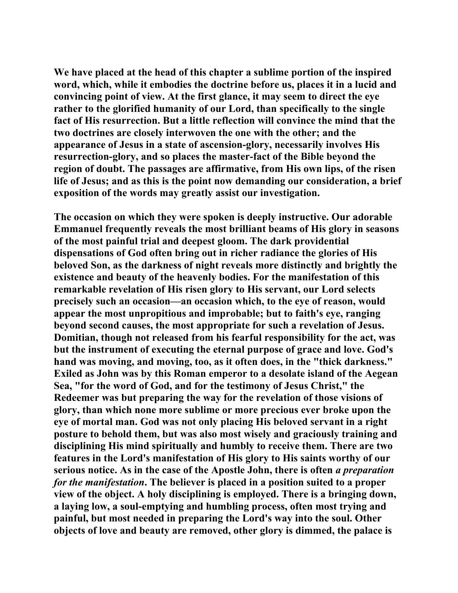**We have placed at the head of this chapter a sublime portion of the inspired word, which, while it embodies the doctrine before us, places it in a lucid and convincing point of view. At the first glance, it may seem to direct the eye rather to the glorified humanity of our Lord, than specifically to the single fact of His resurrection. But a little reflection will convince the mind that the two doctrines are closely interwoven the one with the other; and the appearance of Jesus in a state of ascension-glory, necessarily involves His resurrection-glory, and so places the master-fact of the Bible beyond the region of doubt. The passages are affirmative, from His own lips, of the risen life of Jesus; and as this is the point now demanding our consideration, a brief exposition of the words may greatly assist our investigation.** 

**The occasion on which they were spoken is deeply instructive. Our adorable Emmanuel frequently reveals the most brilliant beams of His glory in seasons of the most painful trial and deepest gloom. The dark providential dispensations of God often bring out in richer radiance the glories of His beloved Son, as the darkness of night reveals more distinctly and brightly the existence and beauty of the heavenly bodies. For the manifestation of this remarkable revelation of His risen glory to His servant, our Lord selects precisely such an occasion—an occasion which, to the eye of reason, would appear the most unpropitious and improbable; but to faith's eye, ranging beyond second causes, the most appropriate for such a revelation of Jesus. Domitian, though not released from his fearful responsibility for the act, was but the instrument of executing the eternal purpose of grace and love. God's hand was moving, and moving, too, as it often does, in the "thick darkness." Exiled as John was by this Roman emperor to a desolate island of the Aegean Sea, "for the word of God, and for the testimony of Jesus Christ," the Redeemer was but preparing the way for the revelation of those visions of glory, than which none more sublime or more precious ever broke upon the eye of mortal man. God was not only placing His beloved servant in a right posture to behold them, but was also most wisely and graciously training and disciplining His mind spiritually and humbly to receive them. There are two features in the Lord's manifestation of His glory to His saints worthy of our serious notice. As in the case of the Apostle John, there is often** *a preparation for the manifestation***. The believer is placed in a position suited to a proper view of the object. A holy disciplining is employed. There is a bringing down, a laying low, a soul-emptying and humbling process, often most trying and painful, but most needed in preparing the Lord's way into the soul. Other objects of love and beauty are removed, other glory is dimmed, the palace is**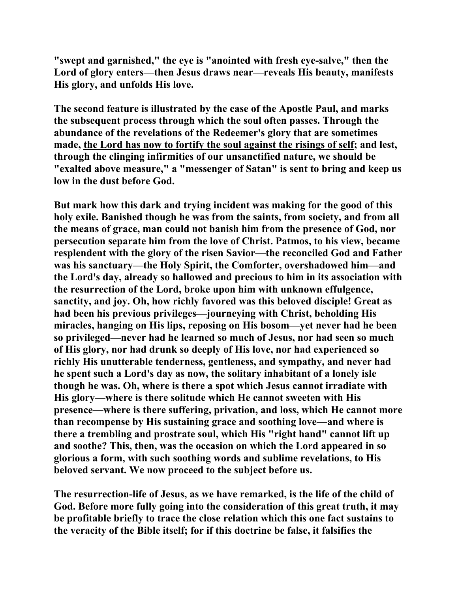**"swept and garnished," the eye is "anointed with fresh eye-salve," then the Lord of glory enters—then Jesus draws near—reveals His beauty, manifests His glory, and unfolds His love.** 

**The second feature is illustrated by the case of the Apostle Paul, and marks the subsequent process through which the soul often passes. Through the abundance of the revelations of the Redeemer's glory that are sometimes made, the Lord has now to fortify the soul against the risings of self; and lest, through the clinging infirmities of our unsanctified nature, we should be "exalted above measure," a "messenger of Satan" is sent to bring and keep us low in the dust before God.** 

**But mark how this dark and trying incident was making for the good of this holy exile. Banished though he was from the saints, from society, and from all the means of grace, man could not banish him from the presence of God, nor persecution separate him from the love of Christ. Patmos, to his view, became resplendent with the glory of the risen Savior—the reconciled God and Father was his sanctuary—the Holy Spirit, the Comforter, overshadowed him—and the Lord's day, already so hallowed and precious to him in its association with the resurrection of the Lord, broke upon him with unknown effulgence, sanctity, and joy. Oh, how richly favored was this beloved disciple! Great as had been his previous privileges—journeying with Christ, beholding His miracles, hanging on His lips, reposing on His bosom—yet never had he been so privileged—never had he learned so much of Jesus, nor had seen so much of His glory, nor had drunk so deeply of His love, nor had experienced so richly His unutterable tenderness, gentleness, and sympathy, and never had he spent such a Lord's day as now, the solitary inhabitant of a lonely isle though he was. Oh, where is there a spot which Jesus cannot irradiate with His glory—where is there solitude which He cannot sweeten with His presence—where is there suffering, privation, and loss, which He cannot more than recompense by His sustaining grace and soothing love—and where is there a trembling and prostrate soul, which His "right hand" cannot lift up and soothe? This, then, was the occasion on which the Lord appeared in so glorious a form, with such soothing words and sublime revelations, to His beloved servant. We now proceed to the subject before us.** 

**The resurrection-life of Jesus, as we have remarked, is the life of the child of God. Before more fully going into the consideration of this great truth, it may be profitable briefly to trace the close relation which this one fact sustains to the veracity of the Bible itself; for if this doctrine be false, it falsifies the**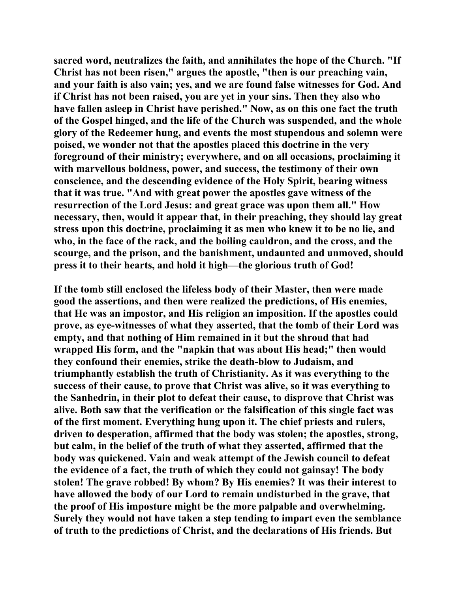**sacred word, neutralizes the faith, and annihilates the hope of the Church. "If Christ has not been risen," argues the apostle, "then is our preaching vain, and your faith is also vain; yes, and we are found false witnesses for God. And if Christ has not been raised, you are yet in your sins. Then they also who have fallen asleep in Christ have perished." Now, as on this one fact the truth of the Gospel hinged, and the life of the Church was suspended, and the whole glory of the Redeemer hung, and events the most stupendous and solemn were poised, we wonder not that the apostles placed this doctrine in the very foreground of their ministry; everywhere, and on all occasions, proclaiming it with marvellous boldness, power, and success, the testimony of their own conscience, and the descending evidence of the Holy Spirit, bearing witness that it was true. "And with great power the apostles gave witness of the resurrection of the Lord Jesus: and great grace was upon them all." How necessary, then, would it appear that, in their preaching, they should lay great stress upon this doctrine, proclaiming it as men who knew it to be no lie, and who, in the face of the rack, and the boiling cauldron, and the cross, and the scourge, and the prison, and the banishment, undaunted and unmoved, should press it to their hearts, and hold it high—the glorious truth of God!** 

**If the tomb still enclosed the lifeless body of their Master, then were made good the assertions, and then were realized the predictions, of His enemies, that He was an impostor, and His religion an imposition. If the apostles could prove, as eye-witnesses of what they asserted, that the tomb of their Lord was empty, and that nothing of Him remained in it but the shroud that had wrapped His form, and the "napkin that was about His head;" then would they confound their enemies, strike the death-blow to Judaism, and triumphantly establish the truth of Christianity. As it was everything to the success of their cause, to prove that Christ was alive, so it was everything to the Sanhedrin, in their plot to defeat their cause, to disprove that Christ was alive. Both saw that the verification or the falsification of this single fact was of the first moment. Everything hung upon it. The chief priests and rulers, driven to desperation, affirmed that the body was stolen; the apostles, strong, but calm, in the belief of the truth of what they asserted, affirmed that the body was quickened. Vain and weak attempt of the Jewish council to defeat the evidence of a fact, the truth of which they could not gainsay! The body stolen! The grave robbed! By whom? By His enemies? It was their interest to have allowed the body of our Lord to remain undisturbed in the grave, that the proof of His imposture might be the more palpable and overwhelming. Surely they would not have taken a step tending to impart even the semblance of truth to the predictions of Christ, and the declarations of His friends. But**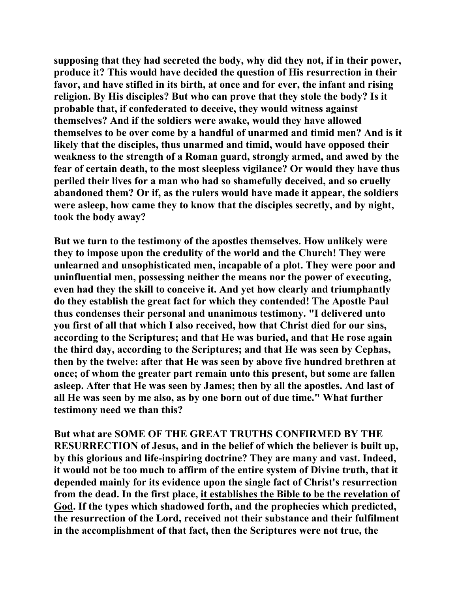**supposing that they had secreted the body, why did they not, if in their power, produce it? This would have decided the question of His resurrection in their favor, and have stifled in its birth, at once and for ever, the infant and rising religion. By His disciples? But who can prove that they stole the body? Is it probable that, if confederated to deceive, they would witness against themselves? And if the soldiers were awake, would they have allowed themselves to be over come by a handful of unarmed and timid men? And is it likely that the disciples, thus unarmed and timid, would have opposed their weakness to the strength of a Roman guard, strongly armed, and awed by the fear of certain death, to the most sleepless vigilance? Or would they have thus periled their lives for a man who had so shamefully deceived, and so cruelly abandoned them? Or if, as the rulers would have made it appear, the soldiers were asleep, how came they to know that the disciples secretly, and by night, took the body away?** 

**But we turn to the testimony of the apostles themselves. How unlikely were they to impose upon the credulity of the world and the Church! They were unlearned and unsophisticated men, incapable of a plot. They were poor and uninfluential men, possessing neither the means nor the power of executing, even had they the skill to conceive it. And yet how clearly and triumphantly do they establish the great fact for which they contended! The Apostle Paul thus condenses their personal and unanimous testimony. "I delivered unto you first of all that which I also received, how that Christ died for our sins, according to the Scriptures; and that He was buried, and that He rose again the third day, according to the Scriptures; and that He was seen by Cephas, then by the twelve: after that He was seen by above five hundred brethren at once; of whom the greater part remain unto this present, but some are fallen asleep. After that He was seen by James; then by all the apostles. And last of all He was seen by me also, as by one born out of due time." What further testimony need we than this?** 

**But what are SOME OF THE GREAT TRUTHS CONFIRMED BY THE RESURRECTION of Jesus, and in the belief of which the believer is built up, by this glorious and life-inspiring doctrine? They are many and vast. Indeed, it would not be too much to affirm of the entire system of Divine truth, that it depended mainly for its evidence upon the single fact of Christ's resurrection from the dead. In the first place, it establishes the Bible to be the revelation of God. If the types which shadowed forth, and the prophecies which predicted, the resurrection of the Lord, received not their substance and their fulfilment in the accomplishment of that fact, then the Scriptures were not true, the**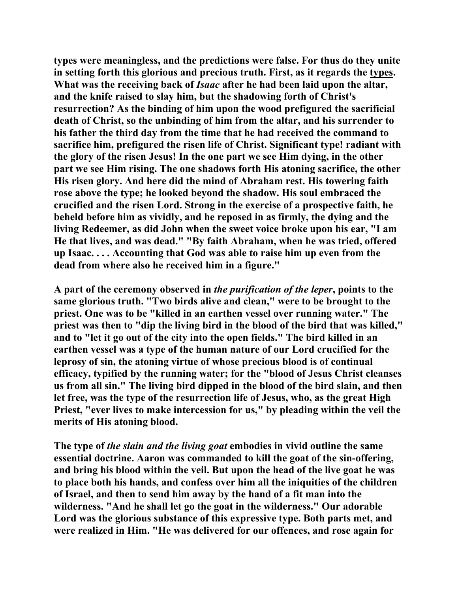**types were meaningless, and the predictions were false. For thus do they unite in setting forth this glorious and precious truth. First, as it regards the types. What was the receiving back of** *Isaac* **after he had been laid upon the altar, and the knife raised to slay him, but the shadowing forth of Christ's resurrection? As the binding of him upon the wood prefigured the sacrificial death of Christ, so the unbinding of him from the altar, and his surrender to his father the third day from the time that he had received the command to sacrifice him, prefigured the risen life of Christ. Significant type! radiant with the glory of the risen Jesus! In the one part we see Him dying, in the other part we see Him rising. The one shadows forth His atoning sacrifice, the other His risen glory. And here did the mind of Abraham rest. His towering faith rose above the type; he looked beyond the shadow. His soul embraced the crucified and the risen Lord. Strong in the exercise of a prospective faith, he beheld before him as vividly, and he reposed in as firmly, the dying and the living Redeemer, as did John when the sweet voice broke upon his ear, "I am He that lives, and was dead." "By faith Abraham, when he was tried, offered up Isaac. . . . Accounting that God was able to raise him up even from the dead from where also he received him in a figure."** 

**A part of the ceremony observed in** *the purification of the leper***, points to the same glorious truth. "Two birds alive and clean," were to be brought to the priest. One was to be "killed in an earthen vessel over running water." The priest was then to "dip the living bird in the blood of the bird that was killed," and to "let it go out of the city into the open fields." The bird killed in an earthen vessel was a type of the human nature of our Lord crucified for the leprosy of sin, the atoning virtue of whose precious blood is of continual efficacy, typified by the running water; for the "blood of Jesus Christ cleanses us from all sin." The living bird dipped in the blood of the bird slain, and then let free, was the type of the resurrection life of Jesus, who, as the great High Priest, "ever lives to make intercession for us," by pleading within the veil the merits of His atoning blood.** 

**The type of** *the slain and the living goat* **embodies in vivid outline the same essential doctrine. Aaron was commanded to kill the goat of the sin-offering, and bring his blood within the veil. But upon the head of the live goat he was to place both his hands, and confess over him all the iniquities of the children of Israel, and then to send him away by the hand of a fit man into the wilderness. "And he shall let go the goat in the wilderness." Our adorable Lord was the glorious substance of this expressive type. Both parts met, and were realized in Him. "He was delivered for our offences, and rose again for**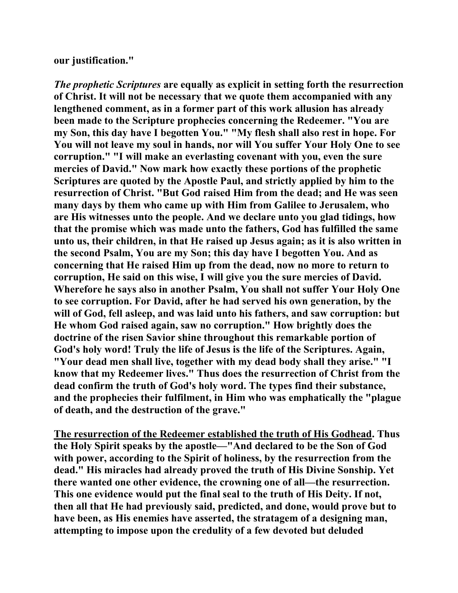## **our justification."**

*The prophetic Scriptures* **are equally as explicit in setting forth the resurrection of Christ. It will not be necessary that we quote them accompanied with any lengthened comment, as in a former part of this work allusion has already been made to the Scripture prophecies concerning the Redeemer. "You are my Son, this day have I begotten You." "My flesh shall also rest in hope. For You will not leave my soul in hands, nor will You suffer Your Holy One to see corruption." "I will make an everlasting covenant with you, even the sure mercies of David." Now mark how exactly these portions of the prophetic Scriptures are quoted by the Apostle Paul, and strictly applied by him to the resurrection of Christ. "But God raised Him from the dead; and He was seen many days by them who came up with Him from Galilee to Jerusalem, who are His witnesses unto the people. And we declare unto you glad tidings, how that the promise which was made unto the fathers, God has fulfilled the same unto us, their children, in that He raised up Jesus again; as it is also written in the second Psalm, You are my Son; this day have I begotten You. And as concerning that He raised Him up from the dead, now no more to return to corruption, He said on this wise, I will give you the sure mercies of David. Wherefore he says also in another Psalm, You shall not suffer Your Holy One to see corruption. For David, after he had served his own generation, by the will of God, fell asleep, and was laid unto his fathers, and saw corruption: but He whom God raised again, saw no corruption." How brightly does the doctrine of the risen Savior shine throughout this remarkable portion of God's holy word! Truly the life of Jesus is the life of the Scriptures. Again, "Your dead men shall live, together with my dead body shall they arise." "I know that my Redeemer lives." Thus does the resurrection of Christ from the dead confirm the truth of God's holy word. The types find their substance, and the prophecies their fulfilment, in Him who was emphatically the "plague of death, and the destruction of the grave."** 

**The resurrection of the Redeemer established the truth of His Godhead. Thus the Holy Spirit speaks by the apostle—"And declared to be the Son of God with power, according to the Spirit of holiness, by the resurrection from the dead." His miracles had already proved the truth of His Divine Sonship. Yet there wanted one other evidence, the crowning one of all—the resurrection. This one evidence would put the final seal to the truth of His Deity. If not, then all that He had previously said, predicted, and done, would prove but to have been, as His enemies have asserted, the stratagem of a designing man, attempting to impose upon the credulity of a few devoted but deluded**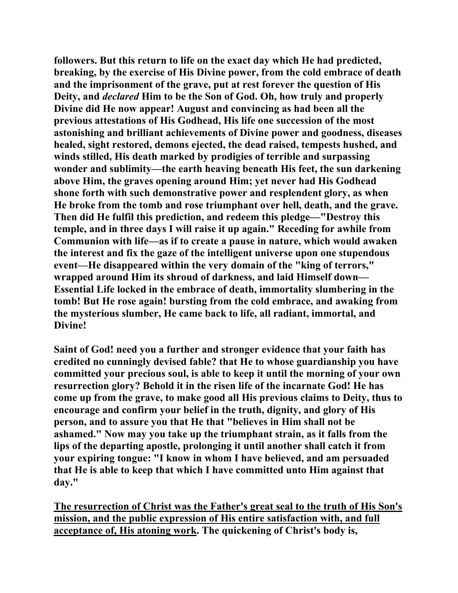**followers. But this return to life on the exact day which He had predicted, breaking, by the exercise of His Divine power, from the cold embrace of death and the imprisonment of the grave, put at rest forever the question of His Deity, and** *declared* **Him to be the Son of God. Oh, how truly and properly Divine did He now appear! August and convincing as had been all the previous attestations of His Godhead, His life one succession of the most astonishing and brilliant achievements of Divine power and goodness, diseases healed, sight restored, demons ejected, the dead raised, tempests hushed, and winds stilled, His death marked by prodigies of terrible and surpassing wonder and sublimity—the earth heaving beneath His feet, the sun darkening above Him, the graves opening around Him; yet never had His Godhead shone forth with such demonstrative power and resplendent glory, as when He broke from the tomb and rose triumphant over hell, death, and the grave. Then did He fulfil this prediction, and redeem this pledge—"Destroy this temple, and in three days I will raise it up again." Receding for awhile from Communion with life—as if to create a pause in nature, which would awaken the interest and fix the gaze of the intelligent universe upon one stupendous event—He disappeared within the very domain of the "king of terrors," wrapped around Him its shroud of darkness, and laid Himself down— Essential Life locked in the embrace of death, immortality slumbering in the tomb! But He rose again! bursting from the cold embrace, and awaking from the mysterious slumber, He came back to life, all radiant, immortal, and Divine!** 

**Saint of God! need you a further and stronger evidence that your faith has credited no cunningly devised fable? that He to whose guardianship you have committed your precious soul, is able to keep it until the morning of your own resurrection glory? Behold it in the risen life of the incarnate God! He has come up from the grave, to make good all His previous claims to Deity, thus to encourage and confirm your belief in the truth, dignity, and glory of His person, and to assure you that He that "believes in Him shall not be ashamed." Now may you take up the triumphant strain, as it falls from the lips of the departing apostle, prolonging it until another shall catch it from your expiring tongue: "I know in whom I have believed, and am persuaded that He is able to keep that which I have committed unto Him against that day."** 

**The resurrection of Christ was the Father's great seal to the truth of His Son's mission, and the public expression of His entire satisfaction with, and full acceptance of, His atoning work. The quickening of Christ's body is,**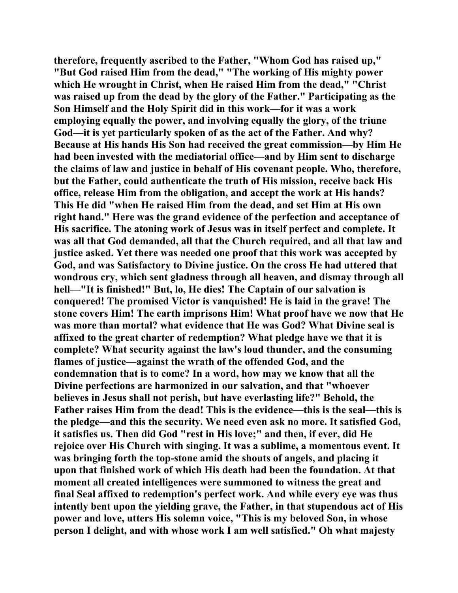**therefore, frequently ascribed to the Father, "Whom God has raised up," "But God raised Him from the dead," "The working of His mighty power which He wrought in Christ, when He raised Him from the dead," "Christ was raised up from the dead by the glory of the Father." Participating as the Son Himself and the Holy Spirit did in this work—for it was a work employing equally the power, and involving equally the glory, of the triune God—it is yet particularly spoken of as the act of the Father. And why? Because at His hands His Son had received the great commission—by Him He had been invested with the mediatorial office—and by Him sent to discharge the claims of law and justice in behalf of His covenant people. Who, therefore, but the Father, could authenticate the truth of His mission, receive back His office, release Him from the obligation, and accept the work at His hands? This He did "when He raised Him from the dead, and set Him at His own right hand." Here was the grand evidence of the perfection and acceptance of His sacrifice. The atoning work of Jesus was in itself perfect and complete. It was all that God demanded, all that the Church required, and all that law and justice asked. Yet there was needed one proof that this work was accepted by God, and was Satisfactory to Divine justice. On the cross He had uttered that wondrous cry, which sent gladness through all heaven, and dismay through all hell—"It is finished!" But, lo, He dies! The Captain of our salvation is conquered! The promised Victor is vanquished! He is laid in the grave! The stone covers Him! The earth imprisons Him! What proof have we now that He was more than mortal? what evidence that He was God? What Divine seal is affixed to the great charter of redemption? What pledge have we that it is complete? What security against the law's loud thunder, and the consuming flames of justice—against the wrath of the offended God, and the condemnation that is to come? In a word, how may we know that all the Divine perfections are harmonized in our salvation, and that "whoever believes in Jesus shall not perish, but have everlasting life?" Behold, the Father raises Him from the dead! This is the evidence—this is the seal—this is the pledge—and this the security. We need even ask no more. It satisfied God, it satisfies us. Then did God "rest in His love;" and then, if ever, did He rejoice over His Church with singing. It was a sublime, a momentous event. It was bringing forth the top-stone amid the shouts of angels, and placing it upon that finished work of which His death had been the foundation. At that moment all created intelligences were summoned to witness the great and final Seal affixed to redemption's perfect work. And while every eye was thus intently bent upon the yielding grave, the Father, in that stupendous act of His power and love, utters His solemn voice, "This is my beloved Son, in whose person I delight, and with whose work I am well satisfied." Oh what majesty**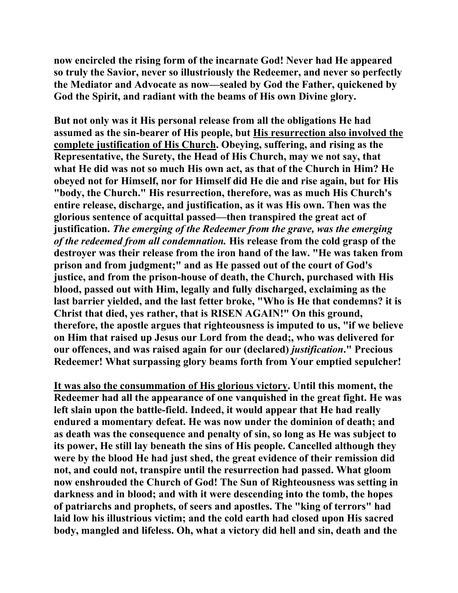**now encircled the rising form of the incarnate God! Never had He appeared so truly the Savior, never so illustriously the Redeemer, and never so perfectly the Mediator and Advocate as now—sealed by God the Father, quickened by God the Spirit, and radiant with the beams of His own Divine glory.** 

**But not only was it His personal release from all the obligations He had assumed as the sin-bearer of His people, but His resurrection also involved the complete justification of His Church. Obeying, suffering, and rising as the Representative, the Surety, the Head of His Church, may we not say, that what He did was not so much His own act, as that of the Church in Him? He obeyed not for Himself, nor for Himself did He die and rise again, but for His "body, the Church." His resurrection, therefore, was as much His Church's entire release, discharge, and justification, as it was His own. Then was the glorious sentence of acquittal passed—then transpired the great act of justification.** *The emerging of the Redeemer from the grave, was the emerging of the redeemed from all condemnation.* **His release from the cold grasp of the destroyer was their release from the iron hand of the law. "He was taken from prison and from judgment;" and as He passed out of the court of God's justice, and from the prison-house of death, the Church, purchased with His blood, passed out with Him, legally and fully discharged, exclaiming as the last barrier yielded, and the last fetter broke, "Who is He that condemns? it is Christ that died, yes rather, that is RISEN AGAIN!" On this ground, therefore, the apostle argues that righteousness is imputed to us, "if we believe on Him that raised up Jesus our Lord from the dead;, who was delivered for our offences, and was raised again for our (declared)** *justification***." Precious Redeemer! What surpassing glory beams forth from Your emptied sepulcher!** 

**It was also the consummation of His glorious victory. Until this moment, the Redeemer had all the appearance of one vanquished in the great fight. He was left slain upon the battle-field. Indeed, it would appear that He had really endured a momentary defeat. He was now under the dominion of death; and as death was the consequence and penalty of sin, so long as He was subject to its power, He still lay beneath the sins of His people. Cancelled although they were by the blood He had just shed, the great evidence of their remission did not, and could not, transpire until the resurrection had passed. What gloom now enshrouded the Church of God! The Sun of Righteousness was setting in darkness and in blood; and with it were descending into the tomb, the hopes of patriarchs and prophets, of seers and apostles. The "king of terrors" had laid low his illustrious victim; and the cold earth had closed upon His sacred body, mangled and lifeless. Oh, what a victory did hell and sin, death and the**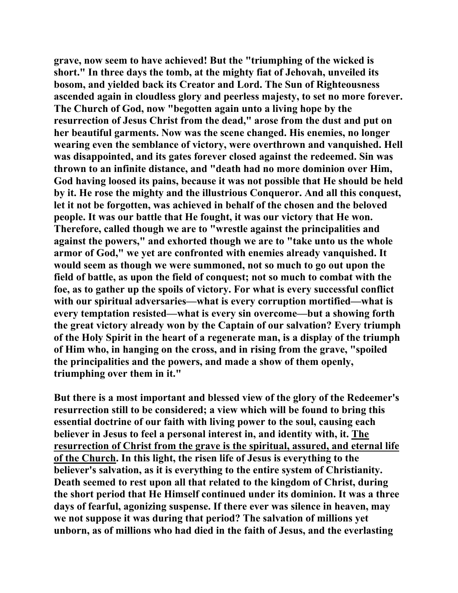**grave, now seem to have achieved! But the "triumphing of the wicked is short." In three days the tomb, at the mighty fiat of Jehovah, unveiled its bosom, and yielded back its Creator and Lord. The Sun of Righteousness ascended again in cloudless glory and peerless majesty, to set no more forever. The Church of God, now "begotten again unto a living hope by the resurrection of Jesus Christ from the dead," arose from the dust and put on her beautiful garments. Now was the scene changed. His enemies, no longer wearing even the semblance of victory, were overthrown and vanquished. Hell was disappointed, and its gates forever closed against the redeemed. Sin was thrown to an infinite distance, and "death had no more dominion over Him, God having loosed its pains, because it was not possible that He should be held by it. He rose the mighty and the illustrious Conqueror. And all this conquest, let it not be forgotten, was achieved in behalf of the chosen and the beloved people. It was our battle that He fought, it was our victory that He won. Therefore, called though we are to "wrestle against the principalities and against the powers," and exhorted though we are to "take unto us the whole armor of God," we yet are confronted with enemies already vanquished. It would seem as though we were summoned, not so much to go out upon the field of battle, as upon the field of conquest; not so much to combat with the foe, as to gather up the spoils of victory. For what is every successful conflict with our spiritual adversaries—what is every corruption mortified—what is every temptation resisted—what is every sin overcome—but a showing forth the great victory already won by the Captain of our salvation? Every triumph of the Holy Spirit in the heart of a regenerate man, is a display of the triumph of Him who, in hanging on the cross, and in rising from the grave, "spoiled the principalities and the powers, and made a show of them openly, triumphing over them in it."** 

**But there is a most important and blessed view of the glory of the Redeemer's resurrection still to be considered; a view which will be found to bring this essential doctrine of our faith with living power to the soul, causing each believer in Jesus to feel a personal interest in, and identity with, it. The resurrection of Christ from the grave is the spiritual, assured, and eternal life of the Church. In this light, the risen life of Jesus is everything to the believer's salvation, as it is everything to the entire system of Christianity. Death seemed to rest upon all that related to the kingdom of Christ, during the short period that He Himself continued under its dominion. It was a three days of fearful, agonizing suspense. If there ever was silence in heaven, may we not suppose it was during that period? The salvation of millions yet unborn, as of millions who had died in the faith of Jesus, and the everlasting**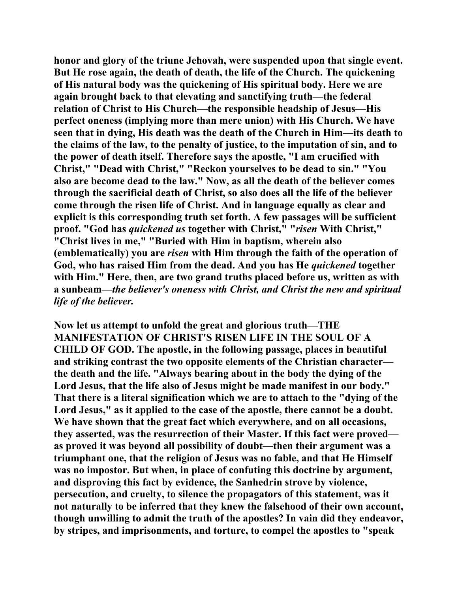**honor and glory of the triune Jehovah, were suspended upon that single event. But He rose again, the death of death, the life of the Church. The quickening of His natural body was the quickening of His spiritual body. Here we are again brought back to that elevating and sanctifying truth—the federal relation of Christ to His Church—the responsible headship of Jesus—His perfect oneness (implying more than mere union) with His Church. We have seen that in dying, His death was the death of the Church in Him—its death to the claims of the law, to the penalty of justice, to the imputation of sin, and to the power of death itself. Therefore says the apostle, "I am crucified with Christ," "Dead with Christ," "Reckon yourselves to be dead to sin." "You also are become dead to the law." Now, as all the death of the believer comes through the sacrificial death of Christ, so also does all the life of the believer come through the risen life of Christ. And in language equally as clear and explicit is this corresponding truth set forth. A few passages will be sufficient proof. "God has** *quickened us* **together with Christ," "***risen* **With Christ," "Christ lives in me," "Buried with Him in baptism, wherein also (emblematically) you are** *risen* **with Him through the faith of the operation of God, who has raised Him from the dead. And you has He** *quickened* **together with Him." Here, then, are two grand truths placed before us, written as with a sunbeam—***the believer's oneness with Christ, and Christ the new and spiritual life of the believer.*

**Now let us attempt to unfold the great and glorious truth—THE MANIFESTATION OF CHRIST'S RISEN LIFE IN THE SOUL OF A CHILD OF GOD. The apostle, in the following passage, places in beautiful and striking contrast the two opposite elements of the Christian character the death and the life. "Always bearing about in the body the dying of the Lord Jesus, that the life also of Jesus might be made manifest in our body." That there is a literal signification which we are to attach to the "dying of the Lord Jesus," as it applied to the case of the apostle, there cannot be a doubt. We have shown that the great fact which everywhere, and on all occasions, they asserted, was the resurrection of their Master. If this fact were proved as proved it was beyond all possibility of doubt—then their argument was a triumphant one, that the religion of Jesus was no fable, and that He Himself was no impostor. But when, in place of confuting this doctrine by argument, and disproving this fact by evidence, the Sanhedrin strove by violence, persecution, and cruelty, to silence the propagators of this statement, was it not naturally to be inferred that they knew the falsehood of their own account, though unwilling to admit the truth of the apostles? In vain did they endeavor, by stripes, and imprisonments, and torture, to compel the apostles to "speak**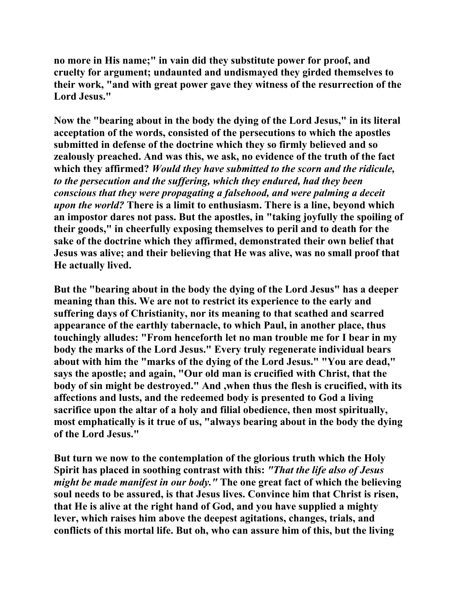**no more in His name;" in vain did they substitute power for proof, and cruelty for argument; undaunted and undismayed they girded themselves to their work, "and with great power gave they witness of the resurrection of the Lord Jesus."** 

**Now the "bearing about in the body the dying of the Lord Jesus," in its literal acceptation of the words, consisted of the persecutions to which the apostles submitted in defense of the doctrine which they so firmly believed and so zealously preached. And was this, we ask, no evidence of the truth of the fact which they affirmed?** *Would they have submitted to the scorn and the ridicule, to the persecution and the suffering, which they endured, had they been conscious that they were propagating a falsehood, and were palming a deceit upon the world?* **There is a limit to enthusiasm. There is a line, beyond which an impostor dares not pass. But the apostles, in "taking joyfully the spoiling of their goods," in cheerfully exposing themselves to peril and to death for the sake of the doctrine which they affirmed, demonstrated their own belief that Jesus was alive; and their believing that He was alive, was no small proof that He actually lived.** 

**But the "bearing about in the body the dying of the Lord Jesus" has a deeper meaning than this. We are not to restrict its experience to the early and suffering days of Christianity, nor its meaning to that scathed and scarred appearance of the earthly tabernacle, to which Paul, in another place, thus touchingly alludes: "From henceforth let no man trouble me for I bear in my body the marks of the Lord Jesus." Every truly regenerate individual bears about with him the "marks of the dying of the Lord Jesus." "You are dead," says the apostle; and again, "Our old man is crucified with Christ, that the body of sin might be destroyed." And ,when thus the flesh is crucified, with its affections and lusts, and the redeemed body is presented to God a living sacrifice upon the altar of a holy and filial obedience, then most spiritually, most emphatically is it true of us, "always bearing about in the body the dying of the Lord Jesus."** 

**But turn we now to the contemplation of the glorious truth which the Holy Spirit has placed in soothing contrast with this:** *"That the life also of Jesus might be made manifest in our body."* **The one great fact of which the believing soul needs to be assured, is that Jesus lives. Convince him that Christ is risen, that He is alive at the right hand of God, and you have supplied a mighty lever, which raises him above the deepest agitations, changes, trials, and conflicts of this mortal life. But oh, who can assure him of this, but the living**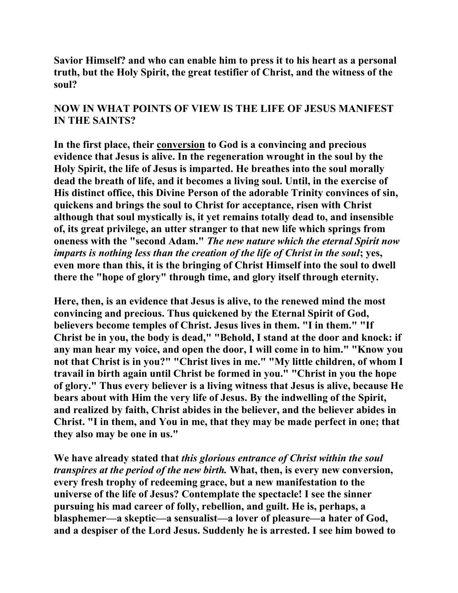**Savior Himself? and who can enable him to press it to his heart as a personal truth, but the Holy Spirit, the great testifier of Christ, and the witness of the soul?** 

## **NOW IN WHAT POINTS OF VIEW IS THE LIFE OF JESUS MANIFEST IN THE SAINTS?**

**In the first place, their conversion to God is a convincing and precious evidence that Jesus is alive. In the regeneration wrought in the soul by the Holy Spirit, the life of Jesus is imparted. He breathes into the soul morally dead the breath of life, and it becomes a living soul. Until, in the exercise of His distinct office, this Divine Person of the adorable Trinity convinces of sin, quickens and brings the soul to Christ for acceptance, risen with Christ although that soul mystically is, it yet remains totally dead to, and insensible of, its great privilege, an utter stranger to that new life which springs from oneness with the "second Adam."** *The new nature which the eternal Spirit now imparts is nothing less than the creation of the life of Christ in the soul***; yes, even more than this, it is the bringing of Christ Himself into the soul to dwell there the "hope of glory" through time, and glory itself through eternity.** 

**Here, then, is an evidence that Jesus is alive, to the renewed mind the most convincing and precious. Thus quickened by the Eternal Spirit of God, believers become temples of Christ. Jesus lives in them. "I in them." "If Christ be in you, the body is dead," "Behold, I stand at the door and knock: if any man hear my voice, and open the door, I will come in to him." "Know you not that Christ is in you?" "Christ lives in me." "My little children, of whom I travail in birth again until Christ be formed in you." "Christ in you the hope of glory." Thus every believer is a living witness that Jesus is alive, because He bears about with Him the very life of Jesus. By the indwelling of the Spirit, and realized by faith, Christ abides in the believer, and the believer abides in Christ. "I in them, and You in me, that they may be made perfect in one; that they also may be one in us."** 

**We have already stated that** *this glorious entrance of Christ within the soul transpires at the period of the new birth.* **What, then, is every new conversion, every fresh trophy of redeeming grace, but a new manifestation to the universe of the life of Jesus? Contemplate the spectacle! I see the sinner pursuing his mad career of folly, rebellion, and guilt. He is, perhaps, a blasphemer—a skeptic—a sensualist—a lover of pleasure—a hater of God, and a despiser of the Lord Jesus. Suddenly he is arrested. I see him bowed to**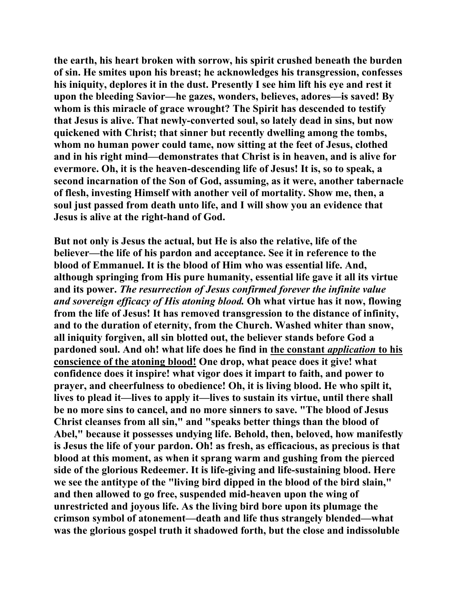**the earth, his heart broken with sorrow, his spirit crushed beneath the burden of sin. He smites upon his breast; he acknowledges his transgression, confesses his iniquity, deplores it in the dust. Presently I see him lift his eye and rest it upon the bleeding Savior—he gazes, wonders, believes, adores—is saved! By whom is this miracle of grace wrought? The Spirit has descended to testify that Jesus is alive. That newly-converted soul, so lately dead in sins, but now quickened with Christ; that sinner but recently dwelling among the tombs, whom no human power could tame, now sitting at the feet of Jesus, clothed and in his right mind—demonstrates that Christ is in heaven, and is alive for evermore. Oh, it is the heaven-descending life of Jesus! It is, so to speak, a second incarnation of the Son of God, assuming, as it were, another tabernacle of flesh, investing Himself with another veil of mortality. Show me, then, a soul just passed from death unto life, and I will show you an evidence that Jesus is alive at the right-hand of God.** 

**But not only is Jesus the actual, but He is also the relative, life of the believer—the life of his pardon and acceptance. See it in reference to the blood of Emmanuel. It is the blood of Him who was essential life. And, although springing from His pure humanity, essential life gave it all its virtue and its power.** *The resurrection of Jesus confirmed forever the infinite value and sovereign efficacy of His atoning blood.* **Oh what virtue has it now, flowing from the life of Jesus! It has removed transgression to the distance of infinity, and to the duration of eternity, from the Church. Washed whiter than snow, all iniquity forgiven, all sin blotted out, the believer stands before God a pardoned soul. And oh! what life does he find in the constant** *application* **to his conscience of the atoning blood! One drop, what peace does it give! what confidence does it inspire! what vigor does it impart to faith, and power to prayer, and cheerfulness to obedience! Oh, it is living blood. He who spilt it, lives to plead it—lives to apply it—lives to sustain its virtue, until there shall be no more sins to cancel, and no more sinners to save. "The blood of Jesus Christ cleanses from all sin," and "speaks better things than the blood of Abel," because it possesses undying life. Behold, then, beloved, how manifestly is Jesus the life of your pardon. Oh! as fresh, as efficacious, as precious is that blood at this moment, as when it sprang warm and gushing from the pierced side of the glorious Redeemer. It is life-giving and life-sustaining blood. Here we see the antitype of the "living bird dipped in the blood of the bird slain," and then allowed to go free, suspended mid-heaven upon the wing of unrestricted and joyous life. As the living bird bore upon its plumage the crimson symbol of atonement—death and life thus strangely blended—what was the glorious gospel truth it shadowed forth, but the close and indissoluble**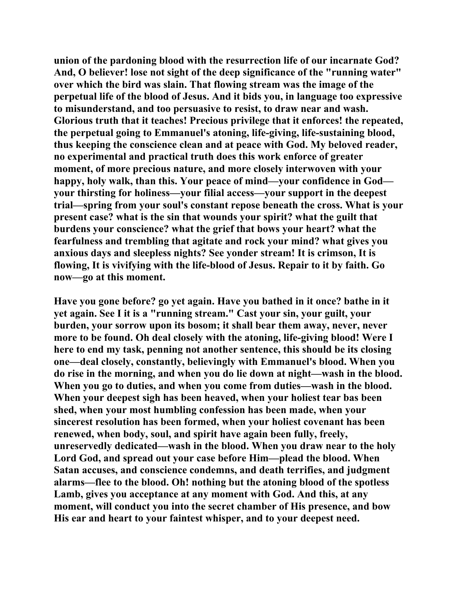**union of the pardoning blood with the resurrection life of our incarnate God? And, O believer! lose not sight of the deep significance of the "running water" over which the bird was slain. That flowing stream was the image of the perpetual life of the blood of Jesus. And it bids you, in language too expressive to misunderstand, and too persuasive to resist, to draw near and wash. Glorious truth that it teaches! Precious privilege that it enforces! the repeated, the perpetual going to Emmanuel's atoning, life-giving, life-sustaining blood, thus keeping the conscience clean and at peace with God. My beloved reader, no experimental and practical truth does this work enforce of greater moment, of more precious nature, and more closely interwoven with your happy, holy walk, than this. Your peace of mind—your confidence in God your thirsting for holiness—your filial access—your support in the deepest trial—spring from your soul's constant repose beneath the cross. What is your present case? what is the sin that wounds your spirit? what the guilt that burdens your conscience? what the grief that bows your heart? what the fearfulness and trembling that agitate and rock your mind? what gives you anxious days and sleepless nights? See yonder stream! It is crimson, It is flowing, It is vivifying with the life-blood of Jesus. Repair to it by faith. Go now—go at this moment.** 

**Have you gone before? go yet again. Have you bathed in it once? bathe in it yet again. See I it is a "running stream." Cast your sin, your guilt, your burden, your sorrow upon its bosom; it shall bear them away, never, never more to be found. Oh deal closely with the atoning, life-giving blood! Were I here to end my task, penning not another sentence, this should be its closing one—deal closely, constantly, believingly with Emmanuel's blood. When you do rise in the morning, and when you do lie down at night—wash in the blood. When you go to duties, and when you come from duties—wash in the blood. When your deepest sigh has been heaved, when your holiest tear bas been shed, when your most humbling confession has been made, when your sincerest resolution has been formed, when your holiest covenant has been renewed, when body, soul, and spirit have again been fully, freely, unreservedly dedicated—wash in the blood. When you draw near to the holy Lord God, and spread out your case before Him—plead the blood. When Satan accuses, and conscience condemns, and death terrifies, and judgment alarms—flee to the blood. Oh! nothing but the atoning blood of the spotless Lamb, gives you acceptance at any moment with God. And this, at any moment, will conduct you into the secret chamber of His presence, and bow His ear and heart to your faintest whisper, and to your deepest need.**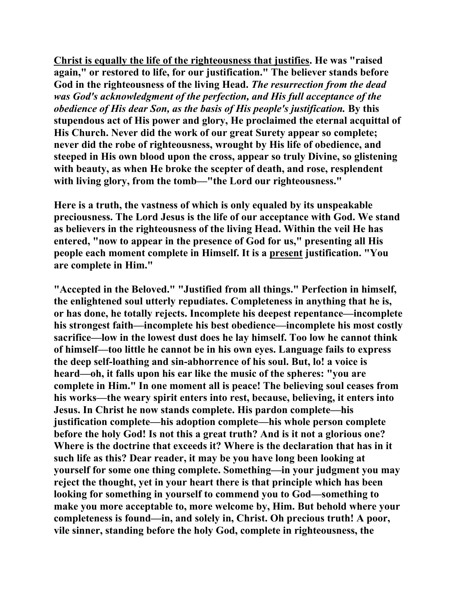**Christ is equally the life of the righteousness that justifies. He was "raised again," or restored to life, for our justification." The believer stands before God in the righteousness of the living Head.** *The resurrection from the dead was God's acknowledgment of the perfection, and His full acceptance of the obedience of His dear Son, as the basis of His people's justification.* **By this stupendous act of His power and glory, He proclaimed the eternal acquittal of His Church. Never did the work of our great Surety appear so complete; never did the robe of righteousness, wrought by His life of obedience, and steeped in His own blood upon the cross, appear so truly Divine, so glistening with beauty, as when He broke the scepter of death, and rose, resplendent with living glory, from the tomb—"the Lord our righteousness."** 

**Here is a truth, the vastness of which is only equaled by its unspeakable preciousness. The Lord Jesus is the life of our acceptance with God. We stand as believers in the righteousness of the living Head. Within the veil He has entered, "now to appear in the presence of God for us," presenting all His people each moment complete in Himself. It is a present justification. "You are complete in Him."** 

**"Accepted in the Beloved." "Justified from all things." Perfection in himself, the enlightened soul utterly repudiates. Completeness in anything that he is, or has done, he totally rejects. Incomplete his deepest repentance—incomplete his strongest faith—incomplete his best obedience—incomplete his most costly sacrifice—low in the lowest dust does he lay himself. Too low he cannot think of himself—too little he cannot be in his own eyes. Language fails to express the deep self-loathing and sin-abhorrence of his soul. But, lo! a voice is heard—oh, it falls upon his ear like the music of the spheres: "you are complete in Him." In one moment all is peace! The believing soul ceases from his works—the weary spirit enters into rest, because, believing, it enters into Jesus. In Christ he now stands complete. His pardon complete—his justification complete—his adoption complete—his whole person complete before the holy God! Is not this a great truth? And is it not a glorious one? Where is the doctrine that exceeds it? Where is the declaration that has in it such life as this? Dear reader, it may be you have long been looking at yourself for some one thing complete. Something—in your judgment you may reject the thought, yet in your heart there is that principle which has been looking for something in yourself to commend you to God—something to make you more acceptable to, more welcome by, Him. But behold where your completeness is found—in, and solely in, Christ. Oh precious truth! A poor, vile sinner, standing before the holy God, complete in righteousness, the**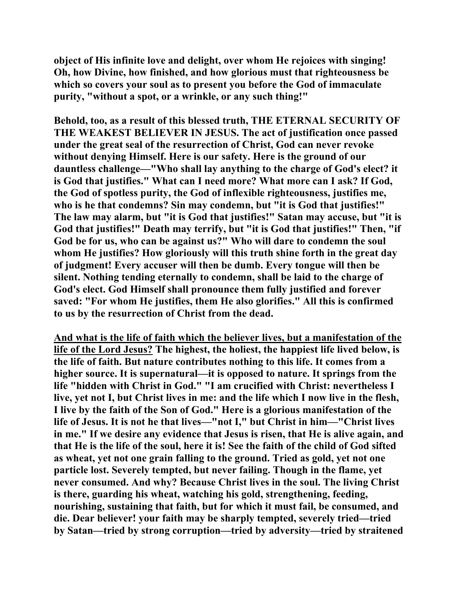**object of His infinite love and delight, over whom He rejoices with singing! Oh, how Divine, how finished, and how glorious must that righteousness be which so covers your soul as to present you before the God of immaculate purity, "without a spot, or a wrinkle, or any such thing!"** 

**Behold, too, as a result of this blessed truth, THE ETERNAL SECURITY OF THE WEAKEST BELIEVER IN JESUS. The act of justification once passed under the great seal of the resurrection of Christ, God can never revoke without denying Himself. Here is our safety. Here is the ground of our dauntless challenge—"Who shall lay anything to the charge of God's elect? it is God that justifies." What can I need more? What more can I ask? If God, the God of spotless purity, the God of inflexible righteousness, justifies me, who is he that condemns? Sin may condemn, but "it is God that justifies!" The law may alarm, but "it is God that justifies!" Satan may accuse, but "it is God that justifies!" Death may terrify, but "it is God that justifies!" Then, "if God be for us, who can be against us?" Who will dare to condemn the soul whom He justifies? How gloriously will this truth shine forth in the great day of judgment! Every accuser will then be dumb. Every tongue will then be silent. Nothing tending eternally to condemn, shall be laid to the charge of God's elect. God Himself shall pronounce them fully justified and forever saved: "For whom He justifies, them He also glorifies." All this is confirmed to us by the resurrection of Christ from the dead.** 

**And what is the life of faith which the believer lives, but a manifestation of the life of the Lord Jesus? The highest, the holiest, the happiest life lived below, is the life of faith. But nature contributes nothing to this life. It comes from a higher source. It is supernatural—it is opposed to nature. It springs from the life "hidden with Christ in God." "I am crucified with Christ: nevertheless I live, yet not I, but Christ lives in me: and the life which I now live in the flesh, I live by the faith of the Son of God." Here is a glorious manifestation of the life of Jesus. It is not he that lives—"not I," but Christ in him—"Christ lives in me." If we desire any evidence that Jesus is risen, that He is alive again, and that He is the life of the soul, here it is! See the faith of the child of God sifted as wheat, yet not one grain falling to the ground. Tried as gold, yet not one particle lost. Severely tempted, but never failing. Though in the flame, yet never consumed. And why? Because Christ lives in the soul. The living Christ is there, guarding his wheat, watching his gold, strengthening, feeding, nourishing, sustaining that faith, but for which it must fail, be consumed, and die. Dear believer! your faith may be sharply tempted, severely tried—tried by Satan—tried by strong corruption—tried by adversity—tried by straitened**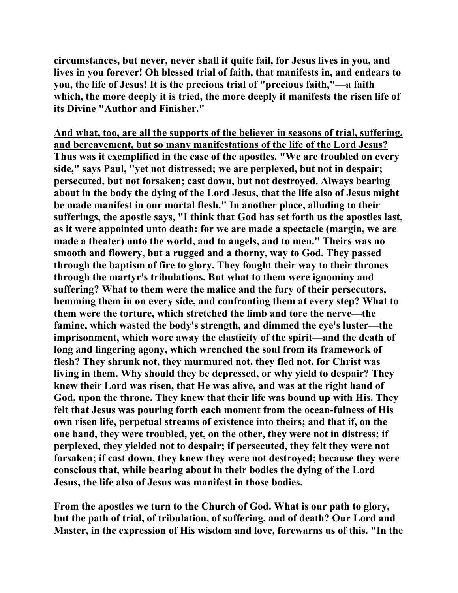**circumstances, but never, never shall it quite fail, for Jesus lives in you, and lives in you forever! Oh blessed trial of faith, that manifests in, and endears to you, the life of Jesus! It is the precious trial of "precious faith,"—a faith which, the more deeply it is tried, the more deeply it manifests the risen life of its Divine "Author and Finisher."** 

**And what, too, are all the supports of the believer in seasons of trial, suffering, and bereavement, but so many manifestations of the life of the Lord Jesus? Thus was it exemplified in the case of the apostles. "We are troubled on every side," says Paul, "yet not distressed; we are perplexed, but not in despair; persecuted, but not forsaken; cast down, but not destroyed. Always bearing about in the body the dying of the Lord Jesus, that the life also of Jesus might be made manifest in our mortal flesh." In another place, alluding to their sufferings, the apostle says, "I think that God has set forth us the apostles last, as it were appointed unto death: for we are made a spectacle (margin, we are made a theater) unto the world, and to angels, and to men." Theirs was no smooth and flowery, but a rugged and a thorny, way to God. They passed through the baptism of fire to glory. They fought their way to their thrones through the martyr's tribulations. But what to them were ignominy and suffering? What to them were the malice and the fury of their persecutors, hemming them in on every side, and confronting them at every step? What to them were the torture, which stretched the limb and tore the nerve—the famine, which wasted the body's strength, and dimmed the eye's luster—the imprisonment, which wore away the elasticity of the spirit—and the death of long and lingering agony, which wrenched the soul from its framework of flesh? They shrunk not, they murmured not, they fled not, for Christ was living in them. Why should they be depressed, or why yield to despair? They knew their Lord was risen, that He was alive, and was at the right hand of God, upon the throne. They knew that their life was bound up with His. They felt that Jesus was pouring forth each moment from the ocean-fulness of His own risen life, perpetual streams of existence into theirs; and that if, on the one hand, they were troubled, yet, on the other, they were not in distress; if perplexed, they yielded not to despair; if persecuted, they felt they were not forsaken; if cast down, they knew they were not destroyed; because they were conscious that, while bearing about in their bodies the dying of the Lord Jesus, the life also of Jesus was manifest in those bodies.** 

**From the apostles we turn to the Church of God. What is our path to glory, but the path of trial, of tribulation, of suffering, and of death? Our Lord and Master, in the expression of His wisdom and love, forewarns us of this. "In the**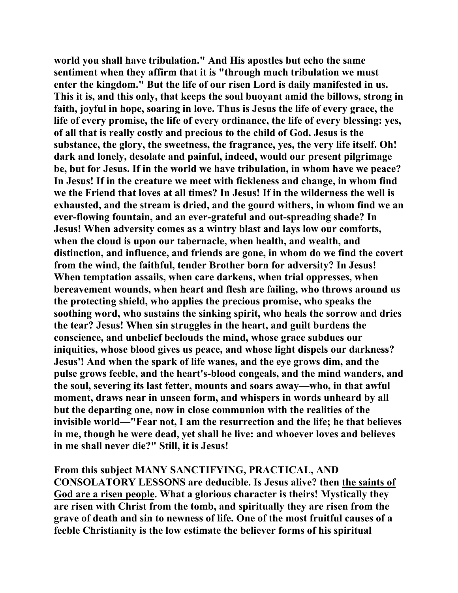**world you shall have tribulation." And His apostles but echo the same sentiment when they affirm that it is "through much tribulation we must enter the kingdom." But the life of our risen Lord is daily manifested in us. This it is, and this only, that keeps the soul buoyant amid the billows, strong in faith, joyful in hope, soaring in love. Thus is Jesus the life of every grace, the life of every promise, the life of every ordinance, the life of every blessing: yes, of all that is really costly and precious to the child of God. Jesus is the substance, the glory, the sweetness, the fragrance, yes, the very life itself. Oh! dark and lonely, desolate and painful, indeed, would our present pilgrimage be, but for Jesus. If in the world we have tribulation, in whom have we peace? In Jesus! If in the creature we meet with fickleness and change, in whom find we the Friend that loves at all times? In Jesus! If in the wilderness the well is exhausted, and the stream is dried, and the gourd withers, in whom find we an ever-flowing fountain, and an ever-grateful and out-spreading shade? In Jesus! When adversity comes as a wintry blast and lays low our comforts, when the cloud is upon our tabernacle, when health, and wealth, and distinction, and influence, and friends are gone, in whom do we find the covert from the wind, the faithful, tender Brother born for adversity? In Jesus! When temptation assails, when care darkens, when trial oppresses, when bereavement wounds, when heart and flesh are failing, who throws around us the protecting shield, who applies the precious promise, who speaks the soothing word, who sustains the sinking spirit, who heals the sorrow and dries the tear? Jesus! When sin struggles in the heart, and guilt burdens the conscience, and unbelief beclouds the mind, whose grace subdues our iniquities, whose blood gives us peace, and whose light dispels our darkness? Jesus'! And when the spark of life wanes, and the eye grows dim, and the pulse grows feeble, and the heart's-blood congeals, and the mind wanders, and the soul, severing its last fetter, mounts and soars away—who, in that awful moment, draws near in unseen form, and whispers in words unheard by all but the departing one, now in close communion with the realities of the invisible world—"Fear not, I am the resurrection and the life; he that believes in me, though he were dead, yet shall he live: and whoever loves and believes in me shall never die?" Still, it is Jesus!** 

**From this subject MANY SANCTIFYING, PRACTICAL, AND CONSOLATORY LESSONS are deducible. Is Jesus alive? then the saints of God are a risen people. What a glorious character is theirs! Mystically they are risen with Christ from the tomb, and spiritually they are risen from the grave of death and sin to newness of life. One of the most fruitful causes of a feeble Christianity is the low estimate the believer forms of his spiritual**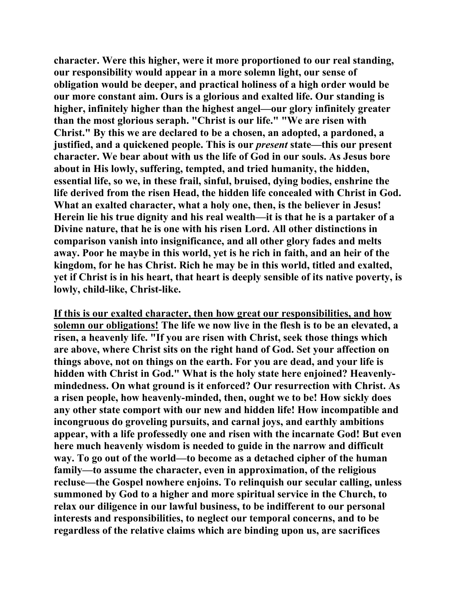**character. Were this higher, were it more proportioned to our real standing, our responsibility would appear in a more solemn light, our sense of obligation would be deeper, and practical holiness of a high order would be our more constant aim. Ours is a glorious and exalted life. Our standing is higher, infinitely higher than the highest angel—our glory infinitely greater than the most glorious seraph. "Christ is our life." "We are risen with Christ." By this we are declared to be a chosen, an adopted, a pardoned, a justified, and a quickened people. This is our** *present* **state—this our present character. We bear about with us the life of God in our souls. As Jesus bore about in His lowly, suffering, tempted, and tried humanity, the hidden, essential life, so we, in these frail, sinful, bruised, dying bodies, enshrine the life derived from the risen Head, the hidden life concealed with Christ in God. What an exalted character, what a holy one, then, is the believer in Jesus! Herein lie his true dignity and his real wealth—it is that he is a partaker of a Divine nature, that he is one with his risen Lord. All other distinctions in comparison vanish into insignificance, and all other glory fades and melts away. Poor he maybe in this world, yet is he rich in faith, and an heir of the kingdom, for he has Christ. Rich he may be in this world, titled and exalted, yet if Christ is in his heart, that heart is deeply sensible of its native poverty, is lowly, child-like, Christ-like.** 

**If this is our exalted character, then how great our responsibilities, and how solemn our obligations! The life we now live in the flesh is to be an elevated, a risen, a heavenly life. "If you are risen with Christ, seek those things which are above, where Christ sits on the right hand of God. Set your affection on things above, not on things on the earth. For you are dead, and your life is hidden with Christ in God." What is the holy state here enjoined? Heavenlymindedness. On what ground is it enforced? Our resurrection with Christ. As a risen people, how heavenly-minded, then, ought we to be! How sickly does any other state comport with our new and hidden life! How incompatible and incongruous do groveling pursuits, and carnal joys, and earthly ambitions appear, with a life professedly one and risen with the incarnate God! But even here much heavenly wisdom is needed to guide in the narrow and difficult way. To go out of the world—to become as a detached cipher of the human family—to assume the character, even in approximation, of the religious recluse—the Gospel nowhere enjoins. To relinquish our secular calling, unless summoned by God to a higher and more spiritual service in the Church, to relax our diligence in our lawful business, to be indifferent to our personal interests and responsibilities, to neglect our temporal concerns, and to be regardless of the relative claims which are binding upon us, are sacrifices**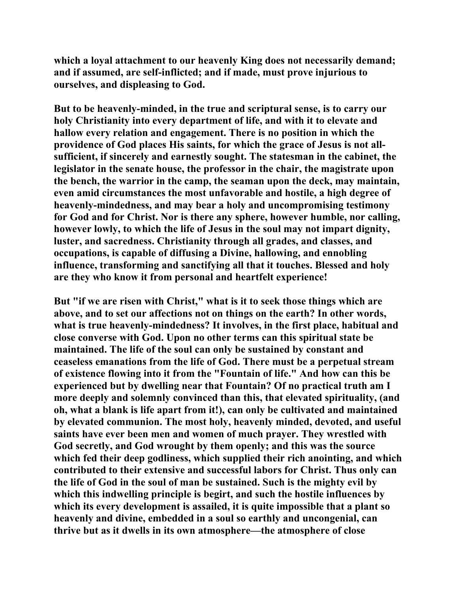**which a loyal attachment to our heavenly King does not necessarily demand; and if assumed, are self-inflicted; and if made, must prove injurious to ourselves, and displeasing to God.** 

**But to be heavenly-minded, in the true and scriptural sense, is to carry our holy Christianity into every department of life, and with it to elevate and hallow every relation and engagement. There is no position in which the providence of God places His saints, for which the grace of Jesus is not allsufficient, if sincerely and earnestly sought. The statesman in the cabinet, the legislator in the senate house, the professor in the chair, the magistrate upon the bench, the warrior in the camp, the seaman upon the deck, may maintain, even amid circumstances the most unfavorable and hostile, a high degree of heavenly-mindedness, and may bear a holy and uncompromising testimony for God and for Christ. Nor is there any sphere, however humble, nor calling, however lowly, to which the life of Jesus in the soul may not impart dignity, luster, and sacredness. Christianity through all grades, and classes, and occupations, is capable of diffusing a Divine, hallowing, and ennobling influence, transforming and sanctifying all that it touches. Blessed and holy are they who know it from personal and heartfelt experience!** 

**But "if we are risen with Christ," what is it to seek those things which are above, and to set our affections not on things on the earth? In other words, what is true heavenly-mindedness? It involves, in the first place, habitual and close converse with God. Upon no other terms can this spiritual state be maintained. The life of the soul can only be sustained by constant and ceaseless emanations from the life of God. There must be a perpetual stream of existence flowing into it from the "Fountain of life." And how can this be experienced but by dwelling near that Fountain? Of no practical truth am I more deeply and solemnly convinced than this, that elevated spirituality, (and oh, what a blank is life apart from it!), can only be cultivated and maintained by elevated communion. The most holy, heavenly minded, devoted, and useful saints have ever been men and women of much prayer. They wrestled with God secretly, and God wrought by them openly; and this was the source which fed their deep godliness, which supplied their rich anointing, and which contributed to their extensive and successful labors for Christ. Thus only can the life of God in the soul of man be sustained. Such is the mighty evil by which this indwelling principle is begirt, and such the hostile influences by which its every development is assailed, it is quite impossible that a plant so heavenly and divine, embedded in a soul so earthly and uncongenial, can thrive but as it dwells in its own atmosphere—the atmosphere of close**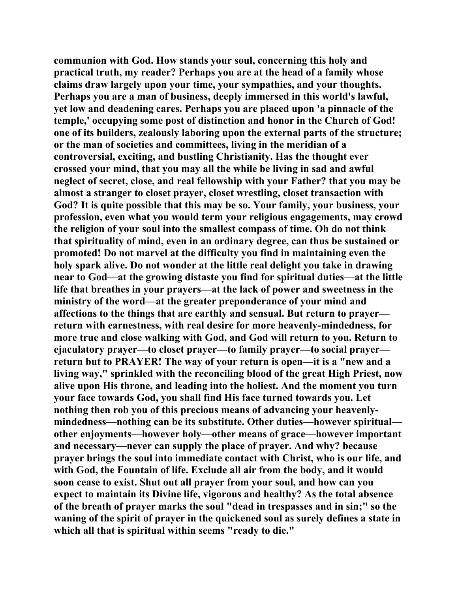**communion with God. How stands your soul, concerning this holy and practical truth, my reader? Perhaps you are at the head of a family whose claims draw largely upon your time, your sympathies, and your thoughts. Perhaps you are a man of business, deeply immersed in this world's lawful, yet low and deadening cares. Perhaps you are placed upon 'a pinnacle of the temple,' occupying some post of distinction and honor in the Church of God! one of its builders, zealously laboring upon the external parts of the structure; or the man of societies and committees, living in the meridian of a controversial, exciting, and bustling Christianity. Has the thought ever crossed your mind, that you may all the while be living in sad and awful neglect of secret, close, and real fellowship with your Father? that you may be almost a stranger to closet prayer, closet wrestling, closet transaction with God? It is quite possible that this may be so. Your family, your business, your profession, even what you would term your religious engagements, may crowd the religion of your soul into the smallest compass of time. Oh do not think that spirituality of mind, even in an ordinary degree, can thus be sustained or promoted! Do not marvel at the difficulty you find in maintaining even the holy spark alive. Do not wonder at the little real delight you take in drawing near to God—at the growing distaste you find for spiritual duties—at the little life that breathes in your prayers—at the lack of power and sweetness in the ministry of the word—at the greater preponderance of your mind and affections to the things that are earthly and sensual. But return to prayer return with earnestness, with real desire for more heavenly-mindedness, for more true and close walking with God, and God will return to you. Return to ejaculatory prayer—to closet prayer—to family prayer—to social prayer return but to PRAYER! The way of your return is open—it is a "new and a living way," sprinkled with the reconciling blood of the great High Priest, now alive upon His throne, and leading into the holiest. And the moment you turn your face towards God, you shall find His face turned towards you. Let nothing then rob you of this precious means of advancing your heavenlymindedness—nothing can be its substitute. Other duties—however spiritual other enjoyments—however holy—other means of grace—however important and necessary—never can supply the place of prayer. And why? because prayer brings the soul into immediate contact with Christ, who is our life, and with God, the Fountain of life. Exclude all air from the body, and it would soon cease to exist. Shut out all prayer from your soul, and how can you expect to maintain its Divine life, vigorous and healthy? As the total absence of the breath of prayer marks the soul "dead in trespasses and in sin;" so the waning of the spirit of prayer in the quickened soul as surely defines a state in which all that is spiritual within seems "ready to die."**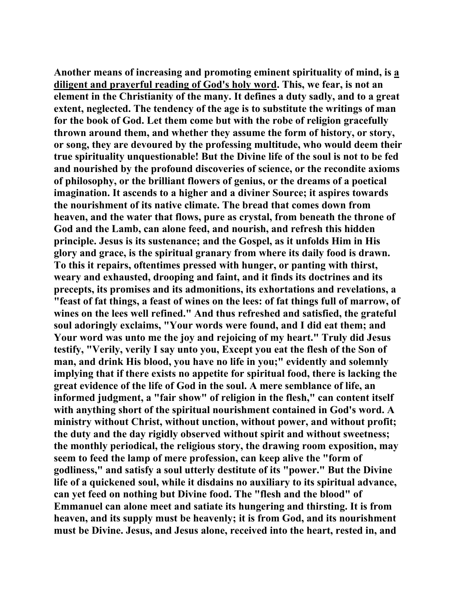**Another means of increasing and promoting eminent spirituality of mind, is a diligent and prayerful reading of God's holy word. This, we fear, is not an element in the Christianity of the many. It defines a duty sadly, and to a great extent, neglected. The tendency of the age is to substitute the writings of man for the book of God. Let them come but with the robe of religion gracefully thrown around them, and whether they assume the form of history, or story, or song, they are devoured by the professing multitude, who would deem their true spirituality unquestionable! But the Divine life of the soul is not to be fed and nourished by the profound discoveries of science, or the recondite axioms of philosophy, or the brilliant flowers of genius, or the dreams of a poetical imagination. It ascends to a higher and a diviner Source; it aspires towards the nourishment of its native climate. The bread that comes down from heaven, and the water that flows, pure as crystal, from beneath the throne of God and the Lamb, can alone feed, and nourish, and refresh this hidden principle. Jesus is its sustenance; and the Gospel, as it unfolds Him in His glory and grace, is the spiritual granary from where its daily food is drawn. To this it repairs, oftentimes pressed with hunger, or panting with thirst, weary and exhausted, drooping and faint, and it finds its doctrines and its precepts, its promises and its admonitions, its exhortations and revelations, a "feast of fat things, a feast of wines on the lees: of fat things full of marrow, of wines on the lees well refined." And thus refreshed and satisfied, the grateful soul adoringly exclaims, "Your words were found, and I did eat them; and Your word was unto me the joy and rejoicing of my heart." Truly did Jesus testify, "Verily, verily I say unto you, Except you eat the flesh of the Son of man, and drink His blood, you have no life in you;" evidently and solemnly implying that if there exists no appetite for spiritual food, there is lacking the great evidence of the life of God in the soul. A mere semblance of life, an informed judgment, a "fair show" of religion in the flesh," can content itself with anything short of the spiritual nourishment contained in God's word. A ministry without Christ, without unction, without power, and without profit; the duty and the day rigidly observed without spirit and without sweetness; the monthly periodical, the religious story, the drawing room exposition, may seem to feed the lamp of mere profession, can keep alive the "form of godliness," and satisfy a soul utterly destitute of its "power." But the Divine life of a quickened soul, while it disdains no auxiliary to its spiritual advance, can yet feed on nothing but Divine food. The "flesh and the blood" of Emmanuel can alone meet and satiate its hungering and thirsting. It is from heaven, and its supply must be heavenly; it is from God, and its nourishment must be Divine. Jesus, and Jesus alone, received into the heart, rested in, and**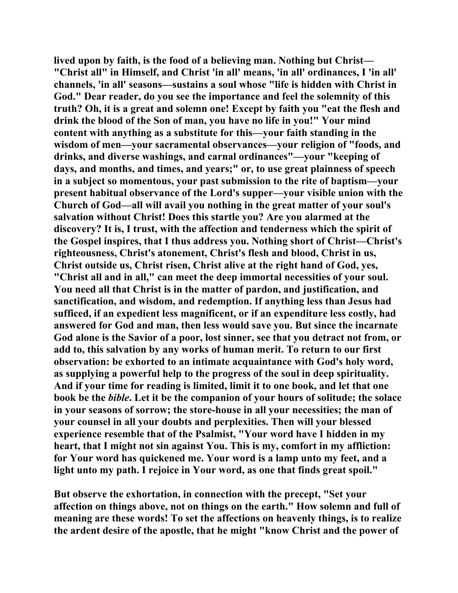**lived upon by faith, is the food of a believing man. Nothing but Christ— "Christ all" in Himself, and Christ 'in all' means, 'in all' ordinances, I 'in all' channels, 'in all' seasons—sustains a soul whose "life is hidden with Christ in God." Dear reader, do you see the importance and feel the solemnity of this truth? Oh, it is a great and solemn one! Except by faith you "eat the flesh and drink the blood of the Son of man, you have no life in you!" Your mind content with anything as a substitute for this—your faith standing in the wisdom of men—your sacramental observances—your religion of "foods, and drinks, and diverse washings, and carnal ordinances"—your "keeping of days, and months, and times, and years;" or, to use great plainness of speech in a subject so momentous, your past submission to the rite of baptism—your present habitual observance of the Lord's supper—your visible union with the Church of God—all will avail you nothing in the great matter of your soul's salvation without Christ! Does this startle you? Are you alarmed at the discovery? It is, I trust, with the affection and tenderness which the spirit of the Gospel inspires, that I thus address you. Nothing short of Christ—Christ's righteousness, Christ's atonement, Christ's flesh and blood, Christ in us, Christ outside us, Christ risen, Christ alive at the right hand of God, yes, "Christ all and in all," can meet the deep immortal necessities of your soul. You need all that Christ is in the matter of pardon, and justification, and sanctification, and wisdom, and redemption. If anything less than Jesus had sufficed, if an expedient less magnificent, or if an expenditure less costly, had answered for God and man, then less would save you. But since the incarnate God alone is the Savior of a poor, lost sinner, see that you detract not from, or add to, this salvation by any works of human merit. To return to our first observation: be exhorted to an intimate acquaintance with God's holy word, as supplying a powerful help to the progress of the soul in deep spirituality. And if your time for reading is limited, limit it to one book, and let that one book be the** *bible***. Let it be the companion of your hours of solitude; the solace in your seasons of sorrow; the store-house in all your necessities; the man of your counsel in all your doubts and perplexities. Then will your blessed experience resemble that of the Psalmist, "Your word have I hidden in my heart, that I might not sin against You. This is my, comfort in my affliction: for Your word has quickened me. Your word is a lamp unto my feet, and a light unto my path. I rejoice in Your word, as one that finds great spoil."** 

**But observe the exhortation, in connection with the precept, "Set your affection on things above, not on things on the earth." How solemn and full of meaning are these words! To set the affections on heavenly things, is to realize the ardent desire of the apostle, that he might "know Christ and the power of**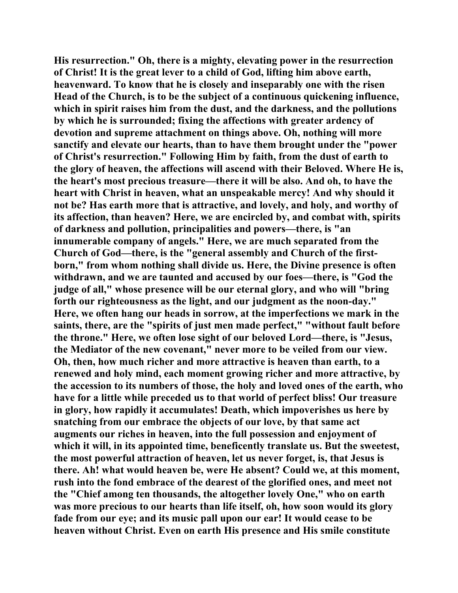**His resurrection." Oh, there is a mighty, elevating power in the resurrection of Christ! It is the great lever to a child of God, lifting him above earth, heavenward. To know that he is closely and inseparably one with the risen Head of the Church, is to be the subject of a continuous quickening influence, which in spirit raises him from the dust, and the darkness, and the pollutions by which he is surrounded; fixing the affections with greater ardency of devotion and supreme attachment on things above. Oh, nothing will more sanctify and elevate our hearts, than to have them brought under the "power of Christ's resurrection." Following Him by faith, from the dust of earth to the glory of heaven, the affections will ascend with their Beloved. Where He is, the heart's most precious treasure—there it will be also. And oh, to have the heart with Christ in heaven, what an unspeakable mercy! And why should it not be? Has earth more that is attractive, and lovely, and holy, and worthy of its affection, than heaven? Here, we are encircled by, and combat with, spirits of darkness and pollution, principalities and powers—there, is "an innumerable company of angels." Here, we are much separated from the Church of God—there, is the "general assembly and Church of the firstborn," from whom nothing shall divide us. Here, the Divine presence is often withdrawn, and we are taunted and accused by our foes—there, is "God the judge of all," whose presence will be our eternal glory, and who will "bring forth our righteousness as the light, and our judgment as the noon-day." Here, we often hang our heads in sorrow, at the imperfections we mark in the saints, there, are the "spirits of just men made perfect," "without fault before the throne." Here, we often lose sight of our beloved Lord—there, is "Jesus, the Mediator of the new covenant," never more to be veiled from our view. Oh, then, how much richer and more attractive is heaven than earth, to a renewed and holy mind, each moment growing richer and more attractive, by the accession to its numbers of those, the holy and loved ones of the earth, who have for a little while preceded us to that world of perfect bliss! Our treasure in glory, how rapidly it accumulates! Death, which impoverishes us here by snatching from our embrace the objects of our love, by that same act augments our riches in heaven, into the full possession and enjoyment of which it will, in its appointed time, beneficently translate us. But the sweetest, the most powerful attraction of heaven, let us never forget, is, that Jesus is there. Ah! what would heaven be, were He absent? Could we, at this moment, rush into the fond embrace of the dearest of the glorified ones, and meet not the "Chief among ten thousands, the altogether lovely One," who on earth was more precious to our hearts than life itself, oh, how soon would its glory fade from our eye; and its music pall upon our ear! It would cease to be heaven without Christ. Even on earth His presence and His smile constitute**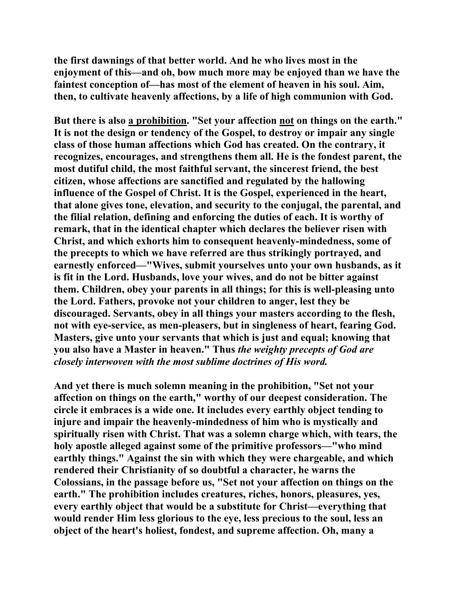**the first dawnings of that better world. And he who lives most in the enjoyment of this—and oh, bow much more may be enjoyed than we have the faintest conception of—has most of the element of heaven in his soul. Aim, then, to cultivate heavenly affections, by a life of high communion with God.** 

**But there is also a prohibition. "Set your affection not on things on the earth." It is not the design or tendency of the Gospel, to destroy or impair any single class of those human affections which God has created. On the contrary, it recognizes, encourages, and strengthens them all. He is the fondest parent, the most dutiful child, the most faithful servant, the sincerest friend, the best citizen, whose affections are sanctified and regulated by the hallowing influence of the Gospel of Christ. It is the Gospel, experienced in the heart, that alone gives tone, elevation, and security to the conjugal, the parental, and the filial relation, defining and enforcing the duties of each. It is worthy of remark, that in the identical chapter which declares the believer risen with Christ, and which exhorts him to consequent heavenly-mindedness, some of the precepts to which we have referred are thus strikingly portrayed, and earnestly enforced—"Wives, submit yourselves unto your own husbands, as it is fit in the Lord. Husbands, love your wives, and do not be bitter against them. Children, obey your parents in all things; for this is well-pleasing unto the Lord. Fathers, provoke not your children to anger, lest they be discouraged. Servants, obey in all things your masters according to the flesh, not with eye-service, as men-pleasers, but in singleness of heart, fearing God. Masters, give unto your servants that which is just and equal; knowing that you also have a Master in heaven." Thus** *the weighty precepts of God are closely interwoven with the most sublime doctrines of His word.*

**And yet there is much solemn meaning in the prohibition, "Set not your affection on things on the earth," worthy of our deepest consideration. The circle it embraces is a wide one. It includes every earthly object tending to injure and impair the heavenly-mindedness of him who is mystically and spiritually risen with Christ. That was a solemn charge which, with tears, the holy apostle alleged against some of the primitive professors—"who mind earthly things." Against the sin with which they were chargeable, and which rendered their Christianity of so doubtful a character, he warns the Colossians, in the passage before us, "Set not your affection on things on the earth." The prohibition includes creatures, riches, honors, pleasures, yes, every earthly object that would be a substitute for Christ—everything that would render Him less glorious to the eye, less precious to the soul, less an object of the heart's holiest, fondest, and supreme affection. Oh, many a**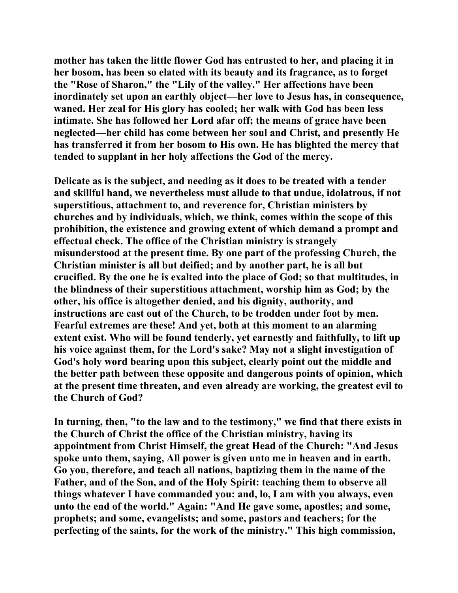**mother has taken the little flower God has entrusted to her, and placing it in her bosom, has been so elated with its beauty and its fragrance, as to forget the "Rose of Sharon," the "Lily of the valley." Her affections have been inordinately set upon an earthly object—her love to Jesus has, in consequence, waned. Her zeal for His glory has cooled; her walk with God has been less intimate. She has followed her Lord afar off; the means of grace have been neglected—her child has come between her soul and Christ, and presently He has transferred it from her bosom to His own. He has blighted the mercy that tended to supplant in her holy affections the God of the mercy.** 

**Delicate as is the subject, and needing as it does to be treated with a tender and skillful hand, we nevertheless must allude to that undue, idolatrous, if not superstitious, attachment to, and reverence for, Christian ministers by churches and by individuals, which, we think, comes within the scope of this prohibition, the existence and growing extent of which demand a prompt and effectual check. The office of the Christian ministry is strangely misunderstood at the present time. By one part of the professing Church, the Christian minister is all but deified; and by another part, he is all but crucified. By the one he is exalted into the place of God; so that multitudes, in the blindness of their superstitious attachment, worship him as God; by the other, his office is altogether denied, and his dignity, authority, and instructions are cast out of the Church, to be trodden under foot by men. Fearful extremes are these! And yet, both at this moment to an alarming extent exist. Who will be found tenderly, yet earnestly and faithfully, to lift up his voice against them, for the Lord's sake? May not a slight investigation of God's holy word bearing upon this subject, clearly point out the middle and the better path between these opposite and dangerous points of opinion, which at the present time threaten, and even already are working, the greatest evil to the Church of God?** 

**In turning, then, "to the law and to the testimony," we find that there exists in the Church of Christ the office of the Christian ministry, having its appointment from Christ Himself, the great Head of the Church: "And Jesus spoke unto them, saying, All power is given unto me in heaven and in earth. Go you, therefore, and teach all nations, baptizing them in the name of the Father, and of the Son, and of the Holy Spirit: teaching them to observe all things whatever I have commanded you: and, lo, I am with you always, even unto the end of the world." Again: "And He gave some, apostles; and some, prophets; and some, evangelists; and some, pastors and teachers; for the perfecting of the saints, for the work of the ministry." This high commission,**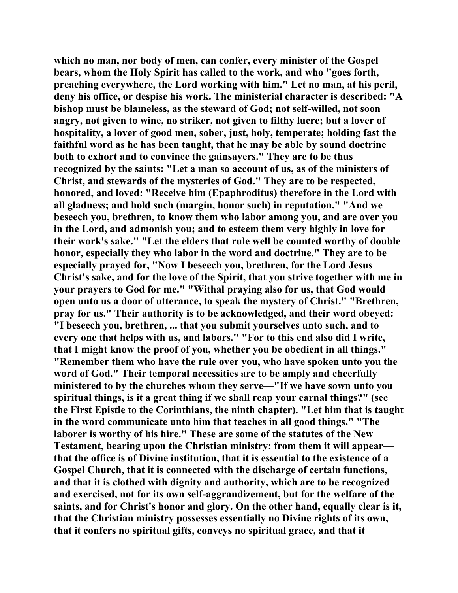**which no man, nor body of men, can confer, every minister of the Gospel bears, whom the Holy Spirit has called to the work, and who "goes forth, preaching everywhere, the Lord working with him." Let no man, at his peril, deny his office, or despise his work. The ministerial character is described: "A bishop must be blameless, as the steward of God; not self-willed, not soon angry, not given to wine, no striker, not given to filthy lucre; but a lover of hospitality, a lover of good men, sober, just, holy, temperate; holding fast the faithful word as he has been taught, that he may be able by sound doctrine both to exhort and to convince the gainsayers." They are to be thus recognized by the saints: "Let a man so account of us, as of the ministers of Christ, and stewards of the mysteries of God." They are to be respected, honored, and loved: "Receive him (Epaphroditus) therefore in the Lord with all gladness; and hold such (margin, honor such) in reputation." "And we beseech you, brethren, to know them who labor among you, and are over you in the Lord, and admonish you; and to esteem them very highly in love for their work's sake." "Let the elders that rule well be counted worthy of double honor, especially they who labor in the word and doctrine." They are to be especially prayed for, "Now I beseech you, brethren, for the Lord Jesus Christ's sake, and for the love of the Spirit, that you strive together with me in your prayers to God for me." "Withal praying also for us, that God would open unto us a door of utterance, to speak the mystery of Christ." "Brethren, pray for us." Their authority is to be acknowledged, and their word obeyed: "I beseech you, brethren, ... that you submit yourselves unto such, and to every one that helps with us, and labors." "For to this end also did I write, that I might know the proof of you, whether you be obedient in all things." "Remember them who have the rule over you, who have spoken unto you the word of God." Their temporal necessities are to be amply and cheerfully ministered to by the churches whom they serve—"If we have sown unto you spiritual things, is it a great thing if we shall reap your carnal things?" (see the First Epistle to the Corinthians, the ninth chapter). "Let him that is taught in the word communicate unto him that teaches in all good things." "The laborer is worthy of his hire." These are some of the statutes of the New Testament, bearing upon the Christian ministry: from them it will appear that the office is of Divine institution, that it is essential to the existence of a Gospel Church, that it is connected with the discharge of certain functions, and that it is clothed with dignity and authority, which are to be recognized and exercised, not for its own self-aggrandizement, but for the welfare of the saints, and for Christ's honor and glory. On the other hand, equally clear is it, that the Christian ministry possesses essentially no Divine rights of its own, that it confers no spiritual gifts, conveys no spiritual grace, and that it**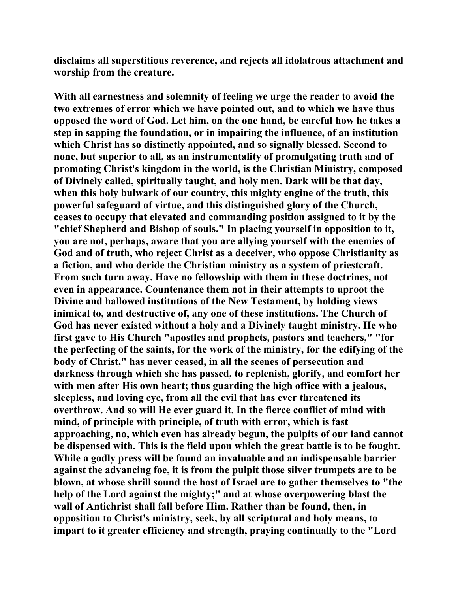**disclaims all superstitious reverence, and rejects all idolatrous attachment and worship from the creature.** 

**With all earnestness and solemnity of feeling we urge the reader to avoid the two extremes of error which we have pointed out, and to which we have thus opposed the word of God. Let him, on the one hand, be careful how he takes a step in sapping the foundation, or in impairing the influence, of an institution which Christ has so distinctly appointed, and so signally blessed. Second to none, but superior to all, as an instrumentality of promulgating truth and of promoting Christ's kingdom in the world, is the Christian Ministry, composed of Divinely called, spiritually taught, and holy men. Dark will be that day, when this holy bulwark of our country, this mighty engine of the truth, this powerful safeguard of virtue, and this distinguished glory of the Church, ceases to occupy that elevated and commanding position assigned to it by the "chief Shepherd and Bishop of souls." In placing yourself in opposition to it, you are not, perhaps, aware that you are allying yourself with the enemies of God and of truth, who reject Christ as a deceiver, who oppose Christianity as a fiction, and who deride the Christian ministry as a system of priestcraft. From such turn away. Have no fellowship with them in these doctrines, not even in appearance. Countenance them not in their attempts to uproot the Divine and hallowed institutions of the New Testament, by holding views inimical to, and destructive of, any one of these institutions. The Church of God has never existed without a holy and a Divinely taught ministry. He who first gave to His Church "apostles and prophets, pastors and teachers," "for the perfecting of the saints, for the work of the ministry, for the edifying of the body of Christ," has never ceased, in all the scenes of persecution and darkness through which she has passed, to replenish, glorify, and comfort her with men after His own heart; thus guarding the high office with a jealous, sleepless, and loving eye, from all the evil that has ever threatened its overthrow. And so will He ever guard it. In the fierce conflict of mind with mind, of principle with principle, of truth with error, which is fast approaching, no, which even has already begun, the pulpits of our land cannot be dispensed with. This is the field upon which the great battle is to be fought. While a godly press will be found an invaluable and an indispensable barrier against the advancing foe, it is from the pulpit those silver trumpets are to be blown, at whose shrill sound the host of Israel are to gather themselves to "the help of the Lord against the mighty;" and at whose overpowering blast the wall of Antichrist shall fall before Him. Rather than be found, then, in opposition to Christ's ministry, seek, by all scriptural and holy means, to impart to it greater efficiency and strength, praying continually to the "Lord**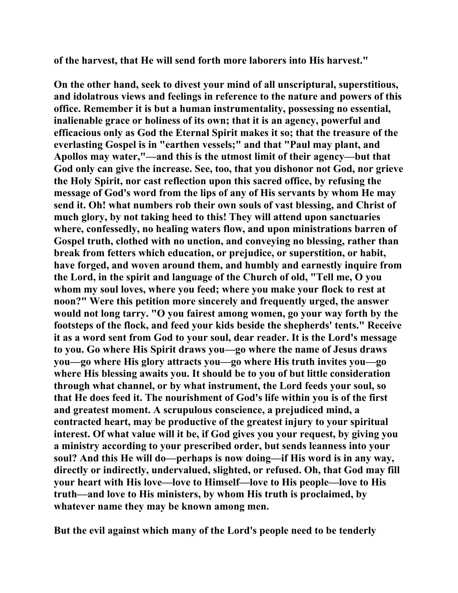**of the harvest, that He will send forth more laborers into His harvest."** 

**On the other hand, seek to divest your mind of all unscriptural, superstitious, and idolatrous views and feelings in reference to the nature and powers of this office. Remember it is but a human instrumentality, possessing no essential, inalienable grace or holiness of its own; that it is an agency, powerful and efficacious only as God the Eternal Spirit makes it so; that the treasure of the everlasting Gospel is in "earthen vessels;" and that "Paul may plant, and Apollos may water,"—and this is the utmost limit of their agency—but that God only can give the increase. See, too, that you dishonor not God, nor grieve the Holy Spirit, nor cast reflection upon this sacred office, by refusing the message of God's word from the lips of any of His servants by whom He may send it. Oh! what numbers rob their own souls of vast blessing, and Christ of much glory, by not taking heed to this! They will attend upon sanctuaries where, confessedly, no healing waters flow, and upon ministrations barren of Gospel truth, clothed with no unction, and conveying no blessing, rather than break from fetters which education, or prejudice, or superstition, or habit, have forged, and woven around them, and humbly and earnestly inquire from the Lord, in the spirit and language of the Church of old, "Tell me, O you whom my soul loves, where you feed; where you make your flock to rest at noon?" Were this petition more sincerely and frequently urged, the answer would not long tarry. "O you fairest among women, go your way forth by the footsteps of the flock, and feed your kids beside the shepherds' tents." Receive it as a word sent from God to your soul, dear reader. It is the Lord's message to you. Go where His Spirit draws you—go where the name of Jesus draws you—go where His glory attracts you—go where His truth invites you—go where His blessing awaits you. It should be to you of but little consideration through what channel, or by what instrument, the Lord feeds your soul, so that He does feed it. The nourishment of God's life within you is of the first and greatest moment. A scrupulous conscience, a prejudiced mind, a contracted heart, may be productive of the greatest injury to your spiritual interest. Of what value will it be, if God gives you your request, by giving you a ministry according to your prescribed order, but sends leanness into your soul? And this He will do—perhaps is now doing—if His word is in any way, directly or indirectly, undervalued, slighted, or refused. Oh, that God may fill your heart with His love—love to Himself—love to His people—love to His truth—and love to His ministers, by whom His truth is proclaimed, by whatever name they may be known among men.** 

**But the evil against which many of the Lord's people need to be tenderly**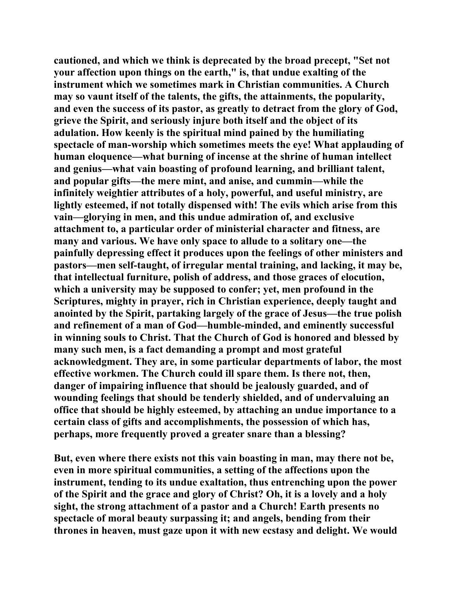**cautioned, and which we think is deprecated by the broad precept, "Set not your affection upon things on the earth," is, that undue exalting of the instrument which we sometimes mark in Christian communities. A Church may so vaunt itself of the talents, the gifts, the attainments, the popularity, and even the success of its pastor, as greatly to detract from the glory of God, grieve the Spirit, and seriously injure both itself and the object of its adulation. How keenly is the spiritual mind pained by the humiliating spectacle of man-worship which sometimes meets the eye! What applauding of human eloquence—what burning of incense at the shrine of human intellect and genius—what vain boasting of profound learning, and brilliant talent, and popular gifts—the mere mint, and anise, and cummin—while the infinitely weightier attributes of a holy, powerful, and useful ministry, are lightly esteemed, if not totally dispensed with! The evils which arise from this vain—glorying in men, and this undue admiration of, and exclusive attachment to, a particular order of ministerial character and fitness, are many and various. We have only space to allude to a solitary one—the painfully depressing effect it produces upon the feelings of other ministers and pastors—men self-taught, of irregular mental training, and lacking, it may be, that intellectual furniture, polish of address, and those graces of elocution, which a university may be supposed to confer; yet, men profound in the Scriptures, mighty in prayer, rich in Christian experience, deeply taught and anointed by the Spirit, partaking largely of the grace of Jesus—the true polish and refinement of a man of God—humble-minded, and eminently successful in winning souls to Christ. That the Church of God is honored and blessed by many such men, is a fact demanding a prompt and most grateful acknowledgment. They are, in some particular departments of labor, the most effective workmen. The Church could ill spare them. Is there not, then, danger of impairing influence that should be jealously guarded, and of wounding feelings that should be tenderly shielded, and of undervaluing an office that should be highly esteemed, by attaching an undue importance to a certain class of gifts and accomplishments, the possession of which has, perhaps, more frequently proved a greater snare than a blessing?** 

**But, even where there exists not this vain boasting in man, may there not be, even in more spiritual communities, a setting of the affections upon the instrument, tending to its undue exaltation, thus entrenching upon the power of the Spirit and the grace and glory of Christ? Oh, it is a lovely and a holy sight, the strong attachment of a pastor and a Church! Earth presents no spectacle of moral beauty surpassing it; and angels, bending from their thrones in heaven, must gaze upon it with new ecstasy and delight. We would**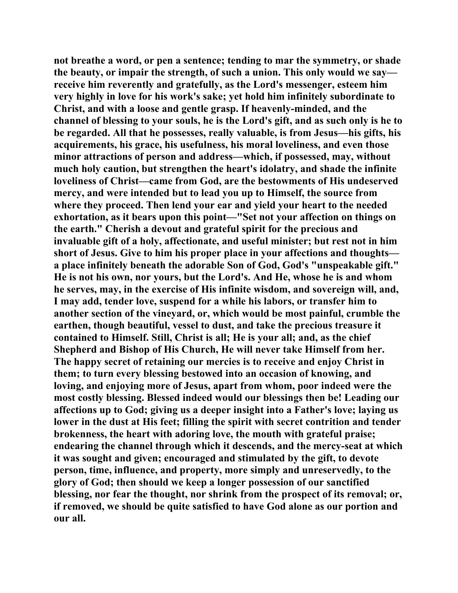**not breathe a word, or pen a sentence; tending to mar the symmetry, or shade the beauty, or impair the strength, of such a union. This only would we say receive him reverently and gratefully, as the Lord's messenger, esteem him very highly in love for his work's sake; yet hold him infinitely subordinate to Christ, and with a loose and gentle grasp. If heavenly-minded, and the channel of blessing to your souls, he is the Lord's gift, and as such only is he to be regarded. All that he possesses, really valuable, is from Jesus—his gifts, his acquirements, his grace, his usefulness, his moral loveliness, and even those minor attractions of person and address—which, if possessed, may, without much holy caution, but strengthen the heart's idolatry, and shade the infinite loveliness of Christ—came from God, are the bestowments of His undeserved mercy, and were intended but to lead you up to Himself, the source from where they proceed. Then lend your ear and yield your heart to the needed exhortation, as it bears upon this point—"Set not your affection on things on the earth." Cherish a devout and grateful spirit for the precious and invaluable gift of a holy, affectionate, and useful minister; but rest not in him short of Jesus. Give to him his proper place in your affections and thoughts a place infinitely beneath the adorable Son of God, God's "unspeakable gift." He is not his own, nor yours, but the Lord's. And He, whose he is and whom he serves, may, in the exercise of His infinite wisdom, and sovereign will, and, I may add, tender love, suspend for a while his labors, or transfer him to another section of the vineyard, or, which would be most painful, crumble the earthen, though beautiful, vessel to dust, and take the precious treasure it contained to Himself. Still, Christ is all; He is your all; and, as the chief Shepherd and Bishop of His Church, He will never take Himself from her. The happy secret of retaining our mercies is to receive and enjoy Christ in them; to turn every blessing bestowed into an occasion of knowing, and loving, and enjoying more of Jesus, apart from whom, poor indeed were the most costly blessing. Blessed indeed would our blessings then be! Leading our affections up to God; giving us a deeper insight into a Father's love; laying us lower in the dust at His feet; filling the spirit with secret contrition and tender brokenness, the heart with adoring love, the mouth with grateful praise; endearing the channel through which it descends, and the mercy-seat at which it was sought and given; encouraged and stimulated by the gift, to devote person, time, influence, and property, more simply and unreservedly, to the glory of God; then should we keep a longer possession of our sanctified blessing, nor fear the thought, nor shrink from the prospect of its removal; or, if removed, we should be quite satisfied to have God alone as our portion and our all.**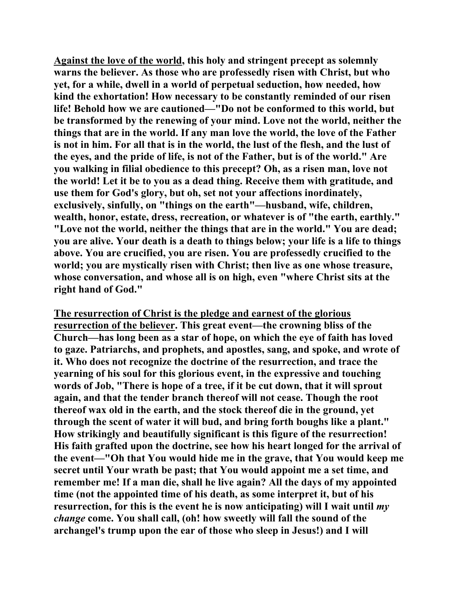**Against the love of the world, this holy and stringent precept as solemnly warns the believer. As those who are professedly risen with Christ, but who yet, for a while, dwell in a world of perpetual seduction, how needed, how kind the exhortation! How necessary to be constantly reminded of our risen life! Behold how we are cautioned—"Do not be conformed to this world, but be transformed by the renewing of your mind. Love not the world, neither the things that are in the world. If any man love the world, the love of the Father is not in him. For all that is in the world, the lust of the flesh, and the lust of the eyes, and the pride of life, is not of the Father, but is of the world." Are you walking in filial obedience to this precept? Oh, as a risen man, love not the world! Let it be to you as a dead thing. Receive them with gratitude, and use them for God's glory, but oh, set not your affections inordinately, exclusively, sinfully, on "things on the earth"—husband, wife, children, wealth, honor, estate, dress, recreation, or whatever is of "the earth, earthly." "Love not the world, neither the things that are in the world." You are dead; you are alive. Your death is a death to things below; your life is a life to things above. You are crucified, you are risen. You are professedly crucified to the world; you are mystically risen with Christ; then live as one whose treasure, whose conversation, and whose all is on high, even "where Christ sits at the right hand of God."** 

**The resurrection of Christ is the pledge and earnest of the glorious resurrection of the believer. This great event—the crowning bliss of the Church—has long been as a star of hope, on which the eye of faith has loved to gaze. Patriarchs, and prophets, and apostles, sang, and spoke, and wrote of it. Who does not recognize the doctrine of the resurrection, and trace the yearning of his soul for this glorious event, in the expressive and touching words of Job, "There is hope of a tree, if it be cut down, that it will sprout again, and that the tender branch thereof will not cease. Though the root thereof wax old in the earth, and the stock thereof die in the ground, yet through the scent of water it will bud, and bring forth boughs like a plant." How strikingly and beautifully significant is this figure of the resurrection! His faith grafted upon the doctrine, see how his heart longed for the arrival of the event—"Oh that You would hide me in the grave, that You would keep me secret until Your wrath be past; that You would appoint me a set time, and remember me! If a man die, shall he live again? All the days of my appointed time (not the appointed time of his death, as some interpret it, but of his resurrection, for this is the event he is now anticipating) will I wait until** *my change* **come. You shall call, (oh! how sweetly will fall the sound of the archangel's trump upon the ear of those who sleep in Jesus!) and I will**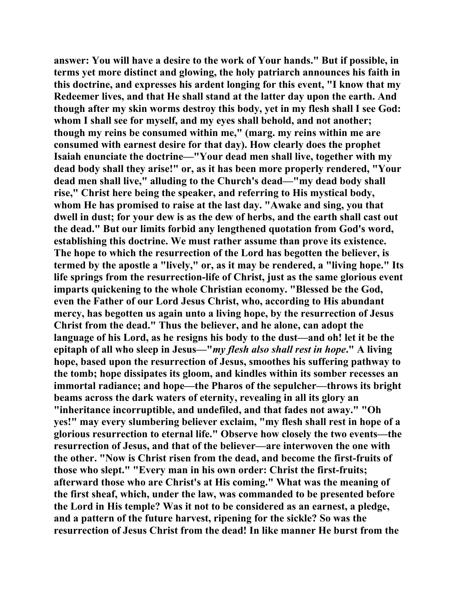**answer: You will have a desire to the work of Your hands." But if possible, in terms yet more distinct and glowing, the holy patriarch announces his faith in this doctrine, and expresses his ardent longing for this event, "I know that my Redeemer lives, and that He shall stand at the latter day upon the earth. And though after my skin worms destroy this body, yet in my flesh shall I see God: whom I shall see for myself, and my eyes shall behold, and not another; though my reins be consumed within me," (marg. my reins within me are consumed with earnest desire for that day). How clearly does the prophet Isaiah enunciate the doctrine—"Your dead men shall live, together with my dead body shall they arise!" or, as it has been more properly rendered, "Your dead men shall live," alluding to the Church's dead—"my dead body shall rise," Christ here being the speaker, and referring to His mystical body, whom He has promised to raise at the last day. "Awake and sing, you that dwell in dust; for your dew is as the dew of herbs, and the earth shall cast out the dead." But our limits forbid any lengthened quotation from God's word, establishing this doctrine. We must rather assume than prove its existence. The hope to which the resurrection of the Lord has begotten the believer, is termed by the apostle a "lively," or, as it may be rendered, a "living hope." Its life springs from the resurrection-life of Christ, just as the same glorious event imparts quickening to the whole Christian economy. "Blessed be the God, even the Father of our Lord Jesus Christ, who, according to His abundant mercy, has begotten us again unto a living hope, by the resurrection of Jesus Christ from the dead." Thus the believer, and he alone, can adopt the language of his Lord, as he resigns his body to the dust—and oh! let it be the epitaph of all who sleep in Jesus—"***my flesh also shall rest in hope***." A living hope, based upon the resurrection of Jesus, smoothes his suffering pathway to the tomb; hope dissipates its gloom, and kindles within its somber recesses an immortal radiance; and hope—the Pharos of the sepulcher—throws its bright beams across the dark waters of eternity, revealing in all its glory an "inheritance incorruptible, and undefiled, and that fades not away." "Oh yes!" may every slumbering believer exclaim, "my flesh shall rest in hope of a glorious resurrection to eternal life." Observe how closely the two events—the resurrection of Jesus, and that of the believer—are interwoven the one with the other. "Now is Christ risen from the dead, and become the first-fruits of those who slept." "Every man in his own order: Christ the first-fruits; afterward those who are Christ's at His coming." What was the meaning of the first sheaf, which, under the law, was commanded to be presented before the Lord in His temple? Was it not to be considered as an earnest, a pledge, and a pattern of the future harvest, ripening for the sickle? So was the resurrection of Jesus Christ from the dead! In like manner He burst from the**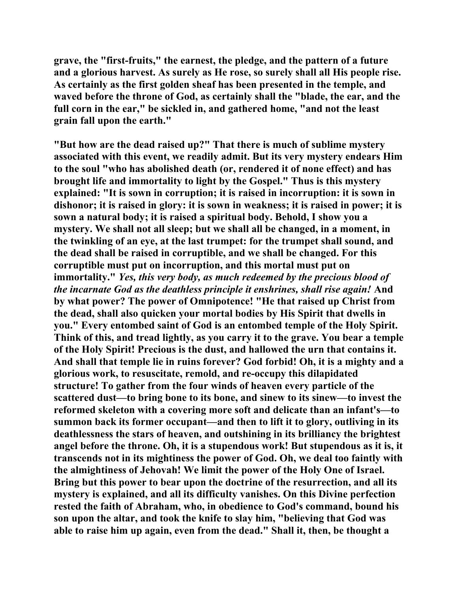**grave, the "first-fruits," the earnest, the pledge, and the pattern of a future and a glorious harvest. As surely as He rose, so surely shall all His people rise. As certainly as the first golden sheaf has been presented in the temple, and waved before the throne of God, as certainly shall the "blade, the ear, and the full corn in the ear," be sickled in, and gathered home, "and not the least grain fall upon the earth."** 

**"But how are the dead raised up?" That there is much of sublime mystery associated with this event, we readily admit. But its very mystery endears Him to the soul "who has abolished death (or, rendered it of none effect) and has brought life and immortality to light by the Gospel." Thus is this mystery explained: "It is sown in corruption; it is raised in incorruption: it is sown in dishonor; it is raised in glory: it is sown in weakness; it is raised in power; it is sown a natural body; it is raised a spiritual body. Behold, I show you a mystery. We shall not all sleep; but we shall all be changed, in a moment, in the twinkling of an eye, at the last trumpet: for the trumpet shall sound, and the dead shall be raised in corruptible, and we shall be changed. For this corruptible must put on incorruption, and this mortal must put on immortality."** *Yes, this very body, as much redeemed by the precious blood of the incarnate God as the deathless principle it enshrines, shall rise again!* **And by what power? The power of Omnipotence! "He that raised up Christ from the dead, shall also quicken your mortal bodies by His Spirit that dwells in you." Every entombed saint of God is an entombed temple of the Holy Spirit. Think of this, and tread lightly, as you carry it to the grave. You bear a temple of the Holy Spirit! Precious is the dust, and hallowed the urn that contains it. And shall that temple lie in ruins forever? God forbid! Oh, it is a mighty and a glorious work, to resuscitate, remold, and re-occupy this dilapidated structure! To gather from the four winds of heaven every particle of the scattered dust—to bring bone to its bone, and sinew to its sinew—to invest the reformed skeleton with a covering more soft and delicate than an infant's—to summon back its former occupant—and then to lift it to glory, outliving in its deathlessness the stars of heaven, and outshining in its brilliancy the brightest angel before the throne. Oh, it is a stupendous work! But stupendous as it is, it transcends not in its mightiness the power of God. Oh, we deal too faintly with the almightiness of Jehovah! We limit the power of the Holy One of Israel. Bring but this power to bear upon the doctrine of the resurrection, and all its mystery is explained, and all its difficulty vanishes. On this Divine perfection rested the faith of Abraham, who, in obedience to God's command, bound his son upon the altar, and took the knife to slay him, "believing that God was able to raise him up again, even from the dead." Shall it, then, be thought a**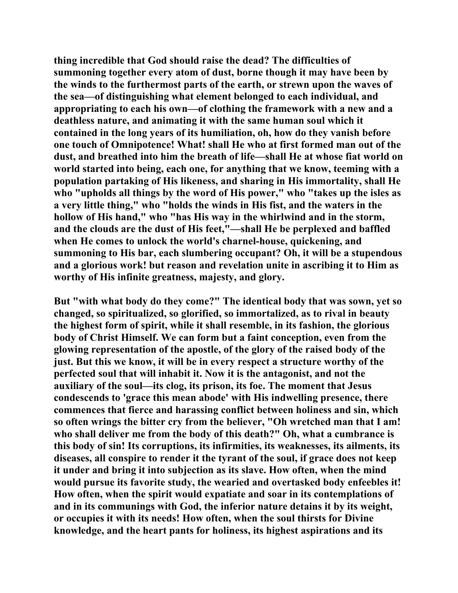**thing incredible that God should raise the dead? The difficulties of summoning together every atom of dust, borne though it may have been by the winds to the furthermost parts of the earth, or strewn upon the waves of the sea—of distinguishing what element belonged to each individual, and appropriating to each his own—of clothing the framework with a new and a deathless nature, and animating it with the same human soul which it contained in the long years of its humiliation, oh, how do they vanish before one touch of Omnipotence! What! shall He who at first formed man out of the dust, and breathed into him the breath of life—shall He at whose fiat world on world started into being, each one, for anything that we know, teeming with a population partaking of His likeness, and sharing in His immortality, shall He who "upholds all things by the word of His power," who "takes up the isles as a very little thing," who "holds the winds in His fist, and the waters in the hollow of His hand," who "has His way in the whirlwind and in the storm, and the clouds are the dust of His feet,"—shall He be perplexed and baffled when He comes to unlock the world's charnel-house, quickening, and summoning to His bar, each slumbering occupant? Oh, it will be a stupendous and a glorious work! but reason and revelation unite in ascribing it to Him as worthy of His infinite greatness, majesty, and glory.** 

**But "with what body do they come?" The identical body that was sown, yet so changed, so spiritualized, so glorified, so immortalized, as to rival in beauty the highest form of spirit, while it shall resemble, in its fashion, the glorious body of Christ Himself. We can form but a faint conception, even from the glowing representation of the apostle, of the glory of the raised body of the just. But this we know, it will be in every respect a structure worthy of the perfected soul that will inhabit it. Now it is the antagonist, and not the auxiliary of the soul—its clog, its prison, its foe. The moment that Jesus condescends to 'grace this mean abode' with His indwelling presence, there commences that fierce and harassing conflict between holiness and sin, which so often wrings the bitter cry from the believer, "Oh wretched man that I am! who shall deliver me from the body of this death?" Oh, what a cumbrance is this body of sin! Its corruptions, its infirmities, its weaknesses, its ailments, its diseases, all conspire to render it the tyrant of the soul, if grace does not keep it under and bring it into subjection as its slave. How often, when the mind would pursue its favorite study, the wearied and overtasked body enfeebles it! How often, when the spirit would expatiate and soar in its contemplations of and in its communings with God, the inferior nature detains it by its weight, or occupies it with its needs! How often, when the soul thirsts for Divine knowledge, and the heart pants for holiness, its highest aspirations and its**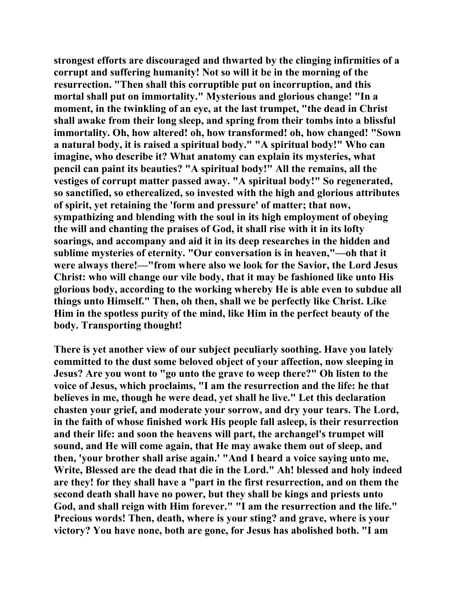**strongest efforts are discouraged and thwarted by the clinging infirmities of a corrupt and suffering humanity! Not so will it be in the morning of the resurrection. "Then shall this corruptible put on incorruption, and this mortal shall put on immortality." Mysterious and glorious change! "In a moment, in the twinkling of an eye, at the last trumpet, "the dead in Christ shall awake from their long sleep, and spring from their tombs into a blissful immortality. Oh, how altered! oh, how transformed! oh, how changed! "Sown a natural body, it is raised a spiritual body." "A spiritual body!" Who can imagine, who describe it? What anatomy can explain its mysteries, what pencil can paint its beauties? "A spiritual body!" All the remains, all the vestiges of corrupt matter passed away. "A spiritual body!" So regenerated, so sanctified, so etherealized, so invested with the high and glorious attributes of spirit, yet retaining the 'form and pressure' of matter; that now, sympathizing and blending with the soul in its high employment of obeying the will and chanting the praises of God, it shall rise with it in its lofty soarings, and accompany and aid it in its deep researches in the hidden and sublime mysteries of eternity. "Our conversation is in heaven,"—oh that it were always there!—"from where also we look for the Savior, the Lord Jesus Christ: who will change our vile body, that it may be fashioned like unto His glorious body, according to the working whereby He is able even to subdue all things unto Himself." Then, oh then, shall we be perfectly like Christ. Like Him in the spotless purity of the mind, like Him in the perfect beauty of the body. Transporting thought!** 

**There is yet another view of our subject peculiarly soothing. Have you lately committed to the dust some beloved object of your affection, now sleeping in Jesus? Are you wont to "go unto the grave to weep there?" Oh listen to the voice of Jesus, which proclaims, "I am the resurrection and the life: he that believes in me, though he were dead, yet shall he live." Let this declaration chasten your grief, and moderate your sorrow, and dry your tears. The Lord, in the faith of whose finished work His people fall asleep, is their resurrection and their life: and soon the heavens will part, the archangel's trumpet will sound, and He will come again, that He may awake them out of sleep, and then, 'your brother shall arise again.' "And I heard a voice saying unto me, Write, Blessed are the dead that die in the Lord." Ah! blessed and holy indeed are they! for they shall have a "part in the first resurrection, and on them the second death shall have no power, but they shall be kings and priests unto God, and shall reign with Him forever." "I am the resurrection and the life." Precious words! Then, death, where is your sting? and grave, where is your victory? You have none, both are gone, for Jesus has abolished both. "I am**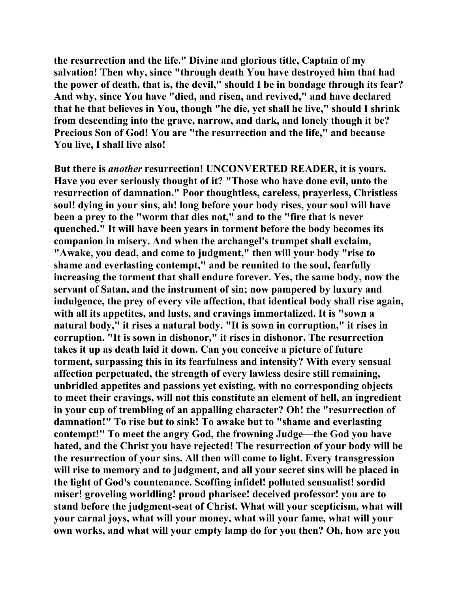**the resurrection and the life." Divine and glorious title, Captain of my salvation! Then why, since "through death You have destroyed him that had the power of death, that is, the devil," should I be in bondage through its fear? And why, since You have "died, and risen, and revived," and have declared that he that believes in You, though "he die, yet shall he live," should I shrink from descending into the grave, narrow, and dark, and lonely though it be? Precious Son of God! You are "the resurrection and the life," and because You live, I shall live also!** 

**But there is** *another* **resurrection! UNCONVERTED READER, it is yours. Have you ever seriously thought of it? "Those who have done evil, unto the resurrection of damnation." Poor thoughtless, careless, prayerless, Christless soul! dying in your sins, ah! long before your body rises, your soul will have been a prey to the "worm that dies not," and to the "fire that is never quenched." It will have been years in torment before the body becomes its companion in misery. And when the archangel's trumpet shall exclaim, "Awake, you dead, and come to judgment," then will your body "rise to shame and everlasting contempt," and be reunited to the soul, fearfully increasing the torment that shall endure forever. Yes, the same body, now the servant of Satan, and the instrument of sin; now pampered by luxury and indulgence, the prey of every vile affection, that identical body shall rise again, with all its appetites, and lusts, and cravings immortalized. It is "sown a natural body," it rises a natural body. "It is sown in corruption," it rises in corruption. "It is sown in dishonor," it rises in dishonor. The resurrection takes it up as death laid it down. Can you conceive a picture of future torment, surpassing this in its fearfulness and intensity? With every sensual affection perpetuated, the strength of every lawless desire still remaining, unbridled appetites and passions yet existing, with no corresponding objects to meet their cravings, will not this constitute an element of hell, an ingredient in your cup of trembling of an appalling character? Oh! the "resurrection of damnation!" To rise but to sink! To awake but to "shame and everlasting contempt!" To meet the angry God, the frowning Judge—the God you have hated, and the Christ you have rejected! The resurrection of your body will be the resurrection of your sins. All then will come to light. Every transgression will rise to memory and to judgment, and all your secret sins will be placed in the light of God's countenance. Scoffing infidel! polluted sensualist! sordid miser! groveling worldling! proud pharisee! deceived professor! you are to stand before the judgment-seat of Christ. What will your scepticism, what will your carnal joys, what will your money, what will your fame, what will your own works, and what will your empty lamp do for you then? Oh, how are you**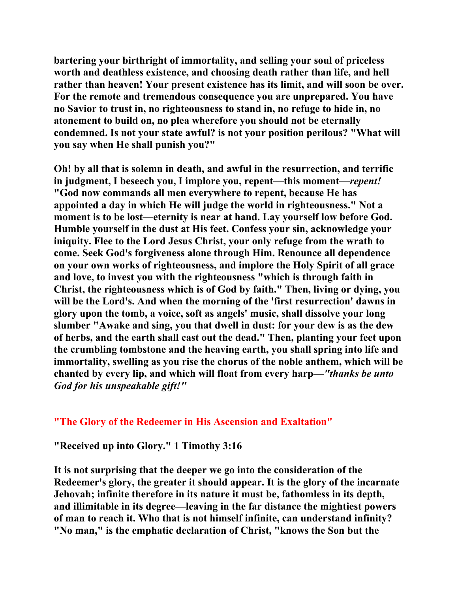**bartering your birthright of immortality, and selling your soul of priceless worth and deathless existence, and choosing death rather than life, and hell rather than heaven! Your present existence has its limit, and will soon be over. For the remote and tremendous consequence you are unprepared. You have no Savior to trust in, no righteousness to stand in, no refuge to hide in, no atonement to build on, no plea wherefore you should not be eternally condemned. Is not your state awful? is not your position perilous? "What will you say when He shall punish you?"** 

**Oh! by all that is solemn in death, and awful in the resurrection, and terrific in judgment, I beseech you, I implore you, repent—this moment—***repent!*  **"God now commands all men everywhere to repent, because He has appointed a day in which He will judge the world in righteousness." Not a moment is to be lost—eternity is near at hand. Lay yourself low before God. Humble yourself in the dust at His feet. Confess your sin, acknowledge your iniquity. Flee to the Lord Jesus Christ, your only refuge from the wrath to come. Seek God's forgiveness alone through Him. Renounce all dependence on your own works of righteousness, and implore the Holy Spirit of all grace and love, to invest you with the righteousness "which is through faith in Christ, the righteousness which is of God by faith." Then, living or dying, you will be the Lord's. And when the morning of the 'first resurrection' dawns in glory upon the tomb, a voice, soft as angels' music, shall dissolve your long slumber "Awake and sing, you that dwell in dust: for your dew is as the dew of herbs, and the earth shall cast out the dead." Then, planting your feet upon the crumbling tombstone and the heaving earth, you shall spring into life and immortality, swelling as you rise the chorus of the noble anthem, which will be chanted by every lip, and which will float from every harp—***"thanks be unto God for his unspeakable gift!"*

## **"The Glory of the Redeemer in His Ascension and Exaltation"**

**"Received up into Glory." 1 Timothy 3:16** 

**It is not surprising that the deeper we go into the consideration of the Redeemer's glory, the greater it should appear. It is the glory of the incarnate Jehovah; infinite therefore in its nature it must be, fathomless in its depth, and illimitable in its degree—leaving in the far distance the mightiest powers of man to reach it. Who that is not himself infinite, can understand infinity? "No man," is the emphatic declaration of Christ, "knows the Son but the**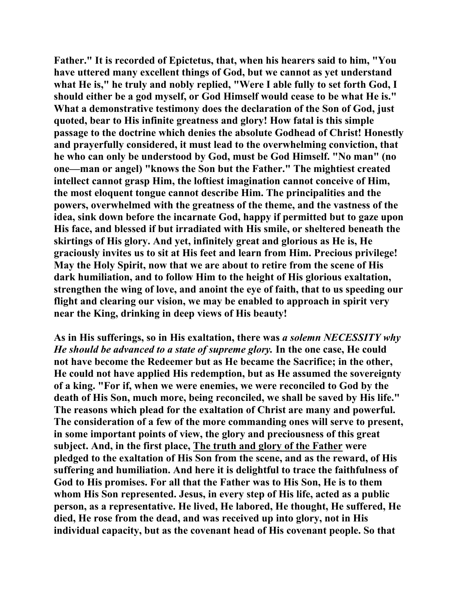**Father." It is recorded of Epictetus, that, when his hearers said to him, "You have uttered many excellent things of God, but we cannot as yet understand what He is," he truly and nobly replied, "Were I able fully to set forth God, I should either be a god myself, or God Himself would cease to be what He is." What a demonstrative testimony does the declaration of the Son of God, just quoted, bear to His infinite greatness and glory! How fatal is this simple passage to the doctrine which denies the absolute Godhead of Christ! Honestly and prayerfully considered, it must lead to the overwhelming conviction, that he who can only be understood by God, must be God Himself. "No man" (no one—man or angel) "knows the Son but the Father." The mightiest created intellect cannot grasp Him, the loftiest imagination cannot conceive of Him, the most eloquent tongue cannot describe Him. The principalities and the powers, overwhelmed with the greatness of the theme, and the vastness of the idea, sink down before the incarnate God, happy if permitted but to gaze upon His face, and blessed if but irradiated with His smile, or sheltered beneath the skirtings of His glory. And yet, infinitely great and glorious as He is, He graciously invites us to sit at His feet and learn from Him. Precious privilege! May the Holy Spirit, now that we are about to retire from the scene of His dark humiliation, and to follow Him to the height of His glorious exaltation, strengthen the wing of love, and anoint the eye of faith, that to us speeding our flight and clearing our vision, we may be enabled to approach in spirit very near the King, drinking in deep views of His beauty!** 

**As in His sufferings, so in His exaltation, there was** *a solemn NECESSITY why He should be advanced to a state of supreme glory.* **In the one case, He could not have become the Redeemer but as He became the Sacrifice; in the other, He could not have applied His redemption, but as He assumed the sovereignty of a king. "For if, when we were enemies, we were reconciled to God by the death of His Son, much more, being reconciled, we shall be saved by His life." The reasons which plead for the exaltation of Christ are many and powerful. The consideration of a few of the more commanding ones will serve to present, in some important points of view, the glory and preciousness of this great subject. And, in the first place, The truth and glory of the Father were pledged to the exaltation of His Son from the scene, and as the reward, of His suffering and humiliation. And here it is delightful to trace the faithfulness of God to His promises. For all that the Father was to His Son, He is to them whom His Son represented. Jesus, in every step of His life, acted as a public person, as a representative. He lived, He labored, He thought, He suffered, He died, He rose from the dead, and was received up into glory, not in His individual capacity, but as the covenant head of His covenant people. So that**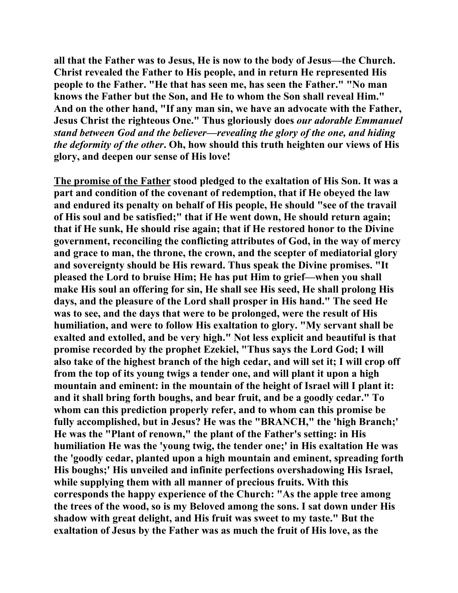**all that the Father was to Jesus, He is now to the body of Jesus—the Church. Christ revealed the Father to His people, and in return He represented His people to the Father. "He that has seen me, has seen the Father." "No man knows the Father but the Son, and He to whom the Son shall reveal Him." And on the other hand, "If any man sin, we have an advocate with the Father, Jesus Christ the righteous One." Thus gloriously does** *our adorable Emmanuel stand between God and the believer—revealing the glory of the one, and hiding the deformity of the other***. Oh, how should this truth heighten our views of His glory, and deepen our sense of His love!** 

**The promise of the Father stood pledged to the exaltation of His Son. It was a part and condition of the covenant of redemption, that if He obeyed the law and endured its penalty on behalf of His people, He should "see of the travail of His soul and be satisfied;" that if He went down, He should return again; that if He sunk, He should rise again; that if He restored honor to the Divine government, reconciling the conflicting attributes of God, in the way of mercy and grace to man, the throne, the crown, and the scepter of mediatorial glory and sovereignty should be His reward. Thus speak the Divine promises. "It pleased the Lord to bruise Him; He has put Him to grief—when you shall make His soul an offering for sin, He shall see His seed, He shall prolong His days, and the pleasure of the Lord shall prosper in His hand." The seed He was to see, and the days that were to be prolonged, were the result of His humiliation, and were to follow His exaltation to glory. "My servant shall be exalted and extolled, and be very high." Not less explicit and beautiful is that promise recorded by the prophet Ezekiel, "Thus says the Lord God; I will also take of the highest branch of the high cedar, and will set it; I will crop off from the top of its young twigs a tender one, and will plant it upon a high mountain and eminent: in the mountain of the height of Israel will I plant it: and it shall bring forth boughs, and bear fruit, and be a goodly cedar." To whom can this prediction properly refer, and to whom can this promise be fully accomplished, but in Jesus? He was the "BRANCH," the 'high Branch;' He was the "Plant of renown," the plant of the Father's setting: in His humiliation He was the 'young twig, the tender one;' in His exaltation He was the 'goodly cedar, planted upon a high mountain and eminent, spreading forth His boughs;' His unveiled and infinite perfections overshadowing His Israel, while supplying them with all manner of precious fruits. With this corresponds the happy experience of the Church: "As the apple tree among the trees of the wood, so is my Beloved among the sons. I sat down under His shadow with great delight, and His fruit was sweet to my taste." But the exaltation of Jesus by the Father was as much the fruit of His love, as the**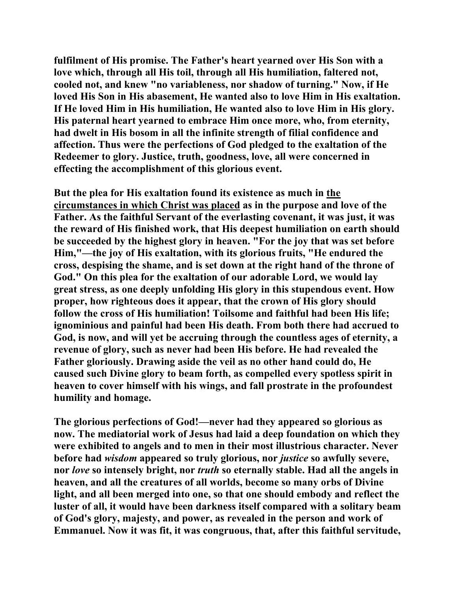**fulfilment of His promise. The Father's heart yearned over His Son with a love which, through all His toil, through all His humiliation, faltered not, cooled not, and knew "no variableness, nor shadow of turning." Now, if He loved His Son in His abasement, He wanted also to love Him in His exaltation. If He loved Him in His humiliation, He wanted also to love Him in His glory. His paternal heart yearned to embrace Him once more, who, from eternity, had dwelt in His bosom in all the infinite strength of filial confidence and affection. Thus were the perfections of God pledged to the exaltation of the Redeemer to glory. Justice, truth, goodness, love, all were concerned in effecting the accomplishment of this glorious event.** 

**But the plea for His exaltation found its existence as much in the circumstances in which Christ was placed as in the purpose and love of the Father. As the faithful Servant of the everlasting covenant, it was just, it was the reward of His finished work, that His deepest humiliation on earth should be succeeded by the highest glory in heaven. "For the joy that was set before Him,"—the joy of His exaltation, with its glorious fruits, "He endured the cross, despising the shame, and is set down at the right hand of the throne of God." On this plea for the exaltation of our adorable Lord, we would lay great stress, as one deeply unfolding His glory in this stupendous event. How proper, how righteous does it appear, that the crown of His glory should follow the cross of His humiliation! Toilsome and faithful had been His life; ignominious and painful had been His death. From both there had accrued to God, is now, and will yet be accruing through the countless ages of eternity, a revenue of glory, such as never had been His before. He had revealed the Father gloriously. Drawing aside the veil as no other hand could do, He caused such Divine glory to beam forth, as compelled every spotless spirit in heaven to cover himself with his wings, and fall prostrate in the profoundest humility and homage.** 

**The glorious perfections of God!—never had they appeared so glorious as now. The mediatorial work of Jesus had laid a deep foundation on which they were exhibited to angels and to men in their most illustrious character. Never before had** *wisdom* **appeared so truly glorious, nor** *justice* **so awfully severe, nor** *love* **so intensely bright, nor** *truth* **so eternally stable. Had all the angels in heaven, and all the creatures of all worlds, become so many orbs of Divine light, and all been merged into one, so that one should embody and reflect the luster of all, it would have been darkness itself compared with a solitary beam of God's glory, majesty, and power, as revealed in the person and work of Emmanuel. Now it was fit, it was congruous, that, after this faithful servitude,**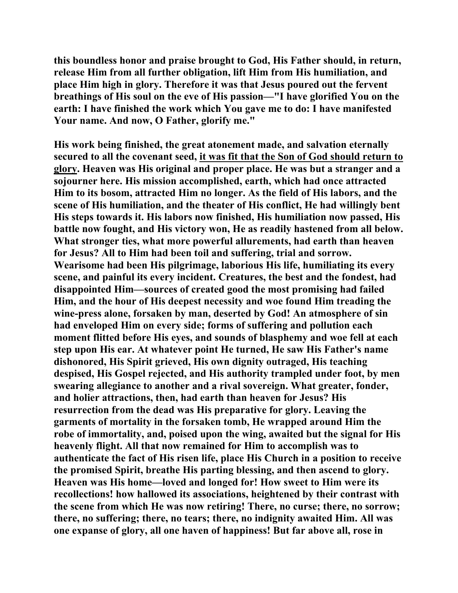**this boundless honor and praise brought to God, His Father should, in return, release Him from all further obligation, lift Him from His humiliation, and place Him high in glory. Therefore it was that Jesus poured out the fervent breathings of His soul on the eve of His passion—"I have glorified You on the earth: I have finished the work which You gave me to do: I have manifested Your name. And now, O Father, glorify me."** 

**His work being finished, the great atonement made, and salvation eternally secured to all the covenant seed, it was fit that the Son of God should return to glory. Heaven was His original and proper place. He was but a stranger and a sojourner here. His mission accomplished, earth, which had once attracted Him to its bosom, attracted Him no longer. As the field of His labors, and the scene of His humiliation, and the theater of His conflict, He had willingly bent His steps towards it. His labors now finished, His humiliation now passed, His battle now fought, and His victory won, He as readily hastened from all below. What stronger ties, what more powerful allurements, had earth than heaven for Jesus? All to Him had been toil and suffering, trial and sorrow. Wearisome had been His pilgrimage, laborious His life, humiliating its every scene, and painful its every incident. Creatures, the best and the fondest, had disappointed Him—sources of created good the most promising had failed Him, and the hour of His deepest necessity and woe found Him treading the wine-press alone, forsaken by man, deserted by God! An atmosphere of sin had enveloped Him on every side; forms of suffering and pollution each moment flitted before His eyes, and sounds of blasphemy and woe fell at each step upon His ear. At whatever point He turned, He saw His Father's name dishonored, His Spirit grieved, His own dignity outraged, His teaching despised, His Gospel rejected, and His authority trampled under foot, by men swearing allegiance to another and a rival sovereign. What greater, fonder, and holier attractions, then, had earth than heaven for Jesus? His resurrection from the dead was His preparative for glory. Leaving the garments of mortality in the forsaken tomb, He wrapped around Him the robe of immortality, and, poised upon the wing, awaited but the signal for His heavenly flight. All that now remained for Him to accomplish was to authenticate the fact of His risen life, place His Church in a position to receive the promised Spirit, breathe His parting blessing, and then ascend to glory. Heaven was His home—loved and longed for! How sweet to Him were its recollections! how hallowed its associations, heightened by their contrast with the scene from which He was now retiring! There, no curse; there, no sorrow; there, no suffering; there, no tears; there, no indignity awaited Him. All was one expanse of glory, all one haven of happiness! But far above all, rose in**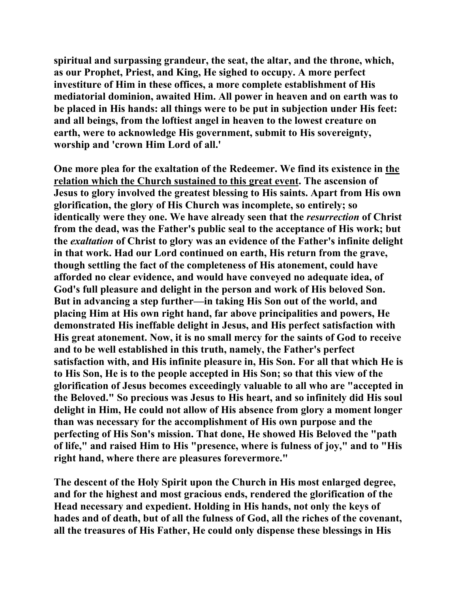**spiritual and surpassing grandeur, the seat, the altar, and the throne, which, as our Prophet, Priest, and King, He sighed to occupy. A more perfect investiture of Him in these offices, a more complete establishment of His mediatorial dominion, awaited Him. All power in heaven and on earth was to be placed in His hands: all things were to be put in subjection under His feet: and all beings, from the loftiest angel in heaven to the lowest creature on earth, were to acknowledge His government, submit to His sovereignty, worship and 'crown Him Lord of all.'** 

**One more plea for the exaltation of the Redeemer. We find its existence in the relation which the Church sustained to this great event. The ascension of Jesus to glory involved the greatest blessing to His saints. Apart from His own glorification, the glory of His Church was incomplete, so entirely; so identically were they one. We have already seen that the** *resurrection* **of Christ from the dead, was the Father's public seal to the acceptance of His work; but the** *exaltation* **of Christ to glory was an evidence of the Father's infinite delight in that work. Had our Lord continued on earth, His return from the grave, though settling the fact of the completeness of His atonement, could have afforded no clear evidence, and would have conveyed no adequate idea, of God's full pleasure and delight in the person and work of His beloved Son. But in advancing a step further—in taking His Son out of the world, and placing Him at His own right hand, far above principalities and powers, He demonstrated His ineffable delight in Jesus, and His perfect satisfaction with His great atonement. Now, it is no small mercy for the saints of God to receive and to be well established in this truth, namely, the Father's perfect satisfaction with, and His infinite pleasure in, His Son. For all that which He is to His Son, He is to the people accepted in His Son; so that this view of the glorification of Jesus becomes exceedingly valuable to all who are "accepted in the Beloved." So precious was Jesus to His heart, and so infinitely did His soul delight in Him, He could not allow of His absence from glory a moment longer than was necessary for the accomplishment of His own purpose and the perfecting of His Son's mission. That done, He showed His Beloved the "path of life," and raised Him to His "presence, where is fulness of joy," and to "His right hand, where there are pleasures forevermore."** 

**The descent of the Holy Spirit upon the Church in His most enlarged degree, and for the highest and most gracious ends, rendered the glorification of the Head necessary and expedient. Holding in His hands, not only the keys of hades and of death, but of all the fulness of God, all the riches of the covenant, all the treasures of His Father, He could only dispense these blessings in His**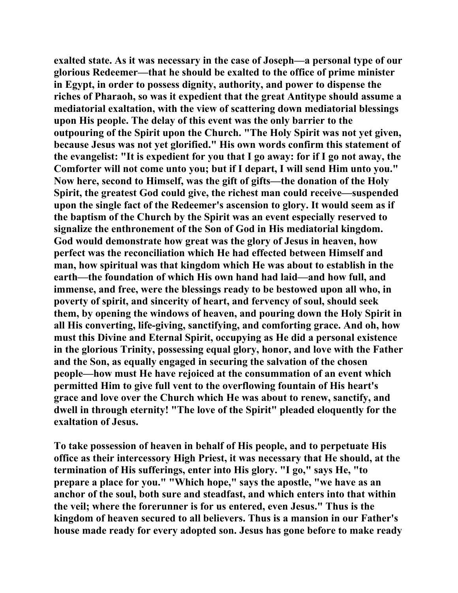**exalted state. As it was necessary in the case of Joseph—a personal type of our glorious Redeemer—that he should be exalted to the office of prime minister in Egypt, in order to possess dignity, authority, and power to dispense the riches of Pharaoh, so was it expedient that the great Antitype should assume a mediatorial exaltation, with the view of scattering down mediatorial blessings upon His people. The delay of this event was the only barrier to the outpouring of the Spirit upon the Church. "The Holy Spirit was not yet given, because Jesus was not yet glorified." His own words confirm this statement of the evangelist: "It is expedient for you that I go away: for if I go not away, the Comforter will not come unto you; but if I depart, I will send Him unto you." Now here, second to Himself, was the gift of gifts—the donation of the Holy Spirit, the greatest God could give, the richest man could receive—suspended upon the single fact of the Redeemer's ascension to glory. It would seem as if the baptism of the Church by the Spirit was an event especially reserved to signalize the enthronement of the Son of God in His mediatorial kingdom. God would demonstrate how great was the glory of Jesus in heaven, how perfect was the reconciliation which He had effected between Himself and man, how spiritual was that kingdom which He was about to establish in the earth—the foundation of which His own hand had laid—and how full, and immense, and free, were the blessings ready to be bestowed upon all who, in poverty of spirit, and sincerity of heart, and fervency of soul, should seek them, by opening the windows of heaven, and pouring down the Holy Spirit in all His converting, life-giving, sanctifying, and comforting grace. And oh, how must this Divine and Eternal Spirit, occupying as He did a personal existence in the glorious Trinity, possessing equal glory, honor, and love with the Father and the Son, as equally engaged in securing the salvation of the chosen people—how must He have rejoiced at the consummation of an event which permitted Him to give full vent to the overflowing fountain of His heart's grace and love over the Church which He was about to renew, sanctify, and dwell in through eternity! "The love of the Spirit" pleaded eloquently for the exaltation of Jesus.** 

**To take possession of heaven in behalf of His people, and to perpetuate His office as their intercessory High Priest, it was necessary that He should, at the termination of His sufferings, enter into His glory. "I go," says He, "to prepare a place for you." "Which hope," says the apostle, "we have as an anchor of the soul, both sure and steadfast, and which enters into that within the veil; where the forerunner is for us entered, even Jesus." Thus is the kingdom of heaven secured to all believers. Thus is a mansion in our Father's house made ready for every adopted son. Jesus has gone before to make ready**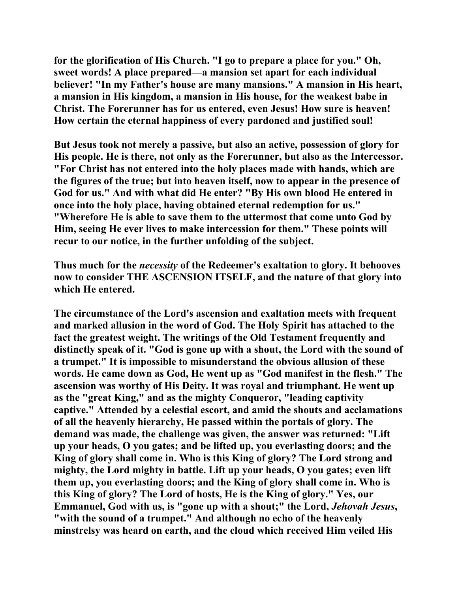**for the glorification of His Church. "I go to prepare a place for you." Oh, sweet words! A place prepared—a mansion set apart for each individual believer! "In my Father's house are many mansions." A mansion in His heart, a mansion in His kingdom, a mansion in His house, for the weakest babe in Christ. The Forerunner has for us entered, even Jesus! How sure is heaven! How certain the eternal happiness of every pardoned and justified soul!** 

**But Jesus took not merely a passive, but also an active, possession of glory for His people. He is there, not only as the Forerunner, but also as the Intercessor. "For Christ has not entered into the holy places made with hands, which are the figures of the true; but into heaven itself, now to appear in the presence of God for us." And with what did He enter? "By His own blood He entered in once into the holy place, having obtained eternal redemption for us." "Wherefore He is able to save them to the uttermost that come unto God by Him, seeing He ever lives to make intercession for them." These points will recur to our notice, in the further unfolding of the subject.** 

**Thus much for the** *necessity* **of the Redeemer's exaltation to glory. It behooves now to consider THE ASCENSION ITSELF, and the nature of that glory into which He entered.** 

**The circumstance of the Lord's ascension and exaltation meets with frequent and marked allusion in the word of God. The Holy Spirit has attached to the fact the greatest weight. The writings of the Old Testament frequently and distinctly speak of it. "God is gone up with a shout, the Lord with the sound of a trumpet." It is impossible to misunderstand the obvious allusion of these words. He came down as God, He went up as "God manifest in the flesh." The ascension was worthy of His Deity. It was royal and triumphant. He went up as the "great King," and as the mighty Conqueror, "leading captivity captive." Attended by a celestial escort, and amid the shouts and acclamations of all the heavenly hierarchy, He passed within the portals of glory. The demand was made, the challenge was given, the answer was returned: "Lift up your heads, O you gates; and be lifted up, you everlasting doors; and the King of glory shall come in. Who is this King of glory? The Lord strong and mighty, the Lord mighty in battle. Lift up your heads, O you gates; even lift them up, you everlasting doors; and the King of glory shall come in. Who is this King of glory? The Lord of hosts, He is the King of glory." Yes, our Emmanuel, God with us, is "gone up with a shout;" the Lord,** *Jehovah Jesus***, "with the sound of a trumpet." And although no echo of the heavenly minstrelsy was heard on earth, and the cloud which received Him veiled His**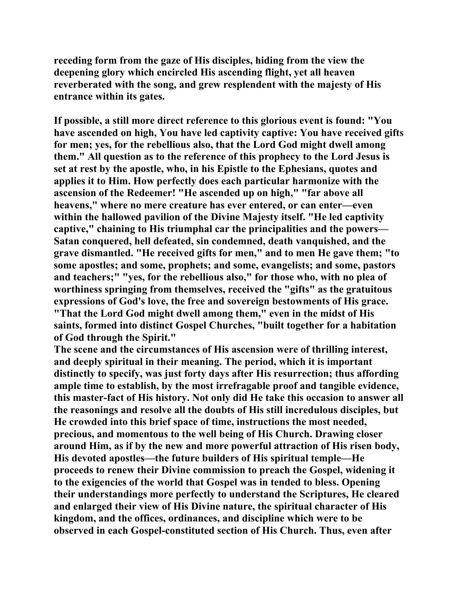**receding form from the gaze of His disciples, hiding from the view the deepening glory which encircled His ascending flight, yet all heaven reverberated with the song, and grew resplendent with the majesty of His entrance within its gates.** 

**If possible, a still more direct reference to this glorious event is found: "You have ascended on high, You have led captivity captive: You have received gifts for men; yes, for the rebellious also, that the Lord God might dwell among them." All question as to the reference of this prophecy to the Lord Jesus is set at rest by the apostle, who, in his Epistle to the Ephesians, quotes and applies it to Him. How perfectly does each particular harmonize with the ascension of the Redeemer! "He ascended up on high," "far above all heavens," where no mere creature has ever entered, or can enter—even within the hallowed pavilion of the Divine Majesty itself. "He led captivity captive," chaining to His triumphal car the principalities and the powers— Satan conquered, hell defeated, sin condemned, death vanquished, and the grave dismantled. "He received gifts for men," and to men He gave them; "to some apostles; and some, prophets; and some, evangelists; and some, pastors and teachers;" "yes, for the rebellious also," for those who, with no plea of worthiness springing from themselves, received the "gifts" as the gratuitous expressions of God's love, the free and sovereign bestowments of His grace. "That the Lord God might dwell among them," even in the midst of His saints, formed into distinct Gospel Churches, "built together for a habitation of God through the Spirit."** 

**The scene and the circumstances of His ascension were of thrilling interest, and deeply spiritual in their meaning. The period, which it is important distinctly to specify, was just forty days after His resurrection; thus affording ample time to establish, by the most irrefragable proof and tangible evidence, this master-fact of His history. Not only did He take this occasion to answer all the reasonings and resolve all the doubts of His still incredulous disciples, but He crowded into this brief space of time, instructions the most needed, precious, and momentous to the well being of His Church. Drawing closer around Him, as if by the new and more powerful attraction of His risen body, His devoted apostles—the future builders of His spiritual temple—He proceeds to renew their Divine commission to preach the Gospel, widening it to the exigencies of the world that Gospel was in tended to bless. Opening their understandings more perfectly to understand the Scriptures, He cleared and enlarged their view of His Divine nature, the spiritual character of His kingdom, and the offices, ordinances, and discipline which were to be observed in each Gospel-constituted section of His Church. Thus, even after**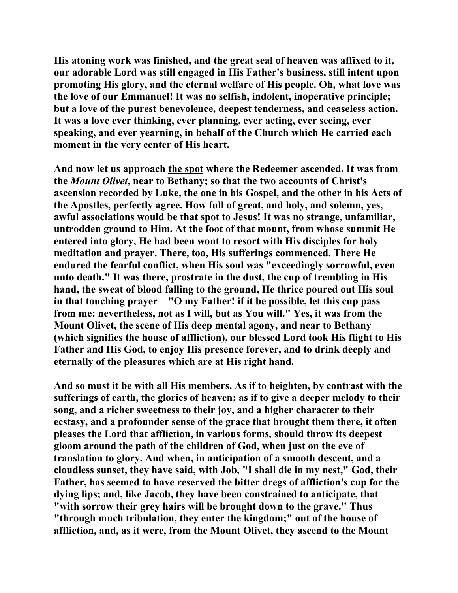**His atoning work was finished, and the great seal of heaven was affixed to it, our adorable Lord was still engaged in His Father's business, still intent upon promoting His glory, and the eternal welfare of His people. Oh, what love was the love of our Emmanuel! It was no selfish, indolent, inoperative principle; but a love of the purest benevolence, deepest tenderness, and ceaseless action. It was a love ever thinking, ever planning, ever acting, ever seeing, ever speaking, and ever yearning, in behalf of the Church which He carried each moment in the very center of His heart.** 

**And now let us approach the spot where the Redeemer ascended. It was from the** *Mount Olivet***, near to Bethany; so that the two accounts of Christ's ascension recorded by Luke, the one in his Gospel, and the other in his Acts of the Apostles, perfectly agree. How full of great, and holy, and solemn, yes, awful associations would be that spot to Jesus! It was no strange, unfamiliar, untrodden ground to Him. At the foot of that mount, from whose summit He entered into glory, He had been wont to resort with His disciples for holy meditation and prayer. There, too, His sufferings commenced. There He endured the fearful conflict, when His soul was "exceedingly sorrowful, even unto death." It was there, prostrate in the dust, the cup of trembling in His hand, the sweat of blood falling to the ground, He thrice poured out His soul in that touching prayer—"O my Father! if it be possible, let this cup pass from me: nevertheless, not as I will, but as You will." Yes, it was from the Mount Olivet, the scene of His deep mental agony, and near to Bethany (which signifies the house of affliction), our blessed Lord took His flight to His Father and His God, to enjoy His presence forever, and to drink deeply and eternally of the pleasures which are at His right hand.** 

**And so must it be with all His members. As if to heighten, by contrast with the sufferings of earth, the glories of heaven; as if to give a deeper melody to their song, and a richer sweetness to their joy, and a higher character to their ecstasy, and a profounder sense of the grace that brought them there, it often pleases the Lord that affliction, in various forms, should throw its deepest gloom around the path of the children of God, when just on the eve of translation to glory. And when, in anticipation of a smooth descent, and a cloudless sunset, they have said, with Job, "I shall die in my nest," God, their Father, has seemed to have reserved the bitter dregs of affliction's cup for the dying lips; and, like Jacob, they have been constrained to anticipate, that "with sorrow their grey hairs will be brought down to the grave." Thus "through much tribulation, they enter the kingdom;" out of the house of affliction, and, as it were, from the Mount Olivet, they ascend to the Mount**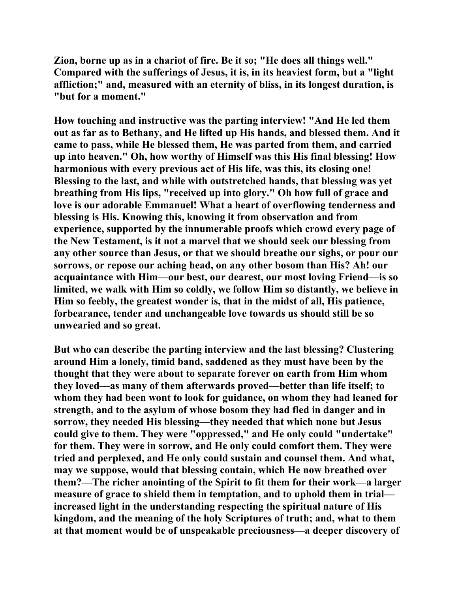**Zion, borne up as in a chariot of fire. Be it so; "He does all things well." Compared with the sufferings of Jesus, it is, in its heaviest form, but a "light affliction;" and, measured with an eternity of bliss, in its longest duration, is "but for a moment."** 

**How touching and instructive was the parting interview! "And He led them out as far as to Bethany, and He lifted up His hands, and blessed them. And it came to pass, while He blessed them, He was parted from them, and carried up into heaven." Oh, how worthy of Himself was this His final blessing! How harmonious with every previous act of His life, was this, its closing one! Blessing to the last, and while with outstretched hands, that blessing was yet breathing from His lips, "received up into glory." Oh how full of grace and love is our adorable Emmanuel! What a heart of overflowing tenderness and blessing is His. Knowing this, knowing it from observation and from experience, supported by the innumerable proofs which crowd every page of the New Testament, is it not a marvel that we should seek our blessing from any other source than Jesus, or that we should breathe our sighs, or pour our sorrows, or repose our aching head, on any other bosom than His? Ah! our acquaintance with Him—our best, our dearest, our most loving Friend—is so limited, we walk with Him so coldly, we follow Him so distantly, we believe in Him so feebly, the greatest wonder is, that in the midst of all, His patience, forbearance, tender and unchangeable love towards us should still be so unwearied and so great.** 

**But who can describe the parting interview and the last blessing? Clustering around Him a lonely, timid band, saddened as they must have been by the thought that they were about to separate forever on earth from Him whom they loved—as many of them afterwards proved—better than life itself; to whom they had been wont to look for guidance, on whom they had leaned for strength, and to the asylum of whose bosom they had fled in danger and in sorrow, they needed His blessing—they needed that which none but Jesus could give to them. They were "oppressed," and He only could "undertake" for them. They were in sorrow, and He only could comfort them. They were tried and perplexed, and He only could sustain and counsel them. And what, may we suppose, would that blessing contain, which He now breathed over them?—The richer anointing of the Spirit to fit them for their work—a larger measure of grace to shield them in temptation, and to uphold them in trial increased light in the understanding respecting the spiritual nature of His kingdom, and the meaning of the holy Scriptures of truth; and, what to them at that moment would be of unspeakable preciousness—a deeper discovery of**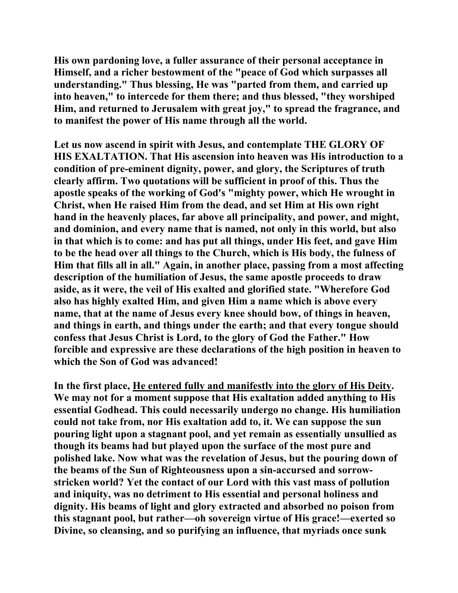**His own pardoning love, a fuller assurance of their personal acceptance in Himself, and a richer bestowment of the "peace of God which surpasses all understanding." Thus blessing, He was "parted from them, and carried up into heaven," to intercede for them there; and thus blessed, "they worshiped Him, and returned to Jerusalem with great joy," to spread the fragrance, and to manifest the power of His name through all the world.** 

**Let us now ascend in spirit with Jesus, and contemplate THE GLORY OF HIS EXALTATION. That His ascension into heaven was His introduction to a condition of pre-eminent dignity, power, and glory, the Scriptures of truth clearly affirm. Two quotations will be sufficient in proof of this. Thus the apostle speaks of the working of God's "mighty power, which He wrought in Christ, when He raised Him from the dead, and set Him at His own right hand in the heavenly places, far above all principality, and power, and might, and dominion, and every name that is named, not only in this world, but also in that which is to come: and has put all things, under His feet, and gave Him to be the head over all things to the Church, which is His body, the fulness of Him that fills all in all." Again, in another place, passing from a most affecting description of the humiliation of Jesus, the same apostle proceeds to draw aside, as it were, the veil of His exalted and glorified state. "Wherefore God also has highly exalted Him, and given Him a name which is above every name, that at the name of Jesus every knee should bow, of things in heaven, and things in earth, and things under the earth; and that every tongue should confess that Jesus Christ is Lord, to the glory of God the Father." How forcible and expressive are these declarations of the high position in heaven to which the Son of God was advanced!** 

**In the first place, He entered fully and manifestly into the glory of His Deity. We may not for a moment suppose that His exaltation added anything to His essential Godhead. This could necessarily undergo no change. His humiliation could not take from, nor His exaltation add to, it. We can suppose the sun pouring light upon a stagnant pool, and yet remain as essentially unsullied as though its beams had but played upon the surface of the most pure and polished lake. Now what was the revelation of Jesus, but the pouring down of the beams of the Sun of Righteousness upon a sin-accursed and sorrowstricken world? Yet the contact of our Lord with this vast mass of pollution and iniquity, was no detriment to His essential and personal holiness and dignity. His beams of light and glory extracted and absorbed no poison from this stagnant pool, but rather—oh sovereign virtue of His grace!—exerted so Divine, so cleansing, and so purifying an influence, that myriads once sunk**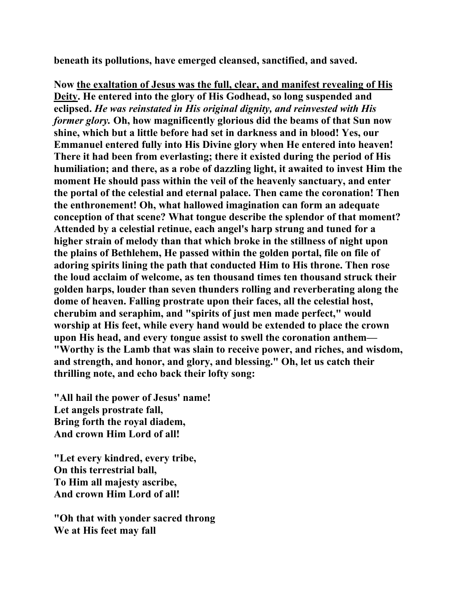**beneath its pollutions, have emerged cleansed, sanctified, and saved.** 

**Now the exaltation of Jesus was the full, clear, and manifest revealing of His Deity. He entered into the glory of His Godhead, so long suspended and eclipsed.** *He was reinstated in His original dignity, and reinvested with His former glory.* **Oh, how magnificently glorious did the beams of that Sun now shine, which but a little before had set in darkness and in blood! Yes, our Emmanuel entered fully into His Divine glory when He entered into heaven! There it had been from everlasting; there it existed during the period of His humiliation; and there, as a robe of dazzling light, it awaited to invest Him the moment He should pass within the veil of the heavenly sanctuary, and enter the portal of the celestial and eternal palace. Then came the coronation! Then the enthronement! Oh, what hallowed imagination can form an adequate conception of that scene? What tongue describe the splendor of that moment? Attended by a celestial retinue, each angel's harp strung and tuned for a higher strain of melody than that which broke in the stillness of night upon the plains of Bethlehem, He passed within the golden portal, file on file of adoring spirits lining the path that conducted Him to His throne. Then rose the loud acclaim of welcome, as ten thousand times ten thousand struck their golden harps, louder than seven thunders rolling and reverberating along the dome of heaven. Falling prostrate upon their faces, all the celestial host, cherubim and seraphim, and "spirits of just men made perfect," would worship at His feet, while every hand would be extended to place the crown upon His head, and every tongue assist to swell the coronation anthem— "Worthy is the Lamb that was slain to receive power, and riches, and wisdom, and strength, and honor, and glory, and blessing." Oh, let us catch their thrilling note, and echo back their lofty song:** 

**"All hail the power of Jesus' name! Let angels prostrate fall, Bring forth the royal diadem, And crown Him Lord of all!** 

**"Let every kindred, every tribe, On this terrestrial ball, To Him all majesty ascribe, And crown Him Lord of all!** 

**"Oh that with yonder sacred throng We at His feet may fall**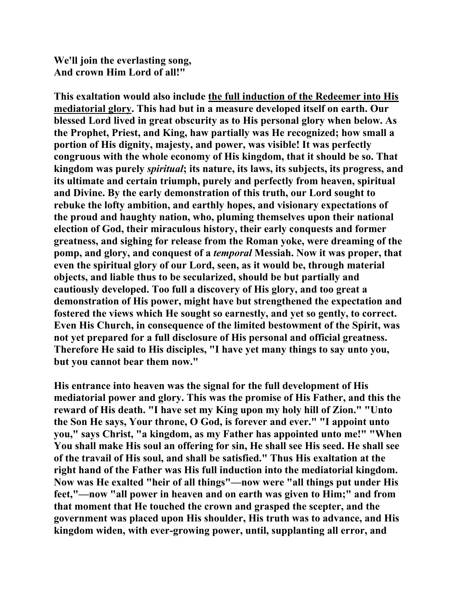**We'll join the everlasting song, And crown Him Lord of all!"** 

**This exaltation would also include the full induction of the Redeemer into His mediatorial glory. This had but in a measure developed itself on earth. Our blessed Lord lived in great obscurity as to His personal glory when below. As the Prophet, Priest, and King, haw partially was He recognized; how small a portion of His dignity, majesty, and power, was visible! It was perfectly congruous with the whole economy of His kingdom, that it should be so. That kingdom was purely** *spiritual***; its nature, its laws, its subjects, its progress, and its ultimate and certain triumph, purely and perfectly from heaven, spiritual and Divine. By the early demonstration of this truth, our Lord sought to rebuke the lofty ambition, and earthly hopes, and visionary expectations of the proud and haughty nation, who, pluming themselves upon their national election of God, their miraculous history, their early conquests and former greatness, and sighing for release from the Roman yoke, were dreaming of the pomp, and glory, and conquest of a** *temporal* **Messiah. Now it was proper, that even the spiritual glory of our Lord, seen, as it would be, through material objects, and liable thus to be secularized, should be but partially and cautiously developed. Too full a discovery of His glory, and too great a demonstration of His power, might have but strengthened the expectation and fostered the views which He sought so earnestly, and yet so gently, to correct. Even His Church, in consequence of the limited bestowment of the Spirit, was not yet prepared for a full disclosure of His personal and official greatness. Therefore He said to His disciples, "I have yet many things to say unto you, but you cannot bear them now."** 

**His entrance into heaven was the signal for the full development of His mediatorial power and glory. This was the promise of His Father, and this the reward of His death. "I have set my King upon my holy hill of Zion." "Unto the Son He says, Your throne, O God, is forever and ever." "I appoint unto you," says Christ, "a kingdom, as my Father has appointed unto me!" "When You shall make His soul an offering for sin, He shall see His seed. He shall see of the travail of His soul, and shall be satisfied." Thus His exaltation at the right hand of the Father was His full induction into the mediatorial kingdom. Now was He exalted "heir of all things"—now were "all things put under His feet,"—now "all power in heaven and on earth was given to Him;" and from that moment that He touched the crown and grasped the scepter, and the government was placed upon His shoulder, His truth was to advance, and His kingdom widen, with ever-growing power, until, supplanting all error, and**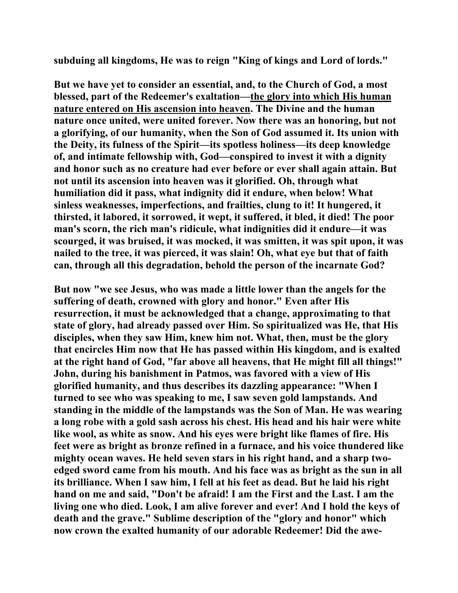**subduing all kingdoms, He was to reign "King of kings and Lord of lords."** 

**But we have yet to consider an essential, and, to the Church of God, a most blessed, part of the Redeemer's exaltation—the glory into which His human nature entered on His ascension into heaven. The Divine and the human nature once united, were united forever. Now there was an honoring, but not a glorifying, of our humanity, when the Son of God assumed it. Its union with the Deity, its fulness of the Spirit—its spotless holiness—its deep knowledge of, and intimate fellowship with, God—conspired to invest it with a dignity and honor such as no creature had ever before or ever shall again attain. But not until its ascension into heaven was it glorified. Oh, through what humiliation did it pass, what indignity did it endure, when below! What sinless weaknesses, imperfections, and frailties, clung to it! It hungered, it thirsted, it labored, it sorrowed, it wept, it suffered, it bled, it died! The poor man's scorn, the rich man's ridicule, what indignities did it endure—it was scourged, it was bruised, it was mocked, it was smitten, it was spit upon, it was nailed to the tree, it was pierced, it was slain! Oh, what eye but that of faith can, through all this degradation, behold the person of the incarnate God?** 

**But now "we see Jesus, who was made a little lower than the angels for the suffering of death, crowned with glory and honor." Even after His resurrection, it must be acknowledged that a change, approximating to that state of glory, had already passed over Him. So spiritualized was He, that His disciples, when they saw Him, knew him not. What, then, must be the glory that encircles Him now that He has passed within His kingdom, and is exalted at the right hand of God, "far above all heavens, that He might fill all things!" John, during his banishment in Patmos, was favored with a view of His glorified humanity, and thus describes its dazzling appearance: "When I turned to see who was speaking to me, I saw seven gold lampstands. And standing in the middle of the lampstands was the Son of Man. He was wearing a long robe with a gold sash across his chest. His head and his hair were white like wool, as white as snow. And his eyes were bright like flames of fire. His feet were as bright as bronze refined in a furnace, and his voice thundered like mighty ocean waves. He held seven stars in his right hand, and a sharp twoedged sword came from his mouth. And his face was as bright as the sun in all its brilliance. When I saw him, I fell at his feet as dead. But he laid his right hand on me and said, "Don't be afraid! I am the First and the Last. I am the living one who died. Look, I am alive forever and ever! And I hold the keys of death and the grave." Sublime description of the "glory and honor" which now crown the exalted humanity of our adorable Redeemer! Did the awe-**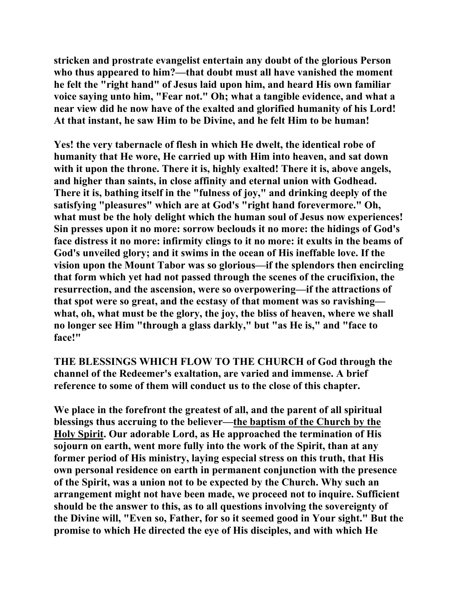**stricken and prostrate evangelist entertain any doubt of the glorious Person who thus appeared to him?—that doubt must all have vanished the moment he felt the "right hand" of Jesus laid upon him, and heard His own familiar voice saying unto him, "Fear not." Oh; what a tangible evidence, and what a near view did he now have of the exalted and glorified humanity of his Lord! At that instant, he saw Him to be Divine, and he felt Him to be human!** 

**Yes! the very tabernacle of flesh in which He dwelt, the identical robe of humanity that He wore, He carried up with Him into heaven, and sat down with it upon the throne. There it is, highly exalted! There it is, above angels, and higher than saints, in close affinity and eternal union with Godhead. There it is, bathing itself in the "fulness of joy," and drinking deeply of the satisfying "pleasures" which are at God's "right hand forevermore." Oh, what must be the holy delight which the human soul of Jesus now experiences! Sin presses upon it no more: sorrow beclouds it no more: the hidings of God's face distress it no more: infirmity clings to it no more: it exults in the beams of God's unveiled glory; and it swims in the ocean of His ineffable love. If the vision upon the Mount Tabor was so glorious—if the splendors then encircling that form which yet had not passed through the scenes of the crucifixion, the resurrection, and the ascension, were so overpowering—if the attractions of that spot were so great, and the ecstasy of that moment was so ravishing what, oh, what must be the glory, the joy, the bliss of heaven, where we shall no longer see Him "through a glass darkly," but "as He is," and "face to face!"** 

**THE BLESSINGS WHICH FLOW TO THE CHURCH of God through the channel of the Redeemer's exaltation, are varied and immense. A brief reference to some of them will conduct us to the close of this chapter.** 

**We place in the forefront the greatest of all, and the parent of all spiritual blessings thus accruing to the believer—the baptism of the Church by the Holy Spirit. Our adorable Lord, as He approached the termination of His sojourn on earth, went more fully into the work of the Spirit, than at any former period of His ministry, laying especial stress on this truth, that His own personal residence on earth in permanent conjunction with the presence of the Spirit, was a union not to be expected by the Church. Why such an arrangement might not have been made, we proceed not to inquire. Sufficient should be the answer to this, as to all questions involving the sovereignty of the Divine will, "Even so, Father, for so it seemed good in Your sight." But the promise to which He directed the eye of His disciples, and with which He**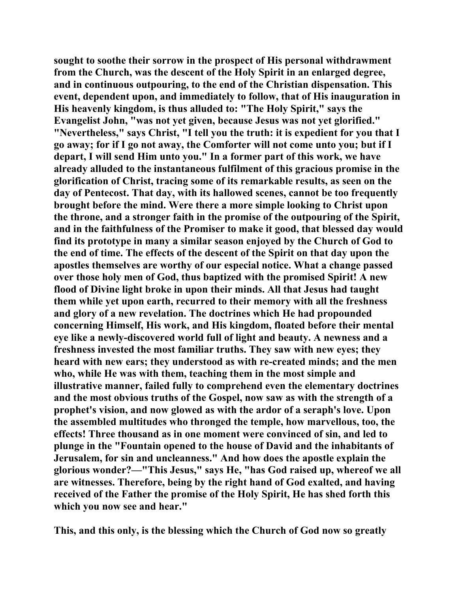**sought to soothe their sorrow in the prospect of His personal withdrawment from the Church, was the descent of the Holy Spirit in an enlarged degree, and in continuous outpouring, to the end of the Christian dispensation. This event, dependent upon, and immediately to follow, that of His inauguration in His heavenly kingdom, is thus alluded to: "The Holy Spirit," says the Evangelist John, "was not yet given, because Jesus was not yet glorified." "Nevertheless," says Christ, "I tell you the truth: it is expedient for you that I go away; for if I go not away, the Comforter will not come unto you; but if I depart, I will send Him unto you." In a former part of this work, we have already alluded to the instantaneous fulfilment of this gracious promise in the glorification of Christ, tracing some of its remarkable results, as seen on the day of Pentecost. That day, with its hallowed scenes, cannot be too frequently brought before the mind. Were there a more simple looking to Christ upon the throne, and a stronger faith in the promise of the outpouring of the Spirit, and in the faithfulness of the Promiser to make it good, that blessed day would find its prototype in many a similar season enjoyed by the Church of God to the end of time. The effects of the descent of the Spirit on that day upon the apostles themselves are worthy of our especial notice. What a change passed over those holy men of God, thus baptized with the promised Spirit! A new flood of Divine light broke in upon their minds. All that Jesus had taught them while yet upon earth, recurred to their memory with all the freshness and glory of a new revelation. The doctrines which He had propounded concerning Himself, His work, and His kingdom, floated before their mental eye like a newly-discovered world full of light and beauty. A newness and a freshness invested the most familiar truths. They saw with new eyes; they heard with new ears; they understood as with re-created minds; and the men who, while He was with them, teaching them in the most simple and illustrative manner, failed fully to comprehend even the elementary doctrines and the most obvious truths of the Gospel, now saw as with the strength of a prophet's vision, and now glowed as with the ardor of a seraph's love. Upon the assembled multitudes who thronged the temple, how marvellous, too, the effects! Three thousand as in one moment were convinced of sin, and led to plunge in the "Fountain opened to the house of David and the inhabitants of Jerusalem, for sin and uncleanness." And how does the apostle explain the glorious wonder?—"This Jesus," says He, "has God raised up, whereof we all are witnesses. Therefore, being by the right hand of God exalted, and having received of the Father the promise of the Holy Spirit, He has shed forth this which you now see and hear."** 

**This, and this only, is the blessing which the Church of God now so greatly**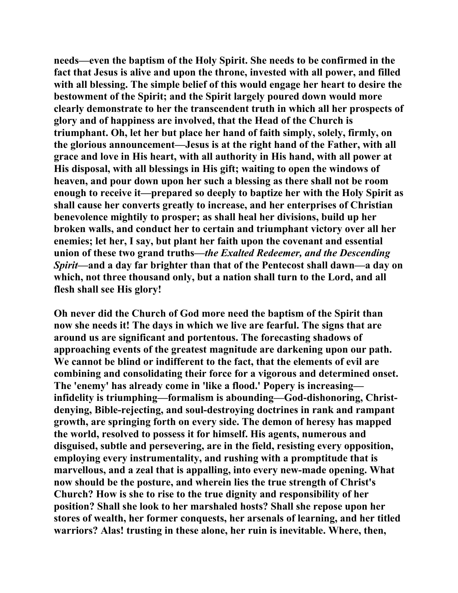**needs—even the baptism of the Holy Spirit. She needs to be confirmed in the fact that Jesus is alive and upon the throne, invested with all power, and filled with all blessing. The simple belief of this would engage her heart to desire the bestowment of the Spirit; and the Spirit largely poured down would more clearly demonstrate to her the transcendent truth in which all her prospects of glory and of happiness are involved, that the Head of the Church is triumphant. Oh, let her but place her hand of faith simply, solely, firmly, on the glorious announcement—Jesus is at the right hand of the Father, with all grace and love in His heart, with all authority in His hand, with all power at His disposal, with all blessings in His gift; waiting to open the windows of heaven, and pour down upon her such a blessing as there shall not be room enough to receive it—prepared so deeply to baptize her with the Holy Spirit as shall cause her converts greatly to increase, and her enterprises of Christian benevolence mightily to prosper; as shall heal her divisions, build up her broken walls, and conduct her to certain and triumphant victory over all her enemies; let her, I say, but plant her faith upon the covenant and essential union of these two grand truths—***the Exalted Redeemer, and the Descending Spirit***—and a day far brighter than that of the Pentecost shall dawn—a day on which, not three thousand only, but a nation shall turn to the Lord, and all flesh shall see His glory!** 

**Oh never did the Church of God more need the baptism of the Spirit than now she needs it! The days in which we live are fearful. The signs that are around us are significant and portentous. The forecasting shadows of approaching events of the greatest magnitude are darkening upon our path. We cannot be blind or indifferent to the fact, that the elements of evil are combining and consolidating their force for a vigorous and determined onset. The 'enemy' has already come in 'like a flood.' Popery is increasing infidelity is triumphing—formalism is abounding—God-dishonoring, Christdenying, Bible-rejecting, and soul-destroying doctrines in rank and rampant growth, are springing forth on every side. The demon of heresy has mapped the world, resolved to possess it for himself. His agents, numerous and disguised, subtle and persevering, are in the field, resisting every opposition, employing every instrumentality, and rushing with a promptitude that is marvellous, and a zeal that is appalling, into every new-made opening. What now should be the posture, and wherein lies the true strength of Christ's Church? How is she to rise to the true dignity and responsibility of her position? Shall she look to her marshaled hosts? Shall she repose upon her stores of wealth, her former conquests, her arsenals of learning, and her titled warriors? Alas! trusting in these alone, her ruin is inevitable. Where, then,**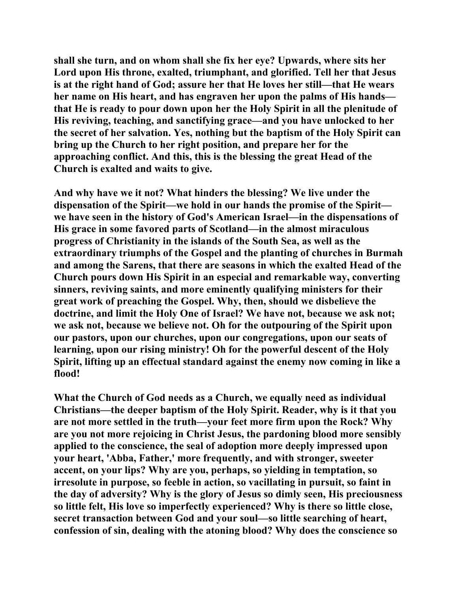**shall she turn, and on whom shall she fix her eye? Upwards, where sits her Lord upon His throne, exalted, triumphant, and glorified. Tell her that Jesus is at the right hand of God; assure her that He loves her still—that He wears her name on His heart, and has engraven her upon the palms of His hands that He is ready to pour down upon her the Holy Spirit in all the plenitude of His reviving, teaching, and sanctifying grace—and you have unlocked to her the secret of her salvation. Yes, nothing but the baptism of the Holy Spirit can bring up the Church to her right position, and prepare her for the approaching conflict. And this, this is the blessing the great Head of the Church is exalted and waits to give.** 

**And why have we it not? What hinders the blessing? We live under the dispensation of the Spirit—we hold in our hands the promise of the Spirit we have seen in the history of God's American Israel—in the dispensations of His grace in some favored parts of Scotland—in the almost miraculous progress of Christianity in the islands of the South Sea, as well as the extraordinary triumphs of the Gospel and the planting of churches in Burmah and among the Sarens, that there are seasons in which the exalted Head of the Church pours down His Spirit in an especial and remarkable way, converting sinners, reviving saints, and more eminently qualifying ministers for their great work of preaching the Gospel. Why, then, should we disbelieve the doctrine, and limit the Holy One of Israel? We have not, because we ask not; we ask not, because we believe not. Oh for the outpouring of the Spirit upon our pastors, upon our churches, upon our congregations, upon our seats of learning, upon our rising ministry! Oh for the powerful descent of the Holy Spirit, lifting up an effectual standard against the enemy now coming in like a flood!** 

**What the Church of God needs as a Church, we equally need as individual Christians—the deeper baptism of the Holy Spirit. Reader, why is it that you are not more settled in the truth—your feet more firm upon the Rock? Why are you not more rejoicing in Christ Jesus, the pardoning blood more sensibly applied to the conscience, the seal of adoption more deeply impressed upon your heart, 'Abba, Father,' more frequently, and with stronger, sweeter accent, on your lips? Why are you, perhaps, so yielding in temptation, so irresolute in purpose, so feeble in action, so vacillating in pursuit, so faint in the day of adversity? Why is the glory of Jesus so dimly seen, His preciousness so little felt, His love so imperfectly experienced? Why is there so little close, secret transaction between God and your soul—so little searching of heart, confession of sin, dealing with the atoning blood? Why does the conscience so**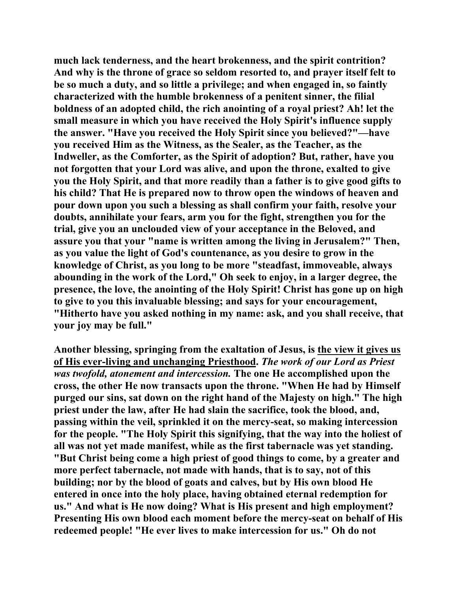**much lack tenderness, and the heart brokenness, and the spirit contrition? And why is the throne of grace so seldom resorted to, and prayer itself felt to be so much a duty, and so little a privilege; and when engaged in, so faintly characterized with the humble brokenness of a penitent sinner, the filial boldness of an adopted child, the rich anointing of a royal priest? Ah! let the small measure in which you have received the Holy Spirit's influence supply the answer. "Have you received the Holy Spirit since you believed?"—have you received Him as the Witness, as the Sealer, as the Teacher, as the Indweller, as the Comforter, as the Spirit of adoption? But, rather, have you not forgotten that your Lord was alive, and upon the throne, exalted to give you the Holy Spirit, and that more readily than a father is to give good gifts to his child? That He is prepared now to throw open the windows of heaven and pour down upon you such a blessing as shall confirm your faith, resolve your doubts, annihilate your fears, arm you for the fight, strengthen you for the trial, give you an unclouded view of your acceptance in the Beloved, and assure you that your "name is written among the living in Jerusalem?" Then, as you value the light of God's countenance, as you desire to grow in the knowledge of Christ, as you long to be more "steadfast, immoveable, always abounding in the work of the Lord," Oh seek to enjoy, in a larger degree, the presence, the love, the anointing of the Holy Spirit! Christ has gone up on high to give to you this invaluable blessing; and says for your encouragement, "Hitherto have you asked nothing in my name: ask, and you shall receive, that your joy may be full."** 

**Another blessing, springing from the exaltation of Jesus, is the view it gives us of His ever-living and unchanging Priesthood.** *The work of our Lord as Priest was twofold, atonement and intercession.* **The one He accomplished upon the cross, the other He now transacts upon the throne. "When He had by Himself purged our sins, sat down on the right hand of the Majesty on high." The high priest under the law, after He had slain the sacrifice, took the blood, and, passing within the veil, sprinkled it on the mercy-seat, so making intercession for the people. "The Holy Spirit this signifying, that the way into the holiest of all was not yet made manifest, while as the first tabernacle was yet standing. "But Christ being come a high priest of good things to come, by a greater and more perfect tabernacle, not made with hands, that is to say, not of this building; nor by the blood of goats and calves, but by His own blood He entered in once into the holy place, having obtained eternal redemption for us." And what is He now doing? What is His present and high employment? Presenting His own blood each moment before the mercy-seat on behalf of His redeemed people! "He ever lives to make intercession for us." Oh do not**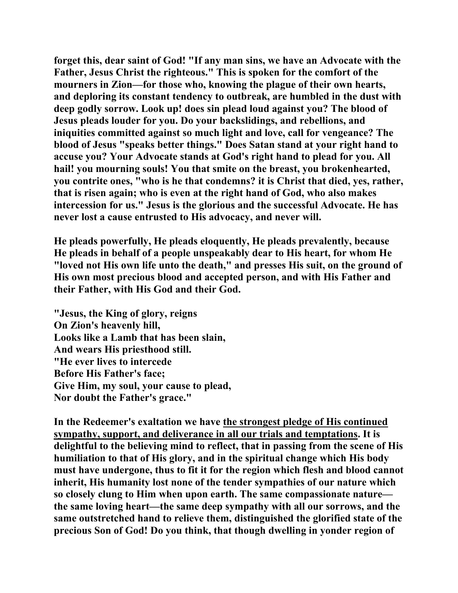**forget this, dear saint of God! "If any man sins, we have an Advocate with the Father, Jesus Christ the righteous." This is spoken for the comfort of the mourners in Zion—for those who, knowing the plague of their own hearts, and deploring its constant tendency to outbreak, are humbled in the dust with deep godly sorrow. Look up! does sin plead loud against you? The blood of Jesus pleads louder for you. Do your backslidings, and rebellions, and iniquities committed against so much light and love, call for vengeance? The blood of Jesus "speaks better things." Does Satan stand at your right hand to accuse you? Your Advocate stands at God's right hand to plead for you. All hail! you mourning souls! You that smite on the breast, you brokenhearted, you contrite ones, "who is he that condemns? it is Christ that died, yes, rather, that is risen again; who is even at the right hand of God, who also makes intercession for us." Jesus is the glorious and the successful Advocate. He has never lost a cause entrusted to His advocacy, and never will.** 

**He pleads powerfully, He pleads eloquently, He pleads prevalently, because He pleads in behalf of a people unspeakably dear to His heart, for whom He "loved not His own life unto the death," and presses His suit, on the ground of His own most precious blood and accepted person, and with His Father and their Father, with His God and their God.** 

**"Jesus, the King of glory, reigns On Zion's heavenly hill, Looks like a Lamb that has been slain, And wears His priesthood still. "He ever lives to intercede Before His Father's face; Give Him, my soul, your cause to plead, Nor doubt the Father's grace."** 

**In the Redeemer's exaltation we have the strongest pledge of His continued sympathy, support, and deliverance in all our trials and temptations. It is delightful to the believing mind to reflect, that in passing from the scene of His humiliation to that of His glory, and in the spiritual change which His body must have undergone, thus to fit it for the region which flesh and blood cannot inherit, His humanity lost none of the tender sympathies of our nature which so closely clung to Him when upon earth. The same compassionate nature the same loving heart—the same deep sympathy with all our sorrows, and the same outstretched hand to relieve them, distinguished the glorified state of the precious Son of God! Do you think, that though dwelling in yonder region of**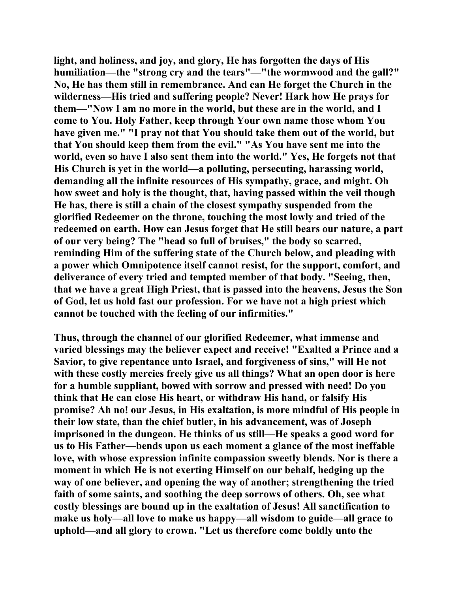**light, and holiness, and joy, and glory, He has forgotten the days of His humiliation—the "strong cry and the tears"—"the wormwood and the gall?" No, He has them still in remembrance. And can He forget the Church in the wilderness—His tried and suffering people? Never! Hark how He prays for them—"Now I am no more in the world, but these are in the world, and I come to You. Holy Father, keep through Your own name those whom You have given me." "I pray not that You should take them out of the world, but that You should keep them from the evil." "As You have sent me into the world, even so have I also sent them into the world." Yes, He forgets not that His Church is yet in the world—a polluting, persecuting, harassing world, demanding all the infinite resources of His sympathy, grace, and might. Oh how sweet and holy is the thought, that, having passed within the veil though He has, there is still a chain of the closest sympathy suspended from the glorified Redeemer on the throne, touching the most lowly and tried of the redeemed on earth. How can Jesus forget that He still bears our nature, a part of our very being? The "head so full of bruises," the body so scarred, reminding Him of the suffering state of the Church below, and pleading with a power which Omnipotence itself cannot resist, for the support, comfort, and deliverance of every tried and tempted member of that body. "Seeing, then, that we have a great High Priest, that is passed into the heavens, Jesus the Son of God, let us hold fast our profession. For we have not a high priest which cannot be touched with the feeling of our infirmities."** 

**Thus, through the channel of our glorified Redeemer, what immense and varied blessings may the believer expect and receive! "Exalted a Prince and a Savior, to give repentance unto Israel, and forgiveness of sins," will He not with these costly mercies freely give us all things? What an open door is here for a humble suppliant, bowed with sorrow and pressed with need! Do you think that He can close His heart, or withdraw His hand, or falsify His promise? Ah no! our Jesus, in His exaltation, is more mindful of His people in their low state, than the chief butler, in his advancement, was of Joseph imprisoned in the dungeon. He thinks of us still—He speaks a good word for us to His Father—bends upon us each moment a glance of the most ineffable love, with whose expression infinite compassion sweetly blends. Nor is there a moment in which He is not exerting Himself on our behalf, hedging up the way of one believer, and opening the way of another; strengthening the tried faith of some saints, and soothing the deep sorrows of others. Oh, see what costly blessings are bound up in the exaltation of Jesus! All sanctification to make us holy—all love to make us happy—all wisdom to guide—all grace to uphold—and all glory to crown. "Let us therefore come boldly unto the**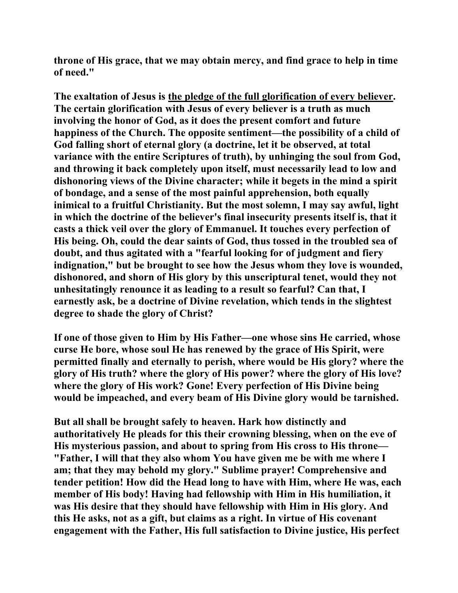**throne of His grace, that we may obtain mercy, and find grace to help in time of need."** 

**The exaltation of Jesus is the pledge of the full glorification of every believer. The certain glorification with Jesus of every believer is a truth as much involving the honor of God, as it does the present comfort and future happiness of the Church. The opposite sentiment—the possibility of a child of God falling short of eternal glory (a doctrine, let it be observed, at total variance with the entire Scriptures of truth), by unhinging the soul from God, and throwing it back completely upon itself, must necessarily lead to low and dishonoring views of the Divine character; while it begets in the mind a spirit of bondage, and a sense of the most painful apprehension, both equally inimical to a fruitful Christianity. But the most solemn, I may say awful, light in which the doctrine of the believer's final insecurity presents itself is, that it casts a thick veil over the glory of Emmanuel. It touches every perfection of His being. Oh, could the dear saints of God, thus tossed in the troubled sea of doubt, and thus agitated with a "fearful looking for of judgment and fiery indignation," but be brought to see how the Jesus whom they love is wounded, dishonored, and shorn of His glory by this unscriptural tenet, would they not unhesitatingly renounce it as leading to a result so fearful? Can that, I earnestly ask, be a doctrine of Divine revelation, which tends in the slightest degree to shade the glory of Christ?** 

**If one of those given to Him by His Father—one whose sins He carried, whose curse He bore, whose soul He has renewed by the grace of His Spirit, were permitted finally and eternally to perish, where would be His glory? where the glory of His truth? where the glory of His power? where the glory of His love? where the glory of His work? Gone! Every perfection of His Divine being would be impeached, and every beam of His Divine glory would be tarnished.** 

**But all shall be brought safely to heaven. Hark how distinctly and authoritatively He pleads for this their crowning blessing, when on the eve of His mysterious passion, and about to spring from His cross to His throne— "Father, I will that they also whom You have given me be with me where I am; that they may behold my glory." Sublime prayer! Comprehensive and tender petition! How did the Head long to have with Him, where He was, each member of His body! Having had fellowship with Him in His humiliation, it was His desire that they should have fellowship with Him in His glory. And this He asks, not as a gift, but claims as a right. In virtue of His covenant engagement with the Father, His full satisfaction to Divine justice, His perfect**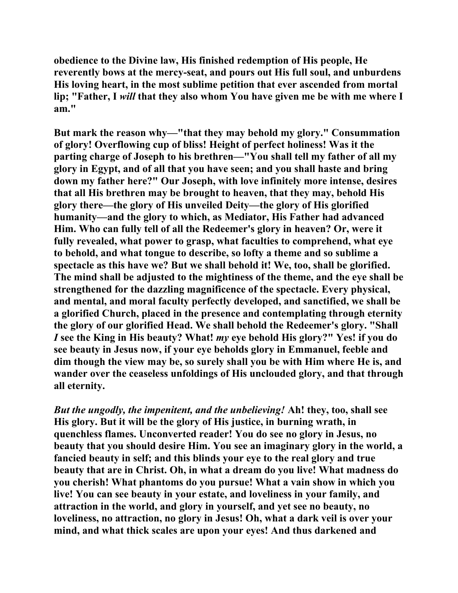**obedience to the Divine law, His finished redemption of His people, He reverently bows at the mercy-seat, and pours out His full soul, and unburdens His loving heart, in the most sublime petition that ever ascended from mortal lip; "Father, I** *will* **that they also whom You have given me be with me where I am."** 

**But mark the reason why—"that they may behold my glory." Consummation of glory! Overflowing cup of bliss! Height of perfect holiness! Was it the parting charge of Joseph to his brethren—"You shall tell my father of all my glory in Egypt, and of all that you have seen; and you shall haste and bring down my father here?" Our Joseph, with love infinitely more intense, desires that all His brethren may be brought to heaven, that they may, behold His glory there—the glory of His unveiled Deity—the glory of His glorified humanity—and the glory to which, as Mediator, His Father had advanced Him. Who can fully tell of all the Redeemer's glory in heaven? Or, were it fully revealed, what power to grasp, what faculties to comprehend, what eye to behold, and what tongue to describe, so lofty a theme and so sublime a spectacle as this have we? But we shall behold it! We, too, shall be glorified. The mind shall be adjusted to the mightiness of the theme, and the eye shall be strengthened for the dazzling magnificence of the spectacle. Every physical, and mental, and moral faculty perfectly developed, and sanctified, we shall be a glorified Church, placed in the presence and contemplating through eternity the glory of our glorified Head. We shall behold the Redeemer's glory. "Shall** *I* **see the King in His beauty? What!** *my* **eye behold His glory?" Yes! if you do see beauty in Jesus now, if your eye beholds glory in Emmanuel, feeble and dim though the view may be, so surely shall you be with Him where He is, and wander over the ceaseless unfoldings of His unclouded glory, and that through all eternity.** 

*But the ungodly, the impenitent, and the unbelieving!* **Ah! they, too, shall see His glory. But it will be the glory of His justice, in burning wrath, in quenchless flames. Unconverted reader! You do see no glory in Jesus, no beauty that you should desire Him. You see an imaginary glory in the world, a fancied beauty in self; and this blinds your eye to the real glory and true beauty that are in Christ. Oh, in what a dream do you live! What madness do you cherish! What phantoms do you pursue! What a vain show in which you live! You can see beauty in your estate, and loveliness in your family, and attraction in the world, and glory in yourself, and yet see no beauty, no loveliness, no attraction, no glory in Jesus! Oh, what a dark veil is over your mind, and what thick scales are upon your eyes! And thus darkened and**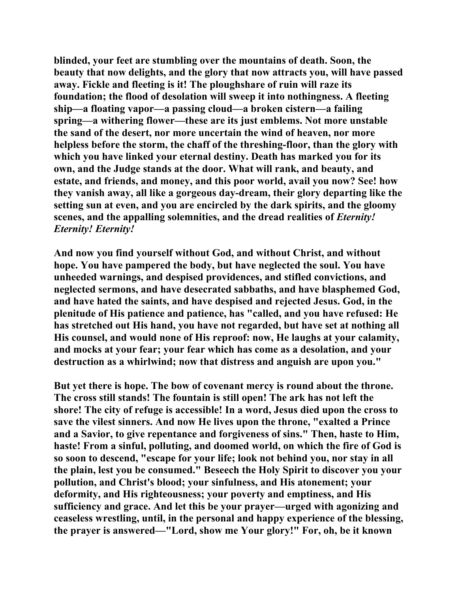**blinded, your feet are stumbling over the mountains of death. Soon, the beauty that now delights, and the glory that now attracts you, will have passed away. Fickle and fleeting is it! The ploughshare of ruin will raze its foundation; the flood of desolation will sweep it into nothingness. A fleeting ship—a floating vapor—a passing cloud—a broken cistern—a failing spring—a withering flower—these are its just emblems. Not more unstable the sand of the desert, nor more uncertain the wind of heaven, nor more helpless before the storm, the chaff of the threshing-floor, than the glory with which you have linked your eternal destiny. Death has marked you for its own, and the Judge stands at the door. What will rank, and beauty, and estate, and friends, and money, and this poor world, avail you now? See! how they vanish away, all like a gorgeous day-dream, their glory departing like the setting sun at even, and you are encircled by the dark spirits, and the gloomy scenes, and the appalling solemnities, and the dread realities of** *Eternity! Eternity! Eternity!*

**And now you find yourself without God, and without Christ, and without hope. You have pampered the body, but have neglected the soul. You have unheeded warnings, and despised providences, and stifled convictions, and neglected sermons, and have desecrated sabbaths, and have blasphemed God, and have hated the saints, and have despised and rejected Jesus. God, in the plenitude of His patience and patience, has "called, and you have refused: He has stretched out His hand, you have not regarded, but have set at nothing all His counsel, and would none of His reproof: now, He laughs at your calamity, and mocks at your fear; your fear which has come as a desolation, and your destruction as a whirlwind; now that distress and anguish are upon you."** 

**But yet there is hope. The bow of covenant mercy is round about the throne. The cross still stands! The fountain is still open! The ark has not left the shore! The city of refuge is accessible! In a word, Jesus died upon the cross to save the vilest sinners. And now He lives upon the throne, "exalted a Prince and a Savior, to give repentance and forgiveness of sins." Then, haste to Him, haste! From a sinful, polluting, and doomed world, on which the fire of God is so soon to descend, "escape for your life; look not behind you, nor stay in all the plain, lest you be consumed." Beseech the Holy Spirit to discover you your pollution, and Christ's blood; your sinfulness, and His atonement; your deformity, and His righteousness; your poverty and emptiness, and His sufficiency and grace. And let this be your prayer—urged with agonizing and ceaseless wrestling, until, in the personal and happy experience of the blessing, the prayer is answered—"Lord, show me Your glory!" For, oh, be it known**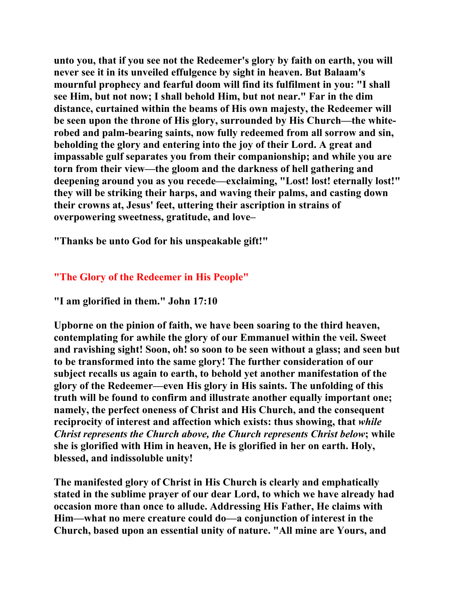**unto you, that if you see not the Redeemer's glory by faith on earth, you will never see it in its unveiled effulgence by sight in heaven. But Balaam's mournful prophecy and fearful doom will find its fulfilment in you: "I shall see Him, but not now; I shall behold Him, but not near." Far in the dim distance, curtained within the beams of His own majesty, the Redeemer will be seen upon the throne of His glory, surrounded by His Church—the whiterobed and palm-bearing saints, now fully redeemed from all sorrow and sin, beholding the glory and entering into the joy of their Lord. A great and impassable gulf separates you from their companionship; and while you are torn from their view—the gloom and the darkness of hell gathering and deepening around you as you recede—exclaiming, "Lost! lost! eternally lost!" they will be striking their harps, and waving their palms, and casting down their crowns at, Jesus' feet, uttering their ascription in strains of overpowering sweetness, gratitude, and love–** 

**"Thanks be unto God for his unspeakable gift!"** 

## **"The Glory of the Redeemer in His People"**

**"I am glorified in them." John 17:10** 

**Upborne on the pinion of faith, we have been soaring to the third heaven, contemplating for awhile the glory of our Emmanuel within the veil. Sweet and ravishing sight! Soon, oh! so soon to be seen without a glass; and seen but to be transformed into the same glory! The further consideration of our subject recalls us again to earth, to behold yet another manifestation of the glory of the Redeemer—even His glory in His saints. The unfolding of this truth will be found to confirm and illustrate another equally important one; namely, the perfect oneness of Christ and His Church, and the consequent reciprocity of interest and affection which exists: thus showing, that** *while Christ represents the Church above, the Church represents Christ below***; while she is glorified with Him in heaven, He is glorified in her on earth. Holy, blessed, and indissoluble unity!** 

**The manifested glory of Christ in His Church is clearly and emphatically stated in the sublime prayer of our dear Lord, to which we have already had occasion more than once to allude. Addressing His Father, He claims with Him—what no mere creature could do—a conjunction of interest in the Church, based upon an essential unity of nature. "All mine are Yours, and**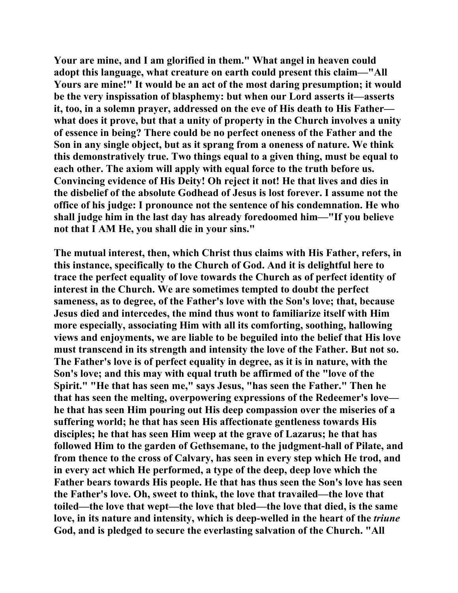**Your are mine, and I am glorified in them." What angel in heaven could adopt this language, what creature on earth could present this claim—"All Yours are mine!" It would be an act of the most daring presumption; it would be the very inspissation of blasphemy: but when our Lord asserts it—asserts it, too, in a solemn prayer, addressed on the eve of His death to His Father what does it prove, but that a unity of property in the Church involves a unity of essence in being? There could be no perfect oneness of the Father and the Son in any single object, but as it sprang from a oneness of nature. We think this demonstratively true. Two things equal to a given thing, must be equal to each other. The axiom will apply with equal force to the truth before us. Convincing evidence of His Deity! Oh reject it not! He that lives and dies in the disbelief of the absolute Godhead of Jesus is lost forever. I assume not the office of his judge: I pronounce not the sentence of his condemnation. He who shall judge him in the last day has already foredoomed him—"If you believe not that I AM He, you shall die in your sins."** 

**The mutual interest, then, which Christ thus claims with His Father, refers, in this instance, specifically to the Church of God. And it is delightful here to trace the perfect equality of love towards the Church as of perfect identity of interest in the Church. We are sometimes tempted to doubt the perfect sameness, as to degree, of the Father's love with the Son's love; that, because Jesus died and intercedes, the mind thus wont to familiarize itself with Him more especially, associating Him with all its comforting, soothing, hallowing views and enjoyments, we are liable to be beguiled into the belief that His love must transcend in its strength and intensity the love of the Father. But not so. The Father's love is of perfect equality in degree, as it is in nature, with the Son's love; and this may with equal truth be affirmed of the "love of the Spirit." "He that has seen me," says Jesus, "has seen the Father." Then he that has seen the melting, overpowering expressions of the Redeemer's love he that has seen Him pouring out His deep compassion over the miseries of a suffering world; he that has seen His affectionate gentleness towards His disciples; he that has seen Him weep at the grave of Lazarus; he that has followed Him to the garden of Gethsemane, to the judgment-hall of Pilate, and from thence to the cross of Calvary, has seen in every step which He trod, and in every act which He performed, a type of the deep, deep love which the Father bears towards His people. He that has thus seen the Son's love has seen the Father's love. Oh, sweet to think, the love that travailed—the love that toiled—the love that wept—the love that bled—the love that died, is the same love, in its nature and intensity, which is deep-welled in the heart of the** *triune* **God, and is pledged to secure the everlasting salvation of the Church. "All**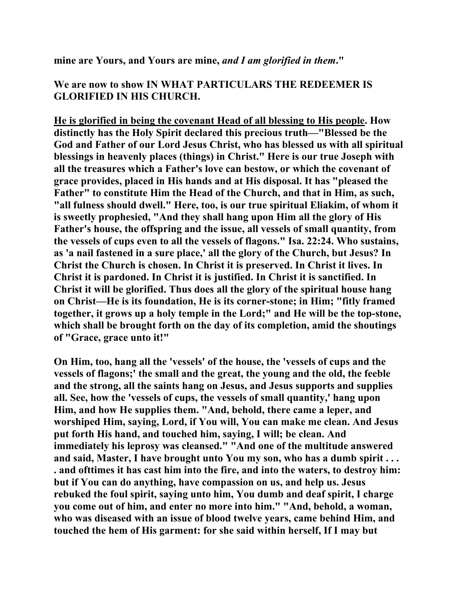**mine are Yours, and Yours are mine,** *and I am glorified in them***."** 

## **We are now to show IN WHAT PARTICULARS THE REDEEMER IS GLORIFIED IN HIS CHURCH.**

**He is glorified in being the covenant Head of all blessing to His people. How distinctly has the Holy Spirit declared this precious truth—"Blessed be the God and Father of our Lord Jesus Christ, who has blessed us with all spiritual blessings in heavenly places (things) in Christ." Here is our true Joseph with all the treasures which a Father's love can bestow, or which the covenant of grace provides, placed in His hands and at His disposal. It has "pleased the Father" to constitute Him the Head of the Church, and that in Him, as such, "all fulness should dwell." Here, too, is our true spiritual Eliakim, of whom it is sweetly prophesied, "And they shall hang upon Him all the glory of His Father's house, the offspring and the issue, all vessels of small quantity, from the vessels of cups even to all the vessels of flagons." Isa. 22:24. Who sustains, as 'a nail fastened in a sure place,' all the glory of the Church, but Jesus? In Christ the Church is chosen. In Christ it is preserved. In Christ it lives. In Christ it is pardoned. In Christ it is justified. In Christ it is sanctified. In Christ it will be glorified. Thus does all the glory of the spiritual house hang on Christ—He is its foundation, He is its corner-stone; in Him; "fitly framed together, it grows up a holy temple in the Lord;" and He will be the top-stone, which shall be brought forth on the day of its completion, amid the shoutings of "Grace, grace unto it!"** 

**On Him, too, hang all the 'vessels' of the house, the 'vessels of cups and the vessels of flagons;' the small and the great, the young and the old, the feeble and the strong, all the saints hang on Jesus, and Jesus supports and supplies all. See, how the 'vessels of cups, the vessels of small quantity,' hang upon Him, and how He supplies them. "And, behold, there came a leper, and worshiped Him, saying, Lord, if You will, You can make me clean. And Jesus put forth His hand, and touched him, saying, I will; be clean. And immediately his leprosy was cleansed." "And one of the multitude answered and said, Master, I have brought unto You my son, who has a dumb spirit . . . . and ofttimes it has cast him into the fire, and into the waters, to destroy him: but if You can do anything, have compassion on us, and help us. Jesus rebuked the foul spirit, saying unto him, You dumb and deaf spirit, I charge you come out of him, and enter no more into him." "And, behold, a woman, who was diseased with an issue of blood twelve years, came behind Him, and touched the hem of His garment: for she said within herself, If I may but**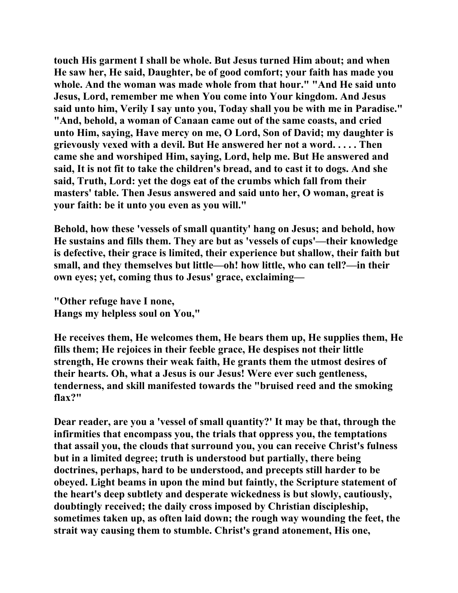**touch His garment I shall be whole. But Jesus turned Him about; and when He saw her, He said, Daughter, be of good comfort; your faith has made you whole. And the woman was made whole from that hour." "And He said unto Jesus, Lord, remember me when You come into Your kingdom. And Jesus said unto him, Verily I say unto you, Today shall you be with me in Paradise." "And, behold, a woman of Canaan came out of the same coasts, and cried unto Him, saying, Have mercy on me, O Lord, Son of David; my daughter is grievously vexed with a devil. But He answered her not a word. . . . . Then came she and worshiped Him, saying, Lord, help me. But He answered and said, It is not fit to take the children's bread, and to cast it to dogs. And she said, Truth, Lord: yet the dogs eat of the crumbs which fall from their masters' table. Then Jesus answered and said unto her, O woman, great is your faith: be it unto you even as you will."** 

**Behold, how these 'vessels of small quantity' hang on Jesus; and behold, how He sustains and fills them. They are but as 'vessels of cups'—their knowledge is defective, their grace is limited, their experience but shallow, their faith but small, and they themselves but little—oh! how little, who can tell?—in their own eyes; yet, coming thus to Jesus' grace, exclaiming—** 

**"Other refuge have I none, Hangs my helpless soul on You,"** 

**He receives them, He welcomes them, He bears them up, He supplies them, He fills them; He rejoices in their feeble grace, He despises not their little strength, He crowns their weak faith, He grants them the utmost desires of their hearts. Oh, what a Jesus is our Jesus! Were ever such gentleness, tenderness, and skill manifested towards the "bruised reed and the smoking flax?"** 

**Dear reader, are you a 'vessel of small quantity?' It may be that, through the infirmities that encompass you, the trials that oppress you, the temptations that assail you, the clouds that surround you, you can receive Christ's fulness but in a limited degree; truth is understood but partially, there being doctrines, perhaps, hard to be understood, and precepts still harder to be obeyed. Light beams in upon the mind but faintly, the Scripture statement of the heart's deep subtlety and desperate wickedness is but slowly, cautiously, doubtingly received; the daily cross imposed by Christian discipleship, sometimes taken up, as often laid down; the rough way wounding the feet, the strait way causing them to stumble. Christ's grand atonement, His one,**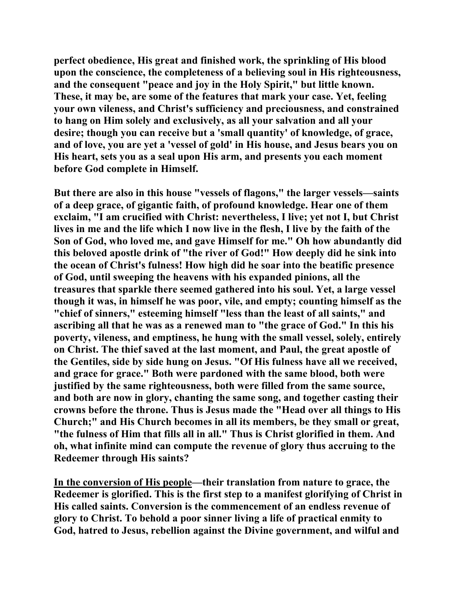**perfect obedience, His great and finished work, the sprinkling of His blood upon the conscience, the completeness of a believing soul in His righteousness, and the consequent "peace and joy in the Holy Spirit," but little known. These, it may be, are some of the features that mark your case. Yet, feeling your own vileness, and Christ's sufficiency and preciousness, and constrained to hang on Him solely and exclusively, as all your salvation and all your desire; though you can receive but a 'small quantity' of knowledge, of grace, and of love, you are yet a 'vessel of gold' in His house, and Jesus bears you on His heart, sets you as a seal upon His arm, and presents you each moment before God complete in Himself.** 

**But there are also in this house "vessels of flagons," the larger vessels—saints of a deep grace, of gigantic faith, of profound knowledge. Hear one of them exclaim, "I am crucified with Christ: nevertheless, I live; yet not I, but Christ lives in me and the life which I now live in the flesh, I live by the faith of the Son of God, who loved me, and gave Himself for me." Oh how abundantly did this beloved apostle drink of "the river of God!" How deeply did he sink into the ocean of Christ's fulness! How high did he soar into the beatific presence of God, until sweeping the heavens with his expanded pinions, all the treasures that sparkle there seemed gathered into his soul. Yet, a large vessel though it was, in himself he was poor, vile, and empty; counting himself as the "chief of sinners," esteeming himself "less than the least of all saints," and ascribing all that he was as a renewed man to "the grace of God." In this his poverty, vileness, and emptiness, he hung with the small vessel, solely, entirely on Christ. The thief saved at the last moment, and Paul, the great apostle of the Gentiles, side by side hung on Jesus. "Of His fulness have all we received, and grace for grace." Both were pardoned with the same blood, both were justified by the same righteousness, both were filled from the same source, and both are now in glory, chanting the same song, and together casting their crowns before the throne. Thus is Jesus made the "Head over all things to His Church;" and His Church becomes in all its members, be they small or great, "the fulness of Him that fills all in all." Thus is Christ glorified in them. And oh, what infinite mind can compute the revenue of glory thus accruing to the Redeemer through His saints?** 

**In the conversion of His people—their translation from nature to grace, the Redeemer is glorified. This is the first step to a manifest glorifying of Christ in His called saints. Conversion is the commencement of an endless revenue of glory to Christ. To behold a poor sinner living a life of practical enmity to God, hatred to Jesus, rebellion against the Divine government, and wilful and**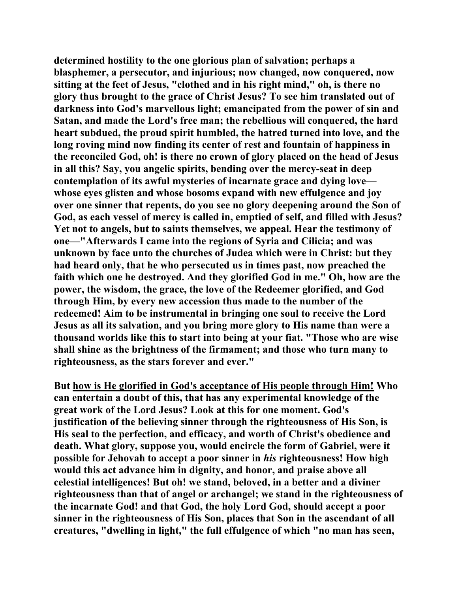**determined hostility to the one glorious plan of salvation; perhaps a blasphemer, a persecutor, and injurious; now changed, now conquered, now sitting at the feet of Jesus, "clothed and in his right mind," oh, is there no glory thus brought to the grace of Christ Jesus? To see him translated out of darkness into God's marvellous light; emancipated from the power of sin and Satan, and made the Lord's free man; the rebellious will conquered, the hard heart subdued, the proud spirit humbled, the hatred turned into love, and the long roving mind now finding its center of rest and fountain of happiness in the reconciled God, oh! is there no crown of glory placed on the head of Jesus in all this? Say, you angelic spirits, bending over the mercy-seat in deep contemplation of its awful mysteries of incarnate grace and dying love whose eyes glisten and whose bosoms expand with new effulgence and joy over one sinner that repents, do you see no glory deepening around the Son of God, as each vessel of mercy is called in, emptied of self, and filled with Jesus? Yet not to angels, but to saints themselves, we appeal. Hear the testimony of one—"Afterwards I came into the regions of Syria and Cilicia; and was unknown by face unto the churches of Judea which were in Christ: but they had heard only, that he who persecuted us in times past, now preached the faith which one he destroyed. And they glorified God in me." Oh, how are the power, the wisdom, the grace, the love of the Redeemer glorified, and God through Him, by every new accession thus made to the number of the redeemed! Aim to be instrumental in bringing one soul to receive the Lord Jesus as all its salvation, and you bring more glory to His name than were a thousand worlds like this to start into being at your fiat. "Those who are wise shall shine as the brightness of the firmament; and those who turn many to righteousness, as the stars forever and ever."** 

**But how is He glorified in God's acceptance of His people through Him! Who can entertain a doubt of this, that has any experimental knowledge of the great work of the Lord Jesus? Look at this for one moment. God's justification of the believing sinner through the righteousness of His Son, is His seal to the perfection, and efficacy, and worth of Christ's obedience and death. What glory, suppose you, would encircle the form of Gabriel, were it possible for Jehovah to accept a poor sinner in** *his* **righteousness! How high would this act advance him in dignity, and honor, and praise above all celestial intelligences! But oh! we stand, beloved, in a better and a diviner righteousness than that of angel or archangel; we stand in the righteousness of the incarnate God! and that God, the holy Lord God, should accept a poor sinner in the righteousness of His Son, places that Son in the ascendant of all creatures, "dwelling in light," the full effulgence of which "no man has seen,**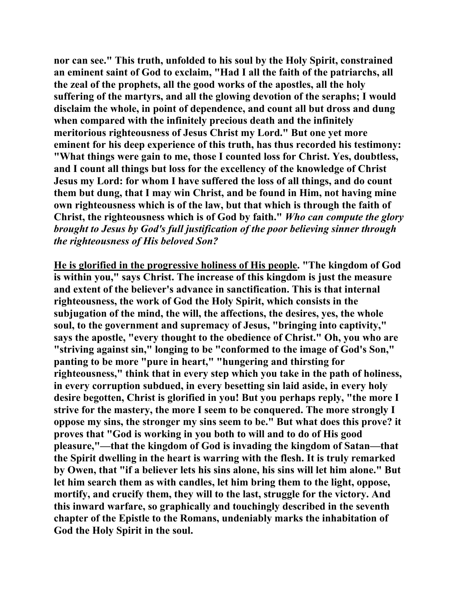**nor can see." This truth, unfolded to his soul by the Holy Spirit, constrained an eminent saint of God to exclaim, "Had I all the faith of the patriarchs, all the zeal of the prophets, all the good works of the apostles, all the holy suffering of the martyrs, and all the glowing devotion of the seraphs; I would disclaim the whole, in point of dependence, and count all but dross and dung when compared with the infinitely precious death and the infinitely meritorious righteousness of Jesus Christ my Lord." But one yet more eminent for his deep experience of this truth, has thus recorded his testimony: "What things were gain to me, those I counted loss for Christ. Yes, doubtless, and I count all things but loss for the excellency of the knowledge of Christ Jesus my Lord: for whom I have suffered the loss of all things, and do count them but dung, that I may win Christ, and be found in Him, not having mine own righteousness which is of the law, but that which is through the faith of Christ, the righteousness which is of God by faith."** *Who can compute the glory brought to Jesus by God's full justification of the poor believing sinner through the righteousness of His beloved Son?*

**He is glorified in the progressive holiness of His people. "The kingdom of God is within you," says Christ. The increase of this kingdom is just the measure and extent of the believer's advance in sanctification. This is that internal righteousness, the work of God the Holy Spirit, which consists in the subjugation of the mind, the will, the affections, the desires, yes, the whole soul, to the government and supremacy of Jesus, "bringing into captivity," says the apostle, "every thought to the obedience of Christ." Oh, you who are "striving against sin," longing to be "conformed to the image of God's Son," panting to be more "pure in heart," "hungering and thirsting for righteousness," think that in every step which you take in the path of holiness, in every corruption subdued, in every besetting sin laid aside, in every holy desire begotten, Christ is glorified in you! But you perhaps reply, "the more I strive for the mastery, the more I seem to be conquered. The more strongly I oppose my sins, the stronger my sins seem to be." But what does this prove? it proves that "God is working in you both to will and to do of His good pleasure,"—that the kingdom of God is invading the kingdom of Satan—that the Spirit dwelling in the heart is warring with the flesh. It is truly remarked by Owen, that "if a believer lets his sins alone, his sins will let him alone." But let him search them as with candles, let him bring them to the light, oppose, mortify, and crucify them, they will to the last, struggle for the victory. And this inward warfare, so graphically and touchingly described in the seventh chapter of the Epistle to the Romans, undeniably marks the inhabitation of God the Holy Spirit in the soul.**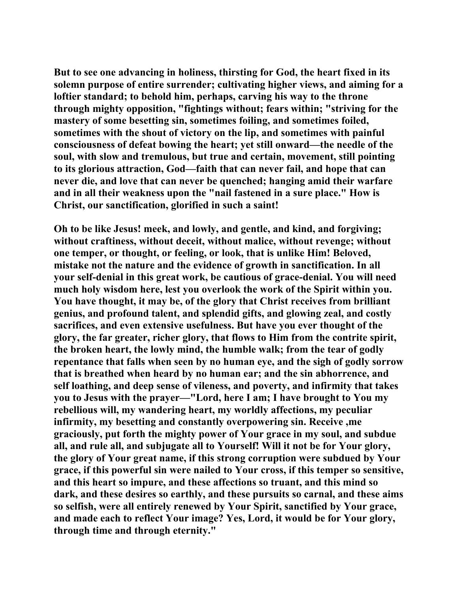**But to see one advancing in holiness, thirsting for God, the heart fixed in its solemn purpose of entire surrender; cultivating higher views, and aiming for a loftier standard; to behold him, perhaps, carving his way to the throne through mighty opposition, "fightings without; fears within; "striving for the mastery of some besetting sin, sometimes foiling, and sometimes foiled, sometimes with the shout of victory on the lip, and sometimes with painful consciousness of defeat bowing the heart; yet still onward—the needle of the soul, with slow and tremulous, but true and certain, movement, still pointing to its glorious attraction, God—faith that can never fail, and hope that can never die, and love that can never be quenched; hanging amid their warfare and in all their weakness upon the "nail fastened in a sure place." How is Christ, our sanctification, glorified in such a saint!** 

**Oh to be like Jesus! meek, and lowly, and gentle, and kind, and forgiving; without craftiness, without deceit, without malice, without revenge; without one temper, or thought, or feeling, or look, that is unlike Him! Beloved, mistake not the nature and the evidence of growth in sanctification. In all your self-denial in this great work, be cautious of grace-denial. You will need much holy wisdom here, lest you overlook the work of the Spirit within you. You have thought, it may be, of the glory that Christ receives from brilliant genius, and profound talent, and splendid gifts, and glowing zeal, and costly sacrifices, and even extensive usefulness. But have you ever thought of the glory, the far greater, richer glory, that flows to Him from the contrite spirit, the broken heart, the lowly mind, the humble walk; from the tear of godly repentance that falls when seen by no human eye, and the sigh of godly sorrow that is breathed when heard by no human ear; and the sin abhorrence, and self loathing, and deep sense of vileness, and poverty, and infirmity that takes you to Jesus with the prayer—"Lord, here I am; I have brought to You my rebellious will, my wandering heart, my worldly affections, my peculiar infirmity, my besetting and constantly overpowering sin. Receive ,me graciously, put forth the mighty power of Your grace in my soul, and subdue all, and rule all, and subjugate all to Yourself! Will it not be for Your glory, the glory of Your great name, if this strong corruption were subdued by Your grace, if this powerful sin were nailed to Your cross, if this temper so sensitive, and this heart so impure, and these affections so truant, and this mind so dark, and these desires so earthly, and these pursuits so carnal, and these aims so selfish, were all entirely renewed by Your Spirit, sanctified by Your grace, and made each to reflect Your image? Yes, Lord, it would be for Your glory, through time and through eternity."**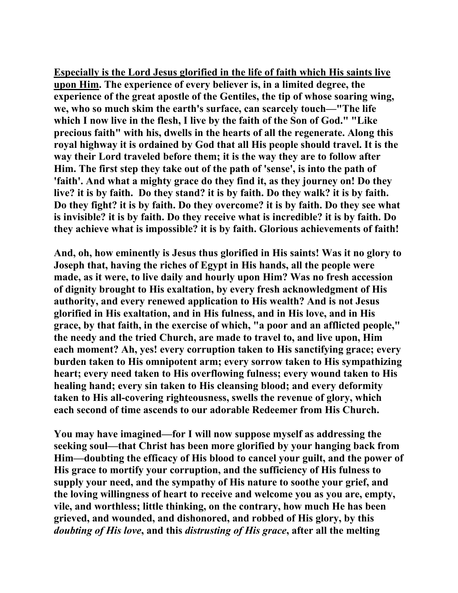**Especially is the Lord Jesus glorified in the life of faith which His saints live upon Him. The experience of every believer is, in a limited degree, the experience of the great apostle of the Gentiles, the tip of whose soaring wing, we, who so much skim the earth's surface, can scarcely touch—"The life which I now live in the flesh, I live by the faith of the Son of God." "Like precious faith" with his, dwells in the hearts of all the regenerate. Along this royal highway it is ordained by God that all His people should travel. It is the way their Lord traveled before them; it is the way they are to follow after Him. The first step they take out of the path of 'sense', is into the path of 'faith'. And what a mighty grace do they find it, as they journey on! Do they live? it is by faith. Do they stand? it is by faith. Do they walk? it is by faith. Do they fight? it is by faith. Do they overcome? it is by faith. Do they see what is invisible? it is by faith. Do they receive what is incredible? it is by faith. Do they achieve what is impossible? it is by faith. Glorious achievements of faith!** 

**And, oh, how eminently is Jesus thus glorified in His saints! Was it no glory to Joseph that, having the riches of Egypt in His hands, all the people were made, as it were, to live daily and hourly upon Him? Was no fresh accession of dignity brought to His exaltation, by every fresh acknowledgment of His authority, and every renewed application to His wealth? And is not Jesus glorified in His exaltation, and in His fulness, and in His love, and in His grace, by that faith, in the exercise of which, "a poor and an afflicted people," the needy and the tried Church, are made to travel to, and live upon, Him each moment? Ah, yes! every corruption taken to His sanctifying grace; every burden taken to His omnipotent arm; every sorrow taken to His sympathizing heart; every need taken to His overflowing fulness; every wound taken to His healing hand; every sin taken to His cleansing blood; and every deformity taken to His all-covering righteousness, swells the revenue of glory, which each second of time ascends to our adorable Redeemer from His Church.** 

**You may have imagined—for I will now suppose myself as addressing the seeking soul—that Christ has been more glorified by your hanging back from Him—doubting the efficacy of His blood to cancel your guilt, and the power of His grace to mortify your corruption, and the sufficiency of His fulness to supply your need, and the sympathy of His nature to soothe your grief, and the loving willingness of heart to receive and welcome you as you are, empty, vile, and worthless; little thinking, on the contrary, how much He has been grieved, and wounded, and dishonored, and robbed of His glory, by this**  *doubting of His love***, and this** *distrusting of His grace***, after all the melting**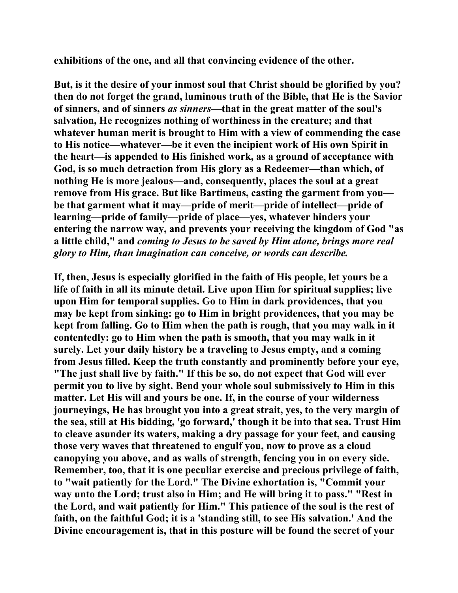**exhibitions of the one, and all that convincing evidence of the other.** 

**But, is it the desire of your inmost soul that Christ should be glorified by you? then do not forget the grand, luminous truth of the Bible, that He is the Savior of sinners, and of sinners** *as sinners***—that in the great matter of the soul's salvation, He recognizes nothing of worthiness in the creature; and that whatever human merit is brought to Him with a view of commending the case to His notice—whatever—be it even the incipient work of His own Spirit in the heart—is appended to His finished work, as a ground of acceptance with God, is so much detraction from His glory as a Redeemer—than which, of nothing He is more jealous—and, consequently, places the soul at a great remove from His grace. But like Bartimeus, casting the garment from you be that garment what it may—pride of merit—pride of intellect—pride of learning—pride of family—pride of place—yes, whatever hinders your entering the narrow way, and prevents your receiving the kingdom of God "as a little child," and** *coming to Jesus to be saved by Him alone, brings more real glory to Him, than imagination can conceive, or words can describe.*

**If, then, Jesus is especially glorified in the faith of His people, let yours be a life of faith in all its minute detail. Live upon Him for spiritual supplies; live upon Him for temporal supplies. Go to Him in dark providences, that you may be kept from sinking: go to Him in bright providences, that you may be kept from falling. Go to Him when the path is rough, that you may walk in it contentedly: go to Him when the path is smooth, that you may walk in it surely. Let your daily history be a traveling to Jesus empty, and a coming from Jesus filled. Keep the truth constantly and prominently before your eye, "The just shall live by faith." If this be so, do not expect that God will ever permit you to live by sight. Bend your whole soul submissively to Him in this matter. Let His will and yours be one. If, in the course of your wilderness journeyings, He has brought you into a great strait, yes, to the very margin of the sea, still at His bidding, 'go forward,' though it be into that sea. Trust Him to cleave asunder its waters, making a dry passage for your feet, and causing those very waves that threatened to engulf you, now to prove as a cloud canopying you above, and as walls of strength, fencing you in on every side. Remember, too, that it is one peculiar exercise and precious privilege of faith, to "wait patiently for the Lord." The Divine exhortation is, "Commit your way unto the Lord; trust also in Him; and He will bring it to pass." "Rest in the Lord, and wait patiently for Him." This patience of the soul is the rest of faith, on the faithful God; it is a 'standing still, to see His salvation.' And the Divine encouragement is, that in this posture will be found the secret of your**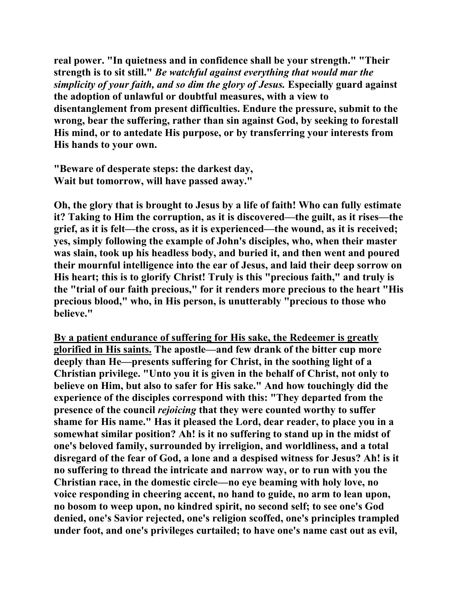**real power. "In quietness and in confidence shall be your strength." "Their strength is to sit still."** *Be watchful against everything that would mar the simplicity of your faith, and so dim the glory of Jesus.* **Especially guard against the adoption of unlawful or doubtful measures, with a view to disentanglement from present difficulties. Endure the pressure, submit to the wrong, bear the suffering, rather than sin against God, by seeking to forestall His mind, or to antedate His purpose, or by transferring your interests from His hands to your own.** 

**"Beware of desperate steps: the darkest day, Wait but tomorrow, will have passed away."** 

**Oh, the glory that is brought to Jesus by a life of faith! Who can fully estimate it? Taking to Him the corruption, as it is discovered—the guilt, as it rises—the grief, as it is felt—the cross, as it is experienced—the wound, as it is received; yes, simply following the example of John's disciples, who, when their master was slain, took up his headless body, and buried it, and then went and poured their mournful intelligence into the ear of Jesus, and laid their deep sorrow on His heart; this is to glorify Christ! Truly is this "precious faith," and truly is the "trial of our faith precious," for it renders more precious to the heart "His precious blood," who, in His person, is unutterably "precious to those who believe."** 

**By a patient endurance of suffering for His sake, the Redeemer is greatly glorified in His saints. The apostle—and few drank of the bitter cup more deeply than He—presents suffering for Christ, in the soothing light of a Christian privilege. "Unto you it is given in the behalf of Christ, not only to believe on Him, but also to safer for His sake." And how touchingly did the experience of the disciples correspond with this: "They departed from the presence of the council** *rejoicing* **that they were counted worthy to suffer shame for His name." Has it pleased the Lord, dear reader, to place you in a somewhat similar position? Ah! is it no suffering to stand up in the midst of one's beloved family, surrounded by irreligion, and worldliness, and a total disregard of the fear of God, a lone and a despised witness for Jesus? Ah! is it no suffering to thread the intricate and narrow way, or to run with you the Christian race, in the domestic circle—no eye beaming with holy love, no voice responding in cheering accent, no hand to guide, no arm to lean upon, no bosom to weep upon, no kindred spirit, no second self; to see one's God denied, one's Savior rejected, one's religion scoffed, one's principles trampled under foot, and one's privileges curtailed; to have one's name cast out as evil,**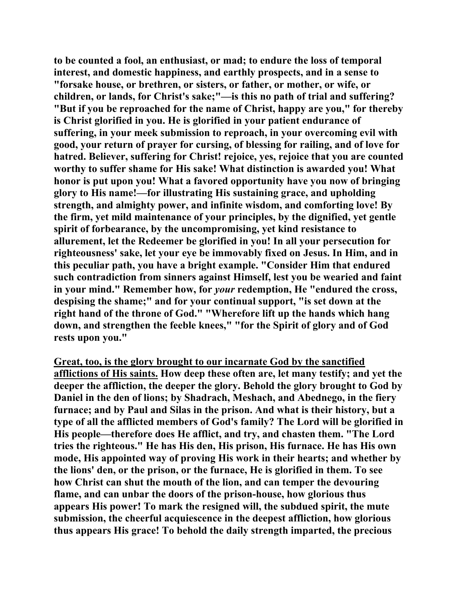**to be counted a fool, an enthusiast, or mad; to endure the loss of temporal interest, and domestic happiness, and earthly prospects, and in a sense to "forsake house, or brethren, or sisters, or father, or mother, or wife, or children, or lands, for Christ's sake;"—is this no path of trial and suffering? "But if you be reproached for the name of Christ, happy are you," for thereby is Christ glorified in you. He is glorified in your patient endurance of suffering, in your meek submission to reproach, in your overcoming evil with good, your return of prayer for cursing, of blessing for railing, and of love for hatred. Believer, suffering for Christ! rejoice, yes, rejoice that you are counted worthy to suffer shame for His sake! What distinction is awarded you! What honor is put upon you! What a favored opportunity have you now of bringing glory to His name!—for illustrating His sustaining grace, and upholding strength, and almighty power, and infinite wisdom, and comforting love! By the firm, yet mild maintenance of your principles, by the dignified, yet gentle spirit of forbearance, by the uncompromising, yet kind resistance to allurement, let the Redeemer be glorified in you! In all your persecution for righteousness' sake, let your eye be immovably fixed on Jesus. In Him, and in this peculiar path, you have a bright example. "Consider Him that endured such contradiction from sinners against Himself, lest you be wearied and faint in your mind." Remember how, for** *your* **redemption, He "endured the cross, despising the shame;" and for your continual support, "is set down at the right hand of the throne of God." "Wherefore lift up the hands which hang down, and strengthen the feeble knees," "for the Spirit of glory and of God rests upon you."** 

**Great, too, is the glory brought to our incarnate God by the sanctified afflictions of His saints. How deep these often are, let many testify; and yet the deeper the affliction, the deeper the glory. Behold the glory brought to God by Daniel in the den of lions; by Shadrach, Meshach, and Abednego, in the fiery furnace; and by Paul and Silas in the prison. And what is their history, but a type of all the afflicted members of God's family? The Lord will be glorified in His people—therefore does He afflict, and try, and chasten them. "The Lord tries the righteous." He has His den, His prison, His furnace. He has His own mode, His appointed way of proving His work in their hearts; and whether by the lions' den, or the prison, or the furnace, He is glorified in them. To see how Christ can shut the mouth of the lion, and can temper the devouring flame, and can unbar the doors of the prison-house, how glorious thus appears His power! To mark the resigned will, the subdued spirit, the mute submission, the cheerful acquiescence in the deepest affliction, how glorious thus appears His grace! To behold the daily strength imparted, the precious**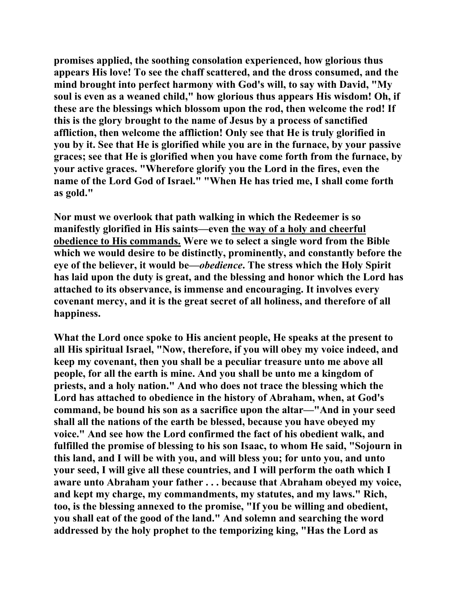**promises applied, the soothing consolation experienced, how glorious thus appears His love! To see the chaff scattered, and the dross consumed, and the mind brought into perfect harmony with God's will, to say with David, "My soul is even as a weaned child," how glorious thus appears His wisdom! Oh, if these are the blessings which blossom upon the rod, then welcome the rod! If this is the glory brought to the name of Jesus by a process of sanctified affliction, then welcome the affliction! Only see that He is truly glorified in you by it. See that He is glorified while you are in the furnace, by your passive graces; see that He is glorified when you have come forth from the furnace, by your active graces. "Wherefore glorify you the Lord in the fires, even the name of the Lord God of Israel." "When He has tried me, I shall come forth as gold."** 

**Nor must we overlook that path walking in which the Redeemer is so manifestly glorified in His saints—even the way of a holy and cheerful obedience to His commands. Were we to select a single word from the Bible which we would desire to be distinctly, prominently, and constantly before the eye of the believer, it would be—***obedience***. The stress which the Holy Spirit has laid upon the duty is great, and the blessing and honor which the Lord has attached to its observance, is immense and encouraging. It involves every covenant mercy, and it is the great secret of all holiness, and therefore of all happiness.** 

**What the Lord once spoke to His ancient people, He speaks at the present to all His spiritual Israel, "Now, therefore, if you will obey my voice indeed, and keep my covenant, then you shall be a peculiar treasure unto me above all people, for all the earth is mine. And you shall be unto me a kingdom of priests, and a holy nation." And who does not trace the blessing which the Lord has attached to obedience in the history of Abraham, when, at God's command, be bound his son as a sacrifice upon the altar—"And in your seed shall all the nations of the earth be blessed, because you have obeyed my voice." And see how the Lord confirmed the fact of his obedient walk, and fulfilled the promise of blessing to his son Isaac, to whom He said, "Sojourn in this land, and I will be with you, and will bless you; for unto you, and unto your seed, I will give all these countries, and I will perform the oath which I aware unto Abraham your father . . . because that Abraham obeyed my voice, and kept my charge, my commandments, my statutes, and my laws." Rich, too, is the blessing annexed to the promise, "If you be willing and obedient, you shall eat of the good of the land." And solemn and searching the word addressed by the holy prophet to the temporizing king, "Has the Lord as**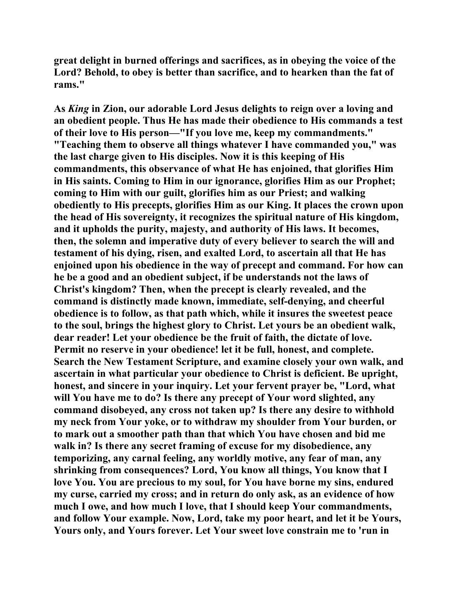**great delight in burned offerings and sacrifices, as in obeying the voice of the Lord? Behold, to obey is better than sacrifice, and to hearken than the fat of rams."** 

**As** *King* **in Zion, our adorable Lord Jesus delights to reign over a loving and an obedient people. Thus He has made their obedience to His commands a test of their love to His person—"If you love me, keep my commandments." "Teaching them to observe all things whatever I have commanded you," was the last charge given to His disciples. Now it is this keeping of His commandments, this observance of what He has enjoined, that glorifies Him in His saints. Coming to Him in our ignorance, glorifies Him as our Prophet; coming to Him with our guilt, glorifies him as our Priest; and walking obediently to His precepts, glorifies Him as our King. It places the crown upon the head of His sovereignty, it recognizes the spiritual nature of His kingdom, and it upholds the purity, majesty, and authority of His laws. It becomes, then, the solemn and imperative duty of every believer to search the will and testament of his dying, risen, and exalted Lord, to ascertain all that He has enjoined upon his obedience in the way of precept and command. For how can he be a good and an obedient subject, if be understands not the laws of Christ's kingdom? Then, when the precept is clearly revealed, and the command is distinctly made known, immediate, self-denying, and cheerful obedience is to follow, as that path which, while it insures the sweetest peace to the soul, brings the highest glory to Christ. Let yours be an obedient walk, dear reader! Let your obedience be the fruit of faith, the dictate of love. Permit no reserve in your obedience! let it be full, honest, and complete. Search the New Testament Scripture, and examine closely your own walk, and ascertain in what particular your obedience to Christ is deficient. Be upright, honest, and sincere in your inquiry. Let your fervent prayer be, "Lord, what will You have me to do? Is there any precept of Your word slighted, any command disobeyed, any cross not taken up? Is there any desire to withhold my neck from Your yoke, or to withdraw my shoulder from Your burden, or to mark out a smoother path than that which You have chosen and bid me walk in? Is there any secret framing of excuse for my disobedience, any temporizing, any carnal feeling, any worldly motive, any fear of man, any shrinking from consequences? Lord, You know all things, You know that I love You. You are precious to my soul, for You have borne my sins, endured my curse, carried my cross; and in return do only ask, as an evidence of how much I owe, and how much I love, that I should keep Your commandments, and follow Your example. Now, Lord, take my poor heart, and let it be Yours, Yours only, and Yours forever. Let Your sweet love constrain me to 'run in**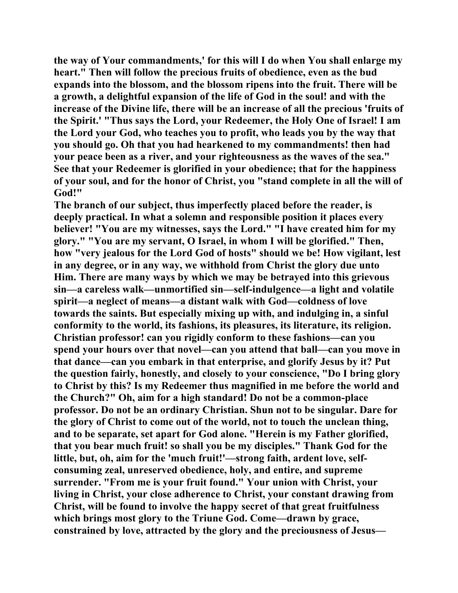**the way of Your commandments,' for this will I do when You shall enlarge my heart." Then will follow the precious fruits of obedience, even as the bud expands into the blossom, and the blossom ripens into the fruit. There will be a growth, a delightful expansion of the life of God in the soul! and with the increase of the Divine life, there will be an increase of all the precious 'fruits of the Spirit.' "Thus says the Lord, your Redeemer, the Holy One of Israel! I am the Lord your God, who teaches you to profit, who leads you by the way that you should go. Oh that you had hearkened to my commandments! then had your peace been as a river, and your righteousness as the waves of the sea." See that your Redeemer is glorified in your obedience; that for the happiness of your soul, and for the honor of Christ, you "stand complete in all the will of God!"** 

**The branch of our subject, thus imperfectly placed before the reader, is deeply practical. In what a solemn and responsible position it places every believer! "You are my witnesses, says the Lord." "I have created him for my glory." "You are my servant, O Israel, in whom I will be glorified." Then, how "very jealous for the Lord God of hosts" should we be! How vigilant, lest in any degree, or in any way, we withhold from Christ the glory due unto Him. There are many ways by which we may be betrayed into this grievous sin—a careless walk—unmortified sin—self-indulgence—a light and volatile spirit—a neglect of means—a distant walk with God—coldness of love towards the saints. But especially mixing up with, and indulging in, a sinful conformity to the world, its fashions, its pleasures, its literature, its religion. Christian professor! can you rigidly conform to these fashions—can you spend your hours over that novel—can you attend that ball—can you move in that dance—can you embark in that enterprise, and glorify Jesus by it? Put the question fairly, honestly, and closely to your conscience, "Do I bring glory to Christ by this? Is my Redeemer thus magnified in me before the world and the Church?" Oh, aim for a high standard! Do not be a common-place professor. Do not be an ordinary Christian. Shun not to be singular. Dare for the glory of Christ to come out of the world, not to touch the unclean thing, and to be separate, set apart for God alone. "Herein is my Father glorified, that you bear much fruit! so shall you be my disciples." Thank God for the little, but, oh, aim for the 'much fruit!'—strong faith, ardent love, selfconsuming zeal, unreserved obedience, holy, and entire, and supreme surrender. "From me is your fruit found." Your union with Christ, your living in Christ, your close adherence to Christ, your constant drawing from Christ, will be found to involve the happy secret of that great fruitfulness which brings most glory to the Triune God. Come—drawn by grace, constrained by love, attracted by the glory and the preciousness of Jesus—**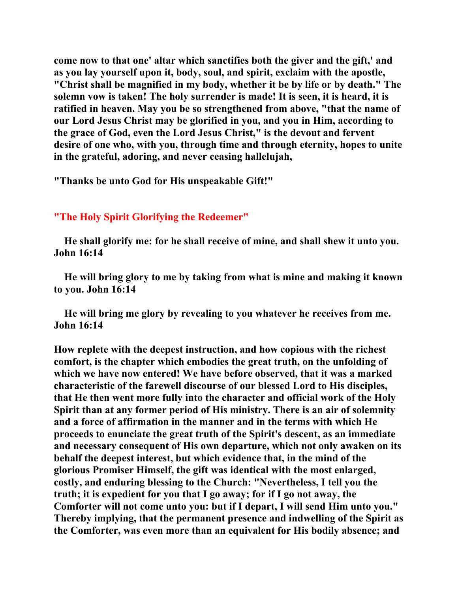**come now to that one' altar which sanctifies both the giver and the gift,' and as you lay yourself upon it, body, soul, and spirit, exclaim with the apostle, "Christ shall be magnified in my body, whether it be by life or by death." The solemn vow is taken! The holy surrender is made! It is seen, it is heard, it is ratified in heaven. May you be so strengthened from above, "that the name of our Lord Jesus Christ may be glorified in you, and you in Him, according to the grace of God, even the Lord Jesus Christ," is the devout and fervent desire of one who, with you, through time and through eternity, hopes to unite in the grateful, adoring, and never ceasing hallelujah,** 

**"Thanks be unto God for His unspeakable Gift!"** 

## **"The Holy Spirit Glorifying the Redeemer"**

 **He shall glorify me: for he shall receive of mine, and shall shew it unto you. John 16:14** 

 **He will bring glory to me by taking from what is mine and making it known to you. John 16:14** 

 **He will bring me glory by revealing to you whatever he receives from me. John 16:14** 

**How replete with the deepest instruction, and how copious with the richest comfort, is the chapter which embodies the great truth, on the unfolding of which we have now entered! We have before observed, that it was a marked characteristic of the farewell discourse of our blessed Lord to His disciples, that He then went more fully into the character and official work of the Holy Spirit than at any former period of His ministry. There is an air of solemnity and a force of affirmation in the manner and in the terms with which He proceeds to enunciate the great truth of the Spirit's descent, as an immediate and necessary consequent of His own departure, which not only awaken on its behalf the deepest interest, but which evidence that, in the mind of the glorious Promiser Himself, the gift was identical with the most enlarged, costly, and enduring blessing to the Church: "Nevertheless, I tell you the truth; it is expedient for you that I go away; for if I go not away, the Comforter will not come unto you: but if I depart, I will send Him unto you." Thereby implying, that the permanent presence and indwelling of the Spirit as the Comforter, was even more than an equivalent for His bodily absence; and**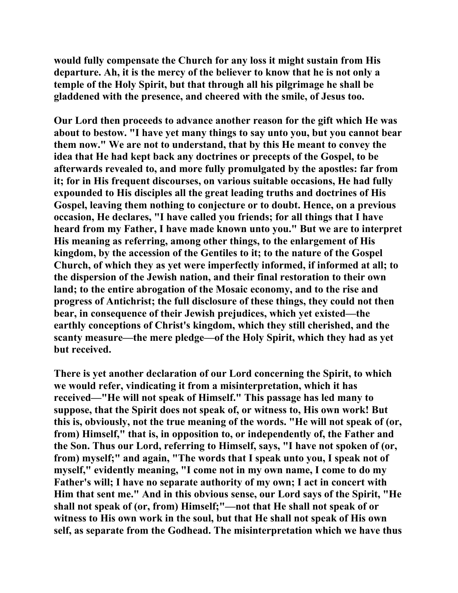**would fully compensate the Church for any loss it might sustain from His departure. Ah, it is the mercy of the believer to know that he is not only a temple of the Holy Spirit, but that through all his pilgrimage he shall be gladdened with the presence, and cheered with the smile, of Jesus too.** 

**Our Lord then proceeds to advance another reason for the gift which He was about to bestow. "I have yet many things to say unto you, but you cannot bear them now." We are not to understand, that by this He meant to convey the idea that He had kept back any doctrines or precepts of the Gospel, to be afterwards revealed to, and more fully promulgated by the apostles: far from it; for in His frequent discourses, on various suitable occasions, He had fully expounded to His disciples all the great leading truths and doctrines of His Gospel, leaving them nothing to conjecture or to doubt. Hence, on a previous occasion, He declares, "I have called you friends; for all things that I have heard from my Father, I have made known unto you." But we are to interpret His meaning as referring, among other things, to the enlargement of His kingdom, by the accession of the Gentiles to it; to the nature of the Gospel Church, of which they as yet were imperfectly informed, if informed at all; to the dispersion of the Jewish nation, and their final restoration to their own land; to the entire abrogation of the Mosaic economy, and to the rise and progress of Antichrist; the full disclosure of these things, they could not then bear, in consequence of their Jewish prejudices, which yet existed—the earthly conceptions of Christ's kingdom, which they still cherished, and the scanty measure—the mere pledge—of the Holy Spirit, which they had as yet but received.** 

**There is yet another declaration of our Lord concerning the Spirit, to which we would refer, vindicating it from a misinterpretation, which it has received—"He will not speak of Himself." This passage has led many to suppose, that the Spirit does not speak of, or witness to, His own work! But this is, obviously, not the true meaning of the words. "He will not speak of (or, from) Himself," that is, in opposition to, or independently of, the Father and the Son. Thus our Lord, referring to Himself, says, "I have not spoken of (or, from) myself;" and again, "The words that I speak unto you, I speak not of myself," evidently meaning, "I come not in my own name, I come to do my Father's will; I have no separate authority of my own; I act in concert with Him that sent me." And in this obvious sense, our Lord says of the Spirit, "He shall not speak of (or, from) Himself;"—not that He shall not speak of or witness to His own work in the soul, but that He shall not speak of His own self, as separate from the Godhead. The misinterpretation which we have thus**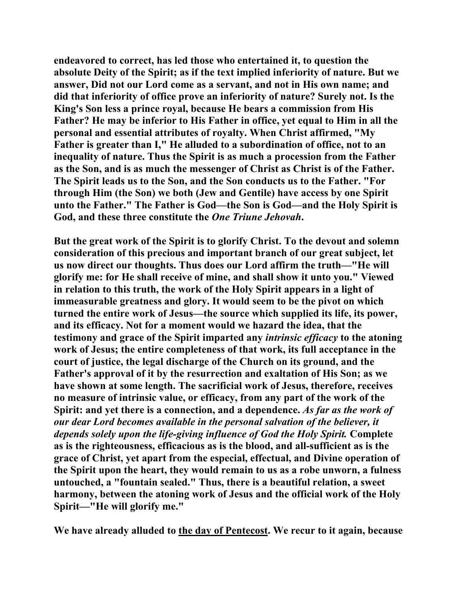**endeavored to correct, has led those who entertained it, to question the absolute Deity of the Spirit; as if the text implied inferiority of nature. But we answer, Did not our Lord come as a servant, and not in His own name; and did that inferiority of office prove an inferiority of nature? Surely not. Is the King's Son less a prince royal, because He bears a commission from His Father? He may be inferior to His Father in office, yet equal to Him in all the personal and essential attributes of royalty. When Christ affirmed, "My Father is greater than I," He alluded to a subordination of office, not to an inequality of nature. Thus the Spirit is as much a procession from the Father as the Son, and is as much the messenger of Christ as Christ is of the Father. The Spirit leads us to the Son, and the Son conducts us to the Father. "For through Him (the Son) we both (Jew and Gentile) have access by one Spirit unto the Father." The Father is God—the Son is God—and the Holy Spirit is God, and these three constitute the** *One Triune Jehovah***.** 

**But the great work of the Spirit is to glorify Christ. To the devout and solemn consideration of this precious and important branch of our great subject, let us now direct our thoughts. Thus does our Lord affirm the truth—"He will glorify me: for He shall receive of mine, and shall show it unto you." Viewed in relation to this truth, the work of the Holy Spirit appears in a light of immeasurable greatness and glory. It would seem to be the pivot on which turned the entire work of Jesus—the source which supplied its life, its power, and its efficacy. Not for a moment would we hazard the idea, that the testimony and grace of the Spirit imparted any** *intrinsic efficacy* **to the atoning work of Jesus; the entire completeness of that work, its full acceptance in the court of justice, the legal discharge of the Church on its ground, and the Father's approval of it by the resurrection and exaltation of His Son; as we have shown at some length. The sacrificial work of Jesus, therefore, receives no measure of intrinsic value, or efficacy, from any part of the work of the Spirit: and yet there is a connection, and a dependence.** *As far as the work of our dear Lord becomes available in the personal salvation of the believer, it depends solely upon the life-giving influence of God the Holy Spirit.* **Complete as is the righteousness, efficacious as is the blood, and all-sufficient as is the grace of Christ, yet apart from the especial, effectual, and Divine operation of the Spirit upon the heart, they would remain to us as a robe unworn, a fulness untouched, a "fountain sealed." Thus, there is a beautiful relation, a sweet harmony, between the atoning work of Jesus and the official work of the Holy Spirit—"He will glorify me."** 

**We have already alluded to the day of Pentecost. We recur to it again, because**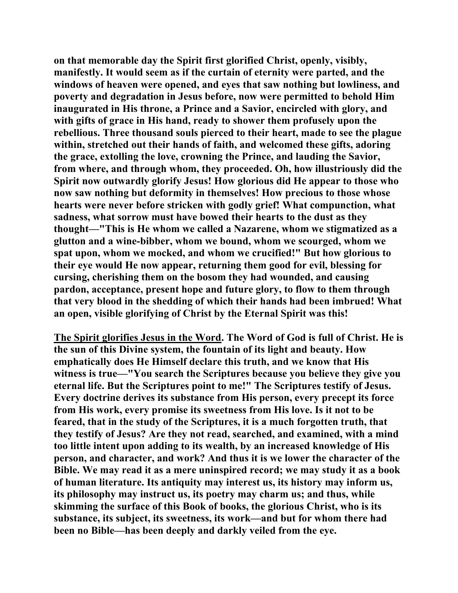**on that memorable day the Spirit first glorified Christ, openly, visibly, manifestly. It would seem as if the curtain of eternity were parted, and the windows of heaven were opened, and eyes that saw nothing but lowliness, and poverty and degradation in Jesus before, now were permitted to behold Him inaugurated in His throne, a Prince and a Savior, encircled with glory, and with gifts of grace in His hand, ready to shower them profusely upon the rebellious. Three thousand souls pierced to their heart, made to see the plague within, stretched out their hands of faith, and welcomed these gifts, adoring the grace, extolling the love, crowning the Prince, and lauding the Savior, from where, and through whom, they proceeded. Oh, how illustriously did the Spirit now outwardly glorify Jesus! How glorious did He appear to those who now saw nothing but deformity in themselves! How precious to those whose hearts were never before stricken with godly grief! What compunction, what sadness, what sorrow must have bowed their hearts to the dust as they thought—"This is He whom we called a Nazarene, whom we stigmatized as a glutton and a wine-bibber, whom we bound, whom we scourged, whom we spat upon, whom we mocked, and whom we crucified!" But how glorious to their eye would He now appear, returning them good for evil, blessing for cursing, cherishing them on the bosom they had wounded, and causing pardon, acceptance, present hope and future glory, to flow to them through that very blood in the shedding of which their hands had been imbrued! What an open, visible glorifying of Christ by the Eternal Spirit was this!** 

**The Spirit glorifies Jesus in the Word. The Word of God is full of Christ. He is the sun of this Divine system, the fountain of its light and beauty. How emphatically does He Himself declare this truth, and we know that His witness is true—"You search the Scriptures because you believe they give you eternal life. But the Scriptures point to me!" The Scriptures testify of Jesus. Every doctrine derives its substance from His person, every precept its force from His work, every promise its sweetness from His love. Is it not to be feared, that in the study of the Scriptures, it is a much forgotten truth, that they testify of Jesus? Are they not read, searched, and examined, with a mind too little intent upon adding to its wealth, by an increased knowledge of His person, and character, and work? And thus it is we lower the character of the Bible. We may read it as a mere uninspired record; we may study it as a book of human literature. Its antiquity may interest us, its history may inform us, its philosophy may instruct us, its poetry may charm us; and thus, while skimming the surface of this Book of books, the glorious Christ, who is its substance, its subject, its sweetness, its work—and but for whom there had been no Bible—has been deeply and darkly veiled from the eye.**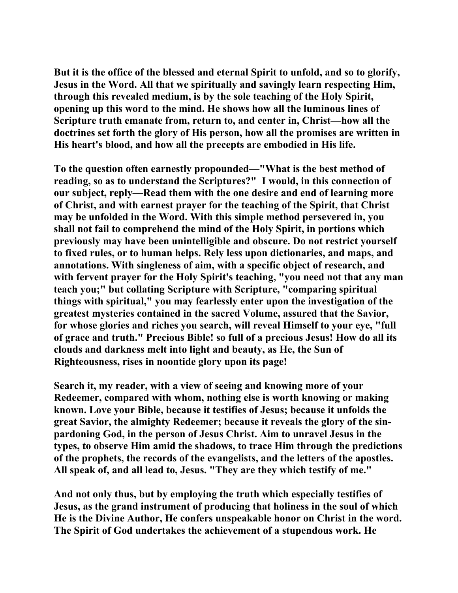**But it is the office of the blessed and eternal Spirit to unfold, and so to glorify, Jesus in the Word. All that we spiritually and savingly learn respecting Him, through this revealed medium, is by the sole teaching of the Holy Spirit, opening up this word to the mind. He shows how all the luminous lines of Scripture truth emanate from, return to, and center in, Christ—how all the doctrines set forth the glory of His person, how all the promises are written in His heart's blood, and how all the precepts are embodied in His life.** 

**To the question often earnestly propounded—"What is the best method of reading, so as to understand the Scriptures?" I would, in this connection of our subject, reply—Read them with the one desire and end of learning more of Christ, and with earnest prayer for the teaching of the Spirit, that Christ may be unfolded in the Word. With this simple method persevered in, you shall not fail to comprehend the mind of the Holy Spirit, in portions which previously may have been unintelligible and obscure. Do not restrict yourself to fixed rules, or to human helps. Rely less upon dictionaries, and maps, and annotations. With singleness of aim, with a specific object of research, and with fervent prayer for the Holy Spirit's teaching, "you need not that any man teach you;" but collating Scripture with Scripture, "comparing spiritual things with spiritual," you may fearlessly enter upon the investigation of the greatest mysteries contained in the sacred Volume, assured that the Savior, for whose glories and riches you search, will reveal Himself to your eye, "full of grace and truth." Precious Bible! so full of a precious Jesus! How do all its clouds and darkness melt into light and beauty, as He, the Sun of Righteousness, rises in noontide glory upon its page!** 

**Search it, my reader, with a view of seeing and knowing more of your Redeemer, compared with whom, nothing else is worth knowing or making known. Love your Bible, because it testifies of Jesus; because it unfolds the great Savior, the almighty Redeemer; because it reveals the glory of the sinpardoning God, in the person of Jesus Christ. Aim to unravel Jesus in the types, to observe Him amid the shadows, to trace Him through the predictions of the prophets, the records of the evangelists, and the letters of the apostles. All speak of, and all lead to, Jesus. "They are they which testify of me."** 

**And not only thus, but by employing the truth which especially testifies of Jesus, as the grand instrument of producing that holiness in the soul of which He is the Divine Author, He confers unspeakable honor on Christ in the word. The Spirit of God undertakes the achievement of a stupendous work. He**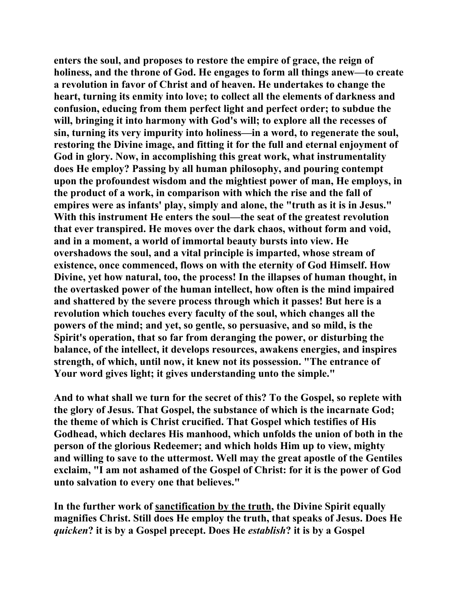**enters the soul, and proposes to restore the empire of grace, the reign of holiness, and the throne of God. He engages to form all things anew—to create a revolution in favor of Christ and of heaven. He undertakes to change the heart, turning its enmity into love; to collect all the elements of darkness and confusion, educing from them perfect light and perfect order; to subdue the will, bringing it into harmony with God's will; to explore all the recesses of sin, turning its very impurity into holiness—in a word, to regenerate the soul, restoring the Divine image, and fitting it for the full and eternal enjoyment of God in glory. Now, in accomplishing this great work, what instrumentality does He employ? Passing by all human philosophy, and pouring contempt upon the profoundest wisdom and the mightiest power of man, He employs, in the product of a work, in comparison with which the rise and the fall of empires were as infants' play, simply and alone, the "truth as it is in Jesus." With this instrument He enters the soul—the seat of the greatest revolution that ever transpired. He moves over the dark chaos, without form and void, and in a moment, a world of immortal beauty bursts into view. He overshadows the soul, and a vital principle is imparted, whose stream of existence, once commenced, flows on with the eternity of God Himself. How Divine, yet how natural, too, the process! In the illapses of human thought, in the overtasked power of the human intellect, how often is the mind impaired and shattered by the severe process through which it passes! But here is a revolution which touches every faculty of the soul, which changes all the powers of the mind; and yet, so gentle, so persuasive, and so mild, is the Spirit's operation, that so far from deranging the power, or disturbing the balance, of the intellect, it develops resources, awakens energies, and inspires strength, of which, until now, it knew not its possession. "The entrance of Your word gives light; it gives understanding unto the simple."** 

**And to what shall we turn for the secret of this? To the Gospel, so replete with the glory of Jesus. That Gospel, the substance of which is the incarnate God; the theme of which is Christ crucified. That Gospel which testifies of His Godhead, which declares His manhood, which unfolds the union of both in the person of the glorious Redeemer; and which holds Him up to view, mighty and willing to save to the uttermost. Well may the great apostle of the Gentiles exclaim, "I am not ashamed of the Gospel of Christ: for it is the power of God unto salvation to every one that believes."** 

**In the further work of sanctification by the truth, the Divine Spirit equally magnifies Christ. Still does He employ the truth, that speaks of Jesus. Does He**  *quicken***? it is by a Gospel precept. Does He** *establish***? it is by a Gospel**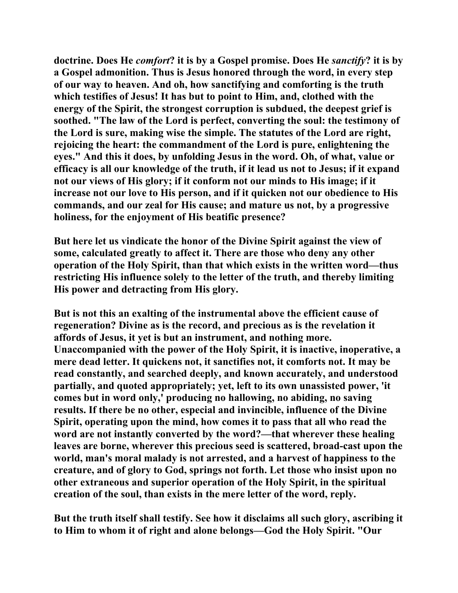**doctrine. Does He** *comfort***? it is by a Gospel promise. Does He** *sanctify***? it is by a Gospel admonition. Thus is Jesus honored through the word, in every step of our way to heaven. And oh, how sanctifying and comforting is the truth which testifies of Jesus! It has but to point to Him, and, clothed with the energy of the Spirit, the strongest corruption is subdued, the deepest grief is soothed. "The law of the Lord is perfect, converting the soul: the testimony of the Lord is sure, making wise the simple. The statutes of the Lord are right, rejoicing the heart: the commandment of the Lord is pure, enlightening the eyes." And this it does, by unfolding Jesus in the word. Oh, of what, value or efficacy is all our knowledge of the truth, if it lead us not to Jesus; if it expand not our views of His glory; if it conform not our minds to His image; if it increase not our love to His person, and if it quicken not our obedience to His commands, and our zeal for His cause; and mature us not, by a progressive holiness, for the enjoyment of His beatific presence?** 

**But here let us vindicate the honor of the Divine Spirit against the view of some, calculated greatly to affect it. There are those who deny any other operation of the Holy Spirit, than that which exists in the written word—thus restricting His influence solely to the letter of the truth, and thereby limiting His power and detracting from His glory.** 

**But is not this an exalting of the instrumental above the efficient cause of regeneration? Divine as is the record, and precious as is the revelation it affords of Jesus, it yet is but an instrument, and nothing more. Unaccompanied with the power of the Holy Spirit, it is inactive, inoperative, a mere dead letter. It quickens not, it sanctifies not, it comforts not. It may be read constantly, and searched deeply, and known accurately, and understood partially, and quoted appropriately; yet, left to its own unassisted power, 'it comes but in word only,' producing no hallowing, no abiding, no saving results. If there be no other, especial and invincible, influence of the Divine Spirit, operating upon the mind, how comes it to pass that all who read the word are not instantly converted by the word?—that wherever these healing leaves are borne, wherever this precious seed is scattered, broad-cast upon the world, man's moral malady is not arrested, and a harvest of happiness to the creature, and of glory to God, springs not forth. Let those who insist upon no other extraneous and superior operation of the Holy Spirit, in the spiritual creation of the soul, than exists in the mere letter of the word, reply.** 

**But the truth itself shall testify. See how it disclaims all such glory, ascribing it to Him to whom it of right and alone belongs—God the Holy Spirit. "Our**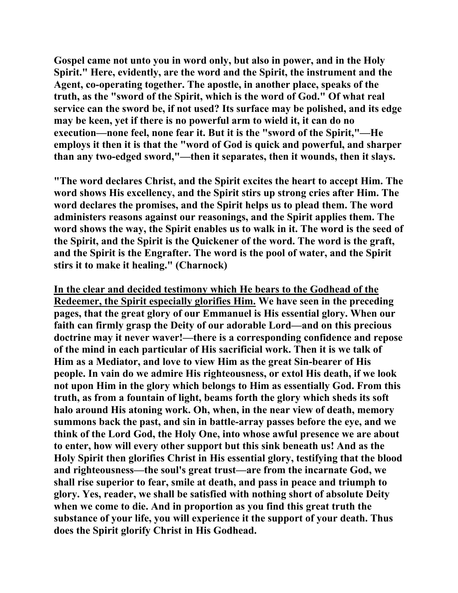**Gospel came not unto you in word only, but also in power, and in the Holy Spirit." Here, evidently, are the word and the Spirit, the instrument and the Agent, co-operating together. The apostle, in another place, speaks of the truth, as the "sword of the Spirit, which is the word of God." Of what real service can the sword be, if not used? Its surface may be polished, and its edge may be keen, yet if there is no powerful arm to wield it, it can do no execution—none feel, none fear it. But it is the "sword of the Spirit,"—He employs it then it is that the "word of God is quick and powerful, and sharper than any two-edged sword,"—then it separates, then it wounds, then it slays.** 

**"The word declares Christ, and the Spirit excites the heart to accept Him. The word shows His excellency, and the Spirit stirs up strong cries after Him. The word declares the promises, and the Spirit helps us to plead them. The word administers reasons against our reasonings, and the Spirit applies them. The word shows the way, the Spirit enables us to walk in it. The word is the seed of the Spirit, and the Spirit is the Quickener of the word. The word is the graft, and the Spirit is the Engrafter. The word is the pool of water, and the Spirit stirs it to make it healing." (Charnock)** 

**In the clear and decided testimony which He bears to the Godhead of the Redeemer, the Spirit especially glorifies Him. We have seen in the preceding pages, that the great glory of our Emmanuel is His essential glory. When our faith can firmly grasp the Deity of our adorable Lord—and on this precious doctrine may it never waver!—there is a corresponding confidence and repose of the mind in each particular of His sacrificial work. Then it is we talk of Him as a Mediator, and love to view Him as the great Sin-bearer of His people. In vain do we admire His righteousness, or extol His death, if we look not upon Him in the glory which belongs to Him as essentially God. From this truth, as from a fountain of light, beams forth the glory which sheds its soft halo around His atoning work. Oh, when, in the near view of death, memory summons back the past, and sin in battle-array passes before the eye, and we think of the Lord God, the Holy One, into whose awful presence we are about to enter, how will every other support but this sink beneath us! And as the Holy Spirit then glorifies Christ in His essential glory, testifying that the blood and righteousness—the soul's great trust—are from the incarnate God, we shall rise superior to fear, smile at death, and pass in peace and triumph to glory. Yes, reader, we shall be satisfied with nothing short of absolute Deity when we come to die. And in proportion as you find this great truth the substance of your life, you will experience it the support of your death. Thus does the Spirit glorify Christ in His Godhead.**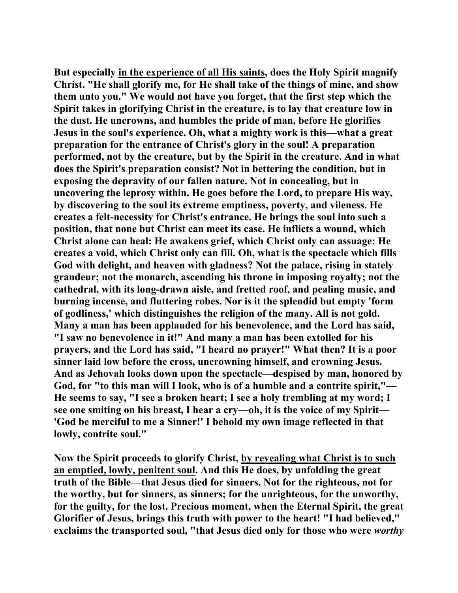**But especially in the experience of all His saints, does the Holy Spirit magnify Christ. "He shall glorify me, for He shall take of the things of mine, and show them unto you." We would not have you forget, that the first step which the Spirit takes in glorifying Christ in the creature, is to lay that creature low in the dust. He uncrowns, and humbles the pride of man, before He glorifies Jesus in the soul's experience. Oh, what a mighty work is this—what a great preparation for the entrance of Christ's glory in the soul! A preparation performed, not by the creature, but by the Spirit in the creature. And in what does the Spirit's preparation consist? Not in bettering the condition, but in exposing the depravity of our fallen nature. Not in concealing, but in uncovering the leprosy within. He goes before the Lord, to prepare His way, by discovering to the soul its extreme emptiness, poverty, and vileness. He creates a felt-necessity for Christ's entrance. He brings the soul into such a position, that none but Christ can meet its case. He inflicts a wound, which Christ alone can heal: He awakens grief, which Christ only can assuage: He creates a void, which Christ only can fill. Oh, what is the spectacle which fills God with delight, and heaven with gladness? Not the palace, rising in stately grandeur; not the monarch, ascending his throne in imposing royalty; not the cathedral, with its long-drawn aisle, and fretted roof, and pealing music, and burning incense, and fluttering robes. Nor is it the splendid but empty 'form of godliness,' which distinguishes the religion of the many. All is not gold. Many a man has been applauded for his benevolence, and the Lord has said, "I saw no benevolence in it!" And many a man has been extolled for his prayers, and the Lord has said, "I heard no prayer!" What then? It is a poor sinner laid low before the cross, uncrowning himself, and crowning Jesus. And as Jehovah looks down upon the spectacle—despised by man, honored by God, for "to this man will I look, who is of a humble and a contrite spirit,"— He seems to say, "I see a broken heart; I see a holy trembling at my word; I see one smiting on his breast, I hear a cry—oh, it is the voice of my Spirit— 'God be merciful to me a Sinner!' I behold my own image reflected in that lowly, contrite soul."** 

**Now the Spirit proceeds to glorify Christ, by revealing what Christ is to such an emptied, lowly, penitent soul. And this He does, by unfolding the great truth of the Bible—that Jesus died for sinners. Not for the righteous, not for the worthy, but for sinners, as sinners; for the unrighteous, for the unworthy, for the guilty, for the lost. Precious moment, when the Eternal Spirit, the great Glorifier of Jesus, brings this truth with power to the heart! "I had believed," exclaims the transported soul, "that Jesus died only for those who were** *worthy*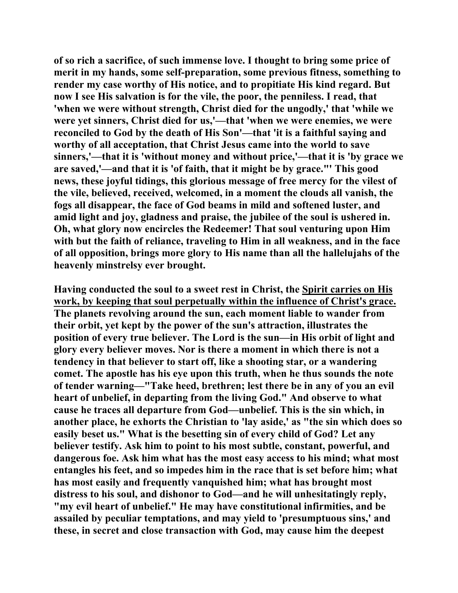**of so rich a sacrifice, of such immense love. I thought to bring some price of merit in my hands, some self-preparation, some previous fitness, something to render my case worthy of His notice, and to propitiate His kind regard. But now I see His salvation is for the vile, the poor, the penniless. I read, that 'when we were without strength, Christ died for the ungodly,' that 'while we were yet sinners, Christ died for us,'—that 'when we were enemies, we were reconciled to God by the death of His Son'—that 'it is a faithful saying and worthy of all acceptation, that Christ Jesus came into the world to save sinners,'—that it is 'without money and without price,'—that it is 'by grace we are saved,'—and that it is 'of faith, that it might be by grace."' This good news, these joyful tidings, this glorious message of free mercy for the vilest of the vile, believed, received, welcomed, in a moment the clouds all vanish, the fogs all disappear, the face of God beams in mild and softened luster, and amid light and joy, gladness and praise, the jubilee of the soul is ushered in. Oh, what glory now encircles the Redeemer! That soul venturing upon Him with but the faith of reliance, traveling to Him in all weakness, and in the face of all opposition, brings more glory to His name than all the hallelujahs of the heavenly minstrelsy ever brought.** 

**Having conducted the soul to a sweet rest in Christ, the Spirit carries on His work, by keeping that soul perpetually within the influence of Christ's grace. The planets revolving around the sun, each moment liable to wander from their orbit, yet kept by the power of the sun's attraction, illustrates the position of every true believer. The Lord is the sun—in His orbit of light and glory every believer moves. Nor is there a moment in which there is not a tendency in that believer to start off, like a shooting star, or a wandering comet. The apostle has his eye upon this truth, when he thus sounds the note of tender warning—"Take heed, brethren; lest there be in any of you an evil heart of unbelief, in departing from the living God." And observe to what cause he traces all departure from God—unbelief. This is the sin which, in another place, he exhorts the Christian to 'lay aside,' as "the sin which does so easily beset us." What is the besetting sin of every child of God? Let any believer testify. Ask him to point to his most subtle, constant, powerful, and dangerous foe. Ask him what has the most easy access to his mind; what most entangles his feet, and so impedes him in the race that is set before him; what has most easily and frequently vanquished him; what has brought most distress to his soul, and dishonor to God—and he will unhesitatingly reply, "my evil heart of unbelief." He may have constitutional infirmities, and be assailed by peculiar temptations, and may yield to 'presumptuous sins,' and these, in secret and close transaction with God, may cause him the deepest**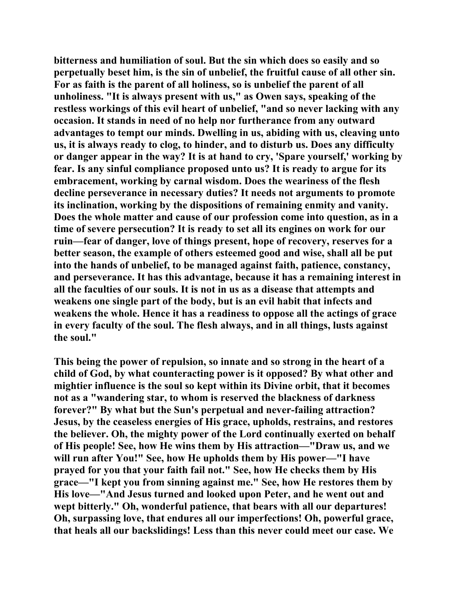**bitterness and humiliation of soul. But the sin which does so easily and so perpetually beset him, is the sin of unbelief, the fruitful cause of all other sin. For as faith is the parent of all holiness, so is unbelief the parent of all unholiness. "It is always present with us," as Owen says, speaking of the restless workings of this evil heart of unbelief, "and so never lacking with any occasion. It stands in need of no help nor furtherance from any outward advantages to tempt our minds. Dwelling in us, abiding with us, cleaving unto us, it is always ready to clog, to hinder, and to disturb us. Does any difficulty or danger appear in the way? It is at hand to cry, 'Spare yourself,' working by fear. Is any sinful compliance proposed unto us? It is ready to argue for its embracement, working by carnal wisdom. Does the weariness of the flesh decline perseverance in necessary duties? It needs not arguments to promote its inclination, working by the dispositions of remaining enmity and vanity. Does the whole matter and cause of our profession come into question, as in a time of severe persecution? It is ready to set all its engines on work for our ruin—fear of danger, love of things present, hope of recovery, reserves for a better season, the example of others esteemed good and wise, shall all be put into the hands of unbelief, to be managed against faith, patience, constancy, and perseverance. It has this advantage, because it has a remaining interest in all the faculties of our souls. It is not in us as a disease that attempts and weakens one single part of the body, but is an evil habit that infects and weakens the whole. Hence it has a readiness to oppose all the actings of grace in every faculty of the soul. The flesh always, and in all things, lusts against the soul."** 

**This being the power of repulsion, so innate and so strong in the heart of a child of God, by what counteracting power is it opposed? By what other and mightier influence is the soul so kept within its Divine orbit, that it becomes not as a "wandering star, to whom is reserved the blackness of darkness forever?" By what but the Sun's perpetual and never-failing attraction? Jesus, by the ceaseless energies of His grace, upholds, restrains, and restores the believer. Oh, the mighty power of the Lord continually exerted on behalf of His people! See, how He wins them by His attraction—"Draw us, and we will run after You!" See, how He upholds them by His power—"I have prayed for you that your faith fail not." See, how He checks them by His grace—"I kept you from sinning against me." See, how He restores them by His love—"And Jesus turned and looked upon Peter, and he went out and wept bitterly." Oh, wonderful patience, that bears with all our departures! Oh, surpassing love, that endures all our imperfections! Oh, powerful grace, that heals all our backslidings! Less than this never could meet our case. We**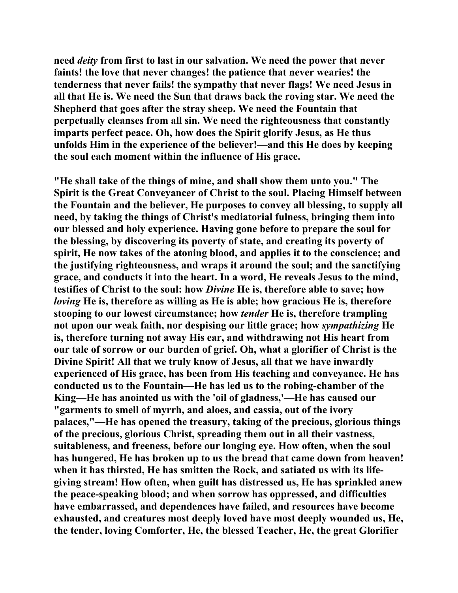**need** *deity* **from first to last in our salvation. We need the power that never faints! the love that never changes! the patience that never wearies! the tenderness that never fails! the sympathy that never flags! We need Jesus in all that He is. We need the Sun that draws back the roving star. We need the Shepherd that goes after the stray sheep. We need the Fountain that perpetually cleanses from all sin. We need the righteousness that constantly imparts perfect peace. Oh, how does the Spirit glorify Jesus, as He thus unfolds Him in the experience of the believer!—and this He does by keeping the soul each moment within the influence of His grace.** 

**"He shall take of the things of mine, and shall show them unto you." The Spirit is the Great Conveyancer of Christ to the soul. Placing Himself between the Fountain and the believer, He purposes to convey all blessing, to supply all need, by taking the things of Christ's mediatorial fulness, bringing them into our blessed and holy experience. Having gone before to prepare the soul for the blessing, by discovering its poverty of state, and creating its poverty of spirit, He now takes of the atoning blood, and applies it to the conscience; and the justifying righteousness, and wraps it around the soul; and the sanctifying grace, and conducts it into the heart. In a word, He reveals Jesus to the mind, testifies of Christ to the soul: how** *Divine* **He is, therefore able to save; how**  *loving* **He is, therefore as willing as He is able; how gracious He is, therefore stooping to our lowest circumstance; how** *tender* **He is, therefore trampling not upon our weak faith, nor despising our little grace; how** *sympathizing* **He is, therefore turning not away His ear, and withdrawing not His heart from our tale of sorrow or our burden of grief. Oh, what a glorifier of Christ is the Divine Spirit! All that we truly know of Jesus, all that we have inwardly experienced of His grace, has been from His teaching and conveyance. He has conducted us to the Fountain—He has led us to the robing-chamber of the King—He has anointed us with the 'oil of gladness,'—He has caused our "garments to smell of myrrh, and aloes, and cassia, out of the ivory palaces,"—He has opened the treasury, taking of the precious, glorious things of the precious, glorious Christ, spreading them out in all their vastness, suitableness, and freeness, before our longing eye. How often, when the soul has hungered, He has broken up to us the bread that came down from heaven! when it has thirsted, He has smitten the Rock, and satiated us with its lifegiving stream! How often, when guilt has distressed us, He has sprinkled anew the peace-speaking blood; and when sorrow has oppressed, and difficulties have embarrassed, and dependences have failed, and resources have become exhausted, and creatures most deeply loved have most deeply wounded us, He, the tender, loving Comforter, He, the blessed Teacher, He, the great Glorifier**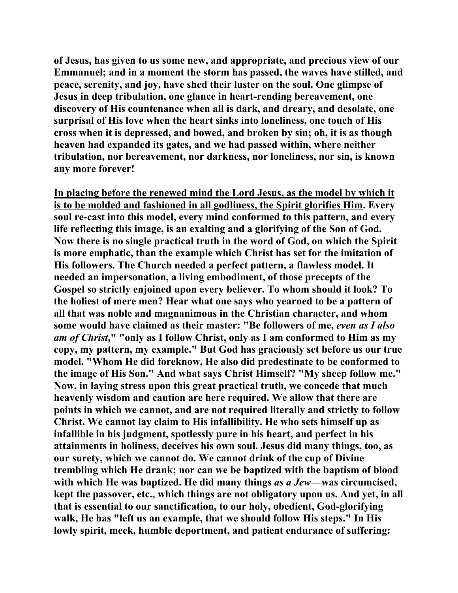**of Jesus, has given to us some new, and appropriate, and precious view of our Emmanuel; and in a moment the storm has passed, the waves have stilled, and peace, serenity, and joy, have shed their luster on the soul. One glimpse of Jesus in deep tribulation, one glance in heart-rending bereavement, one discovery of His countenance when all is dark, and dreary, and desolate, one surprisal of His love when the heart sinks into loneliness, one touch of His cross when it is depressed, and bowed, and broken by sin; oh, it is as though heaven had expanded its gates, and we had passed within, where neither tribulation, nor bereavement, nor darkness, nor loneliness, nor sin, is known any more forever!** 

**In placing before the renewed mind the Lord Jesus, as the model by which it is to be molded and fashioned in all godliness, the Spirit glorifies Him. Every soul re-cast into this model, every mind conformed to this pattern, and every life reflecting this image, is an exalting and a glorifying of the Son of God. Now there is no single practical truth in the word of God, on which the Spirit is more emphatic, than the example which Christ has set for the imitation of His followers. The Church needed a perfect pattern, a flawless model. It needed an impersonation, a living embodiment, of those precepts of the Gospel so strictly enjoined upon every believer. To whom should it look? To the holiest of mere men? Hear what one says who yearned to be a pattern of all that was noble and magnanimous in the Christian character, and whom some would have claimed as their master: "Be followers of me,** *even as I also am of Christ***," "only as I follow Christ, only as I am conformed to Him as my copy, my pattern, my example." But God has graciously set before us our true model. "Whom He did foreknow, He also did predestinate to be conformed to the image of His Son." And what says Christ Himself? "My sheep follow me." Now, in laying stress upon this great practical truth, we concede that much heavenly wisdom and caution are here required. We allow that there are points in which we cannot, and are not required literally and strictly to follow Christ. We cannot lay claim to His infallibility. He who sets himself up as infallible in his judgment, spotlessly pure in his heart, and perfect in his attainments in holiness, deceives his own soul. Jesus did many things, too, as our surety, which we cannot do. We cannot drink of the cup of Divine trembling which He drank; nor can we be baptized with the baptism of blood with which He was baptized. He did many things** *as a Jew***—was circumcised, kept the passover, etc., which things are not obligatory upon us. And yet, in all that is essential to our sanctification, to our holy, obedient, God-glorifying walk, He has "left us an example, that we should follow His steps." In His lowly spirit, meek, humble deportment, and patient endurance of suffering:**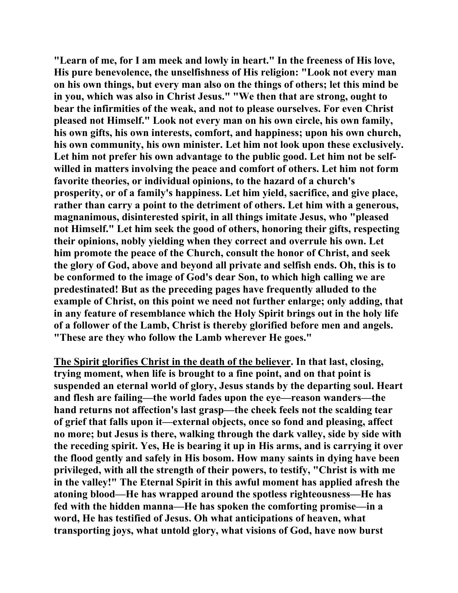**"Learn of me, for I am meek and lowly in heart." In the freeness of His love, His pure benevolence, the unselfishness of His religion: "Look not every man on his own things, but every man also on the things of others; let this mind be in you, which was also in Christ Jesus." "We then that are strong, ought to bear the infirmities of the weak, and not to please ourselves. For even Christ pleased not Himself." Look not every man on his own circle, his own family, his own gifts, his own interests, comfort, and happiness; upon his own church, his own community, his own minister. Let him not look upon these exclusively. Let him not prefer his own advantage to the public good. Let him not be selfwilled in matters involving the peace and comfort of others. Let him not form favorite theories, or individual opinions, to the hazard of a church's prosperity, or of a family's happiness. Let him yield, sacrifice, and give place, rather than carry a point to the detriment of others. Let him with a generous, magnanimous, disinterested spirit, in all things imitate Jesus, who "pleased not Himself." Let him seek the good of others, honoring their gifts, respecting their opinions, nobly yielding when they correct and overrule his own. Let him promote the peace of the Church, consult the honor of Christ, and seek the glory of God, above and beyond all private and selfish ends. Oh, this is to be conformed to the image of God's dear Son, to which high calling we are predestinated! But as the preceding pages have frequently alluded to the example of Christ, on this point we need not further enlarge; only adding, that in any feature of resemblance which the Holy Spirit brings out in the holy life of a follower of the Lamb, Christ is thereby glorified before men and angels. "These are they who follow the Lamb wherever He goes."** 

**The Spirit glorifies Christ in the death of the believer. In that last, closing, trying moment, when life is brought to a fine point, and on that point is suspended an eternal world of glory, Jesus stands by the departing soul. Heart and flesh are failing—the world fades upon the eye—reason wanders—the hand returns not affection's last grasp—the cheek feels not the scalding tear of grief that falls upon it—external objects, once so fond and pleasing, affect no more; but Jesus is there, walking through the dark valley, side by side with the receding spirit. Yes, He is bearing it up in His arms, and is carrying it over the flood gently and safely in His bosom. How many saints in dying have been privileged, with all the strength of their powers, to testify, "Christ is with me in the valley!" The Eternal Spirit in this awful moment has applied afresh the atoning blood—He has wrapped around the spotless righteousness—He has fed with the hidden manna—He has spoken the comforting promise—in a word, He has testified of Jesus. Oh what anticipations of heaven, what transporting joys, what untold glory, what visions of God, have now burst**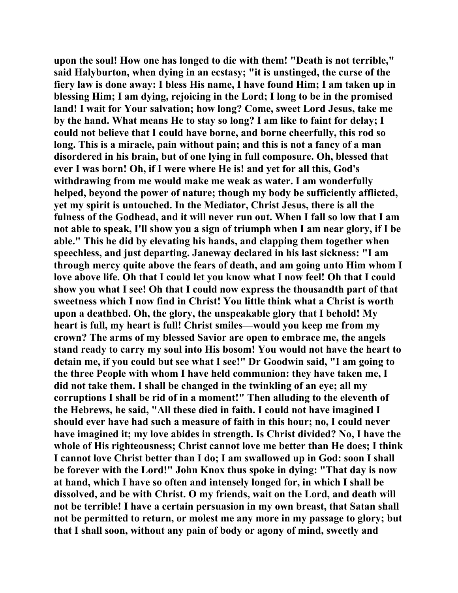**upon the soul! How one has longed to die with them! "Death is not terrible," said Halyburton, when dying in an ecstasy; "it is unstinged, the curse of the fiery law is done away: I bless His name, I have found Him; I am taken up in blessing Him; I am dying, rejoicing in the Lord; I long to be in the promised land! I wait for Your salvation; how long? Come, sweet Lord Jesus, take me by the hand. What means He to stay so long? I am like to faint for delay; I could not believe that I could have borne, and borne cheerfully, this rod so long. This is a miracle, pain without pain; and this is not a fancy of a man disordered in his brain, but of one lying in full composure. Oh, blessed that ever I was born! Oh, if I were where He is! and yet for all this, God's withdrawing from me would make me weak as water. I am wonderfully helped, beyond the power of nature; though my body be sufficiently afflicted, yet my spirit is untouched. In the Mediator, Christ Jesus, there is all the fulness of the Godhead, and it will never run out. When I fall so low that I am not able to speak, I'll show you a sign of triumph when I am near glory, if I be able." This he did by elevating his hands, and clapping them together when speechless, and just departing. Janeway declared in his last sickness: "I am through mercy quite above the fears of death, and am going unto Him whom I love above life. Oh that I could let you know what I now feel! Oh that I could show you what I see! Oh that I could now express the thousandth part of that sweetness which I now find in Christ! You little think what a Christ is worth upon a deathbed. Oh, the glory, the unspeakable glory that I behold! My heart is full, my heart is full! Christ smiles—would you keep me from my crown? The arms of my blessed Savior are open to embrace me, the angels stand ready to carry my soul into His bosom! You would not have the heart to detain me, if you could but see what I see!" Dr Goodwin said, "I am going to the three People with whom I have held communion: they have taken me, I did not take them. I shall be changed in the twinkling of an eye; all my corruptions I shall be rid of in a moment!" Then alluding to the eleventh of the Hebrews, he said, "All these died in faith. I could not have imagined I should ever have had such a measure of faith in this hour; no, I could never have imagined it; my love abides in strength. Is Christ divided? No, I have the whole of His righteousness; Christ cannot love me better than He does; I think I cannot love Christ better than I do; I am swallowed up in God: soon I shall be forever with the Lord!" John Knox thus spoke in dying: "That day is now at hand, which I have so often and intensely longed for, in which I shall be dissolved, and be with Christ. O my friends, wait on the Lord, and death will not be terrible! I have a certain persuasion in my own breast, that Satan shall not be permitted to return, or molest me any more in my passage to glory; but that I shall soon, without any pain of body or agony of mind, sweetly and**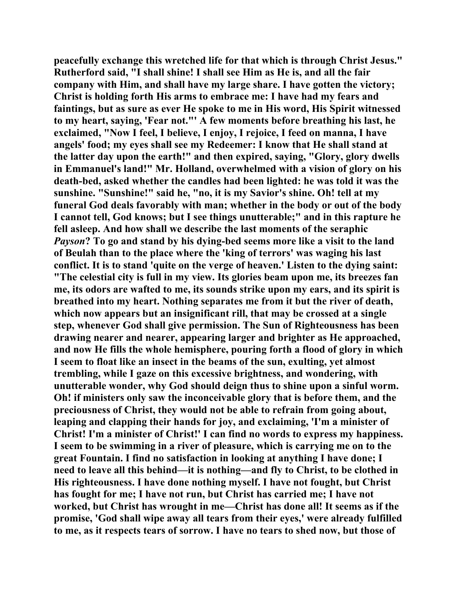**peacefully exchange this wretched life for that which is through Christ Jesus." Rutherford said, "I shall shine! I shall see Him as He is, and all the fair company with Him, and shall have my large share. I have gotten the victory; Christ is holding forth His arms to embrace me: I have had my fears and faintings, but as sure as ever He spoke to me in His word, His Spirit witnessed to my heart, saying, 'Fear not."' A few moments before breathing his last, he exclaimed, "Now I feel, I believe, I enjoy, I rejoice, I feed on manna, I have angels' food; my eyes shall see my Redeemer: I know that He shall stand at the latter day upon the earth!" and then expired, saying, "Glory, glory dwells in Emmanuel's land!" Mr. Holland, overwhelmed with a vision of glory on his death-bed, asked whether the candles had been lighted: he was told it was the sunshine. "Sunshine!" said he, "no, it is my Savior's shine. Oh! tell at my funeral God deals favorably with man; whether in the body or out of the body I cannot tell, God knows; but I see things unutterable;" and in this rapture he fell asleep. And how shall we describe the last moments of the seraphic**  *Payson***? To go and stand by his dying-bed seems more like a visit to the land of Beulah than to the place where the 'king of terrors' was waging his last conflict. It is to stand 'quite on the verge of heaven.' Listen to the dying saint: "The celestial city is full in my view. Its glories beam upon me, its breezes fan me, its odors are wafted to me, its sounds strike upon my ears, and its spirit is breathed into my heart. Nothing separates me from it but the river of death, which now appears but an insignificant rill, that may be crossed at a single step, whenever God shall give permission. The Sun of Righteousness has been drawing nearer and nearer, appearing larger and brighter as He approached, and now He fills the whole hemisphere, pouring forth a flood of glory in which I seem to float like an insect in the beams of the sun, exulting, yet almost trembling, while I gaze on this excessive brightness, and wondering, with unutterable wonder, why God should deign thus to shine upon a sinful worm. Oh! if ministers only saw the inconceivable glory that is before them, and the preciousness of Christ, they would not be able to refrain from going about, leaping and clapping their hands for joy, and exclaiming, 'I'm a minister of Christ! I'm a minister of Christ!' I can find no words to express my happiness. I seem to be swimming in a river of pleasure, which is carrying me on to the great Fountain. I find no satisfaction in looking at anything I have done; I need to leave all this behind—it is nothing—and fly to Christ, to be clothed in His righteousness. I have done nothing myself. I have not fought, but Christ has fought for me; I have not run, but Christ has carried me; I have not worked, but Christ has wrought in me—Christ has done all! It seems as if the promise, 'God shall wipe away all tears from their eyes,' were already fulfilled to me, as it respects tears of sorrow. I have no tears to shed now, but those of**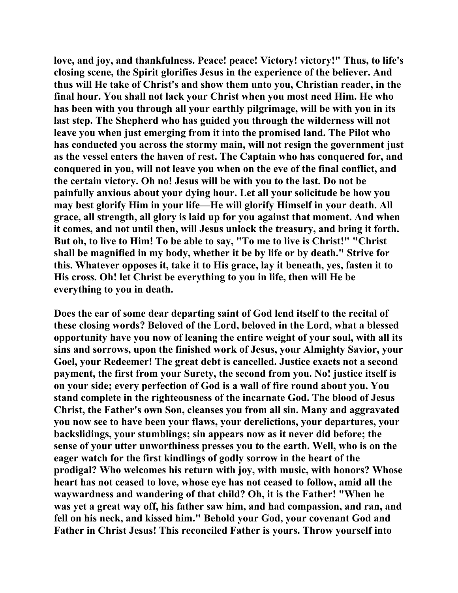**love, and joy, and thankfulness. Peace! peace! Victory! victory!" Thus, to life's closing scene, the Spirit glorifies Jesus in the experience of the believer. And thus will He take of Christ's and show them unto you, Christian reader, in the final hour. You shall not lack your Christ when you most need Him. He who has been with you through all your earthly pilgrimage, will be with you in its last step. The Shepherd who has guided you through the wilderness will not leave you when just emerging from it into the promised land. The Pilot who has conducted you across the stormy main, will not resign the government just as the vessel enters the haven of rest. The Captain who has conquered for, and conquered in you, will not leave you when on the eve of the final conflict, and the certain victory. Oh no! Jesus will be with you to the last. Do not be painfully anxious about your dying hour. Let all your solicitude be how you may best glorify Him in your life—He will glorify Himself in your death. All grace, all strength, all glory is laid up for you against that moment. And when it comes, and not until then, will Jesus unlock the treasury, and bring it forth. But oh, to live to Him! To be able to say, "To me to live is Christ!" "Christ shall be magnified in my body, whether it be by life or by death." Strive for this. Whatever opposes it, take it to His grace, lay it beneath, yes, fasten it to His cross. Oh! let Christ be everything to you in life, then will He be everything to you in death.** 

**Does the ear of some dear departing saint of God lend itself to the recital of these closing words? Beloved of the Lord, beloved in the Lord, what a blessed opportunity have you now of leaning the entire weight of your soul, with all its sins and sorrows, upon the finished work of Jesus, your Almighty Savior, your Goel, your Redeemer! The great debt is cancelled. Justice exacts not a second payment, the first from your Surety, the second from you. No! justice itself is on your side; every perfection of God is a wall of fire round about you. You stand complete in the righteousness of the incarnate God. The blood of Jesus Christ, the Father's own Son, cleanses you from all sin. Many and aggravated you now see to have been your flaws, your derelictions, your departures, your backslidings, your stumblings; sin appears now as it never did before; the sense of your utter unworthiness presses you to the earth. Well, who is on the eager watch for the first kindlings of godly sorrow in the heart of the prodigal? Who welcomes his return with joy, with music, with honors? Whose heart has not ceased to love, whose eye has not ceased to follow, amid all the waywardness and wandering of that child? Oh, it is the Father! "When he was yet a great way off, his father saw him, and had compassion, and ran, and fell on his neck, and kissed him." Behold your God, your covenant God and Father in Christ Jesus! This reconciled Father is yours. Throw yourself into**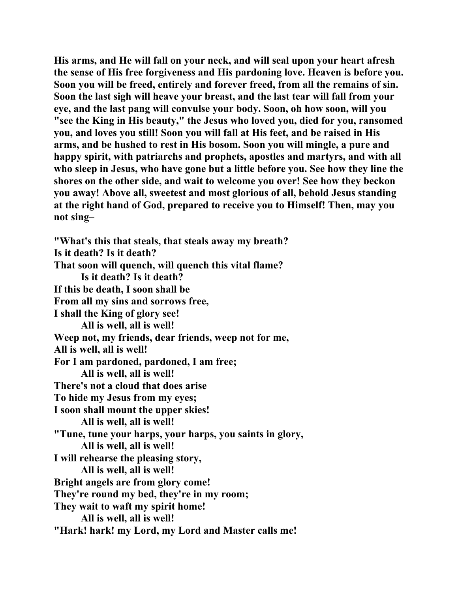**His arms, and He will fall on your neck, and will seal upon your heart afresh the sense of His free forgiveness and His pardoning love. Heaven is before you. Soon you will be freed, entirely and forever freed, from all the remains of sin. Soon the last sigh will heave your breast, and the last tear will fall from your eye, and the last pang will convulse your body. Soon, oh how soon, will you "see the King in His beauty," the Jesus who loved you, died for you, ransomed you, and loves you still! Soon you will fall at His feet, and be raised in His arms, and be hushed to rest in His bosom. Soon you will mingle, a pure and happy spirit, with patriarchs and prophets, apostles and martyrs, and with all who sleep in Jesus, who have gone but a little before you. See how they line the shores on the other side, and wait to welcome you over! See how they beckon you away! Above all, sweetest and most glorious of all, behold Jesus standing at the right hand of God, prepared to receive you to Himself! Then, may you not sing–** 

**"What's this that steals, that steals away my breath? Is it death? Is it death? That soon will quench, will quench this vital flame? Is it death? Is it death? If this be death, I soon shall be From all my sins and sorrows free, I shall the King of glory see! All is well, all is well! Weep not, my friends, dear friends, weep not for me, All is well, all is well! For I am pardoned, pardoned, I am free; All is well, all is well! There's not a cloud that does arise To hide my Jesus from my eyes; I soon shall mount the upper skies! All is well, all is well! "Tune, tune your harps, your harps, you saints in glory, All is well, all is well! I will rehearse the pleasing story, All is well, all is well! Bright angels are from glory come! They're round my bed, they're in my room; They wait to waft my spirit home! All is well, all is well! "Hark! hark! my Lord, my Lord and Master calls me!**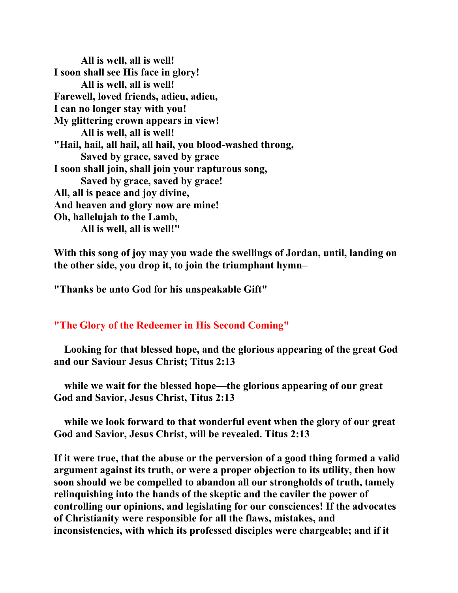**All is well, all is well! I soon shall see His face in glory! All is well, all is well! Farewell, loved friends, adieu, adieu, I can no longer stay with you! My glittering crown appears in view! All is well, all is well! "Hail, hail, all hail, all hail, you blood-washed throng, Saved by grace, saved by grace I soon shall join, shall join your rapturous song, Saved by grace, saved by grace! All, all is peace and joy divine, And heaven and glory now are mine! Oh, hallelujah to the Lamb, All is well, all is well!"** 

**With this song of joy may you wade the swellings of Jordan, until, landing on the other side, you drop it, to join the triumphant hymn–** 

**"Thanks be unto God for his unspeakable Gift"** 

## **"The Glory of the Redeemer in His Second Coming"**

 **Looking for that blessed hope, and the glorious appearing of the great God and our Saviour Jesus Christ; Titus 2:13** 

 **while we wait for the blessed hope—the glorious appearing of our great God and Savior, Jesus Christ, Titus 2:13** 

 **while we look forward to that wonderful event when the glory of our great God and Savior, Jesus Christ, will be revealed. Titus 2:13** 

**If it were true, that the abuse or the perversion of a good thing formed a valid argument against its truth, or were a proper objection to its utility, then how soon should we be compelled to abandon all our strongholds of truth, tamely relinquishing into the hands of the skeptic and the caviler the power of controlling our opinions, and legislating for our consciences! If the advocates of Christianity were responsible for all the flaws, mistakes, and inconsistencies, with which its professed disciples were chargeable; and if it**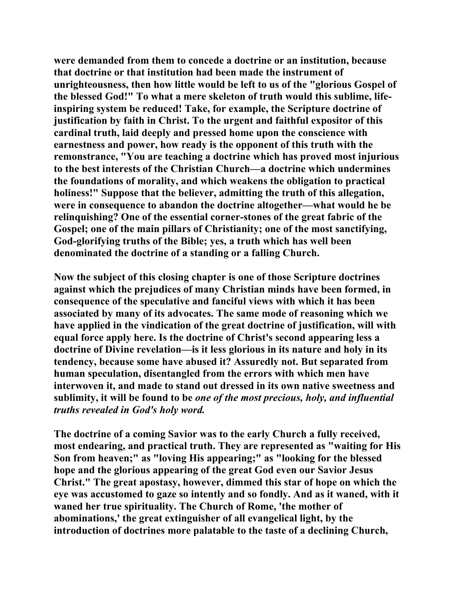**were demanded from them to concede a doctrine or an institution, because that doctrine or that institution had been made the instrument of unrighteousness, then how little would be left to us of the "glorious Gospel of the blessed God!" To what a mere skeleton of truth would this sublime, lifeinspiring system be reduced! Take, for example, the Scripture doctrine of justification by faith in Christ. To the urgent and faithful expositor of this cardinal truth, laid deeply and pressed home upon the conscience with earnestness and power, how ready is the opponent of this truth with the remonstrance, "You are teaching a doctrine which has proved most injurious to the best interests of the Christian Church—a doctrine which undermines the foundations of morality, and which weakens the obligation to practical holiness!" Suppose that the believer, admitting the truth of this allegation, were in consequence to abandon the doctrine altogether—what would he be relinquishing? One of the essential corner-stones of the great fabric of the Gospel; one of the main pillars of Christianity; one of the most sanctifying, God-glorifying truths of the Bible; yes, a truth which has well been denominated the doctrine of a standing or a falling Church.** 

**Now the subject of this closing chapter is one of those Scripture doctrines against which the prejudices of many Christian minds have been formed, in consequence of the speculative and fanciful views with which it has been associated by many of its advocates. The same mode of reasoning which we have applied in the vindication of the great doctrine of justification, will with equal force apply here. Is the doctrine of Christ's second appearing less a doctrine of Divine revelation—is it less glorious in its nature and holy in its tendency, because some have abused it? Assuredly not. But separated from human speculation, disentangled from the errors with which men have interwoven it, and made to stand out dressed in its own native sweetness and sublimity, it will be found to be** *one of the most precious, holy, and influential truths revealed in God's holy word.*

**The doctrine of a coming Savior was to the early Church a fully received, most endearing, and practical truth. They are represented as "waiting for His Son from heaven;" as "loving His appearing;" as "looking for the blessed hope and the glorious appearing of the great God even our Savior Jesus Christ." The great apostasy, however, dimmed this star of hope on which the eye was accustomed to gaze so intently and so fondly. And as it waned, with it waned her true spirituality. The Church of Rome, 'the mother of abominations,' the great extinguisher of all evangelical light, by the introduction of doctrines more palatable to the taste of a declining Church,**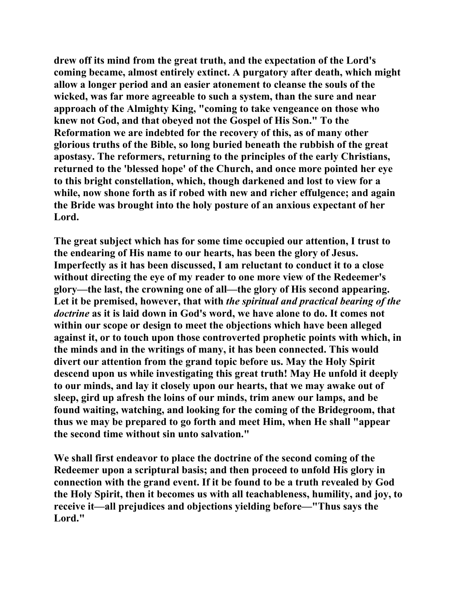**drew off its mind from the great truth, and the expectation of the Lord's coming became, almost entirely extinct. A purgatory after death, which might allow a longer period and an easier atonement to cleanse the souls of the wicked, was far more agreeable to such a system, than the sure and near approach of the Almighty King, "coming to take vengeance on those who knew not God, and that obeyed not the Gospel of His Son." To the Reformation we are indebted for the recovery of this, as of many other glorious truths of the Bible, so long buried beneath the rubbish of the great apostasy. The reformers, returning to the principles of the early Christians, returned to the 'blessed hope' of the Church, and once more pointed her eye to this bright constellation, which, though darkened and lost to view for a while, now shone forth as if robed with new and richer effulgence; and again the Bride was brought into the holy posture of an anxious expectant of her Lord.** 

**The great subject which has for some time occupied our attention, I trust to the endearing of His name to our hearts, has been the glory of Jesus. Imperfectly as it has been discussed, I am reluctant to conduct it to a close without directing the eye of my reader to one more view of the Redeemer's glory—the last, the crowning one of all—the glory of His second appearing. Let it be premised, however, that with** *the spiritual and practical bearing of the doctrine* **as it is laid down in God's word, we have alone to do. It comes not within our scope or design to meet the objections which have been alleged against it, or to touch upon those controverted prophetic points with which, in the minds and in the writings of many, it has been connected. This would divert our attention from the grand topic before us. May the Holy Spirit descend upon us while investigating this great truth! May He unfold it deeply to our minds, and lay it closely upon our hearts, that we may awake out of sleep, gird up afresh the loins of our minds, trim anew our lamps, and be found waiting, watching, and looking for the coming of the Bridegroom, that thus we may be prepared to go forth and meet Him, when He shall "appear the second time without sin unto salvation."** 

**We shall first endeavor to place the doctrine of the second coming of the Redeemer upon a scriptural basis; and then proceed to unfold His glory in connection with the grand event. If it be found to be a truth revealed by God the Holy Spirit, then it becomes us with all teachableness, humility, and joy, to receive it—all prejudices and objections yielding before—"Thus says the Lord."**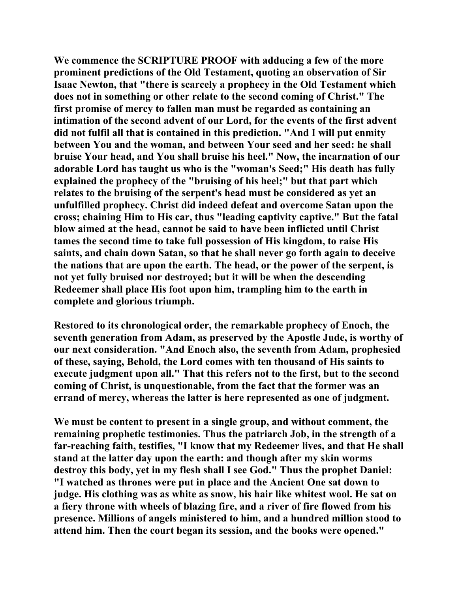**We commence the SCRIPTURE PROOF with adducing a few of the more prominent predictions of the Old Testament, quoting an observation of Sir Isaac Newton, that "there is scarcely a prophecy in the Old Testament which does not in something or other relate to the second coming of Christ." The first promise of mercy to fallen man must be regarded as containing an intimation of the second advent of our Lord, for the events of the first advent did not fulfil all that is contained in this prediction. "And I will put enmity between You and the woman, and between Your seed and her seed: he shall bruise Your head, and You shall bruise his heel." Now, the incarnation of our adorable Lord has taught us who is the "woman's Seed;" His death has fully explained the prophecy of the "bruising of his heel;" but that part which relates to the bruising of the serpent's head must be considered as yet an unfulfilled prophecy. Christ did indeed defeat and overcome Satan upon the cross; chaining Him to His car, thus "leading captivity captive." But the fatal blow aimed at the head, cannot be said to have been inflicted until Christ tames the second time to take full possession of His kingdom, to raise His saints, and chain down Satan, so that he shall never go forth again to deceive the nations that are upon the earth. The head, or the power of the serpent, is not yet fully bruised nor destroyed; but it will be when the descending Redeemer shall place His foot upon him, trampling him to the earth in complete and glorious triumph.** 

**Restored to its chronological order, the remarkable prophecy of Enoch, the seventh generation from Adam, as preserved by the Apostle Jude, is worthy of our next consideration. "And Enoch also, the seventh from Adam, prophesied of these, saying, Behold, the Lord comes with ten thousand of His saints to execute judgment upon all." That this refers not to the first, but to the second coming of Christ, is unquestionable, from the fact that the former was an errand of mercy, whereas the latter is here represented as one of judgment.** 

**We must be content to present in a single group, and without comment, the remaining prophetic testimonies. Thus the patriarch Job, in the strength of a far-reaching faith, testifies, "I know that my Redeemer lives, and that He shall stand at the latter day upon the earth: and though after my skin worms destroy this body, yet in my flesh shall I see God." Thus the prophet Daniel: "I watched as thrones were put in place and the Ancient One sat down to judge. His clothing was as white as snow, his hair like whitest wool. He sat on a fiery throne with wheels of blazing fire, and a river of fire flowed from his presence. Millions of angels ministered to him, and a hundred million stood to attend him. Then the court began its session, and the books were opened."**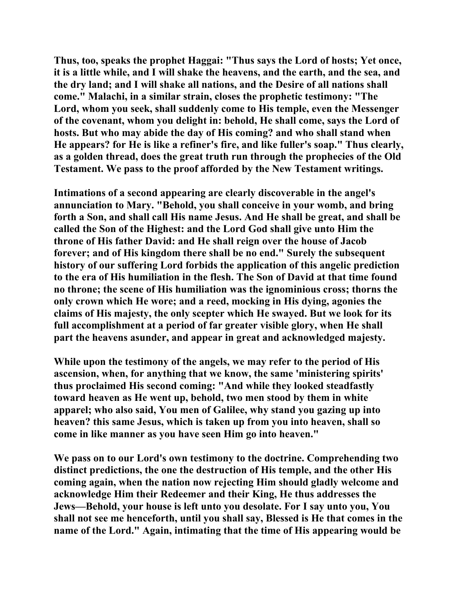**Thus, too, speaks the prophet Haggai: "Thus says the Lord of hosts; Yet once, it is a little while, and I will shake the heavens, and the earth, and the sea, and the dry land; and I will shake all nations, and the Desire of all nations shall come." Malachi, in a similar strain, closes the prophetic testimony: "The Lord, whom you seek, shall suddenly come to His temple, even the Messenger of the covenant, whom you delight in: behold, He shall come, says the Lord of hosts. But who may abide the day of His coming? and who shall stand when He appears? for He is like a refiner's fire, and like fuller's soap." Thus clearly, as a golden thread, does the great truth run through the prophecies of the Old Testament. We pass to the proof afforded by the New Testament writings.** 

**Intimations of a second appearing are clearly discoverable in the angel's annunciation to Mary. "Behold, you shall conceive in your womb, and bring forth a Son, and shall call His name Jesus. And He shall be great, and shall be called the Son of the Highest: and the Lord God shall give unto Him the throne of His father David: and He shall reign over the house of Jacob forever; and of His kingdom there shall be no end." Surely the subsequent history of our suffering Lord forbids the application of this angelic prediction to the era of His humiliation in the flesh. The Son of David at that time found no throne; the scene of His humiliation was the ignominious cross; thorns the only crown which He wore; and a reed, mocking in His dying, agonies the claims of His majesty, the only scepter which He swayed. But we look for its full accomplishment at a period of far greater visible glory, when He shall part the heavens asunder, and appear in great and acknowledged majesty.** 

**While upon the testimony of the angels, we may refer to the period of His ascension, when, for anything that we know, the same 'ministering spirits' thus proclaimed His second coming: "And while they looked steadfastly toward heaven as He went up, behold, two men stood by them in white apparel; who also said, You men of Galilee, why stand you gazing up into heaven? this same Jesus, which is taken up from you into heaven, shall so come in like manner as you have seen Him go into heaven."** 

**We pass on to our Lord's own testimony to the doctrine. Comprehending two distinct predictions, the one the destruction of His temple, and the other His coming again, when the nation now rejecting Him should gladly welcome and acknowledge Him their Redeemer and their King, He thus addresses the Jews—Behold, your house is left unto you desolate. For I say unto you, You shall not see me henceforth, until you shall say, Blessed is He that comes in the name of the Lord." Again, intimating that the time of His appearing would be**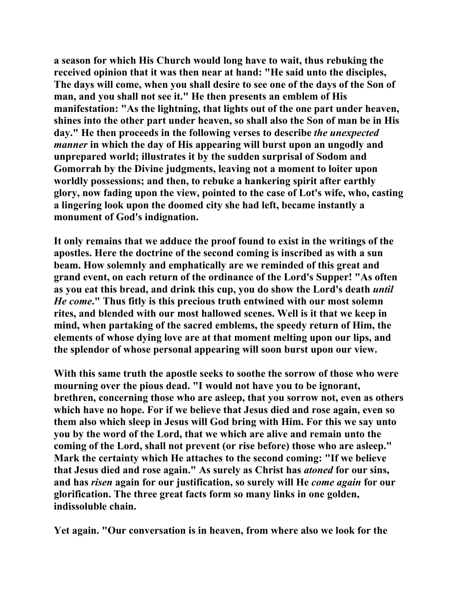**a season for which His Church would long have to wait, thus rebuking the received opinion that it was then near at hand: "He said unto the disciples, The days will come, when you shall desire to see one of the days of the Son of man, and you shall not see it." He then presents an emblem of His manifestation: "As the lightning, that lights out of the one part under heaven, shines into the other part under heaven, so shall also the Son of man be in His day." He then proceeds in the following verses to describe** *the unexpected manner* **in which the day of His appearing will burst upon an ungodly and unprepared world; illustrates it by the sudden surprisal of Sodom and Gomorrah by the Divine judgments, leaving not a moment to loiter upon worldly possessions; and then, to rebuke a hankering spirit after earthly glory, now fading upon the view, pointed to the case of Lot's wife, who, casting a lingering look upon the doomed city she had left, became instantly a monument of God's indignation.** 

**It only remains that we adduce the proof found to exist in the writings of the apostles. Here the doctrine of the second coming is inscribed as with a sun beam. How solemnly and emphatically are we reminded of this great and grand event, on each return of the ordinance of the Lord's Supper! "As often as you eat this bread, and drink this cup, you do show the Lord's death** *until He come***." Thus fitly is this precious truth entwined with our most solemn rites, and blended with our most hallowed scenes. Well is it that we keep in mind, when partaking of the sacred emblems, the speedy return of Him, the elements of whose dying love are at that moment melting upon our lips, and the splendor of whose personal appearing will soon burst upon our view.** 

**With this same truth the apostle seeks to soothe the sorrow of those who were mourning over the pious dead. "I would not have you to be ignorant, brethren, concerning those who are asleep, that you sorrow not, even as others which have no hope. For if we believe that Jesus died and rose again, even so them also which sleep in Jesus will God bring with Him. For this we say unto you by the word of the Lord, that we which are alive and remain unto the coming of the Lord, shall not prevent (or rise before) those who are asleep." Mark the certainty which He attaches to the second coming: "If we believe that Jesus died and rose again." As surely as Christ has** *atoned* **for our sins, and has** *risen* **again for our justification, so surely will He** *come again* **for our glorification. The three great facts form so many links in one golden, indissoluble chain.** 

**Yet again. "Our conversation is in heaven, from where also we look for the**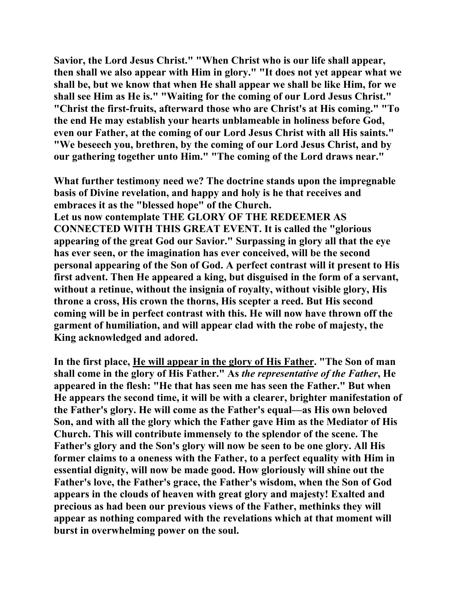**Savior, the Lord Jesus Christ." "When Christ who is our life shall appear, then shall we also appear with Him in glory." "It does not yet appear what we shall be, but we know that when He shall appear we shall be like Him, for we shall see Him as He is." "Waiting for the coming of our Lord Jesus Christ." "Christ the first-fruits, afterward those who are Christ's at His coming." "To the end He may establish your hearts unblameable in holiness before God, even our Father, at the coming of our Lord Jesus Christ with all His saints." "We beseech you, brethren, by the coming of our Lord Jesus Christ, and by our gathering together unto Him." "The coming of the Lord draws near."** 

**What further testimony need we? The doctrine stands upon the impregnable basis of Divine revelation, and happy and holy is he that receives and embraces it as the "blessed hope" of the Church.** 

**Let us now contemplate THE GLORY OF THE REDEEMER AS CONNECTED WITH THIS GREAT EVENT. It is called the "glorious appearing of the great God our Savior." Surpassing in glory all that the eye has ever seen, or the imagination has ever conceived, will be the second personal appearing of the Son of God. A perfect contrast will it present to His first advent. Then He appeared a king, but disguised in the form of a servant, without a retinue, without the insignia of royalty, without visible glory, His throne a cross, His crown the thorns, His scepter a reed. But His second coming will be in perfect contrast with this. He will now have thrown off the garment of humiliation, and will appear clad with the robe of majesty, the King acknowledged and adored.** 

**In the first place, He will appear in the glory of His Father. "The Son of man shall come in the glory of His Father." As** *the representative of the Father***, He appeared in the flesh: "He that has seen me has seen the Father." But when He appears the second time, it will be with a clearer, brighter manifestation of the Father's glory. He will come as the Father's equal—as His own beloved Son, and with all the glory which the Father gave Him as the Mediator of His Church. This will contribute immensely to the splendor of the scene. The Father's glory and the Son's glory will now be seen to be one glory. All His former claims to a oneness with the Father, to a perfect equality with Him in essential dignity, will now be made good. How gloriously will shine out the Father's love, the Father's grace, the Father's wisdom, when the Son of God appears in the clouds of heaven with great glory and majesty! Exalted and precious as had been our previous views of the Father, methinks they will appear as nothing compared with the revelations which at that moment will burst in overwhelming power on the soul.**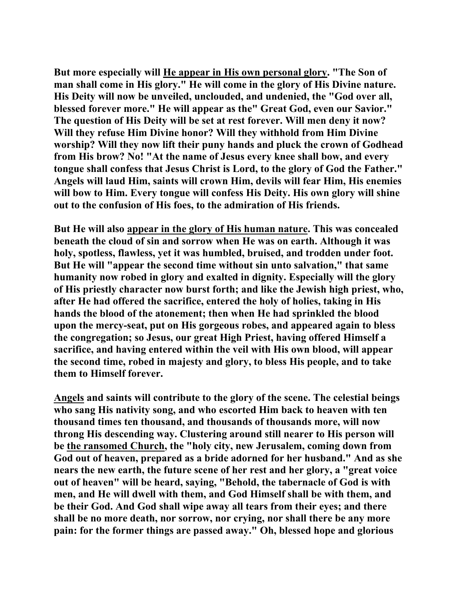**But more especially will He appear in His own personal glory. "The Son of man shall come in His glory." He will come in the glory of His Divine nature. His Deity will now be unveiled, unclouded, and undenied, the "God over all, blessed forever more." He will appear as the" Great God, even our Savior." The question of His Deity will be set at rest forever. Will men deny it now? Will they refuse Him Divine honor? Will they withhold from Him Divine worship? Will they now lift their puny hands and pluck the crown of Godhead from His brow? No! "At the name of Jesus every knee shall bow, and every tongue shall confess that Jesus Christ is Lord, to the glory of God the Father." Angels will laud Him, saints will crown Him, devils will fear Him, His enemies will bow to Him. Every tongue will confess His Deity. His own glory will shine out to the confusion of His foes, to the admiration of His friends.** 

**But He will also appear in the glory of His human nature. This was concealed beneath the cloud of sin and sorrow when He was on earth. Although it was holy, spotless, flawless, yet it was humbled, bruised, and trodden under foot. But He will "appear the second time without sin unto salvation," that same humanity now robed in glory and exalted in dignity. Especially will the glory of His priestly character now burst forth; and like the Jewish high priest, who, after He had offered the sacrifice, entered the holy of holies, taking in His hands the blood of the atonement; then when He had sprinkled the blood upon the mercy-seat, put on His gorgeous robes, and appeared again to bless the congregation; so Jesus, our great High Priest, having offered Himself a sacrifice, and having entered within the veil with His own blood, will appear the second time, robed in majesty and glory, to bless His people, and to take them to Himself forever.** 

**Angels and saints will contribute to the glory of the scene. The celestial beings who sang His nativity song, and who escorted Him back to heaven with ten thousand times ten thousand, and thousands of thousands more, will now throng His descending way. Clustering around still nearer to His person will be the ransomed Church, the "holy city, new Jerusalem, coming down from God out of heaven, prepared as a bride adorned for her husband." And as she nears the new earth, the future scene of her rest and her glory, a "great voice out of heaven" will be heard, saying, "Behold, the tabernacle of God is with men, and He will dwell with them, and God Himself shall be with them, and be their God. And God shall wipe away all tears from their eyes; and there shall be no more death, nor sorrow, nor crying, nor shall there be any more pain: for the former things are passed away." Oh, blessed hope and glorious**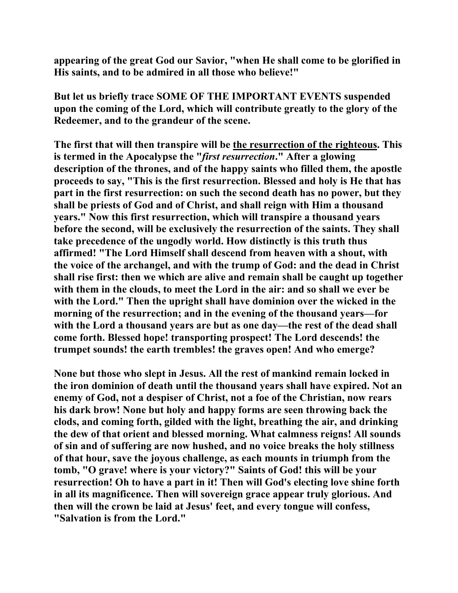**appearing of the great God our Savior, "when He shall come to be glorified in His saints, and to be admired in all those who believe!"** 

**But let us briefly trace SOME OF THE IMPORTANT EVENTS suspended upon the coming of the Lord, which will contribute greatly to the glory of the Redeemer, and to the grandeur of the scene.** 

**The first that will then transpire will be the resurrection of the righteous. This is termed in the Apocalypse the "***first resurrection***." After a glowing description of the thrones, and of the happy saints who filled them, the apostle proceeds to say, "This is the first resurrection. Blessed and holy is He that has part in the first resurrection: on such the second death has no power, but they shall be priests of God and of Christ, and shall reign with Him a thousand years." Now this first resurrection, which will transpire a thousand years before the second, will be exclusively the resurrection of the saints. They shall take precedence of the ungodly world. How distinctly is this truth thus affirmed! "The Lord Himself shall descend from heaven with a shout, with the voice of the archangel, and with the trump of God: and the dead in Christ shall rise first: then we which are alive and remain shall be caught up together with them in the clouds, to meet the Lord in the air: and so shall we ever be with the Lord." Then the upright shall have dominion over the wicked in the morning of the resurrection; and in the evening of the thousand years—for with the Lord a thousand years are but as one day—the rest of the dead shall come forth. Blessed hope! transporting prospect! The Lord descends! the trumpet sounds! the earth trembles! the graves open! And who emerge?** 

**None but those who slept in Jesus. All the rest of mankind remain locked in the iron dominion of death until the thousand years shall have expired. Not an enemy of God, not a despiser of Christ, not a foe of the Christian, now rears his dark brow! None but holy and happy forms are seen throwing back the clods, and coming forth, gilded with the light, breathing the air, and drinking the dew of that orient and blessed morning. What calmness reigns! All sounds of sin and of suffering are now hushed, and no voice breaks the holy stillness of that hour, save the joyous challenge, as each mounts in triumph from the tomb, "O grave! where is your victory?" Saints of God! this will be your resurrection! Oh to have a part in it! Then will God's electing love shine forth in all its magnificence. Then will sovereign grace appear truly glorious. And then will the crown be laid at Jesus' feet, and every tongue will confess, "Salvation is from the Lord."**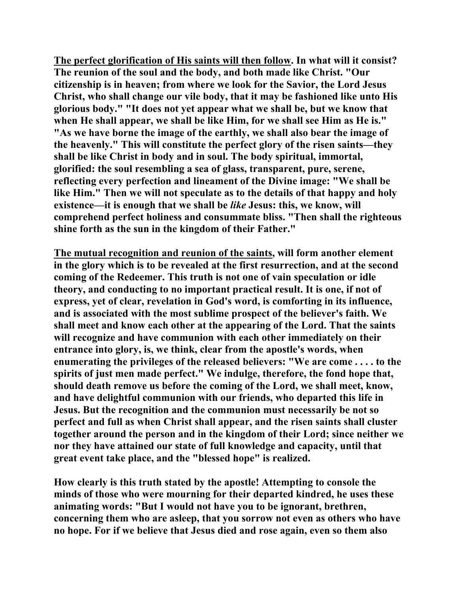**The perfect glorification of His saints will then follow. In what will it consist? The reunion of the soul and the body, and both made like Christ. "Our citizenship is in heaven; from where we look for the Savior, the Lord Jesus Christ, who shall change our vile body, that it may be fashioned like unto His glorious body." "It does not yet appear what we shall be, but we know that when He shall appear, we shall be like Him, for we shall see Him as He is." "As we have borne the image of the earthly, we shall also bear the image of the heavenly." This will constitute the perfect glory of the risen saints—they shall be like Christ in body and in soul. The body spiritual, immortal, glorified: the soul resembling a sea of glass, transparent, pure, serene, reflecting every perfection and lineament of the Divine image: "We shall be like Him." Then we will not speculate as to the details of that happy and holy existence—it is enough that we shall be** *like* **Jesus: this, we know, will comprehend perfect holiness and consummate bliss. "Then shall the righteous shine forth as the sun in the kingdom of their Father."** 

**The mutual recognition and reunion of the saints, will form another element in the glory which is to be revealed at the first resurrection, and at the second coming of the Redeemer. This truth is not one of vain speculation or idle theory, and conducting to no important practical result. It is one, if not of express, yet of clear, revelation in God's word, is comforting in its influence, and is associated with the most sublime prospect of the believer's faith. We shall meet and know each other at the appearing of the Lord. That the saints will recognize and have communion with each other immediately on their entrance into glory, is, we think, clear from the apostle's words, when enumerating the privileges of the released believers: "We are come . . . . to the spirits of just men made perfect." We indulge, therefore, the fond hope that, should death remove us before the coming of the Lord, we shall meet, know, and have delightful communion with our friends, who departed this life in Jesus. But the recognition and the communion must necessarily be not so perfect and full as when Christ shall appear, and the risen saints shall cluster together around the person and in the kingdom of their Lord; since neither we nor they have attained our state of full knowledge and capacity, until that great event take place, and the "blessed hope" is realized.** 

**How clearly is this truth stated by the apostle! Attempting to console the minds of those who were mourning for their departed kindred, he uses these animating words: "But I would not have you to be ignorant, brethren, concerning them who are asleep, that you sorrow not even as others who have no hope. For if we believe that Jesus died and rose again, even so them also**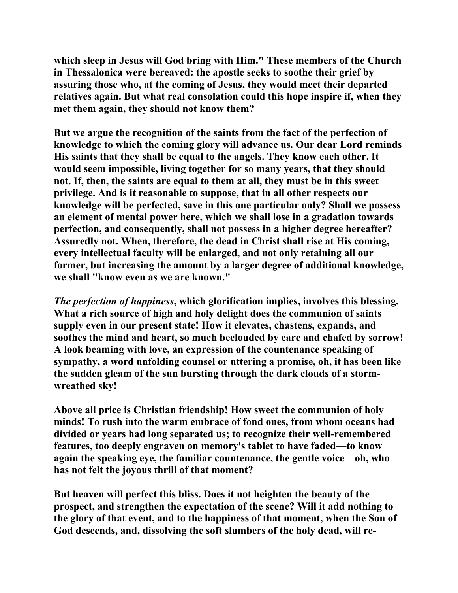**which sleep in Jesus will God bring with Him." These members of the Church in Thessalonica were bereaved: the apostle seeks to soothe their grief by assuring those who, at the coming of Jesus, they would meet their departed relatives again. But what real consolation could this hope inspire if, when they met them again, they should not know them?** 

**But we argue the recognition of the saints from the fact of the perfection of knowledge to which the coming glory will advance us. Our dear Lord reminds His saints that they shall be equal to the angels. They know each other. It would seem impossible, living together for so many years, that they should not. If, then, the saints are equal to them at all, they must be in this sweet privilege. And is it reasonable to suppose, that in all other respects our knowledge will be perfected, save in this one particular only? Shall we possess an element of mental power here, which we shall lose in a gradation towards perfection, and consequently, shall not possess in a higher degree hereafter? Assuredly not. When, therefore, the dead in Christ shall rise at His coming, every intellectual faculty will be enlarged, and not only retaining all our former, but increasing the amount by a larger degree of additional knowledge, we shall "know even as we are known."** 

*The perfection of happiness***, which glorification implies, involves this blessing. What a rich source of high and holy delight does the communion of saints supply even in our present state! How it elevates, chastens, expands, and soothes the mind and heart, so much beclouded by care and chafed by sorrow! A look beaming with love, an expression of the countenance speaking of sympathy, a word unfolding counsel or uttering a promise, oh, it has been like the sudden gleam of the sun bursting through the dark clouds of a stormwreathed sky!** 

**Above all price is Christian friendship! How sweet the communion of holy minds! To rush into the warm embrace of fond ones, from whom oceans had divided or years had long separated us; to recognize their well-remembered features, too deeply engraven on memory's tablet to have faded—to know again the speaking eye, the familiar countenance, the gentle voice—oh, who has not felt the joyous thrill of that moment?** 

**But heaven will perfect this bliss. Does it not heighten the beauty of the prospect, and strengthen the expectation of the scene? Will it add nothing to the glory of that event, and to the happiness of that moment, when the Son of God descends, and, dissolving the soft slumbers of the holy dead, will re-**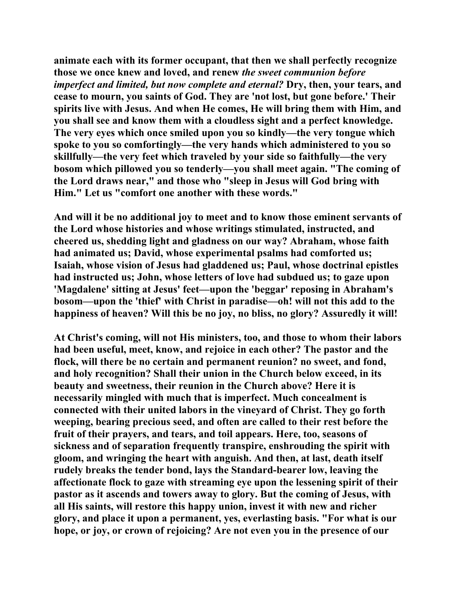**animate each with its former occupant, that then we shall perfectly recognize those we once knew and loved, and renew** *the sweet communion before imperfect and limited, but now complete and eternal?* Dry, then, your tears, and **cease to mourn, you saints of God. They are 'not lost, but gone before.' Their spirits live with Jesus. And when He comes, He will bring them with Him, and you shall see and know them with a cloudless sight and a perfect knowledge. The very eyes which once smiled upon you so kindly—the very tongue which spoke to you so comfortingly—the very hands which administered to you so skillfully—the very feet which traveled by your side so faithfully—the very bosom which pillowed you so tenderly—you shall meet again. "The coming of the Lord draws near," and those who "sleep in Jesus will God bring with Him." Let us "comfort one another with these words."** 

**And will it be no additional joy to meet and to know those eminent servants of the Lord whose histories and whose writings stimulated, instructed, and cheered us, shedding light and gladness on our way? Abraham, whose faith had animated us; David, whose experimental psalms had comforted us; Isaiah, whose vision of Jesus had gladdened us; Paul, whose doctrinal epistles had instructed us; John, whose letters of love had subdued us; to gaze upon 'Magdalene' sitting at Jesus' feet—upon the 'beggar' reposing in Abraham's bosom—upon the 'thief' with Christ in paradise—oh! will not this add to the happiness of heaven? Will this be no joy, no bliss, no glory? Assuredly it will!** 

**At Christ's coming, will not His ministers, too, and those to whom their labors had been useful, meet, know, and rejoice in each other? The pastor and the flock, will there be no certain and permanent reunion? no sweet, and fond, and holy recognition? Shall their union in the Church below exceed, in its beauty and sweetness, their reunion in the Church above? Here it is necessarily mingled with much that is imperfect. Much concealment is connected with their united labors in the vineyard of Christ. They go forth weeping, bearing precious seed, and often are called to their rest before the fruit of their prayers, and tears, and toil appears. Here, too, seasons of sickness and of separation frequently transpire, enshrouding the spirit with gloom, and wringing the heart with anguish. And then, at last, death itself rudely breaks the tender bond, lays the Standard-bearer low, leaving the affectionate flock to gaze with streaming eye upon the lessening spirit of their pastor as it ascends and towers away to glory. But the coming of Jesus, with all His saints, will restore this happy union, invest it with new and richer glory, and place it upon a permanent, yes, everlasting basis. "For what is our hope, or joy, or crown of rejoicing? Are not even you in the presence of our**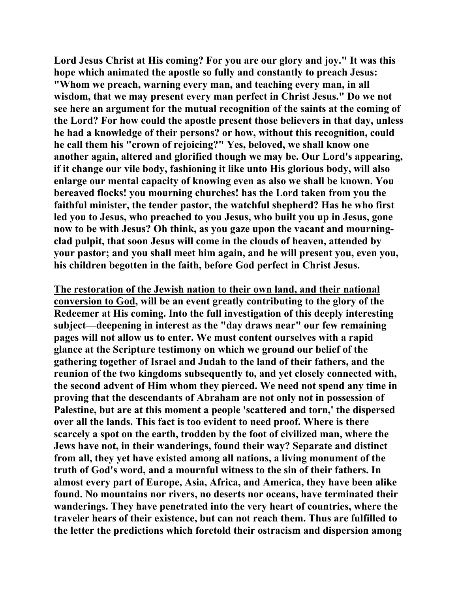**Lord Jesus Christ at His coming? For you are our glory and joy." It was this hope which animated the apostle so fully and constantly to preach Jesus: "Whom we preach, warning every man, and teaching every man, in all wisdom, that we may present every man perfect in Christ Jesus." Do we not see here an argument for the mutual recognition of the saints at the coming of the Lord? For how could the apostle present those believers in that day, unless he had a knowledge of their persons? or how, without this recognition, could he call them his "crown of rejoicing?" Yes, beloved, we shall know one another again, altered and glorified though we may be. Our Lord's appearing, if it change our vile body, fashioning it like unto His glorious body, will also enlarge our mental capacity of knowing even as also we shall be known. You bereaved flocks! you mourning churches! has the Lord taken from you the faithful minister, the tender pastor, the watchful shepherd? Has he who first led you to Jesus, who preached to you Jesus, who built you up in Jesus, gone now to be with Jesus? Oh think, as you gaze upon the vacant and mourningclad pulpit, that soon Jesus will come in the clouds of heaven, attended by your pastor; and you shall meet him again, and he will present you, even you, his children begotten in the faith, before God perfect in Christ Jesus.** 

**The restoration of the Jewish nation to their own land, and their national conversion to God, will be an event greatly contributing to the glory of the Redeemer at His coming. Into the full investigation of this deeply interesting subject—deepening in interest as the "day draws near" our few remaining pages will not allow us to enter. We must content ourselves with a rapid glance at the Scripture testimony on which we ground our belief of the gathering together of Israel and Judah to the land of their fathers, and the reunion of the two kingdoms subsequently to, and yet closely connected with, the second advent of Him whom they pierced. We need not spend any time in proving that the descendants of Abraham are not only not in possession of Palestine, but are at this moment a people 'scattered and torn,' the dispersed over all the lands. This fact is too evident to need proof. Where is there scarcely a spot on the earth, trodden by the foot of civilized man, where the Jews have not, in their wanderings, found their way? Separate and distinct from all, they yet have existed among all nations, a living monument of the truth of God's word, and a mournful witness to the sin of their fathers. In almost every part of Europe, Asia, Africa, and America, they have been alike found. No mountains nor rivers, no deserts nor oceans, have terminated their wanderings. They have penetrated into the very heart of countries, where the traveler hears of their existence, but can not reach them. Thus are fulfilled to the letter the predictions which foretold their ostracism and dispersion among**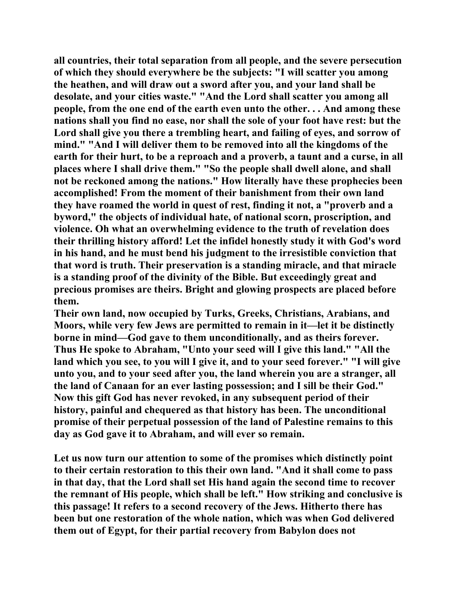**all countries, their total separation from all people, and the severe persecution of which they should everywhere be the subjects: "I will scatter you among the heathen, and will draw out a sword after you, and your land shall be desolate, and your cities waste." "And the Lord shall scatter you among all people, from the one end of the earth even unto the other. . . And among these nations shall you find no ease, nor shall the sole of your foot have rest: but the Lord shall give you there a trembling heart, and failing of eyes, and sorrow of mind." "And I will deliver them to be removed into all the kingdoms of the earth for their hurt, to be a reproach and a proverb, a taunt and a curse, in all places where I shall drive them." "So the people shall dwell alone, and shall not be reckoned among the nations." How literally have these prophecies been accomplished! From the moment of their banishment from their own land they have roamed the world in quest of rest, finding it not, a "proverb and a byword," the objects of individual hate, of national scorn, proscription, and violence. Oh what an overwhelming evidence to the truth of revelation does their thrilling history afford! Let the infidel honestly study it with God's word in his hand, and he must bend his judgment to the irresistible conviction that that word is truth. Their preservation is a standing miracle, and that miracle is a standing proof of the divinity of the Bible. But exceedingly great and precious promises are theirs. Bright and glowing prospects are placed before them.** 

**Their own land, now occupied by Turks, Greeks, Christians, Arabians, and Moors, while very few Jews are permitted to remain in it—let it be distinctly borne in mind—God gave to them unconditionally, and as theirs forever. Thus He spoke to Abraham, "Unto your seed will I give this land." "All the land which you see, to you will I give it, and to your seed forever." "I will give unto you, and to your seed after you, the land wherein you are a stranger, all the land of Canaan for an ever lasting possession; and I sill be their God." Now this gift God has never revoked, in any subsequent period of their history, painful and chequered as that history has been. The unconditional promise of their perpetual possession of the land of Palestine remains to this day as God gave it to Abraham, and will ever so remain.** 

**Let us now turn our attention to some of the promises which distinctly point to their certain restoration to this their own land. "And it shall come to pass in that day, that the Lord shall set His hand again the second time to recover the remnant of His people, which shall be left." How striking and conclusive is this passage! It refers to a second recovery of the Jews. Hitherto there has been but one restoration of the whole nation, which was when God delivered them out of Egypt, for their partial recovery from Babylon does not**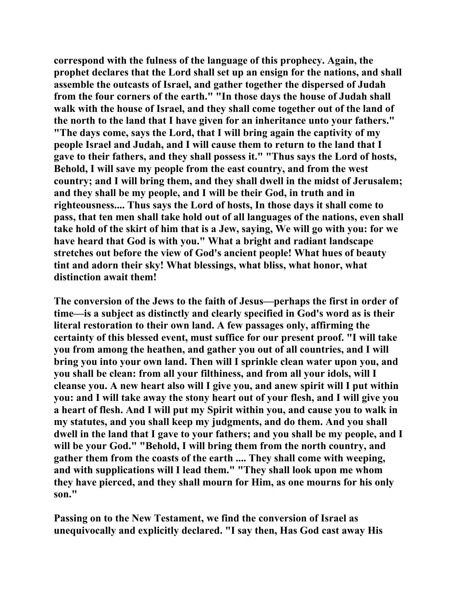**correspond with the fulness of the language of this prophecy. Again, the prophet declares that the Lord shall set up an ensign for the nations, and shall assemble the outcasts of Israel, and gather together the dispersed of Judah from the four corners of the earth." "In those days the house of Judah shall walk with the house of Israel, and they shall come together out of the land of the north to the land that I have given for an inheritance unto your fathers." "The days come, says the Lord, that I will bring again the captivity of my people Israel and Judah, and I will cause them to return to the land that I gave to their fathers, and they shall possess it." "Thus says the Lord of hosts, Behold, I will save my people from the east country, and from the west country; and I will bring them, and they shall dwell in the midst of Jerusalem; and they shall be my people, and I will be their God, in truth and in righteousness.... Thus says the Lord of hosts, In those days it shall come to pass, that ten men shall take hold out of all languages of the nations, even shall take hold of the skirt of him that is a Jew, saying, We will go with you: for we have heard that God is with you." What a bright and radiant landscape stretches out before the view of God's ancient people! What hues of beauty tint and adorn their sky! What blessings, what bliss, what honor, what distinction await them!** 

**The conversion of the Jews to the faith of Jesus—perhaps the first in order of time—is a subject as distinctly and clearly specified in God's word as is their literal restoration to their own land. A few passages only, affirming the certainty of this blessed event, must suffice for our present proof. "I will take you from among the heathen, and gather you out of all countries, and I will bring you into your own land. Then will I sprinkle clean water upon you, and you shall be clean: from all your filthiness, and from all your idols, will I cleanse you. A new heart also will I give you, and anew spirit will I put within you: and I will take away the stony heart out of your flesh, and I will give you a heart of flesh. And I will put my Spirit within you, and cause you to walk in my statutes, and you shall keep my judgments, and do them. And you shall dwell in the land that I gave to your fathers; and you shall be my people, and I will be your God." "Behold, I will bring them from the north country, and gather them from the coasts of the earth .... They shall come with weeping, and with supplications will I lead them." "They shall look upon me whom they have pierced, and they shall mourn for Him, as one mourns for his only son."** 

**Passing on to the New Testament, we find the conversion of Israel as unequivocally and explicitly declared. "I say then, Has God cast away His**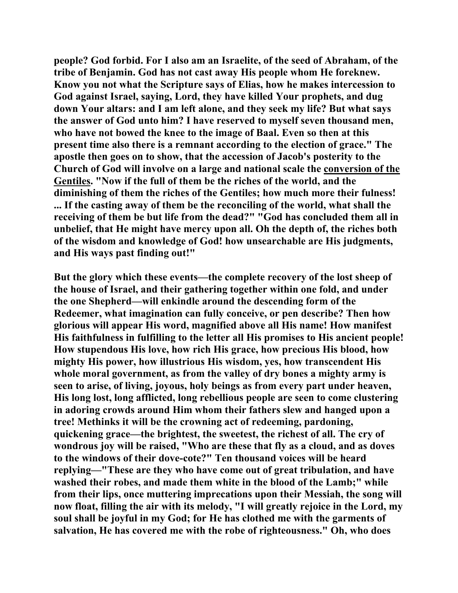**people? God forbid. For I also am an Israelite, of the seed of Abraham, of the tribe of Benjamin. God has not cast away His people whom He foreknew. Know you not what the Scripture says of Elias, how he makes intercession to God against Israel, saying, Lord, they have killed Your prophets, and dug down Your altars: and I am left alone, and they seek my life? But what says the answer of God unto him? I have reserved to myself seven thousand men, who have not bowed the knee to the image of Baal. Even so then at this present time also there is a remnant according to the election of grace." The apostle then goes on to show, that the accession of Jacob's posterity to the Church of God will involve on a large and national scale the conversion of the Gentiles. "Now if the full of them be the riches of the world, and the diminishing of them the riches of the Gentiles; how much more their fulness! ... If the casting away of them be the reconciling of the world, what shall the receiving of them be but life from the dead?" "God has concluded them all in unbelief, that He might have mercy upon all. Oh the depth of, the riches both of the wisdom and knowledge of God! how unsearchable are His judgments, and His ways past finding out!"** 

**But the glory which these events—the complete recovery of the lost sheep of the house of Israel, and their gathering together within one fold, and under the one Shepherd—will enkindle around the descending form of the Redeemer, what imagination can fully conceive, or pen describe? Then how glorious will appear His word, magnified above all His name! How manifest His faithfulness in fulfilling to the letter all His promises to His ancient people! How stupendous His love, how rich His grace, how precious His blood, how mighty His power, how illustrious His wisdom, yes, how transcendent His whole moral government, as from the valley of dry bones a mighty army is seen to arise, of living, joyous, holy beings as from every part under heaven, His long lost, long afflicted, long rebellious people are seen to come clustering in adoring crowds around Him whom their fathers slew and hanged upon a tree! Methinks it will be the crowning act of redeeming, pardoning, quickening grace—the brightest, the sweetest, the richest of all. The cry of wondrous joy will be raised, "Who are these that fly as a cloud, and as doves to the windows of their dove-cote?" Ten thousand voices will be heard replying—"These are they who have come out of great tribulation, and have washed their robes, and made them white in the blood of the Lamb;" while from their lips, once muttering imprecations upon their Messiah, the song will now float, filling the air with its melody, "I will greatly rejoice in the Lord, my soul shall be joyful in my God; for He has clothed me with the garments of salvation, He has covered me with the robe of righteousness." Oh, who does**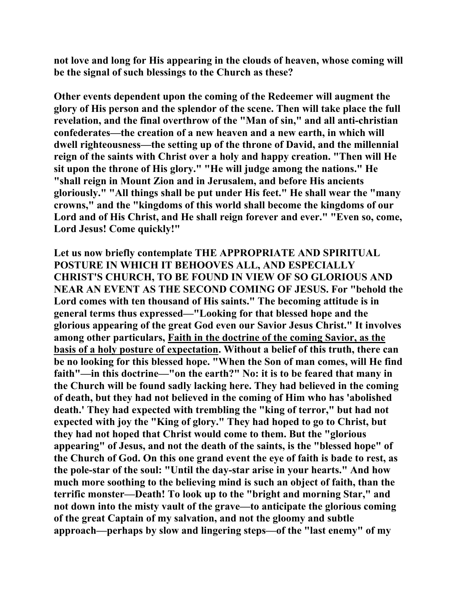**not love and long for His appearing in the clouds of heaven, whose coming will be the signal of such blessings to the Church as these?** 

**Other events dependent upon the coming of the Redeemer will augment the glory of His person and the splendor of the scene. Then will take place the full revelation, and the final overthrow of the "Man of sin," and all anti-christian confederates—the creation of a new heaven and a new earth, in which will dwell righteousness—the setting up of the throne of David, and the millennial reign of the saints with Christ over a holy and happy creation. "Then will He sit upon the throne of His glory." "He will judge among the nations." He "shall reign in Mount Zion and in Jerusalem, and before His ancients gloriously." "All things shall be put under His feet." He shall wear the "many crowns," and the "kingdoms of this world shall become the kingdoms of our Lord and of His Christ, and He shall reign forever and ever." "Even so, come, Lord Jesus! Come quickly!"** 

**Let us now briefly contemplate THE APPROPRIATE AND SPIRITUAL POSTURE IN WHICH IT BEHOOVES ALL, AND ESPECIALLY CHRIST'S CHURCH, TO BE FOUND IN VIEW OF SO GLORIOUS AND NEAR AN EVENT AS THE SECOND COMING OF JESUS. For "behold the Lord comes with ten thousand of His saints." The becoming attitude is in general terms thus expressed—"Looking for that blessed hope and the glorious appearing of the great God even our Savior Jesus Christ." It involves among other particulars, Faith in the doctrine of the coming Savior, as the basis of a holy posture of expectation. Without a belief of this truth, there can be no looking for this blessed hope. "When the Son of man comes, will He find faith"—in this doctrine—"on the earth?" No: it is to be feared that many in the Church will be found sadly lacking here. They had believed in the coming of death, but they had not believed in the coming of Him who has 'abolished death.' They had expected with trembling the "king of terror," but had not expected with joy the "King of glory." They had hoped to go to Christ, but they had not hoped that Christ would come to them. But the "glorious appearing" of Jesus, and not the death of the saints, is the "blessed hope" of the Church of God. On this one grand event the eye of faith is bade to rest, as the pole-star of the soul: "Until the day-star arise in your hearts." And how much more soothing to the believing mind is such an object of faith, than the terrific monster—Death! To look up to the "bright and morning Star," and not down into the misty vault of the grave—to anticipate the glorious coming of the great Captain of my salvation, and not the gloomy and subtle approach—perhaps by slow and lingering steps—of the "last enemy" of my**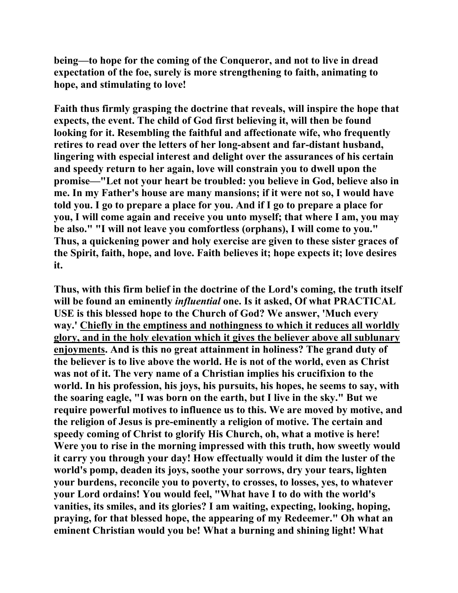**being—to hope for the coming of the Conqueror, and not to live in dread expectation of the foe, surely is more strengthening to faith, animating to hope, and stimulating to love!** 

**Faith thus firmly grasping the doctrine that reveals, will inspire the hope that expects, the event. The child of God first believing it, will then be found looking for it. Resembling the faithful and affectionate wife, who frequently retires to read over the letters of her long-absent and far-distant husband, lingering with especial interest and delight over the assurances of his certain and speedy return to her again, love will constrain you to dwell upon the promise—"Let not your heart be troubled: you believe in God, believe also in me. In my Father's house are many mansions; if it were not so, I would have told you. I go to prepare a place for you. And if I go to prepare a place for you, I will come again and receive you unto myself; that where I am, you may be also." "I will not leave you comfortless (orphans), I will come to you." Thus, a quickening power and holy exercise are given to these sister graces of the Spirit, faith, hope, and love. Faith believes it; hope expects it; love desires it.** 

**Thus, with this firm belief in the doctrine of the Lord's coming, the truth itself will be found an eminently** *influential* **one. Is it asked, Of what PRACTICAL USE is this blessed hope to the Church of God? We answer, 'Much every way.' Chiefly in the emptiness and nothingness to which it reduces all worldly glory, and in the holy elevation which it gives the believer above all sublunary enjoyments. And is this no great attainment in holiness? The grand duty of the believer is to live above the world. He is not of the world, even as Christ was not of it. The very name of a Christian implies his crucifixion to the world. In his profession, his joys, his pursuits, his hopes, he seems to say, with the soaring eagle, "I was born on the earth, but I live in the sky." But we require powerful motives to influence us to this. We are moved by motive, and the religion of Jesus is pre-eminently a religion of motive. The certain and speedy coming of Christ to glorify His Church, oh, what a motive is here! Were you to rise in the morning impressed with this truth, how sweetly would it carry you through your day! How effectually would it dim the luster of the world's pomp, deaden its joys, soothe your sorrows, dry your tears, lighten your burdens, reconcile you to poverty, to crosses, to losses, yes, to whatever your Lord ordains! You would feel, "What have I to do with the world's vanities, its smiles, and its glories? I am waiting, expecting, looking, hoping, praying, for that blessed hope, the appearing of my Redeemer." Oh what an eminent Christian would you be! What a burning and shining light! What**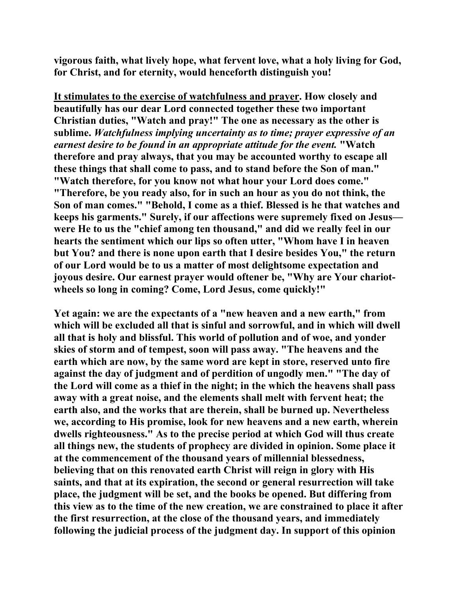**vigorous faith, what lively hope, what fervent love, what a holy living for God, for Christ, and for eternity, would henceforth distinguish you!** 

**It stimulates to the exercise of watchfulness and prayer. How closely and beautifully has our dear Lord connected together these two important Christian duties, "Watch and pray!" The one as necessary as the other is sublime.** *Watchfulness implying uncertainty as to time; prayer expressive of an earnest desire to be found in an appropriate attitude for the event.* **"Watch therefore and pray always, that you may be accounted worthy to escape all these things that shall come to pass, and to stand before the Son of man." "Watch therefore, for you know not what hour your Lord does come." "Therefore, be you ready also, for in such an hour as you do not think, the Son of man comes." "Behold, I come as a thief. Blessed is he that watches and keeps his garments." Surely, if our affections were supremely fixed on Jesus were He to us the "chief among ten thousand," and did we really feel in our hearts the sentiment which our lips so often utter, "Whom have I in heaven but You? and there is none upon earth that I desire besides You," the return of our Lord would be to us a matter of most delightsome expectation and joyous desire. Our earnest prayer would oftener be, "Why are Your chariotwheels so long in coming? Come, Lord Jesus, come quickly!"** 

**Yet again: we are the expectants of a "new heaven and a new earth," from which will be excluded all that is sinful and sorrowful, and in which will dwell all that is holy and blissful. This world of pollution and of woe, and yonder skies of storm and of tempest, soon will pass away. "The heavens and the earth which are now, by the same word are kept in store, reserved unto fire against the day of judgment and of perdition of ungodly men." "The day of the Lord will come as a thief in the night; in the which the heavens shall pass away with a great noise, and the elements shall melt with fervent heat; the earth also, and the works that are therein, shall be burned up. Nevertheless we, according to His promise, look for new heavens and a new earth, wherein dwells righteousness." As to the precise period at which God will thus create all things new, the students of prophecy are divided in opinion. Some place it at the commencement of the thousand years of millennial blessedness, believing that on this renovated earth Christ will reign in glory with His saints, and that at its expiration, the second or general resurrection will take place, the judgment will be set, and the books be opened. But differing from this view as to the time of the new creation, we are constrained to place it after the first resurrection, at the close of the thousand years, and immediately following the judicial process of the judgment day. In support of this opinion**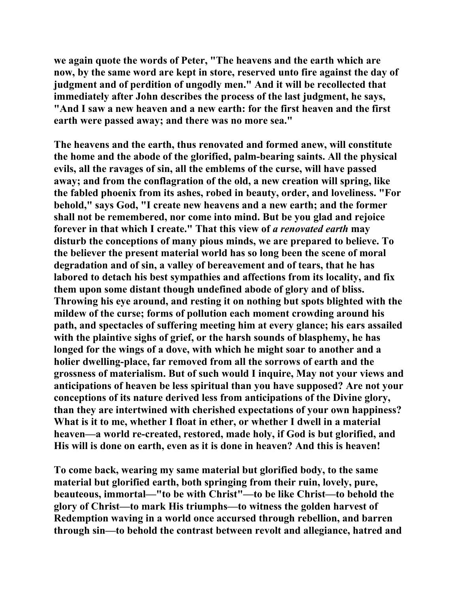**we again quote the words of Peter, "The heavens and the earth which are now, by the same word are kept in store, reserved unto fire against the day of judgment and of perdition of ungodly men." And it will be recollected that immediately after John describes the process of the last judgment, he says, "And I saw a new heaven and a new earth: for the first heaven and the first earth were passed away; and there was no more sea."** 

**The heavens and the earth, thus renovated and formed anew, will constitute the home and the abode of the glorified, palm-bearing saints. All the physical evils, all the ravages of sin, all the emblems of the curse, will have passed away; and from the conflagration of the old, a new creation will spring, like the fabled phoenix from its ashes, robed in beauty, order, and loveliness. "For behold," says God, "I create new heavens and a new earth; and the former shall not be remembered, nor come into mind. But be you glad and rejoice forever in that which I create." That this view of** *a renovated earth* **may disturb the conceptions of many pious minds, we are prepared to believe. To the believer the present material world has so long been the scene of moral degradation and of sin, a valley of bereavement and of tears, that he has labored to detach his best sympathies and affections from its locality, and fix them upon some distant though undefined abode of glory and of bliss. Throwing his eye around, and resting it on nothing but spots blighted with the mildew of the curse; forms of pollution each moment crowding around his path, and spectacles of suffering meeting him at every glance; his ears assailed with the plaintive sighs of grief, or the harsh sounds of blasphemy, he has longed for the wings of a dove, with which he might soar to another and a holier dwelling-place, far removed from all the sorrows of earth and the grossness of materialism. But of such would I inquire, May not your views and anticipations of heaven be less spiritual than you have supposed? Are not your conceptions of its nature derived less from anticipations of the Divine glory, than they are intertwined with cherished expectations of your own happiness? What is it to me, whether I float in ether, or whether I dwell in a material heaven—a world re-created, restored, made holy, if God is but glorified, and His will is done on earth, even as it is done in heaven? And this is heaven!** 

**To come back, wearing my same material but glorified body, to the same material but glorified earth, both springing from their ruin, lovely, pure, beauteous, immortal—"to be with Christ"—to be like Christ—to behold the glory of Christ—to mark His triumphs—to witness the golden harvest of Redemption waving in a world once accursed through rebellion, and barren through sin—to behold the contrast between revolt and allegiance, hatred and**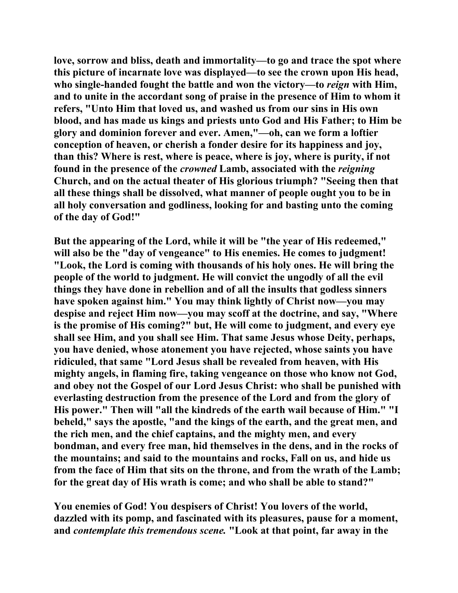**love, sorrow and bliss, death and immortality—to go and trace the spot where this picture of incarnate love was displayed—to see the crown upon His head, who single-handed fought the battle and won the victory—to** *reign* **with Him, and to unite in the accordant song of praise in the presence of Him to whom it refers, "Unto Him that loved us, and washed us from our sins in His own blood, and has made us kings and priests unto God and His Father; to Him be glory and dominion forever and ever. Amen,"—oh, can we form a loftier conception of heaven, or cherish a fonder desire for its happiness and joy, than this? Where is rest, where is peace, where is joy, where is purity, if not found in the presence of the** *crowned* **Lamb, associated with the** *reigning* **Church, and on the actual theater of His glorious triumph? "Seeing then that all these things shall be dissolved, what manner of people ought you to be in all holy conversation and godliness, looking for and basting unto the coming of the day of God!"** 

**But the appearing of the Lord, while it will be "the year of His redeemed," will also be the "day of vengeance" to His enemies. He comes to judgment! "Look, the Lord is coming with thousands of his holy ones. He will bring the people of the world to judgment. He will convict the ungodly of all the evil things they have done in rebellion and of all the insults that godless sinners have spoken against him." You may think lightly of Christ now—you may despise and reject Him now—you may scoff at the doctrine, and say, "Where is the promise of His coming?" but, He will come to judgment, and every eye shall see Him, and you shall see Him. That same Jesus whose Deity, perhaps, you have denied, whose atonement you have rejected, whose saints you have ridiculed, that same "Lord Jesus shall be revealed from heaven, with His mighty angels, in flaming fire, taking vengeance on those who know not God, and obey not the Gospel of our Lord Jesus Christ: who shall be punished with everlasting destruction from the presence of the Lord and from the glory of His power." Then will "all the kindreds of the earth wail because of Him." "I beheld," says the apostle, "and the kings of the earth, and the great men, and the rich men, and the chief captains, and the mighty men, and every bondman, and every free man, hid themselves in the dens, and in the rocks of the mountains; and said to the mountains and rocks, Fall on us, and hide us from the face of Him that sits on the throne, and from the wrath of the Lamb; for the great day of His wrath is come; and who shall be able to stand?"** 

**You enemies of God! You despisers of Christ! You lovers of the world, dazzled with its pomp, and fascinated with its pleasures, pause for a moment, and** *contemplate this tremendous scene.* **"Look at that point, far away in the**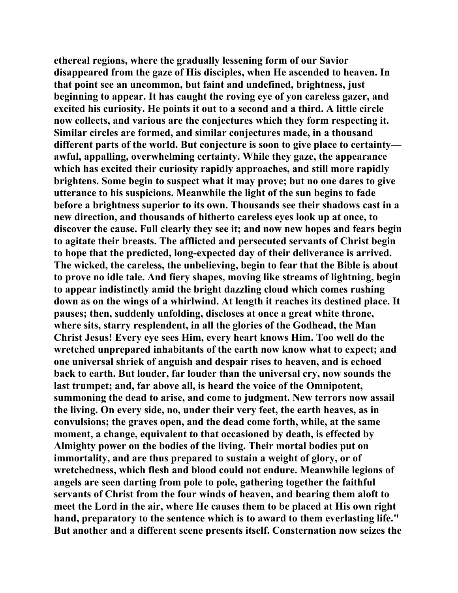**ethereal regions, where the gradually lessening form of our Savior disappeared from the gaze of His disciples, when He ascended to heaven. In that point see an uncommon, but faint and undefined, brightness, just beginning to appear. It has caught the roving eye of yon careless gazer, and excited his curiosity. He points it out to a second and a third. A little circle now collects, and various are the conjectures which they form respecting it. Similar circles are formed, and similar conjectures made, in a thousand different parts of the world. But conjecture is soon to give place to certainty awful, appalling, overwhelming certainty. While they gaze, the appearance which has excited their curiosity rapidly approaches, and still more rapidly brightens. Some begin to suspect what it may prove; but no one dares to give utterance to his suspicions. Meanwhile the light of the sun begins to fade before a brightness superior to its own. Thousands see their shadows cast in a new direction, and thousands of hitherto careless eyes look up at once, to discover the cause. Full clearly they see it; and now new hopes and fears begin to agitate their breasts. The afflicted and persecuted servants of Christ begin to hope that the predicted, long-expected day of their deliverance is arrived. The wicked, the careless, the unbelieving, begin to fear that the Bible is about to prove no idle tale. And fiery shapes, moving like streams of lightning, begin to appear indistinctly amid the bright dazzling cloud which comes rushing down as on the wings of a whirlwind. At length it reaches its destined place. It pauses; then, suddenly unfolding, discloses at once a great white throne, where sits, starry resplendent, in all the glories of the Godhead, the Man Christ Jesus! Every eye sees Him, every heart knows Him. Too well do the wretched unprepared inhabitants of the earth now know what to expect; and one universal shriek of anguish and despair rises to heaven, and is echoed back to earth. But louder, far louder than the universal cry, now sounds the last trumpet; and, far above all, is heard the voice of the Omnipotent, summoning the dead to arise, and come to judgment. New terrors now assail the living. On every side, no, under their very feet, the earth heaves, as in convulsions; the graves open, and the dead come forth, while, at the same moment, a change, equivalent to that occasioned by death, is effected by Almighty power on the bodies of the living. Their mortal bodies put on immortality, and are thus prepared to sustain a weight of glory, or of wretchedness, which flesh and blood could not endure. Meanwhile legions of angels are seen darting from pole to pole, gathering together the faithful servants of Christ from the four winds of heaven, and bearing them aloft to meet the Lord in the air, where He causes them to be placed at His own right hand, preparatory to the sentence which is to award to them everlasting life." But another and a different scene presents itself. Consternation now seizes the**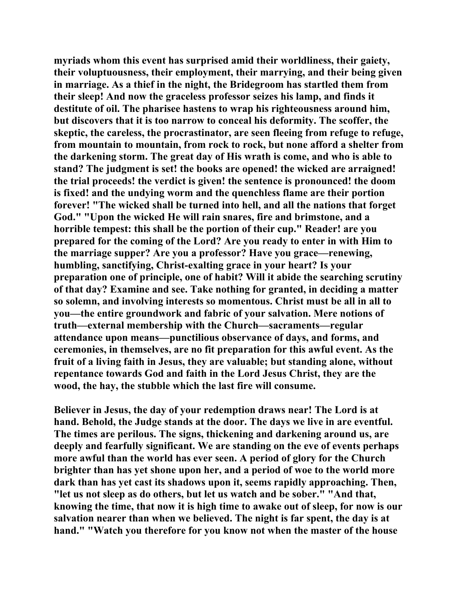**myriads whom this event has surprised amid their worldliness, their gaiety, their voluptuousness, their employment, their marrying, and their being given in marriage. As a thief in the night, the Bridegroom has startled them from their sleep! And now the graceless professor seizes his lamp, and finds it destitute of oil. The pharisee hastens to wrap his righteousness around him, but discovers that it is too narrow to conceal his deformity. The scoffer, the skeptic, the careless, the procrastinator, are seen fleeing from refuge to refuge, from mountain to mountain, from rock to rock, but none afford a shelter from the darkening storm. The great day of His wrath is come, and who is able to stand? The judgment is set! the books are opened! the wicked are arraigned! the trial proceeds! the verdict is given! the sentence is pronounced! the doom is fixed! and the undying worm and the quenchless flame are their portion forever! "The wicked shall be turned into hell, and all the nations that forget God." "Upon the wicked He will rain snares, fire and brimstone, and a horrible tempest: this shall be the portion of their cup." Reader! are you prepared for the coming of the Lord? Are you ready to enter in with Him to the marriage supper? Are you a professor? Have you grace—renewing, humbling, sanctifying, Christ-exalting grace in your heart? Is your preparation one of principle, one of habit? Will it abide the searching scrutiny of that day? Examine and see. Take nothing for granted, in deciding a matter so solemn, and involving interests so momentous. Christ must be all in all to you—the entire groundwork and fabric of your salvation. Mere notions of truth—external membership with the Church—sacraments—regular attendance upon means—punctilious observance of days, and forms, and ceremonies, in themselves, are no fit preparation for this awful event. As the fruit of a living faith in Jesus, they are valuable; but standing alone, without repentance towards God and faith in the Lord Jesus Christ, they are the wood, the hay, the stubble which the last fire will consume.** 

**Believer in Jesus, the day of your redemption draws near! The Lord is at hand. Behold, the Judge stands at the door. The days we live in are eventful. The times are perilous. The signs, thickening and darkening around us, are deeply and fearfully significant. We are standing on the eve of events perhaps more awful than the world has ever seen. A period of glory for the Church brighter than has yet shone upon her, and a period of woe to the world more dark than has yet cast its shadows upon it, seems rapidly approaching. Then, "let us not sleep as do others, but let us watch and be sober." "And that, knowing the time, that now it is high time to awake out of sleep, for now is our salvation nearer than when we believed. The night is far spent, the day is at hand." "Watch you therefore for you know not when the master of the house**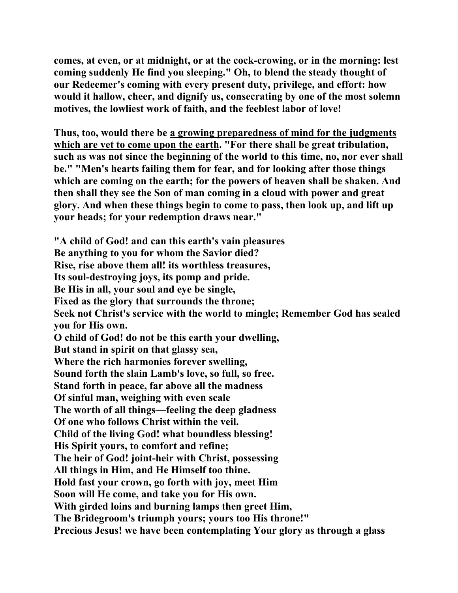**comes, at even, or at midnight, or at the cock-crowing, or in the morning: lest coming suddenly He find you sleeping." Oh, to blend the steady thought of our Redeemer's coming with every present duty, privilege, and effort: how would it hallow, cheer, and dignify us, consecrating by one of the most solemn motives, the lowliest work of faith, and the feeblest labor of love!** 

**Thus, too, would there be a growing preparedness of mind for the judgments which are yet to come upon the earth. "For there shall be great tribulation, such as was not since the beginning of the world to this time, no, nor ever shall be." "Men's hearts failing them for fear, and for looking after those things which are coming on the earth; for the powers of heaven shall be shaken. And then shall they see the Son of man coming in a cloud with power and great glory. And when these things begin to come to pass, then look up, and lift up your heads; for your redemption draws near."** 

**"A child of God! and can this earth's vain pleasures Be anything to you for whom the Savior died? Rise, rise above them all! its worthless treasures, Its soul-destroying joys, its pomp and pride. Be His in all, your soul and eye be single, Fixed as the glory that surrounds the throne; Seek not Christ's service with the world to mingle; Remember God has sealed you for His own. O child of God! do not be this earth your dwelling, But stand in spirit on that glassy sea, Where the rich harmonies forever swelling, Sound forth the slain Lamb's love, so full, so free. Stand forth in peace, far above all the madness Of sinful man, weighing with even scale The worth of all things—feeling the deep gladness Of one who follows Christ within the veil. Child of the living God! what boundless blessing! His Spirit yours, to comfort and refine; The heir of God! joint-heir with Christ, possessing All things in Him, and He Himself too thine. Hold fast your crown, go forth with joy, meet Him Soon will He come, and take you for His own. With girded loins and burning lamps then greet Him, The Bridegroom's triumph yours; yours too His throne!" Precious Jesus! we have been contemplating Your glory as through a glass**